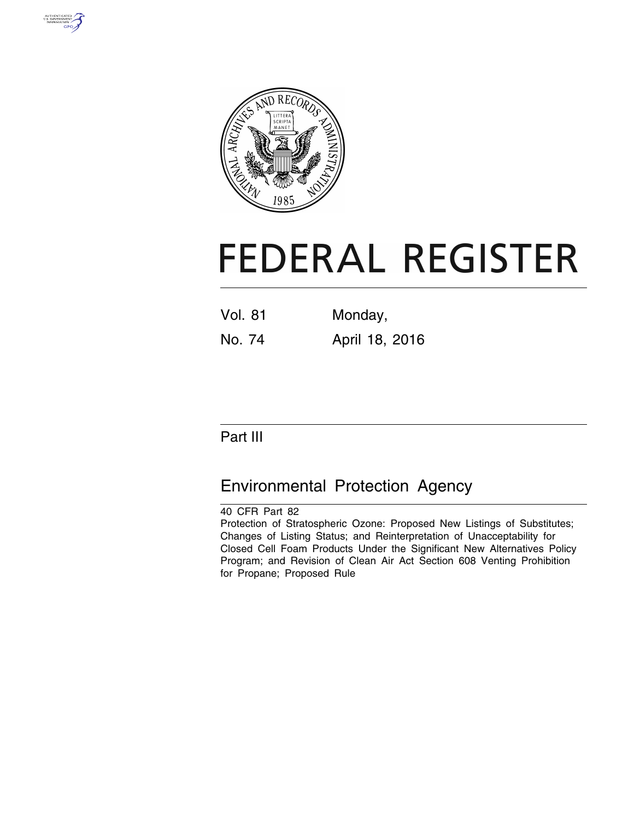



# **FEDERAL REGISTER**

| <b>Vol. 81</b> | Monday, |
|----------------|---------|
|                |         |

No. 74 April 18, 2016

# Part III

# Environmental Protection Agency

40 CFR Part 82 Protection of Stratospheric Ozone: Proposed New Listings of Substitutes; Changes of Listing Status; and Reinterpretation of Unacceptability for Closed Cell Foam Products Under the Significant New Alternatives Policy Program; and Revision of Clean Air Act Section 608 Venting Prohibition for Propane; Proposed Rule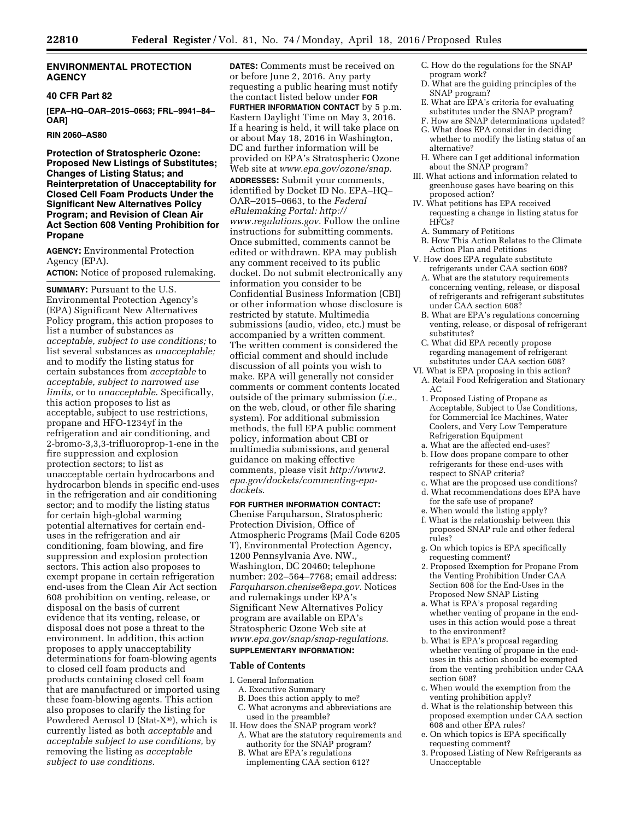#### **ENVIRONMENTAL PROTECTION AGENCY**

#### **40 CFR Part 82**

**[EPA–HQ–OAR–2015–0663; FRL–9941–84– OAR]** 

#### **RIN 2060–AS80**

**Protection of Stratospheric Ozone: Proposed New Listings of Substitutes; Changes of Listing Status; and Reinterpretation of Unacceptability for Closed Cell Foam Products Under the Significant New Alternatives Policy Program; and Revision of Clean Air Act Section 608 Venting Prohibition for Propane** 

**AGENCY:** Environmental Protection Agency (EPA). **ACTION:** Notice of proposed rulemaking.

**SUMMARY: Pursuant to the U.S.** Environmental Protection Agency's (EPA) Significant New Alternatives Policy program, this action proposes to list a number of substances as *acceptable, subject to use conditions;* to list several substances as *unacceptable;*  and to modify the listing status for certain substances from *acceptable* to *acceptable, subject to narrowed use limits,* or to *unacceptable*. Specifically, this action proposes to list as acceptable, subject to use restrictions, propane and HFO-1234yf in the refrigeration and air conditioning, and 2-bromo-3,3,3-trifluoroprop-1-ene in the fire suppression and explosion protection sectors; to list as unacceptable certain hydrocarbons and hydrocarbon blends in specific end-uses in the refrigeration and air conditioning sector; and to modify the listing status for certain high-global warming potential alternatives for certain enduses in the refrigeration and air conditioning, foam blowing, and fire suppression and explosion protection sectors. This action also proposes to exempt propane in certain refrigeration end-uses from the Clean Air Act section 608 prohibition on venting, release, or disposal on the basis of current evidence that its venting, release, or disposal does not pose a threat to the environment. In addition, this action proposes to apply unacceptability determinations for foam-blowing agents to closed cell foam products and products containing closed cell foam that are manufactured or imported using these foam-blowing agents. This action also proposes to clarify the listing for Powdered Aerosol D (Stat-X®), which is currently listed as both *acceptable* and *acceptable subject to use conditions,* by removing the listing as *acceptable subject to use conditions*.

**DATES:** Comments must be received on or before June 2, 2016. Any party requesting a public hearing must notify the contact listed below under **FOR FURTHER INFORMATION CONTACT** by 5 p.m. Eastern Daylight Time on May 3, 2016. If a hearing is held, it will take place on or about May 18, 2016 in Washington, DC and further information will be provided on EPA's Stratospheric Ozone Web site at *[www.epa.gov/ozone/snap](http://www.epa.gov/ozone/snap)*. **ADDRESSES:** Submit your comments, identified by Docket ID No. EPA–HQ– OAR–2015–0663, to the *Federal eRulemaking Portal: [http://](http://www.regulations.gov) [www.regulations.gov](http://www.regulations.gov)*. Follow the online instructions for submitting comments. Once submitted, comments cannot be edited or withdrawn. EPA may publish any comment received to its public docket. Do not submit electronically any information you consider to be Confidential Business Information (CBI) or other information whose disclosure is restricted by statute. Multimedia submissions (audio, video, etc.) must be accompanied by a written comment. The written comment is considered the official comment and should include discussion of all points you wish to make. EPA will generally not consider comments or comment contents located outside of the primary submission (*i.e.,*  on the web, cloud, or other file sharing system). For additional submission methods, the full EPA public comment policy, information about CBI or multimedia submissions, and general guidance on making effective comments, please visit *[http://www2.](http://www2.epa.gov/dockets/commenting-epa-dockets) [epa.gov/dockets/commenting-epa](http://www2.epa.gov/dockets/commenting-epa-dockets)[dockets](http://www2.epa.gov/dockets/commenting-epa-dockets)*.

**FOR FURTHER INFORMATION CONTACT:**  Chenise Farquharson, Stratospheric

Protection Division, Office of Atmospheric Programs (Mail Code 6205 T), Environmental Protection Agency, 1200 Pennsylvania Ave. NW., Washington, DC 20460; telephone number: 202–564–7768; email address: *[Farquharson.chenise@epa.gov](mailto:Farquharson.chenise@epa.gov)*. Notices and rulemakings under EPA's Significant New Alternatives Policy program are available on EPA's Stratospheric Ozone Web site at *[www.epa.gov/snap/snap-regulations](http://www.epa.gov/snap/snap-regulations)*. **SUPPLEMENTARY INFORMATION:** 

# **Table of Contents**

- I. General Information
- A. Executive Summary
- B. Does this action apply to me?
- C. What acronyms and abbreviations are used in the preamble?
- II. How does the SNAP program work? A. What are the statutory requirements and
- authority for the SNAP program?
- B. What are EPA's regulations implementing CAA section 612?
- C. How do the regulations for the SNAP program work?
- D. What are the guiding principles of the SNAP program?
- E. What are EPA's criteria for evaluating substitutes under the SNAP program?
- F. How are SNAP determinations updated?
- G. What does EPA consider in deciding whether to modify the listing status of an alternative?
- H. Where can I get additional information about the SNAP program?
- III. What actions and information related to greenhouse gases have bearing on this proposed action?
- IV. What petitions has EPA received requesting a change in listing status for HFCs?
- A. Summary of Petitions
- B. How This Action Relates to the Climate Action Plan and Petitions
- V. How does EPA regulate substitute refrigerants under CAA section 608?
- A. What are the statutory requirements concerning venting, release, or disposal of refrigerants and refrigerant substitutes under CAA section 608?
- B. What are EPA's regulations concerning venting, release, or disposal of refrigerant substitutes?
- C. What did EPA recently propose regarding management of refrigerant substitutes under CAA section 608?
- VI. What is EPA proposing in this action? A. Retail Food Refrigeration and Stationary AC
- 1. Proposed Listing of Propane as Acceptable, Subject to Use Conditions. for Commercial Ice Machines, Water Coolers, and Very Low Temperature Refrigeration Equipment
- a. What are the affected end-uses?
- b. How does propane compare to other refrigerants for these end-uses with respect to SNAP criteria?
- c. What are the proposed use conditions? d. What recommendations does EPA have
- for the safe use of propane?
- e. When would the listing apply?
- f. What is the relationship between this proposed SNAP rule and other federal rules?
- g. On which topics is EPA specifically requesting comment?
- 2. Proposed Exemption for Propane From the Venting Prohibition Under CAA Section 608 for the End-Uses in the Proposed New SNAP Listing
- a. What is EPA's proposal regarding whether venting of propane in the enduses in this action would pose a threat to the environment?
- b. What is EPA's proposal regarding whether venting of propane in the enduses in this action should be exempted from the venting prohibition under CAA section 608?
- c. When would the exemption from the venting prohibition apply?
- d. What is the relationship between this proposed exemption under CAA section 608 and other EPA rules?
- e. On which topics is EPA specifically requesting comment?
- 3. Proposed Listing of New Refrigerants as Unacceptable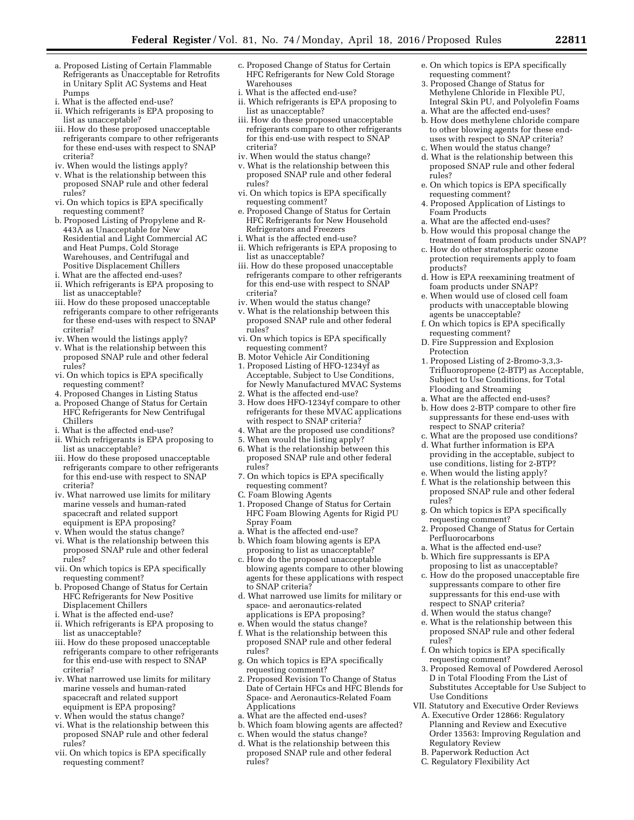- a. Proposed Listing of Certain Flammable Refrigerants as Unacceptable for Retrofits in Unitary Split AC Systems and Heat Pumps
- i. What is the affected end-use?
- ii. Which refrigerants is EPA proposing to list as unacceptable?
- iii. How do these proposed unacceptable refrigerants compare to other refrigerants for these end-uses with respect to SNAP criteria?
- iv. When would the listings apply?
- v. What is the relationship between this proposed SNAP rule and other federal rules?
- vi. On which topics is EPA specifically requesting comment?
- b. Proposed Listing of Propylene and R-443A as Unacceptable for New Residential and Light Commercial AC and Heat Pumps, Cold Storage Warehouses, and Centrifugal and Positive Displacement Chillers
- i. What are the affected end-uses?
- ii. Which refrigerants is EPA proposing to list as unacceptable?
- iii. How do these proposed unacceptable refrigerants compare to other refrigerants for these end-uses with respect to SNAP criteria?
- iv. When would the listings apply?
- v. What is the relationship between this proposed SNAP rule and other federal rules?
- vi. On which topics is EPA specifically requesting comment?
- 4. Proposed Changes in Listing Status
- a. Proposed Change of Status for Certain
- HFC Refrigerants for New Centrifugal Chillers
- i. What is the affected end-use?
- ii. Which refrigerants is EPA proposing to list as unacceptable?
- iii. How do these proposed unacceptable refrigerants compare to other refrigerants for this end-use with respect to SNAP criteria?
- iv. What narrowed use limits for military marine vessels and human-rated spacecraft and related support equipment is EPA proposing?
- v. When would the status change?
- vi. What is the relationship between this proposed SNAP rule and other federal rules?
- vii. On which topics is EPA specifically requesting comment?
- b. Proposed Change of Status for Certain HFC Refrigerants for New Positive Displacement Chillers
- i. What is the affected end-use?
- ii. Which refrigerants is EPA proposing to list as unacceptable?
- iii. How do these proposed unacceptable refrigerants compare to other refrigerants for this end-use with respect to SNAP criteria?
- iv. What narrowed use limits for military marine vessels and human-rated spacecraft and related support equipment is EPA proposing?
- v. When would the status change?
- vi. What is the relationship between this proposed SNAP rule and other federal rules?
- vii. On which topics is EPA specifically requesting comment?
- c. Proposed Change of Status for Certain HFC Refrigerants for New Cold Storage Warehouses
- i. What is the affected end-use?
- ii. Which refrigerants is EPA proposing to list as unacceptable?
- iii. How do these proposed unacceptable refrigerants compare to other refrigerants for this end-use with respect to SNAP criteria?
- iv. When would the status change?
- v. What is the relationship between this proposed SNAP rule and other federal rules?
- vi. On which topics is EPA specifically requesting comment?
- e. Proposed Change of Status for Certain HFC Refrigerants for New Household Refrigerators and Freezers
- i. What is the affected end-use?
- ii. Which refrigerants is EPA proposing to list as unacceptable?
- iii. How do these proposed unacceptable refrigerants compare to other refrigerants for this end-use with respect to SNAP criteria?
- iv. When would the status change?
- v. What is the relationship between this proposed SNAP rule and other federal rules?
- vi. On which topics is EPA specifically requesting comment?
- B. Motor Vehicle Air Conditioning
- 1. Proposed Listing of HFO-1234yf as Acceptable, Subject to Use Conditions, for Newly Manufactured MVAC Systems
- 2. What is the affected end-use?
- 3. How does HFO-1234yf compare to other refrigerants for these MVAC applications with respect to SNAP criteria?
- 4. What are the proposed use conditions?
- 5. When would the listing apply?
- 6. What is the relationship between this proposed SNAP rule and other federal rules?
- 7. On which topics is EPA specifically requesting comment?
- C. Foam Blowing Agents
- 1. Proposed Change of Status for Certain HFC Foam Blowing Agents for Rigid PU Spray Foam
- a. What is the affected end-use?
- b. Which foam blowing agents is EPA proposing to list as unacceptable?
- c. How do the proposed unacceptable blowing agents compare to other blowing agents for these applications with respect to SNAP criteria?
- d. What narrowed use limits for military or space- and aeronautics-related applications is EPA proposing?
- e. When would the status change?
- f. What is the relationship between this proposed SNAP rule and other federal rules?
- g. On which topics is EPA specifically requesting comment?
- 2. Proposed Revision To Change of Status Date of Certain HFCs and HFC Blends for Space- and Aeronautics-Related Foam Applications
- a. What are the affected end-uses?
- b. Which foam blowing agents are affected?
- c. When would the status change?
- d. What is the relationship between this proposed SNAP rule and other federal rules?
- e. On which topics is EPA specifically requesting comment?
- 3. Proposed Change of Status for Methylene Chloride in Flexible PU, Integral Skin PU, and Polyolefin Foams
- a. What are the affected end-uses? b. How does methylene chloride compare to other blowing agents for these enduses with respect to SNAP criteria?
- c. When would the status change?
- d. What is the relationship between this proposed SNAP rule and other federal rules?
- e. On which topics is EPA specifically requesting comment?
- 4. Proposed Application of Listings to Foam Products
- a. What are the affected end-uses?
- b. How would this proposal change the treatment of foam products under SNAP?
- c. How do other stratospheric ozone protection requirements apply to foam products?
- d. How is EPA reexamining treatment of foam products under SNAP?
- e. When would use of closed cell foam products with unacceptable blowing agents be unacceptable?
- f. On which topics is EPA specifically requesting comment?
- D. Fire Suppression and Explosion Protection
- 1. Proposed Listing of 2-Bromo-3,3,3- Trifluoropropene (2-BTP) as Acceptable, Subject to Use Conditions, for Total Flooding and Streaming
- a. What are the affected end-uses?
- b. How does 2-BTP compare to other fire suppressants for these end-uses with respect to SNAP criteria?
- c. What are the proposed use conditions? d. What further information is EPA
- providing in the acceptable, subject to use conditions, listing for 2-BTP? e. When would the listing apply?
- f. What is the relationship between this proposed SNAP rule and other federal rules?
- g. On which topics is EPA specifically requesting comment?
- 2. Proposed Change of Status for Certain Perfluorocarbons
- a. What is the affected end-use?
- b. Which fire suppressants is EPA proposing to list as unacceptable?
- c. How do the proposed unacceptable fire suppressants compare to other fire suppressants for this end-use with respect to SNAP criteria?
- d. When would the status change?
- e. What is the relationship between this proposed SNAP rule and other federal rules?
- f. On which topics is EPA specifically requesting comment?
- 3. Proposed Removal of Powdered Aerosol D in Total Flooding From the List of Substitutes Acceptable for Use Subject to Use Conditions
- VII. Statutory and Executive Order Reviews
- A. Executive Order 12866: Regulatory Planning and Review and Executive Order 13563: Improving Regulation and Regulatory Review

B. Paperwork Reduction Act C. Regulatory Flexibility Act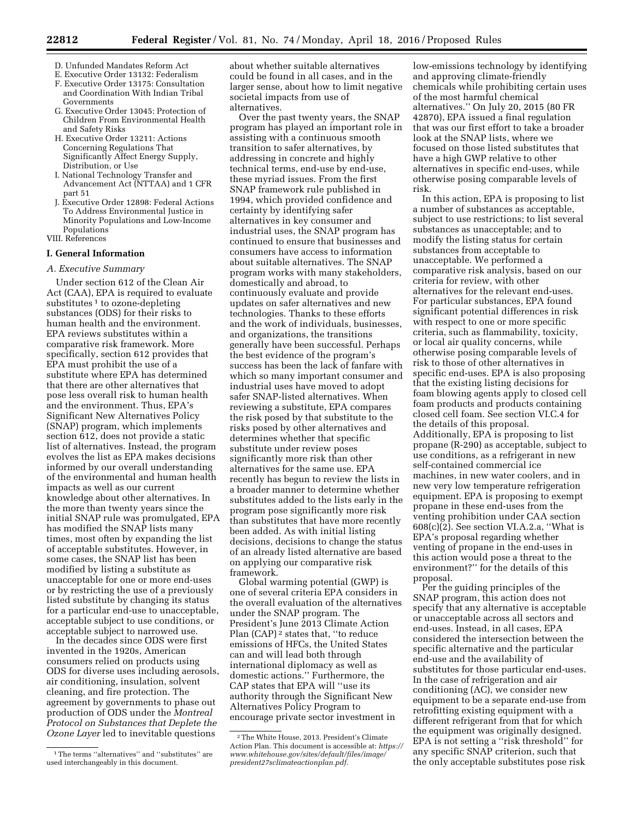- D. Unfunded Mandates Reform Act
- E. Executive Order 13132: Federalism F. Executive Order 13175: Consultation and Coordination With Indian Tribal Governments
- G. Executive Order 13045: Protection of Children From Environmental Health and Safety Risks
- H. Executive Order 13211: Actions Concerning Regulations That Significantly Affect Energy Supply, Distribution, or Use
- I. National Technology Transfer and Advancement Act (NTTAA) and 1 CFR part 51
- J. Executive Order 12898: Federal Actions To Address Environmental Justice in Minority Populations and Low-Income Populations
- VIII. References

#### **I. General Information**

#### *A. Executive Summary*

Under section 612 of the Clean Air Act (CAA), EPA is required to evaluate substitutes<sup>1</sup> to ozone-depleting substances (ODS) for their risks to human health and the environment. EPA reviews substitutes within a comparative risk framework. More specifically, section 612 provides that EPA must prohibit the use of a substitute where EPA has determined that there are other alternatives that pose less overall risk to human health and the environment. Thus, EPA's Significant New Alternatives Policy (SNAP) program, which implements section 612, does not provide a static list of alternatives. Instead, the program evolves the list as EPA makes decisions informed by our overall understanding of the environmental and human health impacts as well as our current knowledge about other alternatives. In the more than twenty years since the initial SNAP rule was promulgated, EPA has modified the SNAP lists many times, most often by expanding the list of acceptable substitutes. However, in some cases, the SNAP list has been modified by listing a substitute as unacceptable for one or more end-uses or by restricting the use of a previously listed substitute by changing its status for a particular end-use to unacceptable, acceptable subject to use conditions, or acceptable subject to narrowed use.

In the decades since ODS were first invented in the 1920s, American consumers relied on products using ODS for diverse uses including aerosols, air conditioning, insulation, solvent cleaning, and fire protection. The agreement by governments to phase out production of ODS under the *Montreal Protocol on Substances that Deplete the Ozone Layer* led to inevitable questions

about whether suitable alternatives could be found in all cases, and in the larger sense, about how to limit negative societal impacts from use of alternatives.

Over the past twenty years, the SNAP program has played an important role in assisting with a continuous smooth transition to safer alternatives, by addressing in concrete and highly technical terms, end-use by end-use, these myriad issues. From the first SNAP framework rule published in 1994, which provided confidence and certainty by identifying safer alternatives in key consumer and industrial uses, the SNAP program has continued to ensure that businesses and consumers have access to information about suitable alternatives. The SNAP program works with many stakeholders, domestically and abroad, to continuously evaluate and provide updates on safer alternatives and new technologies. Thanks to these efforts and the work of individuals, businesses, and organizations, the transitions generally have been successful. Perhaps the best evidence of the program's success has been the lack of fanfare with which so many important consumer and industrial uses have moved to adopt safer SNAP-listed alternatives. When reviewing a substitute, EPA compares the risk posed by that substitute to the risks posed by other alternatives and determines whether that specific substitute under review poses significantly more risk than other alternatives for the same use. EPA recently has begun to review the lists in a broader manner to determine whether substitutes added to the lists early in the program pose significantly more risk than substitutes that have more recently been added. As with initial listing decisions, decisions to change the status of an already listed alternative are based on applying our comparative risk framework.

Global warming potential (GWP) is one of several criteria EPA considers in the overall evaluation of the alternatives under the SNAP program. The President's June 2013 Climate Action Plan (CAP) 2 states that, ''to reduce emissions of HFCs, the United States can and will lead both through international diplomacy as well as domestic actions.'' Furthermore, the CAP states that EPA will ''use its authority through the Significant New Alternatives Policy Program to encourage private sector investment in

low-emissions technology by identifying and approving climate-friendly chemicals while prohibiting certain uses of the most harmful chemical alternatives.'' On July 20, 2015 (80 FR 42870), EPA issued a final regulation that was our first effort to take a broader look at the SNAP lists, where we focused on those listed substitutes that have a high GWP relative to other alternatives in specific end-uses, while otherwise posing comparable levels of risk.

In this action, EPA is proposing to list a number of substances as acceptable, subject to use restrictions; to list several substances as unacceptable; and to modify the listing status for certain substances from acceptable to unacceptable. We performed a comparative risk analysis, based on our criteria for review, with other alternatives for the relevant end-uses. For particular substances, EPA found significant potential differences in risk with respect to one or more specific criteria, such as flammability, toxicity, or local air quality concerns, while otherwise posing comparable levels of risk to those of other alternatives in specific end-uses. EPA is also proposing that the existing listing decisions for foam blowing agents apply to closed cell foam products and products containing closed cell foam. See section VI.C.4 for the details of this proposal. Additionally, EPA is proposing to list propane (R-290) as acceptable, subject to use conditions, as a refrigerant in new self-contained commercial ice machines, in new water coolers, and in new very low temperature refrigeration equipment. EPA is proposing to exempt propane in these end-uses from the venting prohibition under CAA section 608(c)(2). See section VI.A.2.a, ''What is EPA's proposal regarding whether venting of propane in the end-uses in this action would pose a threat to the environment?'' for the details of this proposal.

Per the guiding principles of the SNAP program, this action does not specify that any alternative is acceptable or unacceptable across all sectors and end-uses. Instead, in all cases, EPA considered the intersection between the specific alternative and the particular end-use and the availability of substitutes for those particular end-uses. In the case of refrigeration and air conditioning (AC), we consider new equipment to be a separate end-use from retrofitting existing equipment with a different refrigerant from that for which the equipment was originally designed. EPA is not setting a ''risk threshold'' for any specific SNAP criterion, such that the only acceptable substitutes pose risk

<sup>1</sup>The terms ''alternatives'' and ''substitutes'' are used interchangeably in this document.

<sup>2</sup>The White House, 2013. President's Climate Action Plan. This document is accessible at: *[https://](https://www.whitehouse.gov/sites/default/files/image/president27sclimateactionplan.pdf) [www.whitehouse.gov/sites/default/files/image/](https://www.whitehouse.gov/sites/default/files/image/president27sclimateactionplan.pdf) [president27sclimateactionplan.pdf.](https://www.whitehouse.gov/sites/default/files/image/president27sclimateactionplan.pdf)*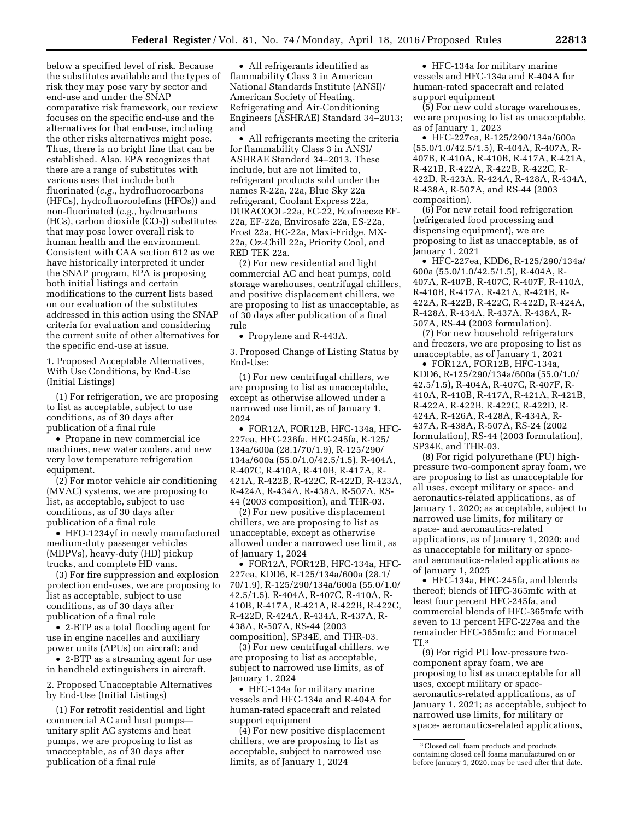below a specified level of risk. Because the substitutes available and the types of risk they may pose vary by sector and end-use and under the SNAP comparative risk framework, our review focuses on the specific end-use and the alternatives for that end-use, including the other risks alternatives might pose. Thus, there is no bright line that can be established. Also, EPA recognizes that there are a range of substitutes with various uses that include both fluorinated (*e.g.,* hydrofluorocarbons (HFCs), hydrofluoroolefins (HFOs)) and non-fluorinated (*e.g.,* hydrocarbons (HCs), carbon dioxide  $(CO<sub>2</sub>)$ ) substitutes that may pose lower overall risk to human health and the environment. Consistent with CAA section 612 as we have historically interpreted it under the SNAP program, EPA is proposing both initial listings and certain modifications to the current lists based on our evaluation of the substitutes addressed in this action using the SNAP criteria for evaluation and considering the current suite of other alternatives for the specific end-use at issue.

1. Proposed Acceptable Alternatives, With Use Conditions, by End-Use (Initial Listings)

(1) For refrigeration, we are proposing to list as acceptable, subject to use conditions, as of 30 days after publication of a final rule

• Propane in new commercial ice machines, new water coolers, and new very low temperature refrigeration equipment.

(2) For motor vehicle air conditioning (MVAC) systems, we are proposing to list, as acceptable, subject to use conditions, as of 30 days after publication of a final rule

• HFO-1234yf in newly manufactured medium-duty passenger vehicles (MDPVs), heavy-duty (HD) pickup trucks, and complete HD vans.

(3) For fire suppression and explosion protection end-uses, we are proposing to list as acceptable, subject to use conditions, as of 30 days after publication of a final rule

• 2-BTP as a total flooding agent for use in engine nacelles and auxiliary power units (APUs) on aircraft; and

• 2-BTP as a streaming agent for use in handheld extinguishers in aircraft.

2. Proposed Unacceptable Alternatives by End-Use (Initial Listings)

(1) For retrofit residential and light commercial AC and heat pumps unitary split AC systems and heat pumps, we are proposing to list as unacceptable, as of 30 days after publication of a final rule

• All refrigerants identified as flammability Class 3 in American National Standards Institute (ANSI)/ American Society of Heating, Refrigerating and Air-Conditioning Engineers (ASHRAE) Standard 34–2013; and

• All refrigerants meeting the criteria for flammability Class 3 in ANSI/ ASHRAE Standard 34–2013. These include, but are not limited to, refrigerant products sold under the names R-22a, 22a, Blue Sky 22a refrigerant, Coolant Express 22a, DURACOOL-22a, EC-22, Ecofreeeze EF-22a, EF-22a, Envirosafe 22a, ES-22a, Frost 22a, HC-22a, Maxi-Fridge, MX-22a, Oz-Chill 22a, Priority Cool, and RED TEK 22a.

(2) For new residential and light commercial AC and heat pumps, cold storage warehouses, centrifugal chillers, and positive displacement chillers, we are proposing to list as unacceptable, as of 30 days after publication of a final rule

• Propylene and R-443A.

3. Proposed Change of Listing Status by End-Use:

(1) For new centrifugal chillers, we are proposing to list as unacceptable, except as otherwise allowed under a narrowed use limit, as of January 1, 2024

• FOR12A, FOR12B, HFC-134a, HFC-227ea, HFC-236fa, HFC-245fa, R-125/ 134a/600a (28.1/70/1.9), R-125/290/ 134a/600a (55.0/1.0/42.5/1.5), R-404A, R-407C, R-410A, R-410B, R-417A, R-421A, R-422B, R-422C, R-422D, R-423A, R-424A, R-434A, R-438A, R-507A, RS-44 (2003 composition), and THR-03.

(2) For new positive displacement chillers, we are proposing to list as unacceptable, except as otherwise allowed under a narrowed use limit, as of January 1, 2024

• FOR12A, FOR12B, HFC-134a, HFC-227ea, KDD6, R-125/134a/600a (28.1/ 70/1.9), R-125/290/134a/600a (55.0/1.0/ 42.5/1.5), R-404A, R-407C, R-410A, R-410B, R-417A, R-421A, R-422B, R-422C, R-422D, R-424A, R-434A, R-437A, R-438A, R-507A, RS-44 (2003 composition), SP34E, and THR-03.

(3) For new centrifugal chillers, we are proposing to list as acceptable, subject to narrowed use limits, as of January 1, 2024

• HFC-134a for military marine vessels and HFC-134a and R-404A for human-rated spacecraft and related support equipment

(4) For new positive displacement chillers, we are proposing to list as acceptable, subject to narrowed use limits, as of January 1, 2024

• HFC-134a for military marine vessels and HFC-134a and R-404A for human-rated spacecraft and related support equipment

(5) For new cold storage warehouses, we are proposing to list as unacceptable, as of January 1, 2023

• HFC-227ea, R-125/290/134a/600a (55.0/1.0/42.5/1.5), R-404A, R-407A, R-407B, R-410A, R-410B, R-417A, R-421A, R-421B, R-422A, R-422B, R-422C, R-422D, R-423A, R-424A, R-428A, R-434A, R-438A, R-507A, and RS-44 (2003 composition).

(6) For new retail food refrigeration (refrigerated food processing and dispensing equipment), we are proposing to list as unacceptable, as of January 1, 2021

• HFC-227ea, KDD6, R-125/290/134a/ 600a (55.0/1.0/42.5/1.5), R-404A, R-407A, R-407B, R-407C, R-407F, R-410A, R-410B, R-417A, R-421A, R-421B, R-422A, R-422B, R-422C, R-422D, R-424A, R-428A, R-434A, R-437A, R-438A, R-507A, RS-44 (2003 formulation).

(7) For new household refrigerators and freezers, we are proposing to list as unacceptable, as of January 1, 2021

• FOR12A, FOR12B, HFC-134a, KDD6, R-125/290/134a/600a (55.0/1.0/ 42.5/1.5), R-404A, R-407C, R-407F, R-410A, R-410B, R-417A, R-421A, R-421B, R-422A, R-422B, R-422C, R-422D, R-424A, R-426A, R-428A, R-434A, R-437A, R-438A, R-507A, RS-24 (2002 formulation), RS-44 (2003 formulation), SP34E, and THR-03.

(8) For rigid polyurethane (PU) highpressure two-component spray foam, we are proposing to list as unacceptable for all uses, except military or space- and aeronautics-related applications, as of January 1, 2020; as acceptable, subject to narrowed use limits, for military or space- and aeronautics-related applications, as of January 1, 2020; and as unacceptable for military or spaceand aeronautics-related applications as of January 1, 2025

• HFC-134a, HFC-245fa, and blends thereof; blends of HFC-365mfc with at least four percent HFC-245fa, and commercial blends of HFC-365mfc with seven to 13 percent HFC-227ea and the remainder HFC-365mfc; and Formacel TI.3

(9) For rigid PU low-pressure twocomponent spray foam, we are proposing to list as unacceptable for all uses, except military or spaceaeronautics-related applications, as of January 1, 2021; as acceptable, subject to narrowed use limits, for military or space- aeronautics-related applications,

<sup>3</sup>Closed cell foam products and products containing closed cell foams manufactured on or before January 1, 2020, may be used after that date.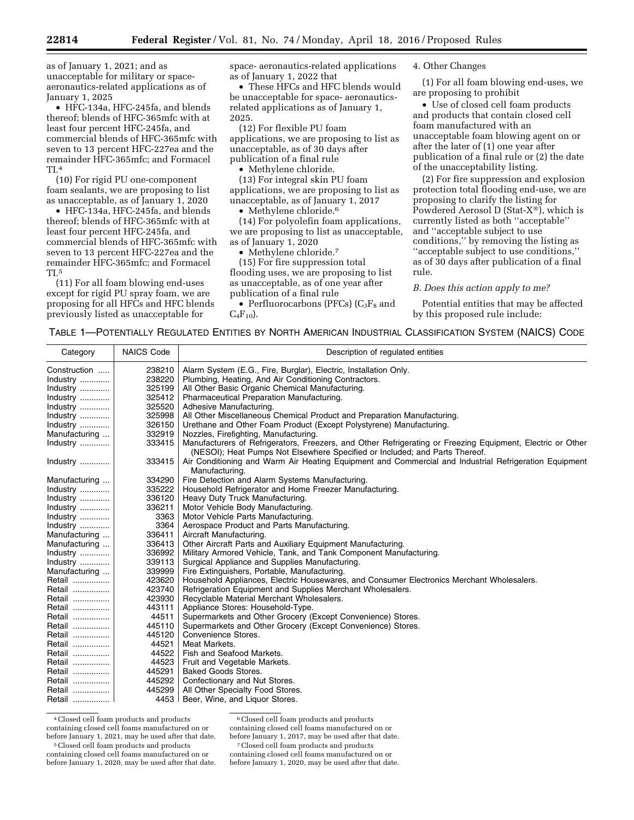as of January 1, 2021; and as unacceptable for military or spaceaeronautics-related applications as of January 1, 2025

• HFC-134a, HFC-245fa, and blends thereof; blends of HFC-365mfc with at least four percent HFC-245fa, and commercial blends of HFC-365mfc with seven to 13 percent HFC-227ea and the remainder HFC-365mfc; and Formacel TI.4

(10) For rigid PU one-component foam sealants, we are proposing to list as unacceptable, as of January 1, 2020

• HFC-134a, HFC-245fa, and blends thereof; blends of HFC-365mfc with at least four percent HFC-245fa, and commercial blends of HFC-365mfc with seven to 13 percent HFC-227ea and the remainder HFC-365mfc; and Formacel TI.5

(11) For all foam blowing end-uses except for rigid PU spray foam, we are proposing for all HFCs and HFC blends previously listed as unacceptable for

space- aeronautics-related applications as of January 1, 2022 that

• These HFCs and HFC blends would be unacceptable for space- aeronauticsrelated applications as of January 1, 2025.

(12) For flexible PU foam applications, we are proposing to list as unacceptable, as of 30 days after publication of a final rule

• Methylene chloride.

(13) For integral skin PU foam applications, we are proposing to list as unacceptable, as of January 1, 2017

• Methylene chloride.<sup>6</sup>

(14) For polyolefin foam applications, we are proposing to list as unacceptable, as of January 1, 2020

• Methylene chloride.<sup>7</sup>

(15) For fire suppression total flooding uses, we are proposing to list as unacceptable, as of one year after publication of a final rule

• Perfluorocarbons (PFCs)  $(C_3F_8$  and  $C_4F_{10}$ .

4. Other Changes

(1) For all foam blowing end-uses, we are proposing to prohibit

• Use of closed cell foam products and products that contain closed cell foam manufactured with an unacceptable foam blowing agent on or after the later of (1) one year after publication of a final rule or (2) the date of the unacceptability listing.

(2) For fire suppression and explosion protection total flooding end-use, we are proposing to clarify the listing for Powdered Aerosol D (Stat-X®), which is currently listed as both ''acceptable'' and ''acceptable subject to use conditions,'' by removing the listing as ''acceptable subject to use conditions,'' as of 30 days after publication of a final rule.

#### *B. Does this action apply to me?*

Potential entities that may be affected by this proposed rule include:

TABLE 1—POTENTIALLY REGULATED ENTITIES BY NORTH AMERICAN INDUSTRIAL CLASSIFICATION SYSTEM (NAICS) CODE

| Category      | <b>NAICS Code</b> | Description of regulated entities                                                                                                                                                         |
|---------------|-------------------|-------------------------------------------------------------------------------------------------------------------------------------------------------------------------------------------|
| Construction  | 238210            | Alarm System (E.G., Fire, Burglar), Electric, Installation Only.                                                                                                                          |
| Industry      | 238220            | Plumbing, Heating, And Air Conditioning Contractors.                                                                                                                                      |
| Industry      | 325199            | All Other Basic Organic Chemical Manufacturing.                                                                                                                                           |
| Industry      | 325412            | Pharmaceutical Preparation Manufacturing.                                                                                                                                                 |
| Industry      | 325520            | Adhesive Manufacturing.                                                                                                                                                                   |
| Industry      | 325998            | All Other Miscellaneous Chemical Product and Preparation Manufacturing.                                                                                                                   |
| Industry      | 326150            | Urethane and Other Foam Product (Except Polystyrene) Manufacturing.                                                                                                                       |
| Manufacturing | 332919            | Nozzles, Firefighting, Manufacturing                                                                                                                                                      |
| Industry      | 333415            | Manufacturers of Refrigerators, Freezers, and Other Refrigerating or Freezing Equipment, Electric or Other<br>(NESOI); Heat Pumps Not Elsewhere Specified or Included; and Parts Thereof. |
| Industry      | 333415            | Air Conditioning and Warm Air Heating Equipment and Commercial and Industrial Refrigeration Equipment<br>Manufacturing.                                                                   |
| Manufacturing | 334290            | Fire Detection and Alarm Systems Manufacturing.                                                                                                                                           |
| Industry      | 335222            | Household Refrigerator and Home Freezer Manufacturing.                                                                                                                                    |
| Industry      | 336120            | Heavy Duty Truck Manufacturing.                                                                                                                                                           |
| Industry      | 336211            | Motor Vehicle Body Manufacturing.                                                                                                                                                         |
| Industry      | 3363              | Motor Vehicle Parts Manufacturing.                                                                                                                                                        |
| Industry      | 3364              | Aerospace Product and Parts Manufacturing.                                                                                                                                                |
| Manufacturing | 336411            | Aircraft Manufacturing.                                                                                                                                                                   |
| Manufacturing | 336413            | Other Aircraft Parts and Auxiliary Equipment Manufacturing.                                                                                                                               |
| Industry      | 336992            | Military Armored Vehicle, Tank, and Tank Component Manufacturing.                                                                                                                         |
| Industry      | 339113            | Surgical Appliance and Supplies Manufacturing.                                                                                                                                            |
| Manufacturing | 339999            | Fire Extinguishers, Portable, Manufacturing.                                                                                                                                              |
| Retail        | 423620            | Household Appliances, Electric Housewares, and Consumer Electronics Merchant Wholesalers.                                                                                                 |
| Retail        | 423740            | Refrigeration Equipment and Supplies Merchant Wholesalers.                                                                                                                                |
| Retail        | 423930            | Recyclable Material Merchant Wholesalers.                                                                                                                                                 |
| Retail        | 443111            | Appliance Stores: Household-Type.                                                                                                                                                         |
| Retail        | 44511             | Supermarkets and Other Grocery (Except Convenience) Stores.                                                                                                                               |
| Retail        | 445110            | Supermarkets and Other Grocery (Except Convenience) Stores.                                                                                                                               |
| Retail        | 445120            | Convenience Stores.                                                                                                                                                                       |
| Retail        | 44521             | Meat Markets.                                                                                                                                                                             |
| Retail        | 44522             | Fish and Seafood Markets.                                                                                                                                                                 |
| Retail        | 44523             | Fruit and Vegetable Markets.                                                                                                                                                              |
| Retail        | 445291            | <b>Baked Goods Stores.</b>                                                                                                                                                                |
| Retail        | 445292            | Confectionary and Nut Stores.                                                                                                                                                             |
| Retail        | 445299            | All Other Specialty Food Stores.                                                                                                                                                          |
| Retail        | 4453              | Beer, Wine, and Liquor Stores.                                                                                                                                                            |

4Closed cell foam products and products containing closed cell foams manufactured on or before January 1, 2021, may be used after that date.

5Closed cell foam products and products containing closed cell foams manufactured on or before January 1, 2020, may be used after that date.

6Closed cell foam products and products containing closed cell foams manufactured on or

before January 1, 2017, may be used after that date.

7Closed cell foam products and products containing closed cell foams manufactured on or before January 1, 2020, may be used after that date.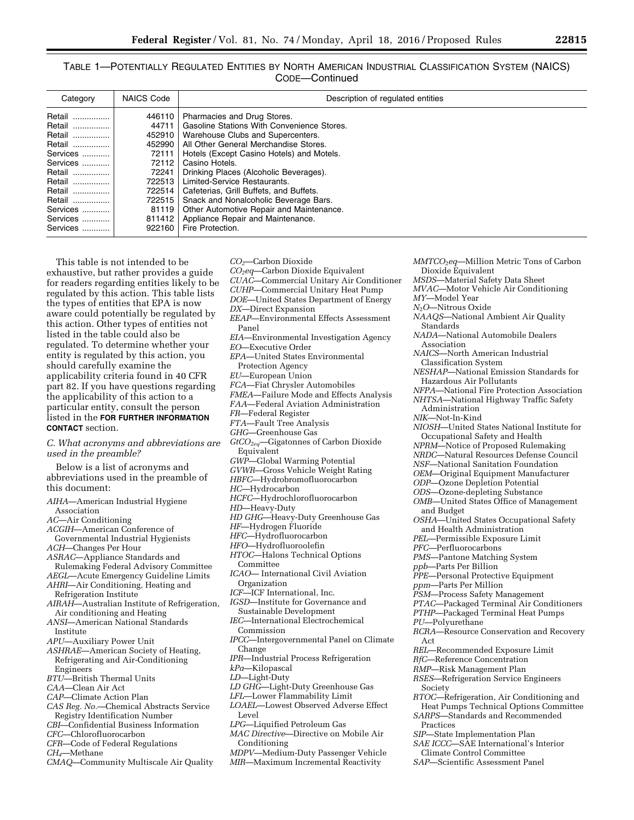TABLE 1—POTENTIALLY REGULATED ENTITIES BY NORTH AMERICAN INDUSTRIAL CLASSIFICATION SYSTEM (NAICS) CODE—Continued

| Category | <b>NAICS Code</b> | Description of regulated entities          |
|----------|-------------------|--------------------------------------------|
| Retail   | 446110            | Pharmacies and Drug Stores.                |
| Retail   | 44711             | Gasoline Stations With Convenience Stores. |
| Retail   | 452910            | Warehouse Clubs and Supercenters.          |
| Retail   | 452990            | All Other General Merchandise Stores.      |
| Services | 72111             | Hotels (Except Casino Hotels) and Motels.  |
| Services | 72112             | Casino Hotels.                             |
| Retail   | 72241             | Drinking Places (Alcoholic Beverages).     |
| Retail   | 722513            | Limited-Service Restaurants.               |
| Retail   | 722514            | Cafeterias, Grill Buffets, and Buffets.    |
| Retail   | 722515            | Snack and Nonalcoholic Beverage Bars.      |
| Services | 81119             | Other Automotive Repair and Maintenance.   |
| Services | 811412            | Appliance Repair and Maintenance.          |
| Services | 922160            | Fire Protection.                           |

This table is not intended to be exhaustive, but rather provides a guide for readers regarding entities likely to be regulated by this action. This table lists the types of entities that EPA is now aware could potentially be regulated by this action. Other types of entities not listed in the table could also be regulated. To determine whether your entity is regulated by this action, you should carefully examine the applicability criteria found in 40 CFR part 82. If you have questions regarding the applicability of this action to a particular entity, consult the person listed in the **FOR FURTHER INFORMATION CONTACT** section.

*C. What acronyms and abbreviations are used in the preamble?* 

Below is a list of acronyms and abbreviations used in the preamble of this document:

- *AIHA*—American Industrial Hygiene Association *AC*—Air Conditioning *ACGIH*—American Conference of Governmental Industrial Hygienists *ACH*—Changes Per Hour
- *ASRAC*—Appliance Standards and

Rulemaking Federal Advisory Committee *AEGL*—Acute Emergency Guideline Limits

- *AHRI*—Air Conditioning, Heating and Refrigeration Institute
- *AIRAH*—Australian Institute of Refrigeration, Air conditioning and Heating
- *ANSI*—American National Standards Institute
- *APU*—Auxiliary Power Unit
- *ASHRAE*—American Society of Heating, Refrigerating and Air-Conditioning Engineers
- *BTU*—British Thermal Units
- *CAA*—Clean Air Act
- *CAP*—Climate Action Plan
- *CAS Reg. No.*—Chemical Abstracts Service Registry Identification Number
- *CBI*—Confidential Business Information
- *CFC*—Chlorofluorocarbon
- *CFR*—Code of Federal Regulations
- *CH4*—Methane
- *CMAQ—*Community Multiscale Air Quality

*CO2*—Carbon Dioxide *CO2eq*—Carbon Dioxide Equivalent *CUAC*—Commercial Unitary Air Conditioner *CUHP*—Commercial Unitary Heat Pump *DOE*—United States Department of Energy *DX*—Direct Expansion *EEAP*—Environmental Effects Assessment Panel *EIA*—Environmental Investigation Agency *EO*—Executive Order *EPA*—United States Environmental Protection Agency *EU*—European Union *FCA*—Fiat Chrysler Automobiles *FMEA*—Failure Mode and Effects Analysis *FAA*—Federal Aviation Administration *FR*—Federal Register *FTA*—Fault Tree Analysis *GHG*—Greenhouse Gas *GtCO2eq*—Gigatonnes of Carbon Dioxide Equivalent *GWP*—Global Warming Potential *GVWR*—Gross Vehicle Weight Rating *HBFC*—Hydrobromofluorocarbon *HC*—Hydrocarbon *HCFC*—Hydrochlorofluorocarbon *HD*—Heavy-Duty *HD GHG*—Heavy-Duty Greenhouse Gas *HF*—Hydrogen Fluoride *HFC*—Hydrofluorocarbon *HFO*—Hydrofluoroolefin *HTOC*—Halons Technical Options Committee *ICAO*— International Civil Aviation Organization *ICF*—ICF International, Inc. *IGSD*—Institute for Governance and Sustainable Development *IEC*—International Electrochemical Commission *IPCC*—Intergovernmental Panel on Climate Change *IPR*—Industrial Process Refrigeration *kPa*—Kilopascal *LD*—Light-Duty *LD GHG*—Light-Duty Greenhouse Gas *LFL*—Lower Flammability Limit *LOAEL*—Lowest Observed Adverse Effect Level *LPG*—Liquified Petroleum Gas *MAC Directive*—Directive on Mobile Air Conditioning *MDPV*—Medium-Duty Passenger Vehicle *MIR*—Maximum Incremental Reactivity

*MMTCO*2*eq*—Million Metric Tons of Carbon Dioxide Equivalent *MSDS*—Material Safety Data Sheet *MVAC*—Motor Vehicle Air Conditioning *MY*—Model Year *N*2*O*—Nitrous Oxide *NAAQS*—National Ambient Air Quality Standards *NADA*—National Automobile Dealers Association *NAICS*—North American Industrial Classification System *NESHAP*—National Emission Standards for Hazardous Air Pollutants *NFPA*—National Fire Protection Association *NHTSA*—National Highway Traffic Safety Administration *NIK*—Not-In-Kind *NIOSH*—United States National Institute for Occupational Safety and Health *NPRM*—Notice of Proposed Rulemaking *NRDC*—Natural Resources Defense Council *NSF*—National Sanitation Foundation *OEM*—Original Equipment Manufacturer *ODP*—Ozone Depletion Potential *ODS*—Ozone-depleting Substance *OMB*—United States Office of Management and Budget *OSHA*—United States Occupational Safety and Health Administration *PEL*—Permissible Exposure Limit *PFC*—Perfluorocarbons *PMS*—Pantone Matching System *ppb*—Parts Per Billion *PPE*—Personal Protective Equipment *ppm*—Parts Per Million *PSM*—Process Safety Management *PTAC*—Packaged Terminal Air Conditioners *PTHP*—Packaged Terminal Heat Pumps *PU*—Polyurethane *RCRA*—Resource Conservation and Recovery Act *REL*—Recommended Exposure Limit *RfC*—Reference Concentration *RMP*—Risk Management Plan *RSES*—Refrigeration Service Engineers Society *RTOC*—Refrigeration, Air Conditioning and Heat Pumps Technical Options Committee *SARPS*—Standards and Recommended Practices *SIP*—State Implementation Plan *SAE ICCC*—SAE International's Interior Climate Control Committee

*SAP*—Scientific Assessment Panel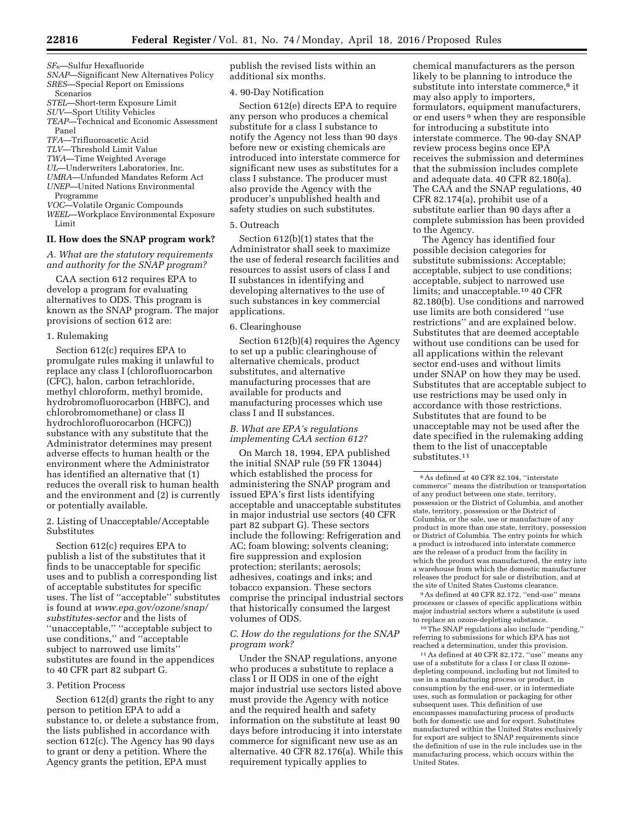- *SF*6—Sulfur Hexafluoride
- *SNAP*—Significant New Alternatives Policy *SRES*—Special Report on Emissions Scenarios
- *STEL*—Short-term Exposure Limit
- *SUV*—Sport Utility Vehicles
- *TEAP*—Technical and Economic Assessment Panel
- *TFA*—Trifluoroacetic Acid
- *TLV*—Threshold Limit Value
- *TWA*—Time Weighted Average
- *UL*—Underwriters Laboratories, Inc.
- *UMRA*—Unfunded Mandates Reform Act
- *UNEP*—United Nations Environmental Programme
- *VOC*—Volatile Organic Compounds
- *WEEL*—Workplace Environmental Exposure Limit

#### **II. How does the SNAP program work?**

*A. What are the statutory requirements and authority for the SNAP program?* 

CAA section 612 requires EPA to develop a program for evaluating alternatives to ODS. This program is known as the SNAP program. The major provisions of section 612 are:

#### 1. Rulemaking

Section 612(c) requires EPA to promulgate rules making it unlawful to replace any class I (chlorofluorocarbon (CFC), halon, carbon tetrachloride, methyl chloroform, methyl bromide, hydrobromofluorocarbon (HBFC), and chlorobromomethane) or class II hydrochlorofluorocarbon (HCFC)) substance with any substitute that the Administrator determines may present adverse effects to human health or the environment where the Administrator has identified an alternative that (1) reduces the overall risk to human health and the environment and (2) is currently or potentially available.

2. Listing of Unacceptable/Acceptable Substitutes

Section 612(c) requires EPA to publish a list of the substitutes that it finds to be unacceptable for specific uses and to publish a corresponding list of acceptable substitutes for specific uses. The list of ''acceptable'' substitutes is found at *[www.epa.gov/ozone/snap/](http://www.epa.gov/ozone/snap/substitutes-sector) [substitutes-sector](http://www.epa.gov/ozone/snap/substitutes-sector)* and the lists of ''unacceptable,'' ''acceptable subject to use conditions,'' and ''acceptable subject to narrowed use limits'' substitutes are found in the appendices to 40 CFR part 82 subpart G.

#### 3. Petition Process

Section 612(d) grants the right to any person to petition EPA to add a substance to, or delete a substance from, the lists published in accordance with section 612(c). The Agency has 90 days to grant or deny a petition. Where the Agency grants the petition, EPA must

publish the revised lists within an additional six months.

#### 4. 90-Day Notification

Section 612(e) directs EPA to require any person who produces a chemical substitute for a class I substance to notify the Agency not less than 90 days before new or existing chemicals are introduced into interstate commerce for significant new uses as substitutes for a class I substance. The producer must also provide the Agency with the producer's unpublished health and safety studies on such substitutes.

#### 5. Outreach

Section 612(b)(1) states that the Administrator shall seek to maximize the use of federal research facilities and resources to assist users of class I and II substances in identifying and developing alternatives to the use of such substances in key commercial applications.

#### 6. Clearinghouse

Section 612(b)(4) requires the Agency to set up a public clearinghouse of alternative chemicals, product substitutes, and alternative manufacturing processes that are available for products and manufacturing processes which use class I and II substances.

# *B. What are EPA's regulations implementing CAA section 612?*

On March 18, 1994, EPA published the initial SNAP rule (59 FR 13044) which established the process for administering the SNAP program and issued EPA's first lists identifying acceptable and unacceptable substitutes in major industrial use sectors (40 CFR part 82 subpart G). These sectors include the following: Refrigeration and AC; foam blowing; solvents cleaning; fire suppression and explosion protection; sterilants; aerosols; adhesives, coatings and inks; and tobacco expansion. These sectors comprise the principal industrial sectors that historically consumed the largest volumes of ODS.

#### *C. How do the regulations for the SNAP program work?*

Under the SNAP regulations, anyone who produces a substitute to replace a class I or II ODS in one of the eight major industrial use sectors listed above must provide the Agency with notice and the required health and safety information on the substitute at least 90 days before introducing it into interstate commerce for significant new use as an alternative. 40 CFR 82.176(a). While this requirement typically applies to

chemical manufacturers as the person likely to be planning to introduce the substitute into interstate commerce,<sup>8</sup> it may also apply to importers, formulators, equipment manufacturers, or end users 9 when they are responsible for introducing a substitute into interstate commerce. The 90-day SNAP review process begins once EPA receives the submission and determines that the submission includes complete and adequate data. 40 CFR 82.180(a). The CAA and the SNAP regulations, 40 CFR 82.174(a), prohibit use of a substitute earlier than 90 days after a complete submission has been provided to the Agency.

The Agency has identified four possible decision categories for substitute submissions: Acceptable; acceptable, subject to use conditions; acceptable, subject to narrowed use limits; and unacceptable.<sup>10</sup> 40 CFR 82.180(b). Use conditions and narrowed use limits are both considered ''use restrictions'' and are explained below. Substitutes that are deemed acceptable without use conditions can be used for all applications within the relevant sector end-uses and without limits under SNAP on how they may be used. Substitutes that are acceptable subject to use restrictions may be used only in accordance with those restrictions. Substitutes that are found to be unacceptable may not be used after the date specified in the rulemaking adding them to the list of unacceptable substitutes.11

9As defined at 40 CFR 82.172, ''end-use'' means processes or classes of specific applications within major industrial sectors where a substitute is used to replace an ozone-depleting substance.

10The SNAP regulations also include ''pending,'' referring to submissions for which EPA has not reached a determination, under this provision.

11As defined at 40 CFR 82.172, ''use'' means any use of a substitute for a class I or class II ozonedepleting compound, including but not limited to use in a manufacturing process or product, in consumption by the end-user, or in intermediate uses, such as formulation or packaging for other subsequent uses. This definition of use encompasses manufacturing process of products both for domestic use and for export. Substitutes manufactured within the United States exclusively for export are subject to SNAP requirements since the definition of use in the rule includes use in the manufacturing process, which occurs within the United States.

<sup>8</sup>As defined at 40 CFR 82.104, ''interstate commerce'' means the distribution or transportation of any product between one state, territory, possession or the District of Columbia, and another state, territory, possession or the District of Columbia, or the sale, use or manufacture of any product in more than one state, territory, possession or District of Columbia. The entry points for which a product is introduced into interstate commerce are the release of a product from the facility in which the product was manufactured, the entry into a warehouse from which the domestic manufacturer releases the product for sale or distribution, and at the site of United States Customs clearance.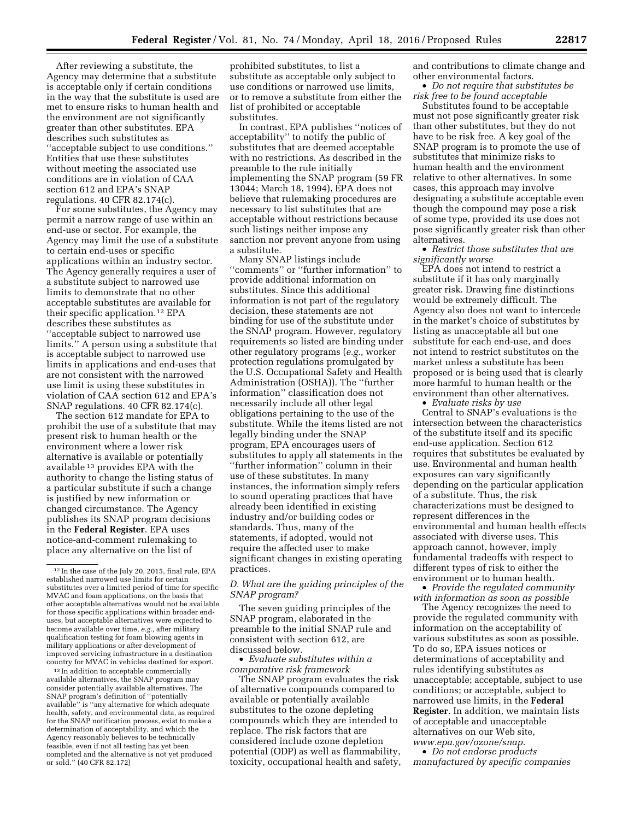After reviewing a substitute, the Agency may determine that a substitute is acceptable only if certain conditions in the way that the substitute is used are met to ensure risks to human health and the environment are not significantly greater than other substitutes. EPA describes such substitutes as ''acceptable subject to use conditions.'' Entities that use these substitutes without meeting the associated use conditions are in violation of CAA section 612 and EPA's SNAP regulations. 40 CFR 82.174(c).

For some substitutes, the Agency may permit a narrow range of use within an end-use or sector. For example, the Agency may limit the use of a substitute to certain end-uses or specific applications within an industry sector. The Agency generally requires a user of a substitute subject to narrowed use limits to demonstrate that no other acceptable substitutes are available for their specific application.12 EPA describes these substitutes as ''acceptable subject to narrowed use limits.'' A person using a substitute that is acceptable subject to narrowed use limits in applications and end-uses that are not consistent with the narrowed use limit is using these substitutes in violation of CAA section 612 and EPA's SNAP regulations. 40 CFR 82.174(c).

The section 612 mandate for EPA to prohibit the use of a substitute that may present risk to human health or the environment where a lower risk alternative is available or potentially available 13 provides EPA with the authority to change the listing status of a particular substitute if such a change is justified by new information or changed circumstance. The Agency publishes its SNAP program decisions in the **Federal Register**. EPA uses notice-and-comment rulemaking to place any alternative on the list of

<sup>13</sup> In addition to acceptable commercially available alternatives, the SNAP program may consider potentially available alternatives. The SNAP program's definition of ''potentially available'' is ''any alternative for which adequate health, safety, and environmental data, as required for the SNAP notification process, exist to make a determination of acceptability, and which the Agency reasonably believes to be technically feasible, even if not all testing has yet been completed and the alternative is not yet produced or sold.'' (40 CFR 82.172)

prohibited substitutes, to list a substitute as acceptable only subject to use conditions or narrowed use limits, or to remove a substitute from either the list of prohibited or acceptable substitutes.

In contrast, EPA publishes ''notices of acceptability'' to notify the public of substitutes that are deemed acceptable with no restrictions. As described in the preamble to the rule initially implementing the SNAP program (59 FR 13044; March 18, 1994), EPA does not believe that rulemaking procedures are necessary to list substitutes that are acceptable without restrictions because such listings neither impose any sanction nor prevent anyone from using a substitute.

Many SNAP listings include ''comments'' or ''further information'' to provide additional information on substitutes. Since this additional information is not part of the regulatory decision, these statements are not binding for use of the substitute under the SNAP program. However, regulatory requirements so listed are binding under other regulatory programs (*e.g.,* worker protection regulations promulgated by the U.S. Occupational Safety and Health Administration (OSHA)). The ''further information'' classification does not necessarily include all other legal obligations pertaining to the use of the substitute. While the items listed are not legally binding under the SNAP program, EPA encourages users of substitutes to apply all statements in the ''further information'' column in their use of these substitutes. In many instances, the information simply refers to sound operating practices that have already been identified in existing industry and/or building codes or standards. Thus, many of the statements, if adopted, would not require the affected user to make significant changes in existing operating practices.

#### *D. What are the guiding principles of the SNAP program?*

The seven guiding principles of the SNAP program, elaborated in the preamble to the initial SNAP rule and consistent with section 612, are discussed below.

• *Evaluate substitutes within a comparative risk framework* 

The SNAP program evaluates the risk of alternative compounds compared to available or potentially available substitutes to the ozone depleting compounds which they are intended to replace. The risk factors that are considered include ozone depletion potential (ODP) as well as flammability, toxicity, occupational health and safety, and contributions to climate change and other environmental factors.

• *Do not require that substitutes be risk free to be found acceptable* 

Substitutes found to be acceptable must not pose significantly greater risk than other substitutes, but they do not have to be risk free. A key goal of the SNAP program is to promote the use of substitutes that minimize risks to human health and the environment relative to other alternatives. In some cases, this approach may involve designating a substitute acceptable even though the compound may pose a risk of some type, provided its use does not pose significantly greater risk than other alternatives.

• *Restrict those substitutes that are significantly worse* 

EPA does not intend to restrict a substitute if it has only marginally greater risk. Drawing fine distinctions would be extremely difficult. The Agency also does not want to intercede in the market's choice of substitutes by listing as unacceptable all but one substitute for each end-use, and does not intend to restrict substitutes on the market unless a substitute has been proposed or is being used that is clearly more harmful to human health or the environment than other alternatives.

• *Evaluate risks by use*  Central to SNAP's evaluations is the intersection between the characteristics of the substitute itself and its specific end-use application. Section 612 requires that substitutes be evaluated by use. Environmental and human health exposures can vary significantly depending on the particular application of a substitute. Thus, the risk characterizations must be designed to represent differences in the environmental and human health effects associated with diverse uses. This approach cannot, however, imply fundamental tradeoffs with respect to different types of risk to either the environment or to human health.

• *Provide the regulated community with information as soon as possible* 

The Agency recognizes the need to provide the regulated community with information on the acceptability of various substitutes as soon as possible. To do so, EPA issues notices or determinations of acceptability and rules identifying substitutes as unacceptable; acceptable, subject to use conditions; or acceptable, subject to narrowed use limits, in the **Federal Register**. In addition, we maintain lists of acceptable and unacceptable alternatives on our Web site, *[www.epa.gov/ozone/snap](http://www.epa.gov/ozone/snap)*.

• *Do not endorse products manufactured by specific companies* 

<sup>12</sup> In the case of the July 20, 2015, final rule, EPA established narrowed use limits for certain substitutes over a limited period of time for specific MVAC and foam applications, on the basis that other acceptable alternatives would not be available for those specific applications within broader enduses, but acceptable alternatives were expected to become available over time, *e.g.,* after military qualification testing for foam blowing agents in military applications or after development of improved servicing infrastructure in a destination country for MVAC in vehicles destined for export.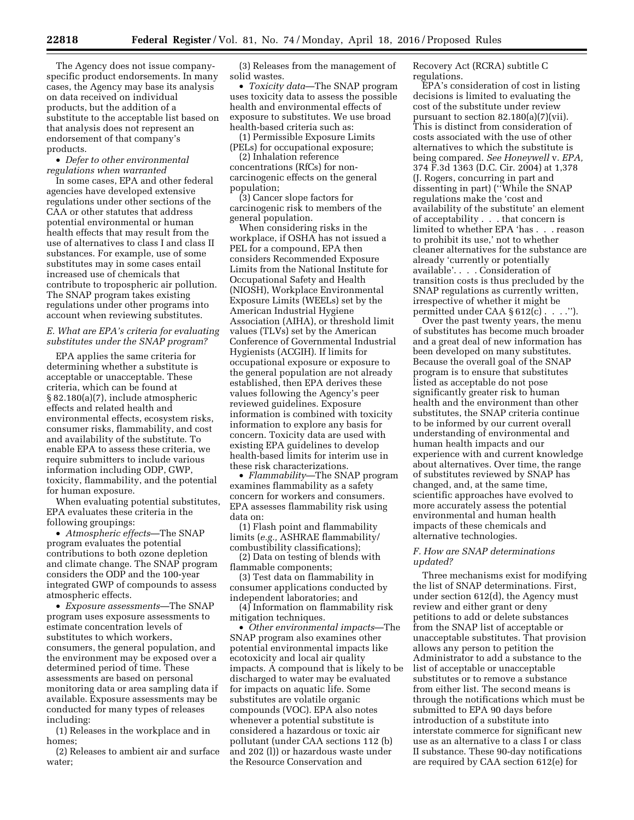The Agency does not issue companyspecific product endorsements. In many cases, the Agency may base its analysis on data received on individual products, but the addition of a substitute to the acceptable list based on that analysis does not represent an endorsement of that company's products.

• *Defer to other environmental regulations when warranted* 

In some cases, EPA and other federal agencies have developed extensive regulations under other sections of the CAA or other statutes that address potential environmental or human health effects that may result from the use of alternatives to class I and class II substances. For example, use of some substitutes may in some cases entail increased use of chemicals that contribute to tropospheric air pollution. The SNAP program takes existing regulations under other programs into account when reviewing substitutes.

#### *E. What are EPA's criteria for evaluating substitutes under the SNAP program?*

EPA applies the same criteria for determining whether a substitute is acceptable or unacceptable. These criteria, which can be found at § 82.180(a)(7), include atmospheric effects and related health and environmental effects, ecosystem risks, consumer risks, flammability, and cost and availability of the substitute. To enable EPA to assess these criteria, we require submitters to include various information including ODP, GWP, toxicity, flammability, and the potential for human exposure.

When evaluating potential substitutes, EPA evaluates these criteria in the following groupings:

• *Atmospheric effects*—The SNAP program evaluates the potential contributions to both ozone depletion and climate change. The SNAP program considers the ODP and the 100-year integrated GWP of compounds to assess atmospheric effects.

• *Exposure assessments*—The SNAP program uses exposure assessments to estimate concentration levels of substitutes to which workers, consumers, the general population, and the environment may be exposed over a determined period of time. These assessments are based on personal monitoring data or area sampling data if available. Exposure assessments may be conducted for many types of releases including:

(1) Releases in the workplace and in homes;

(2) Releases to ambient air and surface water;

(3) Releases from the management of solid wastes.

• *Toxicity data*—The SNAP program uses toxicity data to assess the possible health and environmental effects of exposure to substitutes. We use broad health-based criteria such as:

(1) Permissible Exposure Limits (PELs) for occupational exposure;

(2) Inhalation reference concentrations (RfCs) for noncarcinogenic effects on the general population;

(3) Cancer slope factors for carcinogenic risk to members of the general population.

When considering risks in the workplace, if OSHA has not issued a PEL for a compound, EPA then considers Recommended Exposure Limits from the National Institute for Occupational Safety and Health (NIOSH), Workplace Environmental Exposure Limits (WEELs) set by the American Industrial Hygiene Association (AIHA), or threshold limit values (TLVs) set by the American Conference of Governmental Industrial Hygienists (ACGIH). If limits for occupational exposure or exposure to the general population are not already established, then EPA derives these values following the Agency's peer reviewed guidelines. Exposure information is combined with toxicity information to explore any basis for concern. Toxicity data are used with existing EPA guidelines to develop health-based limits for interim use in these risk characterizations.

• *Flammability*—The SNAP program examines flammability as a safety concern for workers and consumers. EPA assesses flammability risk using data on:

(1) Flash point and flammability limits (*e.g.,* ASHRAE flammability/ combustibility classifications);

(2) Data on testing of blends with flammable components;

(3) Test data on flammability in consumer applications conducted by independent laboratories; and

(4) Information on flammability risk mitigation techniques.

• *Other environmental impacts*—The SNAP program also examines other potential environmental impacts like ecotoxicity and local air quality impacts. A compound that is likely to be discharged to water may be evaluated for impacts on aquatic life. Some substitutes are volatile organic compounds (VOC). EPA also notes whenever a potential substitute is considered a hazardous or toxic air pollutant (under CAA sections 112 (b) and 202 (l)) or hazardous waste under the Resource Conservation and

Recovery Act (RCRA) subtitle C regulations.

EPA's consideration of cost in listing decisions is limited to evaluating the cost of the substitute under review pursuant to section 82.180(a)(7)(vii). This is distinct from consideration of costs associated with the use of other alternatives to which the substitute is being compared. *See Honeywell* v. *EPA,*  374 F.3d 1363 (D.C. Cir. 2004) at 1,378 (J. Rogers, concurring in part and dissenting in part) (''While the SNAP regulations make the 'cost and availability of the substitute' an element of acceptability . . . that concern is limited to whether EPA 'has . . . reason to prohibit its use,' not to whether cleaner alternatives for the substance are already 'currently or potentially available'. . . . Consideration of transition costs is thus precluded by the SNAP regulations as currently written, irrespective of whether it might be permitted under  $CAA \$  612( $c$ )....

Over the past twenty years, the menu of substitutes has become much broader and a great deal of new information has been developed on many substitutes. Because the overall goal of the SNAP program is to ensure that substitutes listed as acceptable do not pose significantly greater risk to human health and the environment than other substitutes, the SNAP criteria continue to be informed by our current overall understanding of environmental and human health impacts and our experience with and current knowledge about alternatives. Over time, the range of substitutes reviewed by SNAP has changed, and, at the same time, scientific approaches have evolved to more accurately assess the potential environmental and human health impacts of these chemicals and alternative technologies.

#### *F. How are SNAP determinations updated?*

Three mechanisms exist for modifying the list of SNAP determinations. First, under section 612(d), the Agency must review and either grant or deny petitions to add or delete substances from the SNAP list of acceptable or unacceptable substitutes. That provision allows any person to petition the Administrator to add a substance to the list of acceptable or unacceptable substitutes or to remove a substance from either list. The second means is through the notifications which must be submitted to EPA 90 days before introduction of a substitute into interstate commerce for significant new use as an alternative to a class I or class II substance. These 90-day notifications are required by CAA section 612(e) for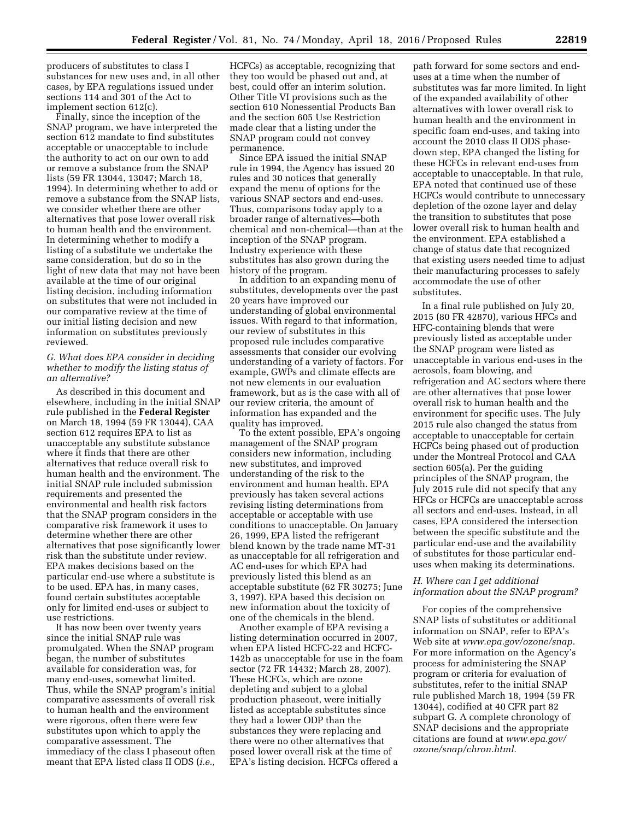producers of substitutes to class I substances for new uses and, in all other cases, by EPA regulations issued under sections 114 and 301 of the Act to implement section 612(c).

Finally, since the inception of the SNAP program, we have interpreted the section 612 mandate to find substitutes acceptable or unacceptable to include the authority to act on our own to add or remove a substance from the SNAP lists (59 FR 13044, 13047; March 18, 1994). In determining whether to add or remove a substance from the SNAP lists, we consider whether there are other alternatives that pose lower overall risk to human health and the environment. In determining whether to modify a listing of a substitute we undertake the same consideration, but do so in the light of new data that may not have been available at the time of our original listing decision, including information on substitutes that were not included in our comparative review at the time of our initial listing decision and new information on substitutes previously reviewed.

#### *G. What does EPA consider in deciding whether to modify the listing status of an alternative?*

As described in this document and elsewhere, including in the initial SNAP rule published in the **Federal Register**  on March 18, 1994 (59 FR 13044), CAA section 612 requires EPA to list as unacceptable any substitute substance where it finds that there are other alternatives that reduce overall risk to human health and the environment. The initial SNAP rule included submission requirements and presented the environmental and health risk factors that the SNAP program considers in the comparative risk framework it uses to determine whether there are other alternatives that pose significantly lower risk than the substitute under review. EPA makes decisions based on the particular end-use where a substitute is to be used. EPA has, in many cases, found certain substitutes acceptable only for limited end-uses or subject to use restrictions.

It has now been over twenty years since the initial SNAP rule was promulgated. When the SNAP program began, the number of substitutes available for consideration was, for many end-uses, somewhat limited. Thus, while the SNAP program's initial comparative assessments of overall risk to human health and the environment were rigorous, often there were few substitutes upon which to apply the comparative assessment. The immediacy of the class I phaseout often meant that EPA listed class II ODS (*i.e.,* 

HCFCs) as acceptable, recognizing that they too would be phased out and, at best, could offer an interim solution. Other Title VI provisions such as the section 610 Nonessential Products Ban and the section 605 Use Restriction made clear that a listing under the SNAP program could not convey permanence.

Since EPA issued the initial SNAP rule in 1994, the Agency has issued 20 rules and 30 notices that generally expand the menu of options for the various SNAP sectors and end-uses. Thus, comparisons today apply to a broader range of alternatives—both chemical and non-chemical—than at the inception of the SNAP program. Industry experience with these substitutes has also grown during the history of the program.

In addition to an expanding menu of substitutes, developments over the past 20 years have improved our understanding of global environmental issues. With regard to that information, our review of substitutes in this proposed rule includes comparative assessments that consider our evolving understanding of a variety of factors. For example, GWPs and climate effects are not new elements in our evaluation framework, but as is the case with all of our review criteria, the amount of information has expanded and the quality has improved.

To the extent possible, EPA's ongoing management of the SNAP program considers new information, including new substitutes, and improved understanding of the risk to the environment and human health. EPA previously has taken several actions revising listing determinations from acceptable or acceptable with use conditions to unacceptable. On January 26, 1999, EPA listed the refrigerant blend known by the trade name MT-31 as unacceptable for all refrigeration and AC end-uses for which EPA had previously listed this blend as an acceptable substitute (62 FR 30275; June 3, 1997). EPA based this decision on new information about the toxicity of one of the chemicals in the blend.

Another example of EPA revising a listing determination occurred in 2007, when EPA listed HCFC-22 and HCFC-142b as unacceptable for use in the foam sector (72 FR 14432; March 28, 2007). These HCFCs, which are ozone depleting and subject to a global production phaseout, were initially listed as acceptable substitutes since they had a lower ODP than the substances they were replacing and there were no other alternatives that posed lower overall risk at the time of EPA's listing decision. HCFCs offered a

path forward for some sectors and enduses at a time when the number of substitutes was far more limited. In light of the expanded availability of other alternatives with lower overall risk to human health and the environment in specific foam end-uses, and taking into account the 2010 class II ODS phasedown step, EPA changed the listing for these HCFCs in relevant end-uses from acceptable to unacceptable. In that rule, EPA noted that continued use of these HCFCs would contribute to unnecessary depletion of the ozone layer and delay the transition to substitutes that pose lower overall risk to human health and the environment. EPA established a change of status date that recognized that existing users needed time to adjust their manufacturing processes to safely accommodate the use of other substitutes.

In a final rule published on July 20, 2015 (80 FR 42870), various HFCs and HFC-containing blends that were previously listed as acceptable under the SNAP program were listed as unacceptable in various end-uses in the aerosols, foam blowing, and refrigeration and AC sectors where there are other alternatives that pose lower overall risk to human health and the environment for specific uses. The July 2015 rule also changed the status from acceptable to unacceptable for certain HCFCs being phased out of production under the Montreal Protocol and CAA section 605(a). Per the guiding principles of the SNAP program, the July 2015 rule did not specify that any HFCs or HCFCs are unacceptable across all sectors and end-uses. Instead, in all cases, EPA considered the intersection between the specific substitute and the particular end-use and the availability of substitutes for those particular enduses when making its determinations.

#### *H. Where can I get additional information about the SNAP program?*

For copies of the comprehensive SNAP lists of substitutes or additional information on SNAP, refer to EPA's Web site at *[www.epa.gov/ozone/snap.](http://www.epa.gov/ozone/snap)*  For more information on the Agency's process for administering the SNAP program or criteria for evaluation of substitutes, refer to the initial SNAP rule published March 18, 1994 (59 FR 13044), codified at 40 CFR part 82 subpart G. A complete chronology of SNAP decisions and the appropriate citations are found at *[www.epa.gov/](http://www.epa.gov/ozone/snap/chron.html) [ozone/snap/chron.html.](http://www.epa.gov/ozone/snap/chron.html)*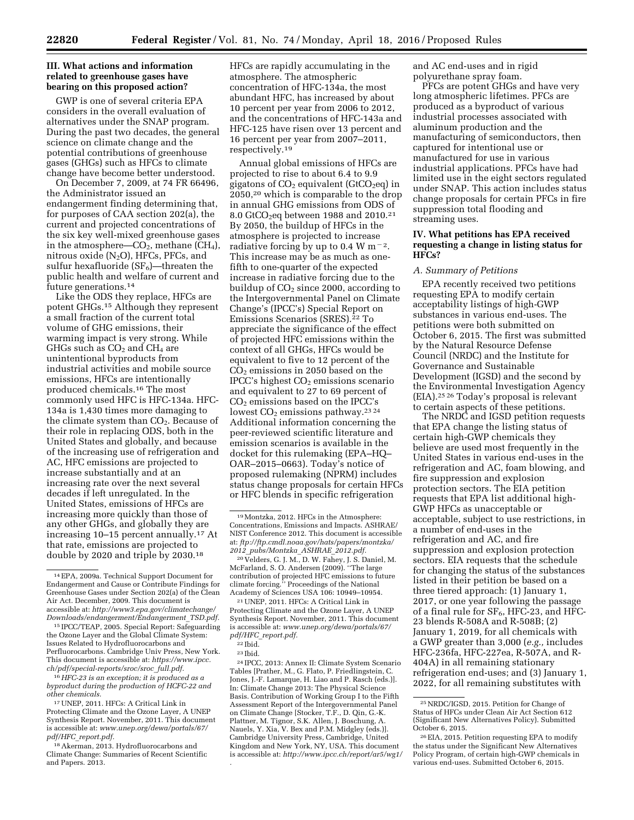#### **III. What actions and information related to greenhouse gases have bearing on this proposed action?**

GWP is one of several criteria EPA considers in the overall evaluation of alternatives under the SNAP program. During the past two decades, the general science on climate change and the potential contributions of greenhouse gases (GHGs) such as HFCs to climate change have become better understood.

On December 7, 2009, at 74 FR 66496, the Administrator issued an endangerment finding determining that, for purposes of CAA section 202(a), the current and projected concentrations of the six key well-mixed greenhouse gases in the atmosphere— $CO<sub>2</sub>$ , methane (CH<sub>4</sub>), nitrous oxide  $(N_2O)$ , HFCs, PFCs, and sulfur hexafluoride  $(SF_6)$ —threaten the public health and welfare of current and future generations.14

Like the ODS they replace, HFCs are potent GHGs.15 Although they represent a small fraction of the current total volume of GHG emissions, their warming impact is very strong. While GHGs such as  $CO<sub>2</sub>$  and  $CH<sub>4</sub>$  are unintentional byproducts from industrial activities and mobile source emissions, HFCs are intentionally produced chemicals.16 The most commonly used HFC is HFC-134a. HFC-134a is 1,430 times more damaging to the climate system than  $CO<sub>2</sub>$ . Because of their role in replacing ODS, both in the United States and globally, and because of the increasing use of refrigeration and AC, HFC emissions are projected to increase substantially and at an increasing rate over the next several decades if left unregulated. In the United States, emissions of HFCs are increasing more quickly than those of any other GHGs, and globally they are increasing 10–15 percent annually.17 At that rate, emissions are projected to double by 2020 and triple by 2030.18

16*HFC-23 is an exception; it is produced as a byproduct during the production of HCFC-22 and other chemicals.* 

18Akerman, 2013. Hydrofluorocarbons and Climate Change: Summaries of Recent Scientific and Papers. 2013.

HFCs are rapidly accumulating in the atmosphere. The atmospheric concentration of HFC-134a, the most abundant HFC, has increased by about 10 percent per year from 2006 to 2012, and the concentrations of HFC-143a and HFC-125 have risen over 13 percent and 16 percent per year from 2007–2011, respectively.19

Annual global emissions of HFCs are projected to rise to about 6.4 to 9.9 gigatons of  $CO<sub>2</sub>$  equivalent (GtCO<sub>2</sub>eq) in 2050,20 which is comparable to the drop in annual GHG emissions from ODS of 8.0 GtCO<sub>2</sub>eq between 1988 and 2010.<sup>21</sup> By 2050, the buildup of HFCs in the atmosphere is projected to increase radiative forcing by up to 0.4 W m<sup> $-2$ </sup>. This increase may be as much as onefifth to one-quarter of the expected increase in radiative forcing due to the buildup of  $CO<sub>2</sub>$  since 2000, according to the Intergovernmental Panel on Climate Change's (IPCC's) Special Report on Emissions Scenarios (SRES).22 To appreciate the significance of the effect of projected HFC emissions within the context of all GHGs, HFCs would be equivalent to five to 12 percent of the CO2 emissions in 2050 based on the IPCC's highest  $CO<sub>2</sub>$  emissions scenario and equivalent to 27 to 69 percent of CO2 emissions based on the IPCC's lowest  $CO<sub>2</sub>$  emissions pathway.<sup>23</sup><sup>24</sup> Additional information concerning the peer-reviewed scientific literature and emission scenarios is available in the docket for this rulemaking (EPA–HQ– OAR–2015–0663). Today's notice of proposed rulemaking (NPRM) includes status change proposals for certain HFCs or HFC blends in specific refrigeration

24 IPCC, 2013: Annex II: Climate System Scenario Tables [Prather, M., G. Flato, P. Friedlingstein, C. Jones, J.-F. Lamarque, H. Liao and P. Rasch (eds.)]. In: Climate Change 2013: The Physical Science Basis. Contribution of Working Group I to the Fifth Assessment Report of the Intergovernmental Panel on Climate Change [Stocker, T.F., D. Qin, G.-K. Plattner, M. Tignor, S.K. Allen, J. Boschung, A. Nauels, Y. Xia, V. Bex and P.M. Midgley (eds.)]. Cambridge University Press, Cambridge, United Kingdom and New York, NY, USA. This document is accessible at: *<http://www.ipcc.ch/report/ar5/wg1/> .* 

and AC end-uses and in rigid polyurethane spray foam.

PFCs are potent GHGs and have very long atmospheric lifetimes. PFCs are produced as a byproduct of various industrial processes associated with aluminum production and the manufacturing of semiconductors, then captured for intentional use or manufactured for use in various industrial applications. PFCs have had limited use in the eight sectors regulated under SNAP. This action includes status change proposals for certain PFCs in fire suppression total flooding and streaming uses.

#### **IV. What petitions has EPA received requesting a change in listing status for HFCs?**

#### *A. Summary of Petitions*

EPA recently received two petitions requesting EPA to modify certain acceptability listings of high-GWP substances in various end-uses. The petitions were both submitted on October 6, 2015. The first was submitted by the Natural Resource Defense Council (NRDC) and the Institute for Governance and Sustainable Development (IGSD) and the second by the Environmental Investigation Agency (EIA).25 26 Today's proposal is relevant to certain aspects of these petitions.

The NRDC and IGSD petition requests that EPA change the listing status of certain high-GWP chemicals they believe are used most frequently in the United States in various end-uses in the refrigeration and AC, foam blowing, and fire suppression and explosion protection sectors. The EIA petition requests that EPA list additional high-GWP HFCs as unacceptable or acceptable, subject to use restrictions, in a number of end-uses in the refrigeration and AC, and fire suppression and explosion protection sectors. EIA requests that the schedule for changing the status of the substances listed in their petition be based on a three tiered approach: (1) January 1, 2017, or one year following the passage of a final rule for SF<sub>6</sub>, HFC-23, and HFC-23 blends R-508A and R-508B; (2) January 1, 2019, for all chemicals with a GWP greater than 3,000 (*e.g.,* includes HFC-236fa, HFC-227ea, R-507A, and R-404A) in all remaining stationary refrigeration end-uses; and (3) January 1, 2022, for all remaining substitutes with

<sup>14</sup>EPA, 2009a. Technical Support Document for Endangerment and Cause or Contribute Findings for Greenhouse Gases under Section 202(a) of the Clean Air Act. December, 2009. This document is accessible at: *[http://www3.epa.gov/climatechange/](http://www3.epa.gov/climatechange/Downloads/endangerment/Endangerment_TSD.pdf) [Downloads/endangerment/Endangerment](http://www3.epa.gov/climatechange/Downloads/endangerment/Endangerment_TSD.pdf)*\_*TSD.pdf.* 

<sup>15</sup> IPCC/TEAP, 2005. Special Report: Safeguarding the Ozone Layer and the Global Climate System: Issues Related to Hydrofluorocarbons and Perfluorocarbons. Cambridge Univ Press, New York. This document is accessible at: *[https://www.ipcc.](https://www.ipcc.ch/pdf/special-reports/sroc/sroc_full.pdf) [ch/pdf/special-reports/sroc/sroc](https://www.ipcc.ch/pdf/special-reports/sroc/sroc_full.pdf)*\_*full.pdf.* 

<sup>17</sup>UNEP, 2011. HFCs: A Critical Link in Protecting Climate and the Ozone Layer, A UNEP Synthesis Report. November, 2011. This document is accessible at: *[www.unep.org/dewa/portals/67/](http://www.unep.org/dewa/portals/67/pdf/HFC_report.pdf) pdf/HFC*\_*[report.pdf.](http://www.unep.org/dewa/portals/67/pdf/HFC_report.pdf)* 

<sup>19</sup>Montzka, 2012. HFCs in the Atmosphere: Concentrations, Emissions and Impacts. ASHRAE/ NIST Conference 2012. This document is accessible at: *ftp://ftp.cmdl.noaa.gov/hats/papers/montzka/ 2012*\_*pubs/Montzka*\_*ASHRAE*\_*2012.pdf.* 

<sup>20</sup> Velders, G. J. M., D. W. Fahey, J. S. Daniel, M. McFarland, S. O. Andersen (2009). ''The large contribution of projected HFC emissions to future climate forcing.'' Proceedings of the National Academy of Sciences USA 106: 10949–10954.

<sup>21</sup>UNEP, 2011. HFCs: A Critical Link in Protecting Climate and the Ozone Layer, A UNEP Synthesis Report. November, 2011. This document is accessible at: *[www.unep.org/dewa/portals/67/](http://www.unep.org/dewa/portals/67/pdf/HFC_report.pdf) pdf/HFC*\_*[report.pdf.](http://www.unep.org/dewa/portals/67/pdf/HFC_report.pdf)* 

<sup>22</sup> Ibid.

<sup>23</sup> Ibid.

<sup>25</sup>NRDC/IGSD, 2015. Petition for Change of Status of HFCs under Clean Air Act Section 612 (Significant New Alternatives Policy). Submitted October 6, 2015.

<sup>26</sup>EIA, 2015. Petition requesting EPA to modify the status under the Significant New Alternatives Policy Program, of certain high-GWP chemicals in various end-uses. Submitted October 6, 2015.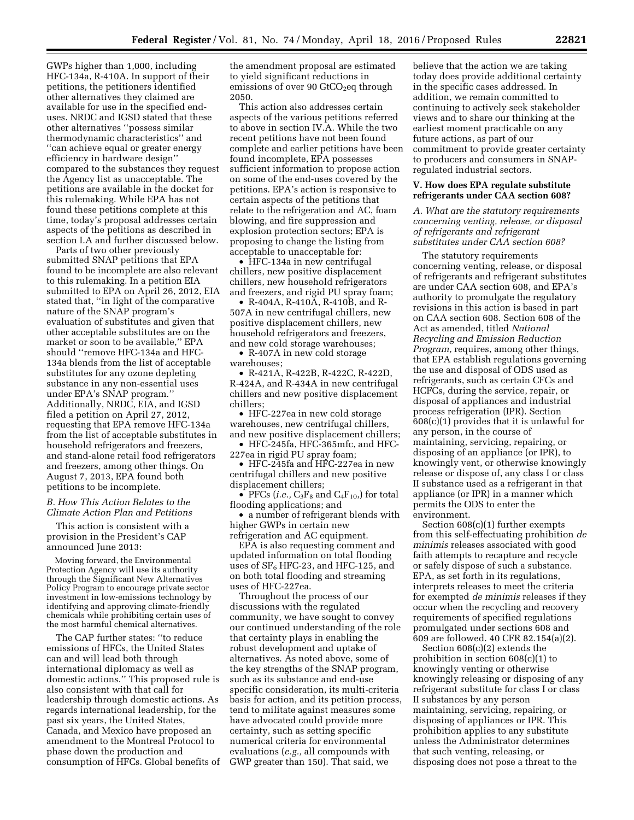GWPs higher than 1,000, including HFC-134a, R-410A. In support of their petitions, the petitioners identified other alternatives they claimed are available for use in the specified enduses. NRDC and IGSD stated that these other alternatives ''possess similar thermodynamic characteristics'' and ''can achieve equal or greater energy efficiency in hardware design'' compared to the substances they request the Agency list as unacceptable. The petitions are available in the docket for this rulemaking. While EPA has not found these petitions complete at this time, today's proposal addresses certain aspects of the petitions as described in section I.A and further discussed below.

Parts of two other previously submitted SNAP petitions that EPA found to be incomplete are also relevant to this rulemaking. In a petition EIA submitted to EPA on April 26, 2012, EIA stated that, ''in light of the comparative nature of the SNAP program's evaluation of substitutes and given that other acceptable substitutes are on the market or soon to be available,'' EPA should ''remove HFC-134a and HFC-134a blends from the list of acceptable substitutes for any ozone depleting substance in any non-essential uses under EPA's SNAP program.'' Additionally, NRDC, EIA, and IGSD filed a petition on April 27, 2012, requesting that EPA remove HFC-134a from the list of acceptable substitutes in household refrigerators and freezers, and stand-alone retail food refrigerators and freezers, among other things. On August 7, 2013, EPA found both petitions to be incomplete.

*B. How This Action Relates to the Climate Action Plan and Petitions* 

This action is consistent with a provision in the President's CAP announced June 2013:

Moving forward, the Environmental Protection Agency will use its authority through the Significant New Alternatives Policy Program to encourage private sector investment in low-emissions technology by identifying and approving climate-friendly chemicals while prohibiting certain uses of the most harmful chemical alternatives.

The CAP further states: ''to reduce emissions of HFCs, the United States can and will lead both through international diplomacy as well as domestic actions.'' This proposed rule is also consistent with that call for leadership through domestic actions. As regards international leadership, for the past six years, the United States, Canada, and Mexico have proposed an amendment to the Montreal Protocol to phase down the production and consumption of HFCs. Global benefits of the amendment proposal are estimated to yield significant reductions in emissions of over 90 GtCO<sub>2</sub>eq through 2050.

This action also addresses certain aspects of the various petitions referred to above in section IV.A. While the two recent petitions have not been found complete and earlier petitions have been found incomplete, EPA possesses sufficient information to propose action on some of the end-uses covered by the petitions. EPA's action is responsive to certain aspects of the petitions that relate to the refrigeration and AC, foam blowing, and fire suppression and explosion protection sectors; EPA is proposing to change the listing from acceptable to unacceptable for:

• HFC-134a in new centrifugal chillers, new positive displacement chillers, new household refrigerators and freezers, and rigid PU spray foam;

• R-404A, R-410A, R-410B, and R-507A in new centrifugal chillers, new positive displacement chillers, new household refrigerators and freezers, and new cold storage warehouses;

• R-407A in new cold storage warehouses;

• R-421A, R-422B, R-422C, R-422D, R-424A, and R-434A in new centrifugal chillers and new positive displacement chillers;

• HFC-227ea in new cold storage warehouses, new centrifugal chillers, and new positive displacement chillers;

• HFC-245fa, HFC-365mfc, and HFC-227ea in rigid PU spray foam;

• HFC-245fa and HFC-227ea in new centrifugal chillers and new positive displacement chillers;

• PFCs (*i.e.*,  $C_3F_8$  and  $C_4F_{10}$ ,) for total flooding applications; and

• a number of refrigerant blends with higher GWPs in certain new refrigeration and AC equipment.

EPA is also requesting comment and updated information on total flooding uses of  $SF_6$  HFC-23, and HFC-125, and on both total flooding and streaming uses of HFC-227ea.

Throughout the process of our discussions with the regulated community, we have sought to convey our continued understanding of the role that certainty plays in enabling the robust development and uptake of alternatives. As noted above, some of the key strengths of the SNAP program, such as its substance and end-use specific consideration, its multi-criteria basis for action, and its petition process, tend to militate against measures some have advocated could provide more certainty, such as setting specific numerical criteria for environmental evaluations (*e.g.,* all compounds with GWP greater than 150). That said, we

believe that the action we are taking today does provide additional certainty in the specific cases addressed. In addition, we remain committed to continuing to actively seek stakeholder views and to share our thinking at the earliest moment practicable on any future actions, as part of our commitment to provide greater certainty to producers and consumers in SNAPregulated industrial sectors.

#### **V. How does EPA regulate substitute refrigerants under CAA section 608?**

*A. What are the statutory requirements concerning venting, release, or disposal of refrigerants and refrigerant substitutes under CAA section 608?* 

The statutory requirements concerning venting, release, or disposal of refrigerants and refrigerant substitutes are under CAA section 608, and EPA's authority to promulgate the regulatory revisions in this action is based in part on CAA section 608. Section 608 of the Act as amended, titled *National Recycling and Emission Reduction Program,* requires, among other things, that EPA establish regulations governing the use and disposal of ODS used as refrigerants, such as certain CFCs and HCFCs, during the service, repair, or disposal of appliances and industrial process refrigeration (IPR). Section 608(c)(1) provides that it is unlawful for any person, in the course of maintaining, servicing, repairing, or disposing of an appliance (or IPR), to knowingly vent, or otherwise knowingly release or dispose of, any class I or class II substance used as a refrigerant in that appliance (or IPR) in a manner which permits the ODS to enter the environment.

Section 608(c)(1) further exempts from this self-effectuating prohibition *de minimis* releases associated with good faith attempts to recapture and recycle or safely dispose of such a substance. EPA, as set forth in its regulations, interprets releases to meet the criteria for exempted *de minimis* releases if they occur when the recycling and recovery requirements of specified regulations promulgated under sections 608 and 609 are followed. 40 CFR 82.154(a)(2).

Section 608(c)(2) extends the prohibition in section 608(c)(1) to knowingly venting or otherwise knowingly releasing or disposing of any refrigerant substitute for class I or class II substances by any person maintaining, servicing, repairing, or disposing of appliances or IPR. This prohibition applies to any substitute unless the Administrator determines that such venting, releasing, or disposing does not pose a threat to the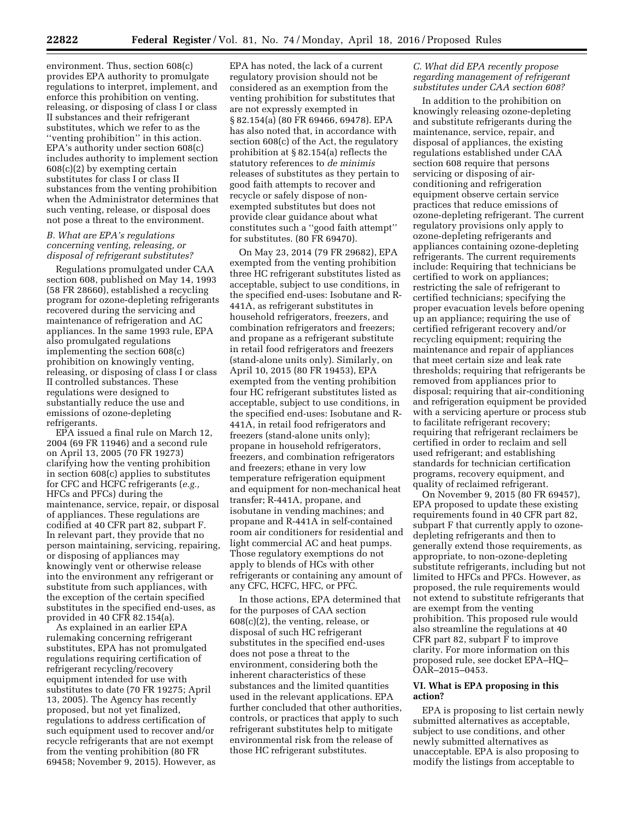environment. Thus, section 608(c) provides EPA authority to promulgate regulations to interpret, implement, and enforce this prohibition on venting, releasing, or disposing of class I or class II substances and their refrigerant substitutes, which we refer to as the ''venting prohibition'' in this action. EPA's authority under section 608(c) includes authority to implement section 608(c)(2) by exempting certain substitutes for class I or class II substances from the venting prohibition when the Administrator determines that such venting, release, or disposal does not pose a threat to the environment.

## *B. What are EPA's regulations concerning venting, releasing, or disposal of refrigerant substitutes?*

Regulations promulgated under CAA section 608, published on May 14, 1993 (58 FR 28660), established a recycling program for ozone-depleting refrigerants recovered during the servicing and maintenance of refrigeration and AC appliances. In the same 1993 rule, EPA also promulgated regulations implementing the section 608(c) prohibition on knowingly venting, releasing, or disposing of class I or class II controlled substances. These regulations were designed to substantially reduce the use and emissions of ozone-depleting refrigerants.

EPA issued a final rule on March 12, 2004 (69 FR 11946) and a second rule on April 13, 2005 (70 FR 19273) clarifying how the venting prohibition in section 608(c) applies to substitutes for CFC and HCFC refrigerants (*e.g.,*  HFCs and PFCs) during the maintenance, service, repair, or disposal of appliances. These regulations are codified at 40 CFR part 82, subpart F. In relevant part, they provide that no person maintaining, servicing, repairing, or disposing of appliances may knowingly vent or otherwise release into the environment any refrigerant or substitute from such appliances, with the exception of the certain specified substitutes in the specified end-uses, as provided in 40 CFR 82.154(a).

As explained in an earlier EPA rulemaking concerning refrigerant substitutes, EPA has not promulgated regulations requiring certification of refrigerant recycling/recovery equipment intended for use with substitutes to date (70 FR 19275; April 13, 2005). The Agency has recently proposed, but not yet finalized, regulations to address certification of such equipment used to recover and/or recycle refrigerants that are not exempt from the venting prohibition (80 FR 69458; November 9, 2015). However, as

EPA has noted, the lack of a current regulatory provision should not be considered as an exemption from the venting prohibition for substitutes that are not expressly exempted in § 82.154(a) (80 FR 69466, 69478). EPA has also noted that, in accordance with section 608(c) of the Act, the regulatory prohibition at § 82.154(a) reflects the statutory references to *de minimis*  releases of substitutes as they pertain to good faith attempts to recover and recycle or safely dispose of nonexempted substitutes but does not provide clear guidance about what constitutes such a ''good faith attempt'' for substitutes. (80 FR 69470).

On May 23, 2014 (79 FR 29682), EPA exempted from the venting prohibition three HC refrigerant substitutes listed as acceptable, subject to use conditions, in the specified end-uses: Isobutane and R-441A, as refrigerant substitutes in household refrigerators, freezers, and combination refrigerators and freezers; and propane as a refrigerant substitute in retail food refrigerators and freezers (stand-alone units only). Similarly, on April 10, 2015 (80 FR 19453), EPA exempted from the venting prohibition four HC refrigerant substitutes listed as acceptable, subject to use conditions, in the specified end-uses: Isobutane and R-441A, in retail food refrigerators and freezers (stand-alone units only); propane in household refrigerators, freezers, and combination refrigerators and freezers; ethane in very low temperature refrigeration equipment and equipment for non-mechanical heat transfer; R-441A, propane, and isobutane in vending machines; and propane and R-441A in self-contained room air conditioners for residential and light commercial AC and heat pumps. Those regulatory exemptions do not apply to blends of HCs with other refrigerants or containing any amount of any CFC, HCFC, HFC, or PFC.

In those actions, EPA determined that for the purposes of CAA section 608(c)(2), the venting, release, or disposal of such HC refrigerant substitutes in the specified end-uses does not pose a threat to the environment, considering both the inherent characteristics of these substances and the limited quantities used in the relevant applications. EPA further concluded that other authorities, controls, or practices that apply to such refrigerant substitutes help to mitigate environmental risk from the release of those HC refrigerant substitutes.

#### *C. What did EPA recently propose regarding management of refrigerant substitutes under CAA section 608?*

In addition to the prohibition on knowingly releasing ozone-depleting and substitute refrigerants during the maintenance, service, repair, and disposal of appliances, the existing regulations established under CAA section 608 require that persons servicing or disposing of airconditioning and refrigeration equipment observe certain service practices that reduce emissions of ozone-depleting refrigerant. The current regulatory provisions only apply to ozone-depleting refrigerants and appliances containing ozone-depleting refrigerants. The current requirements include: Requiring that technicians be certified to work on appliances; restricting the sale of refrigerant to certified technicians; specifying the proper evacuation levels before opening up an appliance; requiring the use of certified refrigerant recovery and/or recycling equipment; requiring the maintenance and repair of appliances that meet certain size and leak rate thresholds; requiring that refrigerants be removed from appliances prior to disposal; requiring that air-conditioning and refrigeration equipment be provided with a servicing aperture or process stub to facilitate refrigerant recovery; requiring that refrigerant reclaimers be certified in order to reclaim and sell used refrigerant; and establishing standards for technician certification programs, recovery equipment, and quality of reclaimed refrigerant.

On November 9, 2015 (80 FR 69457), EPA proposed to update these existing requirements found in 40 CFR part 82, subpart F that currently apply to ozonedepleting refrigerants and then to generally extend those requirements, as appropriate, to non-ozone-depleting substitute refrigerants, including but not limited to HFCs and PFCs. However, as proposed, the rule requirements would not extend to substitute refrigerants that are exempt from the venting prohibition. This proposed rule would also streamline the regulations at 40 CFR part 82, subpart F to improve clarity. For more information on this proposed rule, see docket EPA–HQ– OAR–2015–0453.

#### **VI. What is EPA proposing in this action?**

EPA is proposing to list certain newly submitted alternatives as acceptable, subject to use conditions, and other newly submitted alternatives as unacceptable. EPA is also proposing to modify the listings from acceptable to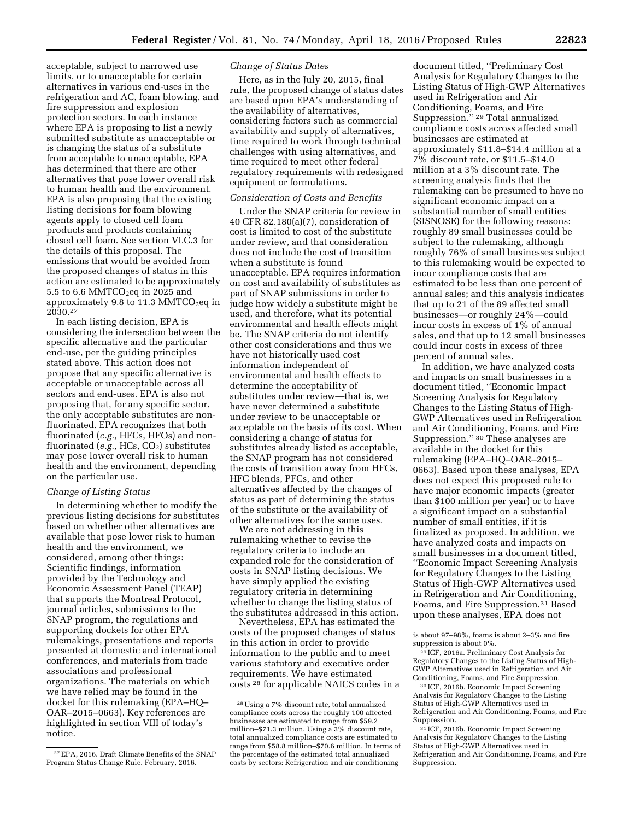acceptable, subject to narrowed use limits, or to unacceptable for certain alternatives in various end-uses in the refrigeration and AC, foam blowing, and fire suppression and explosion protection sectors. In each instance where EPA is proposing to list a newly submitted substitute as unacceptable or is changing the status of a substitute from acceptable to unacceptable, EPA has determined that there are other alternatives that pose lower overall risk to human health and the environment. EPA is also proposing that the existing listing decisions for foam blowing agents apply to closed cell foam products and products containing closed cell foam. See section VI.C.3 for the details of this proposal. The emissions that would be avoided from the proposed changes of status in this action are estimated to be approximately 5.5 to 6.6 MMTCO<sub>2</sub>eq in 2025 and approximately 9.8 to 11.3 MMTCO<sub>2</sub>eq in 2030.27

In each listing decision, EPA is considering the intersection between the specific alternative and the particular end-use, per the guiding principles stated above. This action does not propose that any specific alternative is acceptable or unacceptable across all sectors and end-uses. EPA is also not proposing that, for any specific sector, the only acceptable substitutes are nonfluorinated. EPA recognizes that both fluorinated (*e.g.,* HFCs, HFOs) and nonfluorinated (*e.g.*, HCs, CO<sub>2</sub>) substitutes may pose lower overall risk to human health and the environment, depending on the particular use.

## *Change of Listing Status*

In determining whether to modify the previous listing decisions for substitutes based on whether other alternatives are available that pose lower risk to human health and the environment, we considered, among other things: Scientific findings, information provided by the Technology and Economic Assessment Panel (TEAP) that supports the Montreal Protocol, journal articles, submissions to the SNAP program, the regulations and supporting dockets for other EPA rulemakings, presentations and reports presented at domestic and international conferences, and materials from trade associations and professional organizations. The materials on which we have relied may be found in the docket for this rulemaking (EPA–HQ– OAR–2015–0663). Key references are highlighted in section VIII of today's notice.

# *Change of Status Dates*

Here, as in the July 20, 2015, final rule, the proposed change of status dates are based upon EPA's understanding of the availability of alternatives, considering factors such as commercial availability and supply of alternatives, time required to work through technical challenges with using alternatives, and time required to meet other federal regulatory requirements with redesigned equipment or formulations.

# *Consideration of Costs and Benefits*

Under the SNAP criteria for review in 40 CFR 82.180(a)(7), consideration of cost is limited to cost of the substitute under review, and that consideration does not include the cost of transition when a substitute is found unacceptable. EPA requires information on cost and availability of substitutes as part of SNAP submissions in order to judge how widely a substitute might be used, and therefore, what its potential environmental and health effects might be. The SNAP criteria do not identify other cost considerations and thus we have not historically used cost information independent of environmental and health effects to determine the acceptability of substitutes under review—that is, we have never determined a substitute under review to be unacceptable or acceptable on the basis of its cost. When considering a change of status for substitutes already listed as acceptable, the SNAP program has not considered the costs of transition away from HFCs, HFC blends, PFCs, and other alternatives affected by the changes of status as part of determining the status of the substitute or the availability of other alternatives for the same uses.

We are not addressing in this rulemaking whether to revise the regulatory criteria to include an expanded role for the consideration of costs in SNAP listing decisions. We have simply applied the existing regulatory criteria in determining whether to change the listing status of the substitutes addressed in this action.

Nevertheless, EPA has estimated the costs of the proposed changes of status in this action in order to provide information to the public and to meet various statutory and executive order requirements. We have estimated costs 28 for applicable NAICS codes in a

document titled, ''Preliminary Cost Analysis for Regulatory Changes to the Listing Status of High-GWP Alternatives used in Refrigeration and Air Conditioning, Foams, and Fire Suppression.'' 29 Total annualized compliance costs across affected small businesses are estimated at approximately \$11.8–\$14.4 million at a 7% discount rate, or \$11.5–\$14.0 million at a 3% discount rate. The screening analysis finds that the rulemaking can be presumed to have no significant economic impact on a substantial number of small entities (SISNOSE) for the following reasons: roughly 89 small businesses could be subject to the rulemaking, although roughly 76% of small businesses subject to this rulemaking would be expected to incur compliance costs that are estimated to be less than one percent of annual sales; and this analysis indicates that up to 21 of the 89 affected small businesses—or roughly 24%—could incur costs in excess of 1% of annual sales, and that up to 12 small businesses could incur costs in excess of three percent of annual sales.

In addition, we have analyzed costs and impacts on small businesses in a document titled, ''Economic Impact Screening Analysis for Regulatory Changes to the Listing Status of High-GWP Alternatives used in Refrigeration and Air Conditioning, Foams, and Fire Suppression.'' 30 These analyses are available in the docket for this rulemaking (EPA–HQ–OAR–2015– 0663). Based upon these analyses, EPA does not expect this proposed rule to have major economic impacts (greater than \$100 million per year) or to have a significant impact on a substantial number of small entities, if it is finalized as proposed. In addition, we have analyzed costs and impacts on small businesses in a document titled, ''Economic Impact Screening Analysis for Regulatory Changes to the Listing Status of High-GWP Alternatives used in Refrigeration and Air Conditioning, Foams, and Fire Suppression.31 Based upon these analyses, EPA does not

<sup>27</sup>EPA, 2016. Draft Climate Benefits of the SNAP Program Status Change Rule. February, 2016.

<sup>28</sup>Using a 7% discount rate, total annualized compliance costs across the roughly 100 affected businesses are estimated to range from \$59.2 million–\$71.3 million. Using a 3% discount rate, total annualized compliance costs are estimated to range from \$58.8 million–\$70.6 million. In terms of the percentage of the estimated total annualized costs by sectors: Refrigeration and air conditioning

is about 97–98%, foams is about 2–3% and fire suppression is about 0%.

<sup>29</sup> ICF, 2016a. Preliminary Cost Analysis for Regulatory Changes to the Listing Status of High-GWP Alternatives used in Refrigeration and Air Conditioning, Foams, and Fire Suppression.

<sup>30</sup> ICF, 2016b. Economic Impact Screening Analysis for Regulatory Changes to the Listing Status of High-GWP Alternatives used in Refrigeration and Air Conditioning, Foams, and Fire Suppression.

<sup>31</sup> ICF, 2016b. Economic Impact Screening Analysis for Regulatory Changes to the Listing Status of High-GWP Alternatives used in Refrigeration and Air Conditioning, Foams, and Fire Suppression.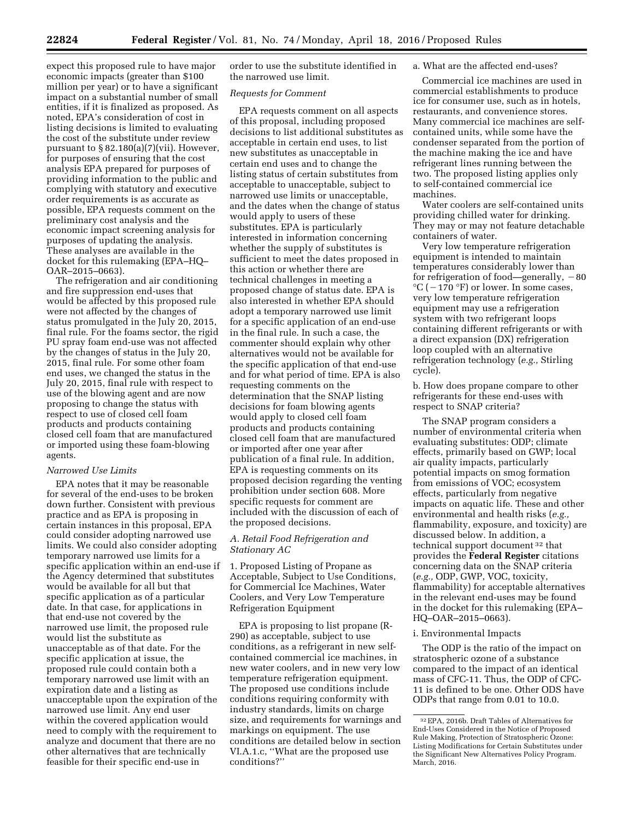expect this proposed rule to have major economic impacts (greater than \$100 million per year) or to have a significant impact on a substantial number of small entities, if it is finalized as proposed. As noted, EPA's consideration of cost in listing decisions is limited to evaluating the cost of the substitute under review pursuant to § 82.180(a)(7)(vii). However, for purposes of ensuring that the cost analysis EPA prepared for purposes of providing information to the public and complying with statutory and executive order requirements is as accurate as possible, EPA requests comment on the preliminary cost analysis and the economic impact screening analysis for purposes of updating the analysis. These analyses are available in the docket for this rulemaking (EPA–HQ– OAR–2015–0663).

The refrigeration and air conditioning and fire suppression end-uses that would be affected by this proposed rule were not affected by the changes of status promulgated in the July 20, 2015, final rule. For the foams sector, the rigid PU spray foam end-use was not affected by the changes of status in the July 20, 2015, final rule. For some other foam end uses, we changed the status in the July 20, 2015, final rule with respect to use of the blowing agent and are now proposing to change the status with respect to use of closed cell foam products and products containing closed cell foam that are manufactured or imported using these foam-blowing agents.

## *Narrowed Use Limits*

EPA notes that it may be reasonable for several of the end-uses to be broken down further. Consistent with previous practice and as EPA is proposing in certain instances in this proposal, EPA could consider adopting narrowed use limits. We could also consider adopting temporary narrowed use limits for a specific application within an end-use if the Agency determined that substitutes would be available for all but that specific application as of a particular date. In that case, for applications in that end-use not covered by the narrowed use limit, the proposed rule would list the substitute as unacceptable as of that date. For the specific application at issue, the proposed rule could contain both a temporary narrowed use limit with an expiration date and a listing as unacceptable upon the expiration of the narrowed use limit. Any end user within the covered application would need to comply with the requirement to analyze and document that there are no other alternatives that are technically feasible for their specific end-use in

order to use the substitute identified in the narrowed use limit.

#### *Requests for Comment*

EPA requests comment on all aspects of this proposal, including proposed decisions to list additional substitutes as acceptable in certain end uses, to list new substitutes as unacceptable in certain end uses and to change the listing status of certain substitutes from acceptable to unacceptable, subject to narrowed use limits or unacceptable, and the dates when the change of status would apply to users of these substitutes. EPA is particularly interested in information concerning whether the supply of substitutes is sufficient to meet the dates proposed in this action or whether there are technical challenges in meeting a proposed change of status date. EPA is also interested in whether EPA should adopt a temporary narrowed use limit for a specific application of an end-use in the final rule. In such a case, the commenter should explain why other alternatives would not be available for the specific application of that end-use and for what period of time. EPA is also requesting comments on the determination that the SNAP listing decisions for foam blowing agents would apply to closed cell foam products and products containing closed cell foam that are manufactured or imported after one year after publication of a final rule. In addition, EPA is requesting comments on its proposed decision regarding the venting prohibition under section 608. More specific requests for comment are included with the discussion of each of the proposed decisions.

# *A. Retail Food Refrigeration and Stationary AC*

1. Proposed Listing of Propane as Acceptable, Subject to Use Conditions, for Commercial Ice Machines, Water Coolers, and Very Low Temperature Refrigeration Equipment

EPA is proposing to list propane (R-290) as acceptable, subject to use conditions, as a refrigerant in new selfcontained commercial ice machines, in new water coolers, and in new very low temperature refrigeration equipment. The proposed use conditions include conditions requiring conformity with industry standards, limits on charge size, and requirements for warnings and markings on equipment. The use conditions are detailed below in section VI.A.1.c, ''What are the proposed use conditions?''

#### a. What are the affected end-uses?

Commercial ice machines are used in commercial establishments to produce ice for consumer use, such as in hotels, restaurants, and convenience stores. Many commercial ice machines are selfcontained units, while some have the condenser separated from the portion of the machine making the ice and have refrigerant lines running between the two. The proposed listing applies only to self-contained commercial ice machines.

Water coolers are self-contained units providing chilled water for drinking. They may or may not feature detachable containers of water.

Very low temperature refrigeration equipment is intended to maintain temperatures considerably lower than for refrigeration of food—generally,  $-80$  $^{\circ}C$  ( – 170 °F) or lower. In some cases, very low temperature refrigeration equipment may use a refrigeration system with two refrigerant loops containing different refrigerants or with a direct expansion (DX) refrigeration loop coupled with an alternative refrigeration technology (*e.g.,* Stirling cycle).

b. How does propane compare to other refrigerants for these end-uses with respect to SNAP criteria?

The SNAP program considers a number of environmental criteria when evaluating substitutes: ODP; climate effects, primarily based on GWP; local air quality impacts, particularly potential impacts on smog formation from emissions of VOC; ecosystem effects, particularly from negative impacts on aquatic life. These and other environmental and health risks (*e.g.,*  flammability, exposure, and toxicity) are discussed below. In addition, a technical support document 32 that provides the **Federal Register** citations concerning data on the SNAP criteria (*e.g.,* ODP, GWP, VOC, toxicity, flammability) for acceptable alternatives in the relevant end-uses may be found in the docket for this rulemaking (EPA– HQ–OAR–2015–0663).

#### i. Environmental Impacts

The ODP is the ratio of the impact on stratospheric ozone of a substance compared to the impact of an identical mass of CFC-11. Thus, the ODP of CFC-11 is defined to be one. Other ODS have ODPs that range from 0.01 to 10.0.

<sup>32</sup>EPA, 2016b. Draft Tables of Alternatives for End-Uses Considered in the Notice of Proposed Rule Making, Protection of Stratospheric Ozone: Listing Modifications for Certain Substitutes under the Significant New Alternatives Policy Program. March, 2016.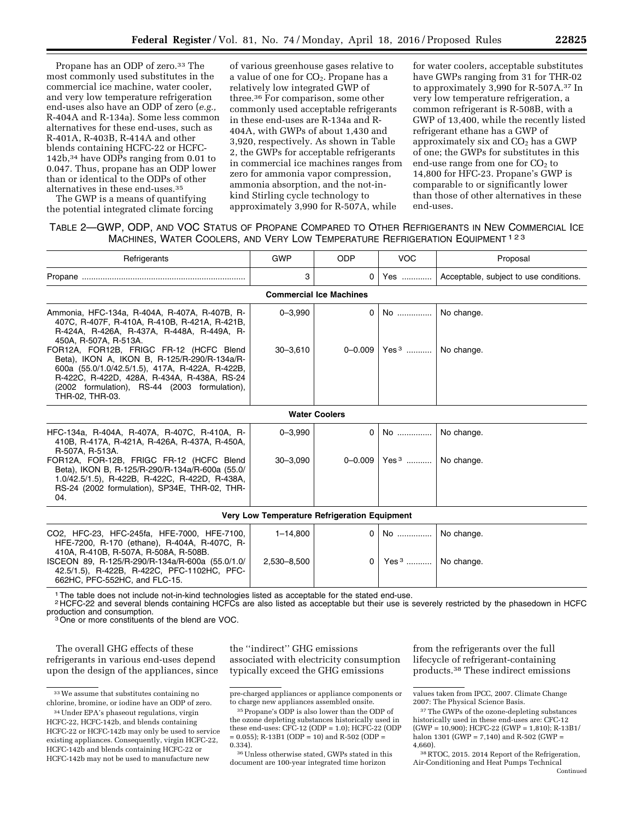Propane has an ODP of zero.<sup>33</sup> The most commonly used substitutes in the commercial ice machine, water cooler, and very low temperature refrigeration end-uses also have an ODP of zero (*e.g.,*  R-404A and R-134a). Some less common alternatives for these end-uses, such as R-401A, R-403B, R-414A and other blends containing HCFC-22 or HCFC-142b,34 have ODPs ranging from 0.01 to 0.047. Thus, propane has an ODP lower than or identical to the ODPs of other alternatives in these end-uses.35

The GWP is a means of quantifying the potential integrated climate forcing

of various greenhouse gases relative to a value of one for CO<sub>2</sub>. Propane has a relatively low integrated GWP of three.36 For comparison, some other commonly used acceptable refrigerants in these end-uses are R-134a and R-404A, with GWPs of about 1,430 and 3,920, respectively. As shown in Table 2, the GWPs for acceptable refrigerants in commercial ice machines ranges from zero for ammonia vapor compression, ammonia absorption, and the not-inkind Stirling cycle technology to approximately 3,990 for R-507A, while

for water coolers, acceptable substitutes have GWPs ranging from 31 for THR-02 to approximately 3,990 for R-507A.37 In very low temperature refrigeration, a common refrigerant is R-508B, with a GWP of 13,400, while the recently listed refrigerant ethane has a GWP of approximately six and  $CO<sub>2</sub>$  has a GWP of one; the GWPs for substitutes in this end-use range from one for  $CO<sub>2</sub>$  to 14,800 for HFC-23. Propane's GWP is comparable to or significantly lower than those of other alternatives in these end-uses.

# TABLE 2—GWP, ODP, AND VOC STATUS OF PROPANE COMPARED TO OTHER REFRIGERANTS IN NEW COMMERCIAL ICE MACHINES, WATER COOLERS, AND VERY LOW TEMPERATURE REFRIGERATION EQUIPMENT 123

| Refrigerants                                                                                                                                                                                                                                                  | <b>GWP</b>   | <b>ODP</b>                                   | <b>VOC</b>                    | Proposal                               |
|---------------------------------------------------------------------------------------------------------------------------------------------------------------------------------------------------------------------------------------------------------------|--------------|----------------------------------------------|-------------------------------|----------------------------------------|
|                                                                                                                                                                                                                                                               | 3            | $\Omega$                                     | Yes                           | Acceptable, subject to use conditions. |
|                                                                                                                                                                                                                                                               |              | <b>Commercial Ice Machines</b>               |                               |                                        |
| Ammonia, HFC-134a, R-404A, R-407A, R-407B, R-<br>407C, R-407F, R-410A, R-410B, R-421A, R-421B,<br>R-424A, R-426A, R-437A, R-448A, R-449A, R-<br>450A, R-507A, R-513A.                                                                                         | $0 - 3,990$  | 0                                            | No                            | No change.                             |
| FOR12A, FOR12B, FRIGC FR-12 (HCFC Blend<br>Beta), IKON A, IKON B, R-125/R-290/R-134a/R-<br>600a (55.0/1.0/42.5/1.5), 417A, R-422A, R-422B,<br>R-422C, R-422D, 428A, R-434A, R-438A, RS-24<br>(2002 formulation), RS-44 (2003 formulation),<br>THR-02, THR-03. | $30 - 3.610$ | $0 - 0.009$                                  | Yes <sup>3</sup>              | No change.                             |
|                                                                                                                                                                                                                                                               |              | <b>Water Coolers</b>                         |                               |                                        |
| HFC-134a, R-404A, R-407A, R-407C, R-410A, R-<br>410B, R-417A, R-421A, R-426A, R-437A, R-450A,<br>R-507A, R-513A.                                                                                                                                              | $0 - 3,990$  | $\Omega$                                     | No                            | No change.                             |
| FOR12A, FOR-12B, FRIGC FR-12 (HCFC Blend<br>Beta), IKON B, R-125/R-290/R-134a/R-600a (55.0/<br>1.0/42.5/1.5), R-422B, R-422C, R-422D, R-438A,<br>RS-24 (2002 formulation), SP34E, THR-02, THR-<br>04.                                                         | $30 - 3,090$ | $0 - 0.009$                                  | Yes <sup>3</sup> No change.   |                                        |
|                                                                                                                                                                                                                                                               |              | Very Low Temperature Refrigeration Equipment |                               |                                        |
| CO2, HFC-23, HFC-245fa, HFE-7000, HFE-7100,<br>HFE-7200, R-170 (ethane), R-404A, R-407C, R-<br>410A, R-410B, R-507A, R-508A, R-508B.                                                                                                                          | $1 - 14,800$ | $\Omega$                                     | No                            | No change.                             |
| ISCEON 89, R-125/R-290/R-134a/R-600a (55.0/1.0/<br>42.5/1.5), R-422B, R-422C, PFC-1102HC, PFC-<br>662HC, PFC-552HC, and FLC-15.                                                                                                                               | 2,530-8,500  | $\Omega$                                     | Yes <sup>3</sup>   No change. |                                        |

1The table does not include not-in-kind technologies listed as acceptable for the stated end-use.

<sup>2</sup> HCFC-22 and several blends containing HCFCs are also listed as acceptable but their use is severely restricted by the phasedown in HCFC production and consumption.

<sup>3</sup> One or more constituents of the blend are VOC.

The overall GHG effects of these refrigerants in various end-uses depend upon the design of the appliances, since

the ''indirect'' GHG emissions associated with electricity consumption typically exceed the GHG emissions

from the refrigerants over the full lifecycle of refrigerant-containing products.38 These indirect emissions

<sup>33</sup>We assume that substitutes containing no chlorine, bromine, or iodine have an ODP of zero.

<sup>34</sup>Under EPA's phaseout regulations, virgin HCFC-22, HCFC-142b, and blends containing HCFC-22 or HCFC-142b may only be used to service existing appliances. Consequently, virgin HCFC-22, HCFC-142b and blends containing HCFC-22 or HCFC-142b may not be used to manufacture new

pre-charged appliances or appliance components or to charge new appliances assembled onsite.

<sup>35</sup>Propane's ODP is also lower than the ODP of the ozone depleting substances historically used in these end-uses: CFC-12 (ODP = 1.0); HCFC-22 (ODP  $= 0.055$ ); R-13B1 (ODP  $= 10$ ) and R-502 (ODP  $=$ 0.334).

<sup>36</sup>Unless otherwise stated, GWPs stated in this document are 100-year integrated time horizon

values taken from IPCC, 2007. Climate Change 2007: The Physical Science Basis.

<sup>&</sup>lt;sup>37</sup>The GWPs of the ozone-depleting substances historically used in these end-uses are: CFC-12 (GWP = 10,900); HCFC-22 (GWP = 1,810); R-13B1/ halon 1301 (GWP = 7,140) and R-502 (GWP = 4,660).

<sup>38</sup>RTOC, 2015. 2014 Report of the Refrigeration, Air-Conditioning and Heat Pumps Technical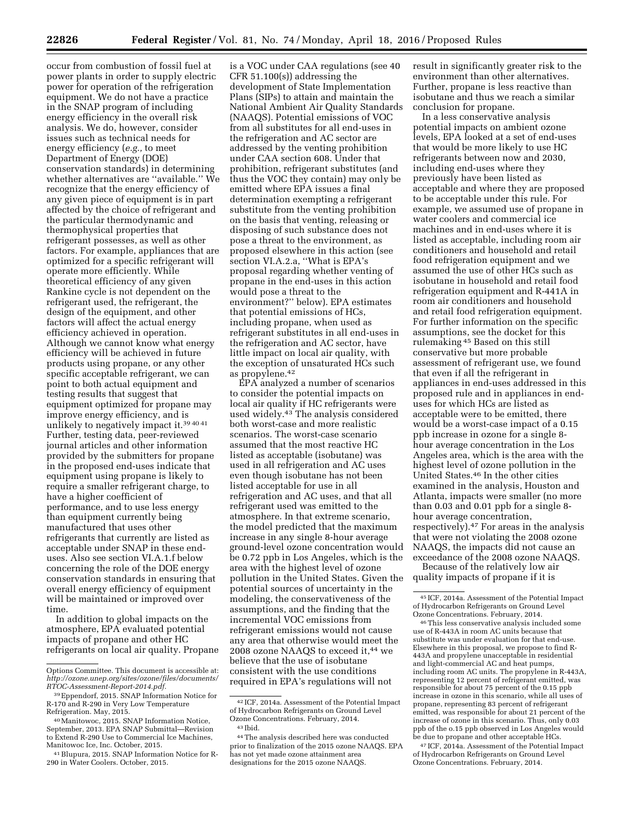occur from combustion of fossil fuel at power plants in order to supply electric power for operation of the refrigeration equipment. We do not have a practice in the SNAP program of including energy efficiency in the overall risk analysis. We do, however, consider issues such as technical needs for energy efficiency (*e.g.,* to meet Department of Energy (DOE) conservation standards) in determining whether alternatives are ''available.'' We recognize that the energy efficiency of any given piece of equipment is in part affected by the choice of refrigerant and the particular thermodynamic and thermophysical properties that refrigerant possesses, as well as other factors. For example, appliances that are optimized for a specific refrigerant will operate more efficiently. While theoretical efficiency of any given Rankine cycle is not dependent on the refrigerant used, the refrigerant, the design of the equipment, and other factors will affect the actual energy efficiency achieved in operation. Although we cannot know what energy efficiency will be achieved in future products using propane, or any other specific acceptable refrigerant, we can point to both actual equipment and testing results that suggest that equipment optimized for propane may improve energy efficiency, and is unlikely to negatively impact it.39 40 41 Further, testing data, peer-reviewed journal articles and other information provided by the submitters for propane in the proposed end-uses indicate that equipment using propane is likely to require a smaller refrigerant charge, to have a higher coefficient of performance, and to use less energy than equipment currently being manufactured that uses other refrigerants that currently are listed as acceptable under SNAP in these enduses. Also see section VI.A.1.f below concerning the role of the DOE energy conservation standards in ensuring that overall energy efficiency of equipment will be maintained or improved over time.

In addition to global impacts on the atmosphere, EPA evaluated potential impacts of propane and other HC refrigerants on local air quality. Propane

is a VOC under CAA regulations (see 40 CFR 51.100(s)) addressing the development of State Implementation Plans (SIPs) to attain and maintain the National Ambient Air Quality Standards (NAAQS). Potential emissions of VOC from all substitutes for all end-uses in the refrigeration and AC sector are addressed by the venting prohibition under CAA section 608. Under that prohibition, refrigerant substitutes (and thus the VOC they contain) may only be emitted where EPA issues a final determination exempting a refrigerant substitute from the venting prohibition on the basis that venting, releasing or disposing of such substance does not pose a threat to the environment, as proposed elsewhere in this action (see section VI.A.2.a, "What is EPA's proposal regarding whether venting of propane in the end-uses in this action would pose a threat to the environment?'' below). EPA estimates that potential emissions of HCs, including propane, when used as refrigerant substitutes in all end-uses in the refrigeration and AC sector, have little impact on local air quality, with the exception of unsaturated HCs such as propylene.42

EPA analyzed a number of scenarios to consider the potential impacts on local air quality if HC refrigerants were used widely.43 The analysis considered both worst-case and more realistic scenarios. The worst-case scenario assumed that the most reactive HC listed as acceptable (isobutane) was used in all refrigeration and AC uses even though isobutane has not been listed acceptable for use in all refrigeration and AC uses, and that all refrigerant used was emitted to the atmosphere. In that extreme scenario, the model predicted that the maximum increase in any single 8-hour average ground-level ozone concentration would be 0.72 ppb in Los Angeles, which is the area with the highest level of ozone pollution in the United States. Given the potential sources of uncertainty in the modeling, the conservativeness of the assumptions, and the finding that the incremental VOC emissions from refrigerant emissions would not cause any area that otherwise would meet the 2008 ozone NAAQS to exceed it,44 we believe that the use of isobutane consistent with the use conditions required in EPA's regulations will not

result in significantly greater risk to the environment than other alternatives. Further, propane is less reactive than isobutane and thus we reach a similar conclusion for propane.

In a less conservative analysis potential impacts on ambient ozone levels, EPA looked at a set of end-uses that would be more likely to use HC refrigerants between now and 2030, including end-uses where they previously have been listed as acceptable and where they are proposed to be acceptable under this rule. For example, we assumed use of propane in water coolers and commercial ice machines and in end-uses where it is listed as acceptable, including room air conditioners and household and retail food refrigeration equipment and we assumed the use of other HCs such as isobutane in household and retail food refrigeration equipment and R-441A in room air conditioners and household and retail food refrigeration equipment. For further information on the specific assumptions, see the docket for this rulemaking 45 Based on this still conservative but more probable assessment of refrigerant use, we found that even if all the refrigerant in appliances in end-uses addressed in this proposed rule and in appliances in enduses for which HCs are listed as acceptable were to be emitted, there would be a worst-case impact of a 0.15 ppb increase in ozone for a single 8 hour average concentration in the Los Angeles area, which is the area with the highest level of ozone pollution in the United States.46 In the other cities examined in the analysis, Houston and Atlanta, impacts were smaller (no more than 0.03 and 0.01 ppb for a single 8 hour average concentration, respectively).47 For areas in the analysis that were not violating the 2008 ozone NAAQS, the impacts did not cause an exceedance of the 2008 ozone NAAQS.

Because of the relatively low air quality impacts of propane if it is

47 ICF, 2014a. Assessment of the Potential Impact of Hydrocarbon Refrigerants on Ground Level Ozone Concentrations. February, 2014.

Options Committee. This document is accessible at: *[http://ozone.unep.org/sites/ozone/files/documents/](http://ozone.unep.org/sites/ozone/files/documents/RTOC-Assessment-Report-2014.pdf) [RTOC-Assessment-Report-2014.pdf.](http://ozone.unep.org/sites/ozone/files/documents/RTOC-Assessment-Report-2014.pdf)* 

<sup>39</sup>Eppendorf, 2015. SNAP Information Notice for R-170 and R-290 in Very Low Temperature

Refrigeration. May, 2015. 40Manitowoc, 2015. SNAP Information Notice, September, 2013. EPA SNAP Submittal—Revision to Extend R-290 Use to Commercial Ice Machines,

<sup>&</sup>lt;sup>41</sup> Blupura, 2015. SNAP Information Notice for R-290 in Water Coolers. October, 2015.

<sup>42</sup> ICF, 2014a. Assessment of the Potential Impact of Hydrocarbon Refrigerants on Ground Level Ozone Concentrations. February, 2014. 43 Ibid.

<sup>44</sup>The analysis described here was conducted prior to finalization of the 2015 ozone NAAQS. EPA has not yet made ozone attainment area designations for the 2015 ozone NAAQS.

<sup>45</sup> ICF, 2014a. Assessment of the Potential Impact of Hydrocarbon Refrigerants on Ground Level

<sup>&</sup>lt;sup>46</sup>This less conservative analysis included some use of R-443A in room AC units because that substitute was under evaluation for that end-use. Elsewhere in this proposal, we propose to find R-443A and propylene unacceptable in residential and light-commercial AC and heat pumps, including room AC units. The propylene in R-443A, representing 12 percent of refrigerant emitted, was responsible for about 75 percent of the 0.15 ppb increase in ozone in this scenario, while all uses of propane, representing 83 percent of refrigerant emitted, was responsible for about 21 percent of the increase of ozone in this scenario. Thus, only 0.03 ppb of the o.15 ppb observed in Los Angeles would be due to propane and other acceptable HCs.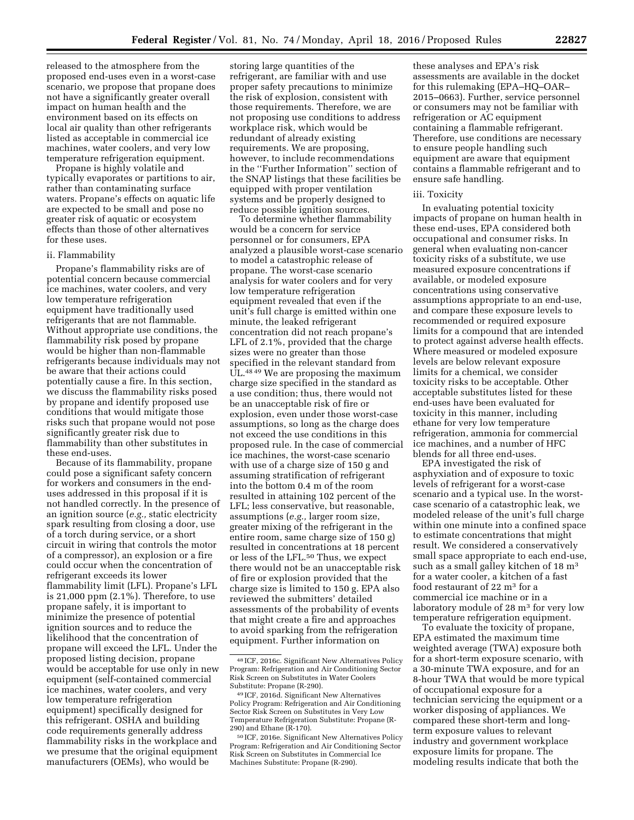released to the atmosphere from the proposed end-uses even in a worst-case scenario, we propose that propane does not have a significantly greater overall impact on human health and the environment based on its effects on local air quality than other refrigerants listed as acceptable in commercial ice machines, water coolers, and very low temperature refrigeration equipment.

Propane is highly volatile and typically evaporates or partitions to air, rather than contaminating surface waters. Propane's effects on aquatic life are expected to be small and pose no greater risk of aquatic or ecosystem effects than those of other alternatives for these uses.

#### ii. Flammability

Propane's flammability risks are of potential concern because commercial ice machines, water coolers, and very low temperature refrigeration equipment have traditionally used refrigerants that are not flammable. Without appropriate use conditions, the flammability risk posed by propane would be higher than non-flammable refrigerants because individuals may not be aware that their actions could potentially cause a fire. In this section, we discuss the flammability risks posed by propane and identify proposed use conditions that would mitigate those risks such that propane would not pose significantly greater risk due to flammability than other substitutes in these end-uses.

Because of its flammability, propane could pose a significant safety concern for workers and consumers in the enduses addressed in this proposal if it is not handled correctly. In the presence of an ignition source (*e.g.,* static electricity spark resulting from closing a door, use of a torch during service, or a short circuit in wiring that controls the motor of a compressor), an explosion or a fire could occur when the concentration of refrigerant exceeds its lower flammability limit (LFL). Propane's LFL is 21,000 ppm (2.1%). Therefore, to use propane safely, it is important to minimize the presence of potential ignition sources and to reduce the likelihood that the concentration of propane will exceed the LFL. Under the proposed listing decision, propane would be acceptable for use only in new equipment (self-contained commercial ice machines, water coolers, and very low temperature refrigeration equipment) specifically designed for this refrigerant. OSHA and building code requirements generally address flammability risks in the workplace and we presume that the original equipment manufacturers (OEMs), who would be

storing large quantities of the refrigerant, are familiar with and use proper safety precautions to minimize the risk of explosion, consistent with those requirements. Therefore, we are not proposing use conditions to address workplace risk, which would be redundant of already existing requirements. We are proposing, however, to include recommendations in the ''Further Information'' section of the SNAP listings that these facilities be equipped with proper ventilation systems and be properly designed to reduce possible ignition sources.

To determine whether flammability would be a concern for service personnel or for consumers, EPA analyzed a plausible worst-case scenario to model a catastrophic release of propane. The worst-case scenario analysis for water coolers and for very low temperature refrigeration equipment revealed that even if the unit's full charge is emitted within one minute, the leaked refrigerant concentration did not reach propane's LFL of 2.1%, provided that the charge sizes were no greater than those specified in the relevant standard from UL.48 49 We are proposing the maximum charge size specified in the standard as a use condition; thus, there would not be an unacceptable risk of fire or explosion, even under those worst-case assumptions, so long as the charge does not exceed the use conditions in this proposed rule. In the case of commercial ice machines, the worst-case scenario with use of a charge size of 150 g and assuming stratification of refrigerant into the bottom 0.4 m of the room resulted in attaining 102 percent of the LFL; less conservative, but reasonable, assumptions (*e.g.,* larger room size, greater mixing of the refrigerant in the entire room, same charge size of 150 g) resulted in concentrations at 18 percent or less of the LFL.50 Thus, we expect there would not be an unacceptable risk of fire or explosion provided that the charge size is limited to 150 g. EPA also reviewed the submitters' detailed assessments of the probability of events that might create a fire and approaches to avoid sparking from the refrigeration equipment. Further information on

these analyses and EPA's risk assessments are available in the docket for this rulemaking (EPA–HQ–OAR– 2015–0663). Further, service personnel or consumers may not be familiar with refrigeration or AC equipment containing a flammable refrigerant. Therefore, use conditions are necessary to ensure people handling such equipment are aware that equipment contains a flammable refrigerant and to ensure safe handling.

#### iii. Toxicity

In evaluating potential toxicity impacts of propane on human health in these end-uses, EPA considered both occupational and consumer risks. In general when evaluating non-cancer toxicity risks of a substitute, we use measured exposure concentrations if available, or modeled exposure concentrations using conservative assumptions appropriate to an end-use, and compare these exposure levels to recommended or required exposure limits for a compound that are intended to protect against adverse health effects. Where measured or modeled exposure levels are below relevant exposure limits for a chemical, we consider toxicity risks to be acceptable. Other acceptable substitutes listed for these end-uses have been evaluated for toxicity in this manner, including ethane for very low temperature refrigeration, ammonia for commercial ice machines, and a number of HFC blends for all three end-uses.

EPA investigated the risk of asphyxiation and of exposure to toxic levels of refrigerant for a worst-case scenario and a typical use. In the worstcase scenario of a catastrophic leak, we modeled release of the unit's full charge within one minute into a confined space to estimate concentrations that might result. We considered a conservatively small space appropriate to each end-use, such as a small galley kitchen of 18 m<sup>3</sup> for a water cooler, a kitchen of a fast food restaurant of 22 m3 for a commercial ice machine or in a laboratory module of 28 m3 for very low temperature refrigeration equipment.

To evaluate the toxicity of propane, EPA estimated the maximum time weighted average (TWA) exposure both for a short-term exposure scenario, with a 30-minute TWA exposure, and for an 8-hour TWA that would be more typical of occupational exposure for a technician servicing the equipment or a worker disposing of appliances. We compared these short-term and longterm exposure values to relevant industry and government workplace exposure limits for propane. The modeling results indicate that both the

<sup>48</sup> ICF, 2016c. Significant New Alternatives Policy Program: Refrigeration and Air Conditioning Sector Risk Screen on Substitutes in Water Coolers Substitute: Propane (R-290).

<sup>49</sup> ICF, 2016d. Significant New Alternatives Policy Program: Refrigeration and Air Conditioning Sector Risk Screen on Substitutes in Very Low Temperature Refrigeration Substitute: Propane (R-290) and Ethane (R-170).

<sup>50</sup> ICF, 2016e. Significant New Alternatives Policy Program: Refrigeration and Air Conditioning Sector Risk Screen on Substitutes in Commercial Ice Machines Substitute: Propane (R-290).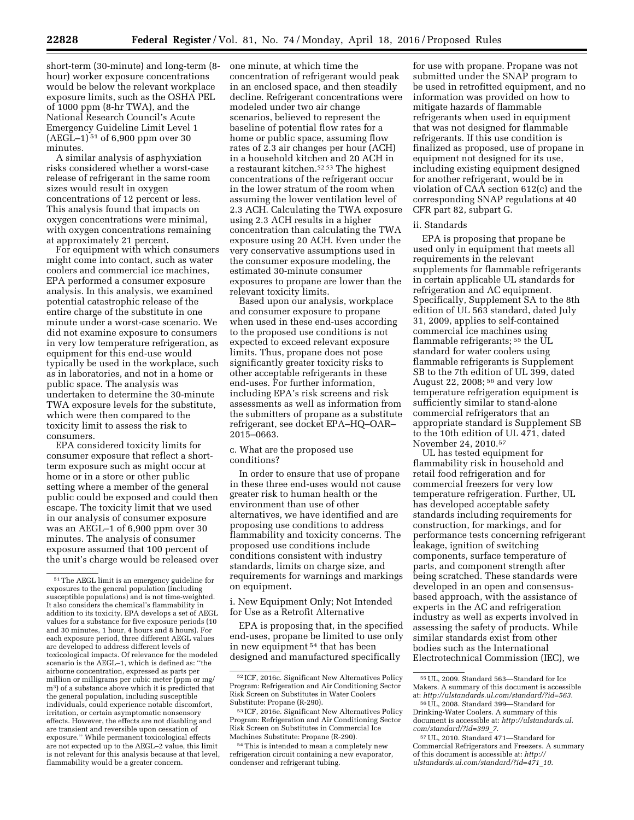short-term (30-minute) and long-term (8 hour) worker exposure concentrations would be below the relevant workplace exposure limits, such as the OSHA PEL of 1000 ppm (8-hr TWA), and the National Research Council's Acute Emergency Guideline Limit Level 1 (AEGL–1) 51 of 6,900 ppm over 30 minutes.

A similar analysis of asphyxiation risks considered whether a worst-case release of refrigerant in the same room sizes would result in oxygen concentrations of 12 percent or less. This analysis found that impacts on oxygen concentrations were minimal, with oxygen concentrations remaining at approximately 21 percent.

For equipment with which consumers might come into contact, such as water coolers and commercial ice machines, EPA performed a consumer exposure analysis. In this analysis, we examined potential catastrophic release of the entire charge of the substitute in one minute under a worst-case scenario. We did not examine exposure to consumers in very low temperature refrigeration, as equipment for this end-use would typically be used in the workplace, such as in laboratories, and not in a home or public space. The analysis was undertaken to determine the 30-minute TWA exposure levels for the substitute, which were then compared to the toxicity limit to assess the risk to consumers.

EPA considered toxicity limits for consumer exposure that reflect a shortterm exposure such as might occur at home or in a store or other public setting where a member of the general public could be exposed and could then escape. The toxicity limit that we used in our analysis of consumer exposure was an AEGL–1 of 6,900 ppm over 30 minutes. The analysis of consumer exposure assumed that 100 percent of the unit's charge would be released over one minute, at which time the concentration of refrigerant would peak in an enclosed space, and then steadily decline. Refrigerant concentrations were modeled under two air change scenarios, believed to represent the baseline of potential flow rates for a home or public space, assuming flow rates of 2.3 air changes per hour (ACH) in a household kitchen and 20 ACH in a restaurant kitchen.52 53 The highest concentrations of the refrigerant occur in the lower stratum of the room when assuming the lower ventilation level of 2.3 ACH. Calculating the TWA exposure using 2.3 ACH results in a higher concentration than calculating the TWA exposure using 20 ACH. Even under the very conservative assumptions used in the consumer exposure modeling, the estimated 30-minute consumer exposures to propane are lower than the relevant toxicity limits.

Based upon our analysis, workplace and consumer exposure to propane when used in these end-uses according to the proposed use conditions is not expected to exceed relevant exposure limits. Thus, propane does not pose significantly greater toxicity risks to other acceptable refrigerants in these end-uses. For further information, including EPA's risk screens and risk assessments as well as information from the submitters of propane as a substitute refrigerant, see docket EPA–HQ–OAR– 2015–0663.

c. What are the proposed use conditions?

In order to ensure that use of propane in these three end-uses would not cause greater risk to human health or the environment than use of other alternatives, we have identified and are proposing use conditions to address flammability and toxicity concerns. The proposed use conditions include conditions consistent with industry standards, limits on charge size, and requirements for warnings and markings on equipment.

i. New Equipment Only; Not Intended for Use as a Retrofit Alternative

EPA is proposing that, in the specified end-uses, propane be limited to use only in new equipment 54 that has been designed and manufactured specifically

54This is intended to mean a completely new refrigeration circuit containing a new evaporator, condenser and refrigerant tubing.

for use with propane. Propane was not submitted under the SNAP program to be used in retrofitted equipment, and no information was provided on how to mitigate hazards of flammable refrigerants when used in equipment that was not designed for flammable refrigerants. If this use condition is finalized as proposed, use of propane in equipment not designed for its use, including existing equipment designed for another refrigerant, would be in violation of CAA section 612(c) and the corresponding SNAP regulations at 40 CFR part 82, subpart G.

#### ii. Standards

EPA is proposing that propane be used only in equipment that meets all requirements in the relevant supplements for flammable refrigerants in certain applicable UL standards for refrigeration and AC equipment. Specifically, Supplement SA to the 8th edition of UL 563 standard, dated July 31, 2009, applies to self-contained commercial ice machines using flammable refrigerants; 55 the UL standard for water coolers using flammable refrigerants is Supplement SB to the 7th edition of UL 399, dated August 22, 2008; 56 and very low temperature refrigeration equipment is sufficiently similar to stand-alone commercial refrigerators that an appropriate standard is Supplement SB to the 10th edition of UL 471, dated November 24, 2010.57

UL has tested equipment for flammability risk in household and retail food refrigeration and for commercial freezers for very low temperature refrigeration. Further, UL has developed acceptable safety standards including requirements for construction, for markings, and for performance tests concerning refrigerant leakage, ignition of switching components, surface temperature of parts, and component strength after being scratched. These standards were developed in an open and consensusbased approach, with the assistance of experts in the AC and refrigeration industry as well as experts involved in assessing the safety of products. While similar standards exist from other bodies such as the International Electrotechnical Commission (IEC), we

 $^{\rm 51}\rm{The}\;AEGL$  limit is an emergency guideline for exposures to the general population (including susceptible populations) and is not time-weighted. It also considers the chemical's flammability in addition to its toxicity. EPA develops a set of AEGL values for a substance for five exposure periods (10 and 30 minutes, 1 hour, 4 hours and 8 hours). For each exposure period, three different AEGL values are developed to address different levels of toxicological impacts. Of relevance for the modeled scenario is the AEGL–1, which is defined as: ''the airborne concentration, expressed as parts per million or milligrams per cubic meter (ppm or mg/ m3) of a substance above which it is predicted that the general population, including susceptible individuals, could experience notable discomfort, irritation, or certain asymptomatic nonsensory effects. However, the effects are not disabling and are transient and reversible upon cessation of exposure.'' While permanent toxicological effects are not expected up to the AEGL–2 value, this limit is not relevant for this analysis because at that level, flammability would be a greater concern.

<sup>52</sup> ICF, 2016c. Significant New Alternatives Policy Program: Refrigeration and Air Conditioning Sector Risk Screen on Substitutes in Water Coolers Substitute: Propane (R-290).

<sup>53</sup> ICF, 2016e. Significant New Alternatives Policy Program: Refrigeration and Air Conditioning Sector Risk Screen on Substitutes in Commercial Ice Machines Substitute: Propane (R-290).

<sup>55</sup>UL, 2009. Standard 563—Standard for Ice Makers. A summary of this document is accessible at: *[http://ulstandards.ul.com/standard/?id=563.](http://ulstandards.ul.com/standard/?id=563)* 

<sup>56</sup>UL, 2008. Standard 399—Standard for Drinking-Water Coolers. A summary of this document is accessible at: *[http://ulstandards.ul.](http://ulstandards.ul.com/standard/?id=399_7) [com/standard/?id=399](http://ulstandards.ul.com/standard/?id=399_7)*\_*7.* 

<sup>57</sup>UL, 2010. Standard 471—Standard for Commercial Refrigerators and Freezers. A summary of this document is accessible at: *[http://](http://ulstandards.ul.com/standard/?id=471_10) [ulstandards.ul.com/standard/?id=471](http://ulstandards.ul.com/standard/?id=471_10)*\_*10.*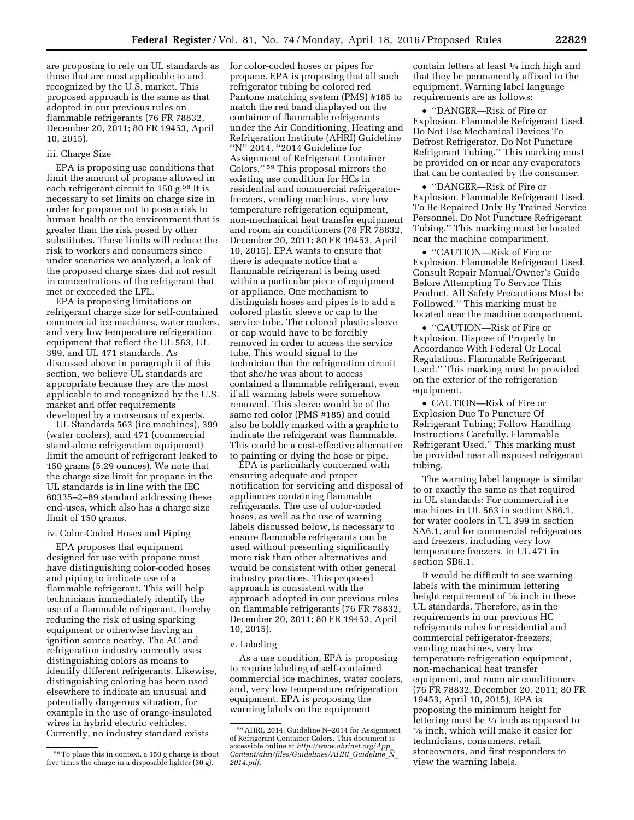are proposing to rely on UL standards as those that are most applicable to and recognized by the U.S. market. This proposed approach is the same as that adopted in our previous rules on flammable refrigerants (76 FR 78832, December 20, 2011; 80 FR 19453, April 10, 2015).

#### iii. Charge Size

EPA is proposing use conditions that limit the amount of propane allowed in each refrigerant circuit to 150 g.<sup>58</sup> It is necessary to set limits on charge size in order for propane not to pose a risk to human health or the environment that is greater than the risk posed by other substitutes. These limits will reduce the risk to workers and consumers since under scenarios we analyzed, a leak of the proposed charge sizes did not result in concentrations of the refrigerant that met or exceeded the LFL.

EPA is proposing limitations on refrigerant charge size for self-contained commercial ice machines, water coolers, and very low temperature refrigeration equipment that reflect the UL 563, UL 399, and UL 471 standards. As discussed above in paragraph ii of this section, we believe UL standards are appropriate because they are the most applicable to and recognized by the U.S. market and offer requirements developed by a consensus of experts.

UL Standards 563 (ice machines), 399 (water coolers), and 471 (commercial stand-alone refrigeration equipment) limit the amount of refrigerant leaked to 150 grams (5.29 ounces). We note that the charge size limit for propane in the UL standards is in line with the IEC 60335–2–89 standard addressing these end-uses, which also has a charge size limit of 150 grams.

#### iv. Color-Coded Hoses and Piping

EPA proposes that equipment designed for use with propane must have distinguishing color-coded hoses and piping to indicate use of a flammable refrigerant. This will help technicians immediately identify the use of a flammable refrigerant, thereby reducing the risk of using sparking equipment or otherwise having an ignition source nearby. The AC and refrigeration industry currently uses distinguishing colors as means to identify different refrigerants. Likewise, distinguishing coloring has been used elsewhere to indicate an unusual and potentially dangerous situation, for example in the use of orange-insulated wires in hybrid electric vehicles. Currently, no industry standard exists

for color-coded hoses or pipes for propane. EPA is proposing that all such refrigerator tubing be colored red Pantone matching system (PMS) #185 to match the red band displayed on the container of flammable refrigerants under the Air Conditioning, Heating and Refrigeration Institute (AHRI) Guideline "N" 2014, "2014 Guideline for Assignment of Refrigerant Container Colors.'' 59 This proposal mirrors the existing use condition for HCs in residential and commercial refrigeratorfreezers, vending machines, very low temperature refrigeration equipment, non-mechanical heat transfer equipment and room air conditioners (76 FR 78832, December 20, 2011; 80 FR 19453, April 10, 2015). EPA wants to ensure that there is adequate notice that a flammable refrigerant is being used within a particular piece of equipment or appliance. One mechanism to distinguish hoses and pipes is to add a colored plastic sleeve or cap to the service tube. The colored plastic sleeve or cap would have to be forcibly removed in order to access the service tube. This would signal to the technician that the refrigeration circuit that she/he was about to access contained a flammable refrigerant, even if all warning labels were somehow removed. This sleeve would be of the same red color (PMS #185) and could also be boldly marked with a graphic to indicate the refrigerant was flammable. This could be a cost-effective alternative to painting or dying the hose or pipe.

EPA is particularly concerned with ensuring adequate and proper notification for servicing and disposal of appliances containing flammable refrigerants. The use of color-coded hoses, as well as the use of warning labels discussed below, is necessary to ensure flammable refrigerants can be used without presenting significantly more risk than other alternatives and would be consistent with other general industry practices. This proposed approach is consistent with the approach adopted in our previous rules on flammable refrigerants (76 FR 78832, December 20, 2011; 80 FR 19453, April 10, 2015).

#### v. Labeling

As a use condition, EPA is proposing to require labeling of self-contained commercial ice machines, water coolers, and, very low temperature refrigeration equipment. EPA is proposing the warning labels on the equipment

contain letters at least 1⁄4 inch high and that they be permanently affixed to the equipment. Warning label language requirements are as follows:

• ''DANGER—Risk of Fire or Explosion. Flammable Refrigerant Used. Do Not Use Mechanical Devices To Defrost Refrigerator. Do Not Puncture Refrigerant Tubing.'' This marking must be provided on or near any evaporators that can be contacted by the consumer.

• ''DANGER—Risk of Fire or Explosion. Flammable Refrigerant Used. To Be Repaired Only By Trained Service Personnel. Do Not Puncture Refrigerant Tubing.'' This marking must be located near the machine compartment.

• ''CAUTION—Risk of Fire or Explosion. Flammable Refrigerant Used. Consult Repair Manual/Owner's Guide Before Attempting To Service This Product. All Safety Precautions Must be Followed.'' This marking must be located near the machine compartment.

• ''CAUTION—Risk of Fire or Explosion. Dispose of Properly In Accordance With Federal Or Local Regulations. Flammable Refrigerant Used.'' This marking must be provided on the exterior of the refrigeration equipment.

• CAUTION—Risk of Fire or Explosion Due To Puncture Of Refrigerant Tubing; Follow Handling Instructions Carefully. Flammable Refrigerant Used.'' This marking must be provided near all exposed refrigerant tubing.

The warning label language is similar to or exactly the same as that required in UL standards: For commercial ice machines in UL 563 in section SB6.1, for water coolers in UL 399 in section SA6.1, and for commercial refrigerators and freezers, including very low temperature freezers, in UL 471 in section SB6.1.

It would be difficult to see warning labels with the minimum lettering height requirement of 1/8 inch in these UL standards. Therefore, as in the requirements in our previous HC refrigerants rules for residential and commercial refrigerator-freezers, vending machines, very low temperature refrigeration equipment, non-mechanical heat transfer equipment, and room air conditioners (76 FR 78832, December 20, 2011; 80 FR 19453, April 10, 2015), EPA is proposing the minimum height for lettering must be  $\frac{1}{4}$  inch as opposed to  $\frac{1}{6}$  inch, which will make it easier for technicians, consumers, retail storeowners, and first responders to view the warning labels.

<sup>58</sup>To place this in context, a 150 g charge is about five times the charge in a disposable lighter (30 g).

<sup>59</sup>AHRI, 2014. Guideline N–2014 for Assignment of Refrigerant Container Colors. This document is accessible online at *[http://www.ahrinet.org/App](http://www.ahrinet.org/App_Content/ahri/files/Guidelines/AHRI_Guideline_N_2014.pdf)*\_ *[Content/ahri/files/Guidelines/AHRI](http://www.ahrinet.org/App_Content/ahri/files/Guidelines/AHRI_Guideline_N_2014.pdf)*\_*Guideline*\_*N*\_ *[2014.pdf.](http://www.ahrinet.org/App_Content/ahri/files/Guidelines/AHRI_Guideline_N_2014.pdf)*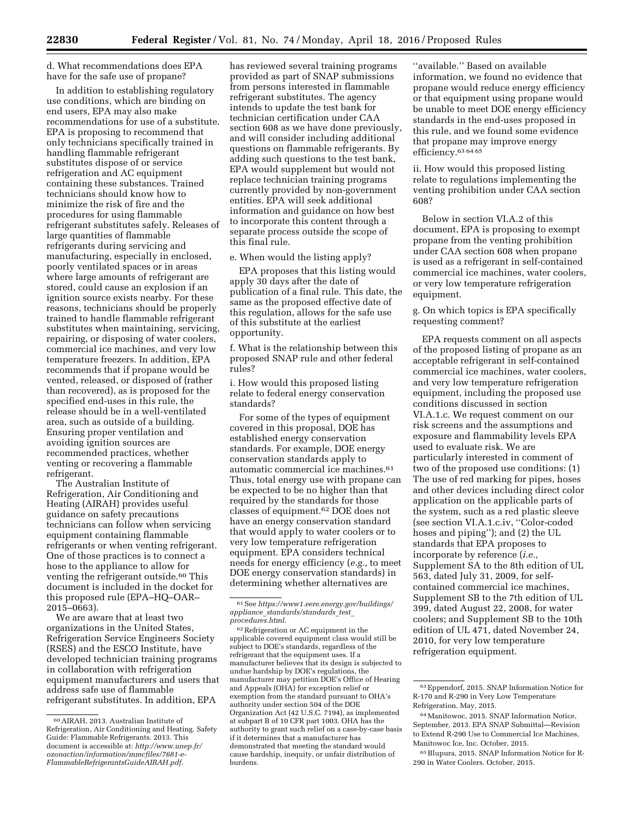d. What recommendations does EPA have for the safe use of propane?

In addition to establishing regulatory use conditions, which are binding on end users, EPA may also make recommendations for use of a substitute. EPA is proposing to recommend that only technicians specifically trained in handling flammable refrigerant substitutes dispose of or service refrigeration and AC equipment containing these substances. Trained technicians should know how to minimize the risk of fire and the procedures for using flammable refrigerant substitutes safely. Releases of large quantities of flammable refrigerants during servicing and manufacturing, especially in enclosed, poorly ventilated spaces or in areas where large amounts of refrigerant are stored, could cause an explosion if an ignition source exists nearby. For these reasons, technicians should be properly trained to handle flammable refrigerant substitutes when maintaining, servicing, repairing, or disposing of water coolers, commercial ice machines, and very low temperature freezers. In addition, EPA recommends that if propane would be vented, released, or disposed of (rather than recovered), as is proposed for the specified end-uses in this rule, the release should be in a well-ventilated area, such as outside of a building. Ensuring proper ventilation and avoiding ignition sources are recommended practices, whether venting or recovering a flammable refrigerant.

The Australian Institute of Refrigeration, Air Conditioning and Heating (AIRAH) provides useful guidance on safety precautions technicians can follow when servicing equipment containing flammable refrigerants or when venting refrigerant. One of those practices is to connect a hose to the appliance to allow for venting the refrigerant outside.<sup>60</sup> This document is included in the docket for this proposed rule (EPA–HQ–OAR– 2015–0663).

We are aware that at least two organizations in the United States, Refrigeration Service Engineers Society (RSES) and the ESCO Institute, have developed technician training programs in collaboration with refrigeration equipment manufacturers and users that address safe use of flammable refrigerant substitutes. In addition, EPA

has reviewed several training programs provided as part of SNAP submissions from persons interested in flammable refrigerant substitutes. The agency intends to update the test bank for technician certification under CAA section 608 as we have done previously, and will consider including additional questions on flammable refrigerants. By adding such questions to the test bank, EPA would supplement but would not replace technician training programs currently provided by non-government entities. EPA will seek additional information and guidance on how best to incorporate this content through a separate process outside the scope of this final rule.

e. When would the listing apply?

EPA proposes that this listing would apply 30 days after the date of publication of a final rule. This date, the same as the proposed effective date of this regulation, allows for the safe use of this substitute at the earliest opportunity.

f. What is the relationship between this proposed SNAP rule and other federal rules?

i. How would this proposed listing relate to federal energy conservation standards?

For some of the types of equipment covered in this proposal, DOE has established energy conservation standards. For example, DOE energy conservation standards apply to automatic commercial ice machines.61 Thus, total energy use with propane can be expected to be no higher than that required by the standards for those classes of equipment.62 DOE does not have an energy conservation standard that would apply to water coolers or to very low temperature refrigeration equipment. EPA considers technical needs for energy efficiency (*e.g.,* to meet DOE energy conservation standards) in determining whether alternatives are

 $^{62}\mbox{Refrigeration}$  or AC equipment in the applicable covered equipment class would still be subject to DOE's standards, regardless of the refrigerant that the equipment uses. If a manufacturer believes that its design is subjected to undue hardship by DOE's regulations, the manufacturer may petition DOE's Office of Hearing and Appeals (OHA) for exception relief or exemption from the standard pursuant to OHA's authority under section 504 of the DOE Organization Act (42 U.S.C. 7194), as implemented at subpart B of 10 CFR part 1003. OHA has the authority to grant such relief on a case-by-case basis if it determines that a manufacturer has demonstrated that meeting the standard would cause hardship, inequity, or unfair distribution of burdens.

''available.'' Based on available information, we found no evidence that propane would reduce energy efficiency or that equipment using propane would be unable to meet DOE energy efficiency standards in the end-uses proposed in this rule, and we found some evidence that propane may improve energy efficiency.<sup>63 64 65</sup>

ii. How would this proposed listing relate to regulations implementing the venting prohibition under CAA section 608?

Below in section VI.A.2 of this document, EPA is proposing to exempt propane from the venting prohibition under CAA section 608 when propane is used as a refrigerant in self-contained commercial ice machines, water coolers, or very low temperature refrigeration equipment.

g. On which topics is EPA specifically requesting comment?

EPA requests comment on all aspects of the proposed listing of propane as an acceptable refrigerant in self-contained commercial ice machines, water coolers, and very low temperature refrigeration equipment, including the proposed use conditions discussed in section VI.A.1.c. We request comment on our risk screens and the assumptions and exposure and flammability levels EPA used to evaluate risk. We are particularly interested in comment of two of the proposed use conditions: (1) The use of red marking for pipes, hoses and other devices including direct color application on the applicable parts of the system, such as a red plastic sleeve (see section VI.A.1.c.iv, ''Color-coded hoses and piping''); and (2) the UL standards that EPA proposes to incorporate by reference (*i.e.,*  Supplement SA to the 8th edition of UL 563, dated July 31, 2009, for selfcontained commercial ice machines, Supplement SB to the 7th edition of UL 399, dated August 22, 2008, for water coolers; and Supplement SB to the 10th edition of UL 471, dated November 24, 2010, for very low temperature refrigeration equipment.

<sup>60</sup>AIRAH, 2013. Australian Institute of Refrigeration, Air Conditioning and Heating. Safety Guide: Flammable Refrigerants. 2013. This document is accessible at: *[http://www.unep.fr/](http://www.unep.fr/ozonaction/information/mmcfiles/7681-e-FlammableRefrigerantsGuideAIRAH.pdf) [ozonaction/information/mmcfiles/7681-e-](http://www.unep.fr/ozonaction/information/mmcfiles/7681-e-FlammableRefrigerantsGuideAIRAH.pdf)[FlammableRefrigerantsGuideAIRAH.pdf.](http://www.unep.fr/ozonaction/information/mmcfiles/7681-e-FlammableRefrigerantsGuideAIRAH.pdf)* 

<sup>61</sup>See *[https://www1.eere.energy.gov/buildings/](https://www1.eere.energy.gov/buildings/appliance_standards/standards_test_procedures.html) appliance*\_*[standards/standards](https://www1.eere.energy.gov/buildings/appliance_standards/standards_test_procedures.html)*\_*test*\_ *[procedures.html.](https://www1.eere.energy.gov/buildings/appliance_standards/standards_test_procedures.html)* 

<sup>63</sup>Eppendorf, 2015. SNAP Information Notice for R-170 and R-290 in Very Low Temperature Refrigeration. May, 2015.

<sup>64</sup>Manitowoc, 2015. SNAP Information Notice, September, 2013. EPA SNAP Submittal—Revision to Extend R-290 Use to Commercial Ice Machines, Manitowoc Ice, Inc. October, 2015.

<sup>65</sup>Blupura, 2015. SNAP Information Notice for R-290 in Water Coolers. October, 2015.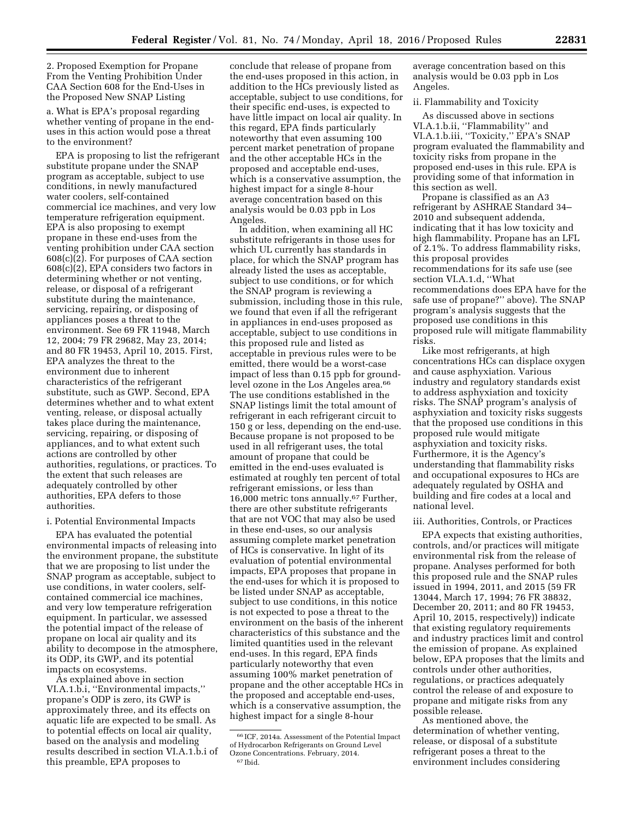2. Proposed Exemption for Propane From the Venting Prohibition Under CAA Section 608 for the End-Uses in the Proposed New SNAP Listing

a. What is EPA's proposal regarding whether venting of propane in the enduses in this action would pose a threat to the environment?

EPA is proposing to list the refrigerant substitute propane under the SNAP program as acceptable, subject to use conditions, in newly manufactured water coolers, self-contained commercial ice machines, and very low temperature refrigeration equipment. EPA is also proposing to exempt propane in these end-uses from the venting prohibition under CAA section 608(c)(2). For purposes of CAA section 608(c)(2), EPA considers two factors in determining whether or not venting, release, or disposal of a refrigerant substitute during the maintenance, servicing, repairing, or disposing of appliances poses a threat to the environment. See 69 FR 11948, March 12, 2004; 79 FR 29682, May 23, 2014; and 80 FR 19453, April 10, 2015. First, EPA analyzes the threat to the environment due to inherent characteristics of the refrigerant substitute, such as GWP. Second, EPA determines whether and to what extent venting, release, or disposal actually takes place during the maintenance, servicing, repairing, or disposing of appliances, and to what extent such actions are controlled by other authorities, regulations, or practices. To the extent that such releases are adequately controlled by other authorities, EPA defers to those authorities.

#### i. Potential Environmental Impacts

EPA has evaluated the potential environmental impacts of releasing into the environment propane, the substitute that we are proposing to list under the SNAP program as acceptable, subject to use conditions, in water coolers, selfcontained commercial ice machines, and very low temperature refrigeration equipment. In particular, we assessed the potential impact of the release of propane on local air quality and its ability to decompose in the atmosphere, its ODP, its GWP, and its potential impacts on ecosystems.

As explained above in section VI.A.1.b.i, ''Environmental impacts,'' propane's ODP is zero, its GWP is approximately three, and its effects on aquatic life are expected to be small. As to potential effects on local air quality, based on the analysis and modeling results described in section VI.A.1.b.i of this preamble, EPA proposes to

conclude that release of propane from the end-uses proposed in this action, in addition to the HCs previously listed as acceptable, subject to use conditions, for their specific end-uses, is expected to have little impact on local air quality. In this regard, EPA finds particularly noteworthy that even assuming 100 percent market penetration of propane and the other acceptable HCs in the proposed and acceptable end-uses, which is a conservative assumption, the highest impact for a single 8-hour average concentration based on this analysis would be 0.03 ppb in Los Angeles.

In addition, when examining all HC substitute refrigerants in those uses for which UL currently has standards in place, for which the SNAP program has already listed the uses as acceptable, subject to use conditions, or for which the SNAP program is reviewing a submission, including those in this rule, we found that even if all the refrigerant in appliances in end-uses proposed as acceptable, subject to use conditions in this proposed rule and listed as acceptable in previous rules were to be emitted, there would be a worst-case impact of less than 0.15 ppb for groundlevel ozone in the Los Angeles area.<sup>66</sup> The use conditions established in the SNAP listings limit the total amount of refrigerant in each refrigerant circuit to 150 g or less, depending on the end-use. Because propane is not proposed to be used in all refrigerant uses, the total amount of propane that could be emitted in the end-uses evaluated is estimated at roughly ten percent of total refrigerant emissions, or less than 16,000 metric tons annually.67 Further, there are other substitute refrigerants that are not VOC that may also be used in these end-uses, so our analysis assuming complete market penetration of HCs is conservative. In light of its evaluation of potential environmental impacts, EPA proposes that propane in the end-uses for which it is proposed to be listed under SNAP as acceptable, subject to use conditions, in this notice is not expected to pose a threat to the environment on the basis of the inherent characteristics of this substance and the limited quantities used in the relevant end-uses. In this regard, EPA finds particularly noteworthy that even assuming 100% market penetration of propane and the other acceptable HCs in the proposed and acceptable end-uses, which is a conservative assumption, the highest impact for a single 8-hour

average concentration based on this analysis would be 0.03 ppb in Los Angeles.

# ii. Flammability and Toxicity

As discussed above in sections VI.A.1.b.ii, ''Flammability'' and VI.A.1.b.iii, ''Toxicity,'' EPA's SNAP program evaluated the flammability and toxicity risks from propane in the proposed end-uses in this rule. EPA is providing some of that information in this section as well.

Propane is classified as an A3 refrigerant by ASHRAE Standard 34– 2010 and subsequent addenda, indicating that it has low toxicity and high flammability. Propane has an LFL of 2.1%. To address flammability risks, this proposal provides recommendations for its safe use (see section VI.A.1.d, ''What recommendations does EPA have for the safe use of propane?'' above). The SNAP program's analysis suggests that the proposed use conditions in this proposed rule will mitigate flammability risks.

Like most refrigerants, at high concentrations HCs can displace oxygen and cause asphyxiation. Various industry and regulatory standards exist to address asphyxiation and toxicity risks. The SNAP program's analysis of asphyxiation and toxicity risks suggests that the proposed use conditions in this proposed rule would mitigate asphyxiation and toxicity risks. Furthermore, it is the Agency's understanding that flammability risks and occupational exposures to HCs are adequately regulated by OSHA and building and fire codes at a local and national level.

#### iii. Authorities, Controls, or Practices

EPA expects that existing authorities, controls, and/or practices will mitigate environmental risk from the release of propane. Analyses performed for both this proposed rule and the SNAP rules issued in 1994, 2011, and 2015 (59 FR 13044, March 17, 1994; 76 FR 38832, December 20, 2011; and 80 FR 19453, April 10, 2015, respectively)) indicate that existing regulatory requirements and industry practices limit and control the emission of propane. As explained below, EPA proposes that the limits and controls under other authorities, regulations, or practices adequately control the release of and exposure to propane and mitigate risks from any possible release.

As mentioned above, the determination of whether venting, release, or disposal of a substitute refrigerant poses a threat to the environment includes considering

<sup>66</sup> ICF, 2014a. Assessment of the Potential Impact of Hydrocarbon Refrigerants on Ground Level Ozone Concentrations. February, 2014. 67 Ibid.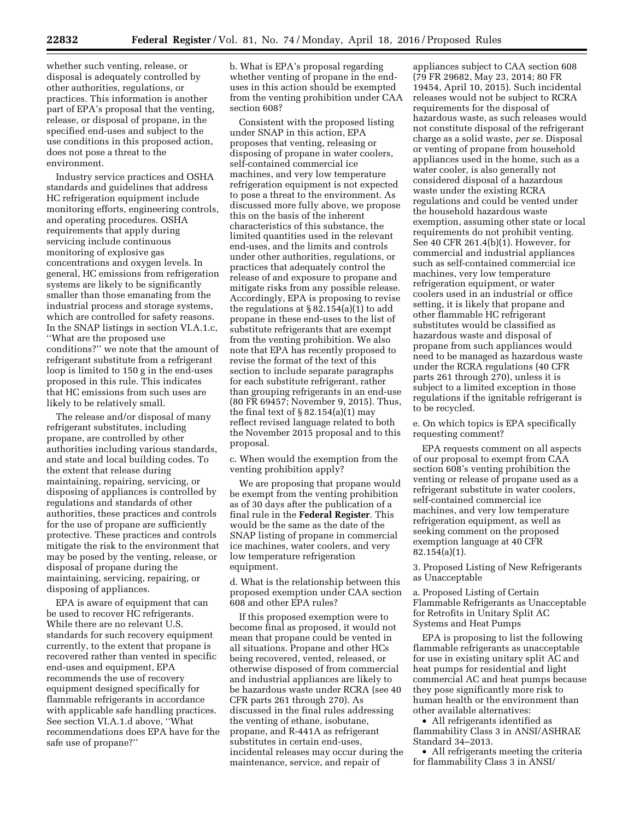whether such venting, release, or disposal is adequately controlled by other authorities, regulations, or practices. This information is another part of EPA's proposal that the venting, release, or disposal of propane, in the specified end-uses and subject to the use conditions in this proposed action, does not pose a threat to the environment.

Industry service practices and OSHA standards and guidelines that address HC refrigeration equipment include monitoring efforts, engineering controls, and operating procedures. OSHA requirements that apply during servicing include continuous monitoring of explosive gas concentrations and oxygen levels. In general, HC emissions from refrigeration systems are likely to be significantly smaller than those emanating from the industrial process and storage systems, which are controlled for safety reasons. In the SNAP listings in section VI.A.1.c, ''What are the proposed use conditions?'' we note that the amount of refrigerant substitute from a refrigerant loop is limited to 150 g in the end-uses proposed in this rule. This indicates that HC emissions from such uses are likely to be relatively small.

The release and/or disposal of many refrigerant substitutes, including propane, are controlled by other authorities including various standards, and state and local building codes. To the extent that release during maintaining, repairing, servicing, or disposing of appliances is controlled by regulations and standards of other authorities, these practices and controls for the use of propane are sufficiently protective. These practices and controls mitigate the risk to the environment that may be posed by the venting, release, or disposal of propane during the maintaining, servicing, repairing, or disposing of appliances.

EPA is aware of equipment that can be used to recover HC refrigerants. While there are no relevant U.S. standards for such recovery equipment currently, to the extent that propane is recovered rather than vented in specific end-uses and equipment, EPA recommends the use of recovery equipment designed specifically for flammable refrigerants in accordance with applicable safe handling practices. See section VI.A.1.d above, ''What recommendations does EPA have for the safe use of propane?''

b. What is EPA's proposal regarding whether venting of propane in the enduses in this action should be exempted from the venting prohibition under CAA section 608?

Consistent with the proposed listing under SNAP in this action, EPA proposes that venting, releasing or disposing of propane in water coolers, self-contained commercial ice machines, and very low temperature refrigeration equipment is not expected to pose a threat to the environment. As discussed more fully above, we propose this on the basis of the inherent characteristics of this substance, the limited quantities used in the relevant end-uses, and the limits and controls under other authorities, regulations, or practices that adequately control the release of and exposure to propane and mitigate risks from any possible release. Accordingly, EPA is proposing to revise the regulations at  $\S 82.154(a)(1)$  to add propane in these end-uses to the list of substitute refrigerants that are exempt from the venting prohibition. We also note that EPA has recently proposed to revise the format of the text of this section to include separate paragraphs for each substitute refrigerant, rather than grouping refrigerants in an end-use (80 FR 69457; November 9, 2015). Thus, the final text of  $\S 82.154(a)(1)$  may reflect revised language related to both the November 2015 proposal and to this proposal.

c. When would the exemption from the venting prohibition apply?

We are proposing that propane would be exempt from the venting prohibition as of 30 days after the publication of a final rule in the **Federal Register**. This would be the same as the date of the SNAP listing of propane in commercial ice machines, water coolers, and very low temperature refrigeration equipment.

d. What is the relationship between this proposed exemption under CAA section 608 and other EPA rules?

If this proposed exemption were to become final as proposed, it would not mean that propane could be vented in all situations. Propane and other HCs being recovered, vented, released, or otherwise disposed of from commercial and industrial appliances are likely to be hazardous waste under RCRA (see 40 CFR parts 261 through 270). As discussed in the final rules addressing the venting of ethane, isobutane, propane, and R-441A as refrigerant substitutes in certain end-uses, incidental releases may occur during the maintenance, service, and repair of

appliances subject to CAA section 608 (79 FR 29682, May 23, 2014; 80 FR 19454, April 10, 2015). Such incidental releases would not be subject to RCRA requirements for the disposal of hazardous waste, as such releases would not constitute disposal of the refrigerant charge as a solid waste, *per se.* Disposal or venting of propane from household appliances used in the home, such as a water cooler, is also generally not considered disposal of a hazardous waste under the existing RCRA regulations and could be vented under the household hazardous waste exemption, assuming other state or local requirements do not prohibit venting. See 40 CFR 261.4(b)(1). However, for commercial and industrial appliances such as self-contained commercial ice machines, very low temperature refrigeration equipment, or water coolers used in an industrial or office setting, it is likely that propane and other flammable HC refrigerant substitutes would be classified as hazardous waste and disposal of propane from such appliances would need to be managed as hazardous waste under the RCRA regulations (40 CFR parts 261 through 270), unless it is subject to a limited exception in those regulations if the ignitable refrigerant is to be recycled.

e. On which topics is EPA specifically requesting comment?

EPA requests comment on all aspects of our proposal to exempt from CAA section 608's venting prohibition the venting or release of propane used as a refrigerant substitute in water coolers, self-contained commercial ice machines, and very low temperature refrigeration equipment, as well as seeking comment on the proposed exemption language at 40 CFR 82.154(a)(1).

3. Proposed Listing of New Refrigerants as Unacceptable

a. Proposed Listing of Certain Flammable Refrigerants as Unacceptable for Retrofits in Unitary Split AC Systems and Heat Pumps

EPA is proposing to list the following flammable refrigerants as unacceptable for use in existing unitary split AC and heat pumps for residential and light commercial AC and heat pumps because they pose significantly more risk to human health or the environment than other available alternatives:

• All refrigerants identified as flammability Class 3 in ANSI/ASHRAE Standard 34–2013.

• All refrigerants meeting the criteria for flammability Class 3 in ANSI/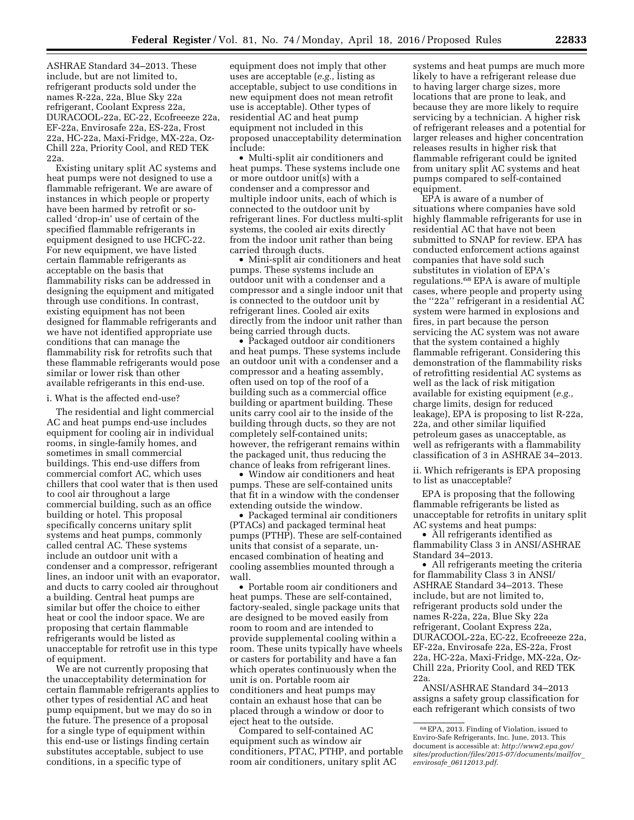ASHRAE Standard 34–2013. These include, but are not limited to, refrigerant products sold under the names R-22a, 22a, Blue Sky 22a refrigerant, Coolant Express 22a, DURACOOL-22a, EC-22, Ecofreeeze 22a, EF-22a, Envirosafe 22a, ES-22a, Frost 22a, HC-22a, Maxi-Fridge, MX-22a, Oz-Chill 22a, Priority Cool, and RED TEK 22a.

Existing unitary split AC systems and heat pumps were not designed to use a flammable refrigerant. We are aware of instances in which people or property have been harmed by retrofit or socalled 'drop-in' use of certain of the specified flammable refrigerants in equipment designed to use HCFC-22. For new equipment, we have listed certain flammable refrigerants as acceptable on the basis that flammability risks can be addressed in designing the equipment and mitigated through use conditions. In contrast, existing equipment has not been designed for flammable refrigerants and we have not identified appropriate use conditions that can manage the flammability risk for retrofits such that these flammable refrigerants would pose similar or lower risk than other available refrigerants in this end-use.

#### i. What is the affected end-use?

The residential and light commercial AC and heat pumps end-use includes equipment for cooling air in individual rooms, in single-family homes, and sometimes in small commercial buildings. This end-use differs from commercial comfort AC, which uses chillers that cool water that is then used to cool air throughout a large commercial building, such as an office building or hotel. This proposal specifically concerns unitary split systems and heat pumps, commonly called central AC. These systems include an outdoor unit with a condenser and a compressor, refrigerant lines, an indoor unit with an evaporator, and ducts to carry cooled air throughout a building. Central heat pumps are similar but offer the choice to either heat or cool the indoor space. We are proposing that certain flammable refrigerants would be listed as unacceptable for retrofit use in this type of equipment.

We are not currently proposing that the unacceptability determination for certain flammable refrigerants applies to other types of residential AC and heat pump equipment, but we may do so in the future. The presence of a proposal for a single type of equipment within this end-use or listings finding certain substitutes acceptable, subject to use conditions, in a specific type of

equipment does not imply that other uses are acceptable (*e.g.,* listing as acceptable, subject to use conditions in new equipment does not mean retrofit use is acceptable). Other types of residential AC and heat pump equipment not included in this proposed unacceptability determination include:

• Multi-split air conditioners and heat pumps. These systems include one or more outdoor unit(s) with a condenser and a compressor and multiple indoor units, each of which is connected to the outdoor unit by refrigerant lines. For ductless multi-split systems, the cooled air exits directly from the indoor unit rather than being carried through ducts.

• Mini-split air conditioners and heat pumps. These systems include an outdoor unit with a condenser and a compressor and a single indoor unit that is connected to the outdoor unit by refrigerant lines. Cooled air exits directly from the indoor unit rather than being carried through ducts.

• Packaged outdoor air conditioners and heat pumps. These systems include an outdoor unit with a condenser and a compressor and a heating assembly, often used on top of the roof of a building such as a commercial office building or apartment building. These units carry cool air to the inside of the building through ducts, so they are not completely self-contained units; however, the refrigerant remains within the packaged unit, thus reducing the chance of leaks from refrigerant lines.

• Window air conditioners and heat pumps. These are self-contained units that fit in a window with the condenser extending outside the window.

• Packaged terminal air conditioners (PTACs) and packaged terminal heat pumps (PTHP). These are self-contained units that consist of a separate, unencased combination of heating and cooling assemblies mounted through a wall.

• Portable room air conditioners and heat pumps. These are self-contained, factory-sealed, single package units that are designed to be moved easily from room to room and are intended to provide supplemental cooling within a room. These units typically have wheels or casters for portability and have a fan which operates continuously when the unit is on. Portable room air conditioners and heat pumps may contain an exhaust hose that can be placed through a window or door to eject heat to the outside.

Compared to self-contained AC equipment such as window air conditioners, PTAC, PTHP, and portable room air conditioners, unitary split AC

systems and heat pumps are much more likely to have a refrigerant release due to having larger charge sizes, more locations that are prone to leak, and because they are more likely to require servicing by a technician. A higher risk of refrigerant releases and a potential for larger releases and higher concentration releases results in higher risk that flammable refrigerant could be ignited from unitary split AC systems and heat pumps compared to self-contained equipment.

EPA is aware of a number of situations where companies have sold highly flammable refrigerants for use in residential AC that have not been submitted to SNAP for review. EPA has conducted enforcement actions against companies that have sold such substitutes in violation of EPA's regulations.68 EPA is aware of multiple cases, where people and property using the ''22a'' refrigerant in a residential AC system were harmed in explosions and fires, in part because the person servicing the AC system was not aware that the system contained a highly flammable refrigerant. Considering this demonstration of the flammability risks of retrofitting residential AC systems as well as the lack of risk mitigation available for existing equipment (*e.g.,*  charge limits, design for reduced leakage), EPA is proposing to list R-22a, 22a, and other similar liquified petroleum gases as unacceptable, as well as refrigerants with a flammability classification of 3 in ASHRAE 34–2013.

ii. Which refrigerants is EPA proposing to list as unacceptable?

EPA is proposing that the following flammable refrigerants be listed as unacceptable for retrofits in unitary split AC systems and heat pumps:

• All refrigerants identified as flammability Class 3 in ANSI/ASHRAE Standard 34–2013.

• All refrigerants meeting the criteria for flammability Class 3 in ANSI/ ASHRAE Standard 34–2013. These include, but are not limited to, refrigerant products sold under the names R-22a, 22a, Blue Sky 22a refrigerant, Coolant Express 22a, DURACOOL-22a, EC-22, Ecofreeeze 22a, EF-22a, Envirosafe 22a, ES-22a, Frost 22a, HC-22a, Maxi-Fridge, MX-22a, Oz-Chill 22a, Priority Cool, and RED TEK 22a.

ANSI/ASHRAE Standard 34–2013 assigns a safety group classification for each refrigerant which consists of two

<sup>68</sup>EPA, 2013. Finding of Violation, issued to Enviro-Safe Refrigerants, Inc. June, 2013. This document is accessible at: *[http://www2.epa.gov/](http://www2.epa.gov/sites/production/files/2015-07/documents/mailfov_envirosafe_06112013.pdf) [sites/production/files/2015-07/documents/mailfov](http://www2.epa.gov/sites/production/files/2015-07/documents/mailfov_envirosafe_06112013.pdf)*\_ *envirosafe*\_*[06112013.pdf.](http://www2.epa.gov/sites/production/files/2015-07/documents/mailfov_envirosafe_06112013.pdf)*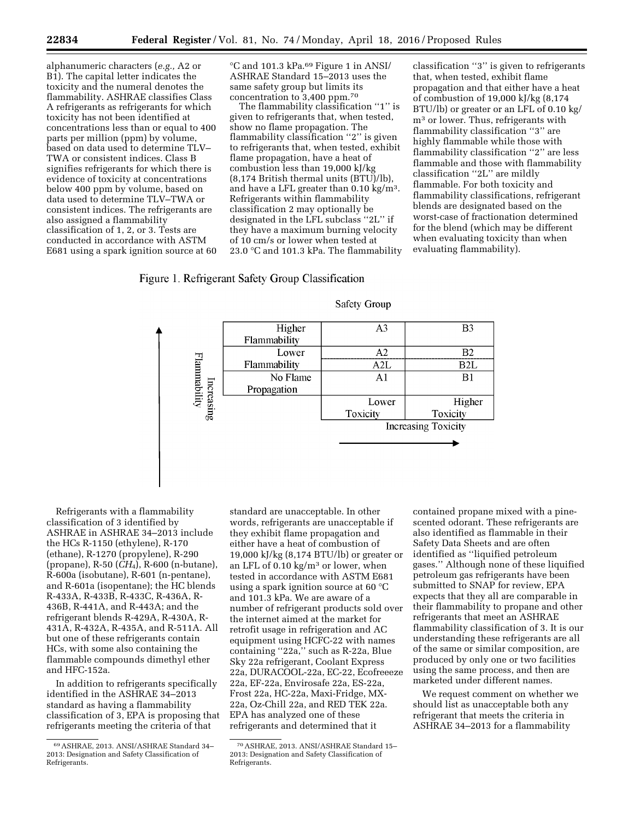alphanumeric characters (*e.g.,* A2 or B1). The capital letter indicates the toxicity and the numeral denotes the flammability. ASHRAE classifies Class A refrigerants as refrigerants for which toxicity has not been identified at concentrations less than or equal to 400 parts per million (ppm) by volume, based on data used to determine TLV– TWA or consistent indices. Class B signifies refrigerants for which there is evidence of toxicity at concentrations below 400 ppm by volume, based on data used to determine TLV–TWA or consistent indices. The refrigerants are also assigned a flammability classification of 1, 2, or 3. Tests are conducted in accordance with ASTM E681 using a spark ignition source at 60 °C and 101.3 kPa.69 Figure 1 in ANSI/ ASHRAE Standard 15–2013 uses the same safety group but limits its concentration to 3,400 ppm.70

The flammability classification ''1'' is given to refrigerants that, when tested, show no flame propagation. The flammability classification ''2'' is given to refrigerants that, when tested, exhibit flame propagation, have a heat of combustion less than 19,000 kJ/kg (8,174 British thermal units (BTU)/lb), and have a LFL greater than 0.10 kg/m3. Refrigerants within flammability classification 2 may optionally be designated in the LFL subclass ''2L'' if they have a maximum burning velocity of 10 cm/s or lower when tested at 23.0 °C and 101.3 kPa. The flammability

classification ''3'' is given to refrigerants that, when tested, exhibit flame propagation and that either have a heat of combustion of 19,000 kJ/kg (8,174 BTU/lb) or greater or an LFL of 0.10 kg/ m3 or lower. Thus, refrigerants with flammability classification ''3'' are highly flammable while those with flammability classification ''2'' are less flammable and those with flammability classification ''2L'' are mildly flammable. For both toxicity and flammability classifications, refrigerant blends are designated based on the worst-case of fractionation determined for the blend (which may be different when evaluating toxicity than when evaluating flammability).

# Figure 1. Refrigerant Safety Group Classification

| <b>Safety Group</b> |  |
|---------------------|--|
|                     |  |



Refrigerants with a flammability classification of 3 identified by ASHRAE in ASHRAE 34–2013 include the HCs R-1150 (ethylene), R-170 (ethane), R-1270 (propylene), R-290 (propane), R-50 (*CH*4), R-600 (n-butane), R-600a (isobutane), R-601 (n-pentane), and R-601a (isopentane); the HC blends R-433A, R-433B, R-433C, R-436A, R-436B, R-441A, and R-443A; and the refrigerant blends R-429A, R-430A, R-431A, R-432A, R-435A, and R-511A. All but one of these refrigerants contain HCs, with some also containing the flammable compounds dimethyl ether and HFC-152a.

In addition to refrigerants specifically identified in the ASHRAE 34–2013 standard as having a flammability classification of 3, EPA is proposing that refrigerants meeting the criteria of that

standard are unacceptable. In other words, refrigerants are unacceptable if they exhibit flame propagation and either have a heat of combustion of 19,000 kJ/kg (8,174 BTU/lb) or greater or an LFL of  $0.10 \text{ kg/m}^3$  or lower, when tested in accordance with ASTM E681 using a spark ignition source at 60 °C and 101.3 kPa. We are aware of a number of refrigerant products sold over the internet aimed at the market for retrofit usage in refrigeration and AC equipment using HCFC-22 with names containing "22a," such as R-22a, Blue Sky 22a refrigerant, Coolant Express 22a, DURACOOL-22a, EC-22, Ecofreeeze 22a, EF-22a, Envirosafe 22a, ES-22a, Frost 22a, HC-22a, Maxi-Fridge, MX-22a, Oz-Chill 22a, and RED TEK 22a. EPA has analyzed one of these refrigerants and determined that it

contained propane mixed with a pinescented odorant. These refrigerants are also identified as flammable in their Safety Data Sheets and are often identified as ''liquified petroleum gases.'' Although none of these liquified petroleum gas refrigerants have been submitted to SNAP for review, EPA expects that they all are comparable in their flammability to propane and other refrigerants that meet an ASHRAE flammability classification of 3. It is our understanding these refrigerants are all of the same or similar composition, are produced by only one or two facilities using the same process, and then are marketed under different names.

We request comment on whether we should list as unacceptable both any refrigerant that meets the criteria in ASHRAE 34–2013 for a flammability

<sup>69</sup>ASHRAE, 2013. ANSI/ASHRAE Standard 34– 2013: Designation and Safety Classification of Refrigerants.

<sup>70</sup>ASHRAE, 2013. ANSI/ASHRAE Standard 15– 2013: Designation and Safety Classification of Refrigerants.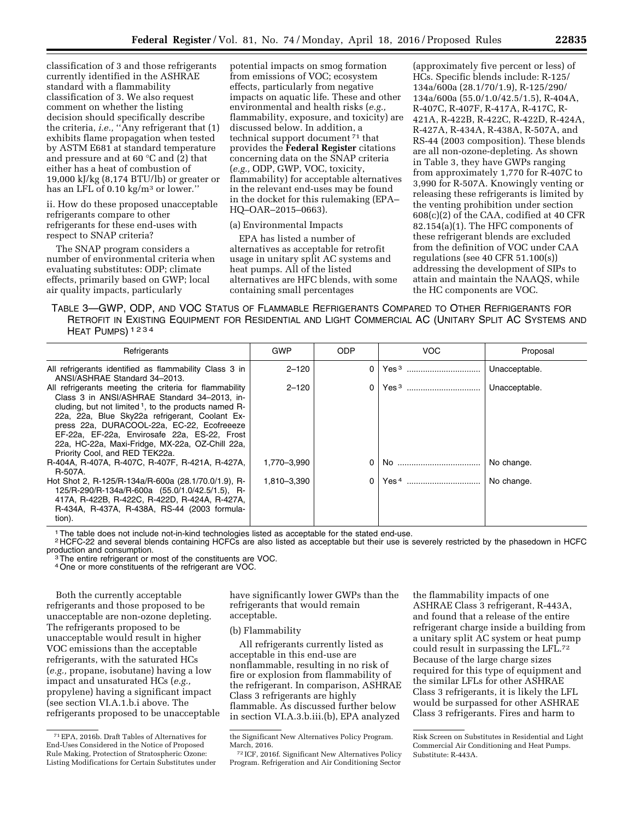classification of 3 and those refrigerants currently identified in the ASHRAE standard with a flammability classification of 3. We also request comment on whether the listing decision should specifically describe the criteria, *i.e.,* ''Any refrigerant that (1) exhibits flame propagation when tested by ASTM E681 at standard temperature and pressure and at 60 °C and (2) that either has a heat of combustion of 19,000 kJ/kg (8,174 BTU/lb) or greater or has an LFL of 0.10 kg/m3 or lower.''

ii. How do these proposed unacceptable refrigerants compare to other refrigerants for these end-uses with respect to SNAP criteria?

The SNAP program considers a number of environmental criteria when evaluating substitutes: ODP; climate effects, primarily based on GWP; local air quality impacts, particularly

potential impacts on smog formation from emissions of VOC; ecosystem effects, particularly from negative impacts on aquatic life. These and other environmental and health risks (*e.g.,*  flammability, exposure, and toxicity) are discussed below. In addition, a technical support document 71 that provides the **Federal Register** citations concerning data on the SNAP criteria (*e.g.,* ODP, GWP, VOC, toxicity, flammability) for acceptable alternatives in the relevant end-uses may be found in the docket for this rulemaking (EPA– HQ–OAR–2015–0663).

#### (a) Environmental Impacts

EPA has listed a number of alternatives as acceptable for retrofit usage in unitary split AC systems and heat pumps. All of the listed alternatives are HFC blends, with some containing small percentages

(approximately five percent or less) of HCs. Specific blends include: R-125/ 134a/600a (28.1/70/1.9), R-125/290/ 134a/600a (55.0/1.0/42.5/1.5), R-404A, R-407C, R-407F, R-417A, R-417C, R-421A, R-422B, R-422C, R-422D, R-424A, R-427A, R-434A, R-438A, R-507A, and RS-44 (2003 composition). These blends are all non-ozone-depleting. As shown in Table 3, they have GWPs ranging from approximately 1,770 for R-407C to 3,990 for R-507A. Knowingly venting or releasing these refrigerants is limited by the venting prohibition under section 608(c)(2) of the CAA, codified at 40 CFR 82.154(a)(1). The HFC components of these refrigerant blends are excluded from the definition of VOC under CAA regulations (see 40 CFR 51.100(s)) addressing the development of SIPs to attain and maintain the NAAQS, while the HC components are VOC.

TABLE 3—GWP, ODP, AND VOC STATUS OF FLAMMABLE REFRIGERANTS COMPARED TO OTHER REFRIGERANTS FOR RETROFIT IN EXISTING EQUIPMENT FOR RESIDENTIAL AND LIGHT COMMERCIAL AC (UNITARY SPLIT AC SYSTEMS AND HEAT PUMPS) 1234

| Refrigerants                                                                                                                                                                                                                                                                                                                                                                                                    | <b>GWP</b>  | <b>ODP</b>   | <b>VOC</b>       | Proposal      |
|-----------------------------------------------------------------------------------------------------------------------------------------------------------------------------------------------------------------------------------------------------------------------------------------------------------------------------------------------------------------------------------------------------------------|-------------|--------------|------------------|---------------|
| All refrigerants identified as flammability Class 3 in<br>ANSI/ASHRAE Standard 34-2013.                                                                                                                                                                                                                                                                                                                         | $2 - 120$   | $\Omega$     | Yes <sup>3</sup> | Unacceptable. |
| All refrigerants meeting the criteria for flammability<br>Class 3 in ANSI/ASHRAE Standard 34-2013, in-<br>cluding, but not limited <sup>1</sup> , to the products named R-<br>22a, 22a, Blue Sky22a refrigerant, Coolant Ex-<br>press 22a, DURACOOL-22a, EC-22, Ecofreeeze<br>EF-22a, EF-22a, Envirosafe 22a, ES-22, Frost<br>22a, HC-22a, Maxi-Fridge, MX-22a, OZ-Chill 22a,<br>Priority Cool, and RED TEK22a. | $2 - 120$   | 0            | Yes <sup>3</sup> | Unacceptable. |
| R-404A, R-407A, R-407C, R-407F, R-421A, R-427A,<br>R-507A.                                                                                                                                                                                                                                                                                                                                                      | 1.770-3.990 | 0            |                  | No change.    |
| Hot Shot 2, R-125/R-134a/R-600a (28.1/70.0/1.9), R-<br>125/R-290/R-134a/R-600a (55.0/1.0/42.5/1.5), R-<br>417A, R-422B, R-422C, R-422D, R-424A, R-427A,<br>R-434A, R-437A, R-438A, RS-44 (2003 formula-<br>tion).                                                                                                                                                                                               | 1.810-3.390 | <sup>n</sup> |                  | No change.    |

1The table does not include not-in-kind technologies listed as acceptable for the stated end-use.

 $2$  HCFC-22 and several blends containing HCFCs are also listed as acceptable but their use is severely restricted by the phasedown in HCFC<br>production and consumption.

<sup>3</sup> The entire refrigerant or most of the constituents are VOC.

4One or more constituents of the refrigerant are VOC.

Both the currently acceptable refrigerants and those proposed to be unacceptable are non-ozone depleting. The refrigerants proposed to be unacceptable would result in higher VOC emissions than the acceptable refrigerants, with the saturated HCs (*e.g.,* propane, isobutane) having a low impact and unsaturated HCs (*e.g.,*  propylene) having a significant impact (see section VI.A.1.b.i above. The refrigerants proposed to be unacceptable

have significantly lower GWPs than the refrigerants that would remain acceptable.

#### (b) Flammability

All refrigerants currently listed as acceptable in this end-use are nonflammable, resulting in no risk of fire or explosion from flammability of the refrigerant. In comparison, ASHRAE Class 3 refrigerants are highly flammable. As discussed further below in section VI.A.3.b.iii.(b), EPA analyzed

the flammability impacts of one ASHRAE Class 3 refrigerant, R-443A, and found that a release of the entire refrigerant charge inside a building from a unitary split AC system or heat pump could result in surpassing the LFL.72 Because of the large charge sizes required for this type of equipment and the similar LFLs for other ASHRAE Class 3 refrigerants, it is likely the LFL would be surpassed for other ASHRAE Class 3 refrigerants. Fires and harm to

<sup>71</sup>EPA, 2016b. Draft Tables of Alternatives for End-Uses Considered in the Notice of Proposed Rule Making, Protection of Stratospheric Ozone: Listing Modifications for Certain Substitutes under

the Significant New Alternatives Policy Program. March, 2016.

<sup>72</sup> ICF, 2016f. Significant New Alternatives Policy Program. Refrigeration and Air Conditioning Sector

Risk Screen on Substitutes in Residential and Light Commercial Air Conditioning and Heat Pumps. Substitute: R-443A.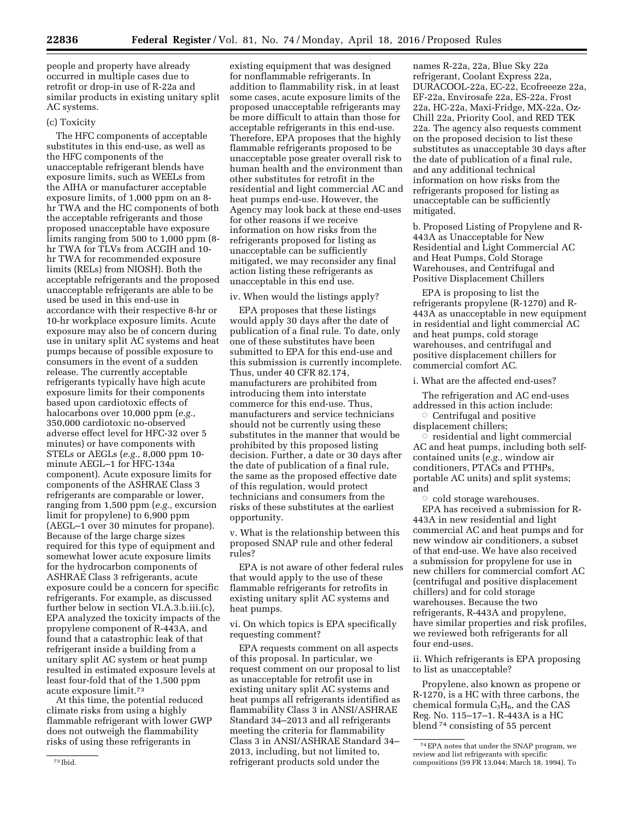people and property have already occurred in multiple cases due to retrofit or drop-in use of R-22a and similar products in existing unitary split AC systems.

#### (c) Toxicity

The HFC components of acceptable substitutes in this end-use, as well as the HFC components of the unacceptable refrigerant blends have exposure limits, such as WEELs from the AIHA or manufacturer acceptable exposure limits, of 1,000 ppm on an 8 hr TWA and the HC components of both the acceptable refrigerants and those proposed unacceptable have exposure limits ranging from 500 to 1,000 ppm (8 hr TWA for TLVs from ACGIH and 10 hr TWA for recommended exposure limits (RELs) from NIOSH). Both the acceptable refrigerants and the proposed unacceptable refrigerants are able to be used be used in this end-use in accordance with their respective 8-hr or 10-hr workplace exposure limits. Acute exposure may also be of concern during use in unitary split AC systems and heat pumps because of possible exposure to consumers in the event of a sudden release. The currently acceptable refrigerants typically have high acute exposure limits for their components based upon cardiotoxic effects of halocarbons over 10,000 ppm (*e.g.,*  350,000 cardiotoxic no-observed adverse effect level for HFC-32 over 5 minutes) or have components with STELs or AEGLs (*e.g.,* 8,000 ppm 10 minute AEGL–1 for HFC-134a component). Acute exposure limits for components of the ASHRAE Class 3 refrigerants are comparable or lower, ranging from 1,500 ppm (*e.g.,* excursion limit for propylene) to 6,900 ppm (AEGL–1 over 30 minutes for propane). Because of the large charge sizes required for this type of equipment and somewhat lower acute exposure limits for the hydrocarbon components of ASHRAE Class 3 refrigerants, acute exposure could be a concern for specific refrigerants. For example, as discussed further below in section VI.A.3.b.iii.(c), EPA analyzed the toxicity impacts of the propylene component of R-443A, and found that a catastrophic leak of that refrigerant inside a building from a unitary split AC system or heat pump resulted in estimated exposure levels at least four-fold that of the 1,500 ppm acute exposure limit.73

At this time, the potential reduced climate risks from using a highly flammable refrigerant with lower GWP does not outweigh the flammability risks of using these refrigerants in

existing equipment that was designed for nonflammable refrigerants. In addition to flammability risk, in at least some cases, acute exposure limits of the proposed unacceptable refrigerants may be more difficult to attain than those for acceptable refrigerants in this end-use. Therefore, EPA proposes that the highly flammable refrigerants proposed to be unacceptable pose greater overall risk to human health and the environment than other substitutes for retrofit in the residential and light commercial AC and heat pumps end-use. However, the Agency may look back at these end-uses for other reasons if we receive information on how risks from the refrigerants proposed for listing as unacceptable can be sufficiently mitigated, we may reconsider any final action listing these refrigerants as unacceptable in this end use.

#### iv. When would the listings apply?

EPA proposes that these listings would apply 30 days after the date of publication of a final rule. To date, only one of these substitutes have been submitted to EPA for this end-use and this submission is currently incomplete. Thus, under 40 CFR 82.174, manufacturers are prohibited from introducing them into interstate commerce for this end-use. Thus, manufacturers and service technicians should not be currently using these substitutes in the manner that would be prohibited by this proposed listing decision. Further, a date or 30 days after the date of publication of a final rule, the same as the proposed effective date of this regulation, would protect technicians and consumers from the risks of these substitutes at the earliest opportunity.

v. What is the relationship between this proposed SNAP rule and other federal rules?

EPA is not aware of other federal rules that would apply to the use of these flammable refrigerants for retrofits in existing unitary split AC systems and heat pumps.

vi. On which topics is EPA specifically requesting comment?

EPA requests comment on all aspects of this proposal. In particular, we request comment on our proposal to list as unacceptable for retrofit use in existing unitary split AC systems and heat pumps all refrigerants identified as flammability Class 3 in ANSI/ASHRAE Standard 34–2013 and all refrigerants meeting the criteria for flammability Class 3 in ANSI/ASHRAE Standard 34– 2013, including, but not limited to, refrigerant products sold under the

names R-22a, 22a, Blue Sky 22a refrigerant, Coolant Express 22a, DURACOOL-22a, EC-22, Ecofreeeze 22a, EF-22a, Envirosafe 22a, ES-22a, Frost 22a, HC-22a, Maxi-Fridge, MX-22a, Oz-Chill 22a, Priority Cool, and RED TEK 22a. The agency also requests comment on the proposed decision to list these substitutes as unacceptable 30 days after the date of publication of a final rule, and any additional technical information on how risks from the refrigerants proposed for listing as unacceptable can be sufficiently mitigated.

b. Proposed Listing of Propylene and R-443A as Unacceptable for New Residential and Light Commercial AC and Heat Pumps, Cold Storage Warehouses, and Centrifugal and Positive Displacement Chillers

EPA is proposing to list the refrigerants propylene (R-1270) and R-443A as unacceptable in new equipment in residential and light commercial AC and heat pumps, cold storage warehouses, and centrifugal and positive displacement chillers for commercial comfort AC.

#### i. What are the affected end-uses?

The refrigeration and AC end-uses addressed in this action include:

 $\circ$  Centrifugal and positive displacement chillers;

 $\overline{\circ}$  residential and light commercial AC and heat pumps, including both selfcontained units (*e.g.,* window air conditioners, PTACs and PTHPs, portable AC units) and split systems; and

 $\circ$  cold storage warehouses.

EPA has received a submission for R-443A in new residential and light commercial AC and heat pumps and for new window air conditioners, a subset of that end-use. We have also received a submission for propylene for use in new chillers for commercial comfort AC (centrifugal and positive displacement chillers) and for cold storage warehouses. Because the two refrigerants, R-443A and propylene, have similar properties and risk profiles, we reviewed both refrigerants for all four end-uses.

ii. Which refrigerants is EPA proposing to list as unacceptable?

Propylene, also known as propene or R-1270, is a HC with three carbons, the chemical formula  $C_3H_6$ , and the CAS Reg. No. 115–17–1. R-443A is a HC blend 74 consisting of 55 percent

<sup>74</sup>EPA notes that under the SNAP program, we review and list refrigerants with specific compositions (59 FR 13,044; March 18, 1994). To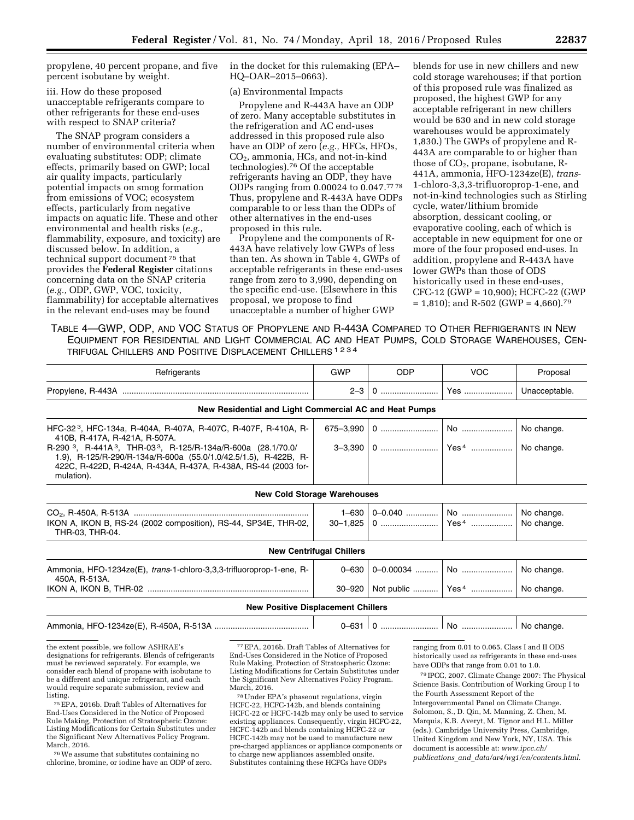propylene, 40 percent propane, and five percent isobutane by weight.

iii. How do these proposed unacceptable refrigerants compare to other refrigerants for these end-uses with respect to SNAP criteria?

The SNAP program considers a number of environmental criteria when evaluating substitutes: ODP; climate effects, primarily based on GWP; local air quality impacts, particularly potential impacts on smog formation from emissions of VOC; ecosystem effects, particularly from negative impacts on aquatic life. These and other environmental and health risks (*e.g.,*  flammability, exposure, and toxicity) are discussed below. In addition, a technical support document 75 that provides the **Federal Register** citations concerning data on the SNAP criteria (*e.g.,* ODP, GWP, VOC, toxicity, flammability) for acceptable alternatives in the relevant end-uses may be found

in the docket for this rulemaking (EPA– HQ–OAR–2015–0663).

(a) Environmental Impacts

Propylene and R-443A have an ODP of zero. Many acceptable substitutes in the refrigeration and AC end-uses addressed in this proposed rule also have an ODP of zero (*e.g.,* HFCs, HFOs, CO2, ammonia, HCs, and not-in-kind technologies).76 Of the acceptable refrigerants having an ODP, they have ODPs ranging from 0.00024 to 0.047.77 78 Thus, propylene and R-443A have ODPs comparable to or less than the ODPs of other alternatives in the end-uses proposed in this rule.

Propylene and the components of R-443A have relatively low GWPs of less than ten. As shown in Table 4, GWPs of acceptable refrigerants in these end-uses range from zero to 3,990, depending on the specific end-use. (Elsewhere in this proposal, we propose to find unacceptable a number of higher GWP

blends for use in new chillers and new cold storage warehouses; if that portion of this proposed rule was finalized as proposed, the highest GWP for any acceptable refrigerant in new chillers would be 630 and in new cold storage warehouses would be approximately 1,830.) The GWPs of propylene and R-443A are comparable to or higher than those of  $CO<sub>2</sub>$ , propane, isobutane, R-441A, ammonia, HFO-1234ze(E), *trans*-1-chloro-3,3,3-trifluoroprop-1-ene, and not-in-kind technologies such as Stirling cycle, water/lithium bromide absorption, dessicant cooling, or evaporative cooling, each of which is acceptable in new equipment for one or more of the four proposed end-uses. In addition, propylene and R-443A have lower GWPs than those of ODS historically used in these end-uses, CFC-12 (GWP = 10,900); HCFC-22 (GWP  $= 1,810$ ; and R-502 (GWP = 4,660).<sup>79</sup>

TABLE 4—GWP, ODP, AND VOC STATUS OF PROPYLENE AND R-443A COMPARED TO OTHER REFRIGERANTS IN NEW EQUIPMENT FOR RESIDENTIAL AND LIGHT COMMERCIAL AC AND HEAT PUMPS, COLD STORAGE WAREHOUSES, CEN-TRIFUGAL CHILLERS AND POSITIVE DISPLACEMENT CHILLERS 1234

| Refrigerants                                                                                                                                                                                                                                                                                                                                                       | GWP                                | <b>ODP</b> | <b>VOC</b>                     | Proposal                 |  |  |  |  |  |
|--------------------------------------------------------------------------------------------------------------------------------------------------------------------------------------------------------------------------------------------------------------------------------------------------------------------------------------------------------------------|------------------------------------|------------|--------------------------------|--------------------------|--|--|--|--|--|
|                                                                                                                                                                                                                                                                                                                                                                    | $2 - 3$                            | 0          | ∣ Yes                          | Unacceptable.            |  |  |  |  |  |
| New Residential and Light Commercial AC and Heat Pumps                                                                                                                                                                                                                                                                                                             |                                    |            |                                |                          |  |  |  |  |  |
| HFC-32 <sup>3</sup> , HFC-134a, R-404A, R-407A, R-407C, R-407F, R-410A, R-<br>410B, R-417A, R-421A, R-507A.<br>R-290 <sup>3</sup> , R-441A <sup>3</sup> , THR-03 <sup>3</sup> , R-125/R-134a/R-600a (28.1/70.0/<br>1.9), R-125/R-290/R-134a/R-600a (55.0/1.0/42.5/1.5), R-422B, R-<br>422C, R-422D, R-424A, R-434A, R-437A, R-438A, RS-44 (2003 for-<br>mulation). | 675-3,990                          |            |                                | No change.<br>No change. |  |  |  |  |  |
|                                                                                                                                                                                                                                                                                                                                                                    | <b>New Cold Storage Warehouses</b> |            |                                |                          |  |  |  |  |  |
| IKON A, IKON B, RS-24 (2002 composition), RS-44, SP34E, THR-02,<br>THR-03, THR-04.                                                                                                                                                                                                                                                                                 | $1 - 630$                          |            |                                | No change.<br>No change. |  |  |  |  |  |
| <b>New Centrifugal Chillers</b>                                                                                                                                                                                                                                                                                                                                    |                                    |            |                                |                          |  |  |  |  |  |
| Ammonia, HFO-1234ze(E), trans-1-chloro-3,3,3-trifluoroprop-1-ene, R-<br>450A, R-513A.                                                                                                                                                                                                                                                                              | $0 - 630$<br>30–920                |            | Not public    Yes <sup>4</sup> | No change.<br>No change. |  |  |  |  |  |
| <b>New Positive Displacement Chillers</b>                                                                                                                                                                                                                                                                                                                          |                                    |            |                                |                          |  |  |  |  |  |

|  | $0 - 631$ 0 |  | No    No change. |  |
|--|-------------|--|------------------|--|
|--|-------------|--|------------------|--|

the extent possible, we follow ASHRAE's designations for refrigerants. Blends of refrigerants must be reviewed separately. For example, we consider each blend of propane with isobutane to be a different and unique refrigerant, and each would require separate submission, review and

listing. 75EPA, 2016b. Draft Tables of Alternatives for End-Uses Considered in the Notice of Proposed Rule Making, Protection of Stratospheric Ozone: Listing Modifications for Certain Substitutes under the Significant New Alternatives Policy Program. March, 2016.

76We assume that substitutes containing no chlorine, bromine, or iodine have an ODP of zero.

77EPA, 2016b. Draft Tables of Alternatives for End-Uses Considered in the Notice of Proposed Rule Making, Protection of Stratospheric Ozone: Listing Modifications for Certain Substitutes under the Significant New Alternatives Policy Program. March, 2016.

78Under EPA's phaseout regulations, virgin HCFC-22, HCFC-142b, and blends containing HCFC-22 or HCFC-142b may only be used to service existing appliances. Consequently, virgin HCFC-22, HCFC-142b and blends containing HCFC-22 or HCFC-142b may not be used to manufacture new pre-charged appliances or appliance components or to charge new appliances assembled onsite. Substitutes containing these HCFCs have ODPs

ranging from 0.01 to 0.065. Class I and II ODS historically used as refrigerants in these end-uses have ODPs that range from 0.01 to 1.0.

79 IPCC, 2007. Climate Change 2007: The Physical Science Basis. Contribution of Working Group I to the Fourth Assessment Report of the Intergovernmental Panel on Climate Change. Solomon, S., D. Qin, M. Manning, Z. Chen, M. Marquis, K.B. Averyt, M. Tignor and H.L. Miller (eds.). Cambridge University Press, Cambridge, United Kingdom and New York, NY, USA. This document is accessible at: *[www.ipcc.ch/](http://www.ipcc.ch/publications_and_data/ar4/wg1/en/contents.html) publications*\_*and*\_*[data/ar4/wg1/en/contents.html](http://www.ipcc.ch/publications_and_data/ar4/wg1/en/contents.html)*.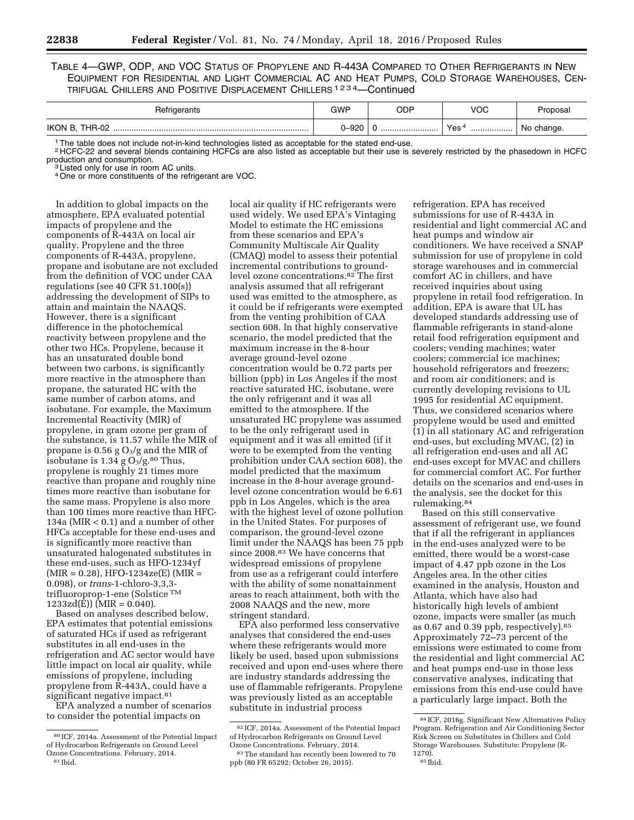TABLE 4—GWP, ODP, AND VOC STATUS OF PROPYLENE AND R-443A COMPARED TO OTHER REFRIGERANTS IN NEW EQUIPMENT FOR RESIDENTIAL AND LIGHT COMMERCIAL AC AND HEAT PUMPS, COLD STORAGE WAREHOUSES, CEN-TRIFUGAL CHILLERS AND POSITIVE DISPLACEMENT CHILLERS 1234—Continued

| Refrigerants   | <b>GWP</b> | ODP | VOC                  | Proposal   |
|----------------|------------|-----|----------------------|------------|
| IKON B, THR-02 | 0-920      |     | Yes <sup>4</sup><br> | No change. |

1The table does not include not-in-kind technologies listed as acceptable for the stated end-use.

 $2$  HCFC-22 and several blends containing HCFCs are also listed as acceptable but their use is severely restricted by the phasedown in HCFC<br>production and consumption.

local air quality if HC refrigerants were

<sup>3</sup> Listed only for use in room AC units. 4One or more constituents of the refrigerant are VOC.

In addition to global impacts on the atmosphere, EPA evaluated potential impacts of propylene and the components of R-443A on local air quality. Propylene and the three components of R-443A, propylene, propane and isobutane are not excluded from the definition of VOC under CAA regulations (see 40 CFR 51.100(s)) addressing the development of SIPs to attain and maintain the NAAQS. However, there is a significant difference in the photochemical reactivity between propylene and the other two HCs. Propylene, because it has an unsaturated double bond between two carbons, is significantly more reactive in the atmosphere than propane, the saturated HC with the same number of carbon atoms, and isobutane. For example, the Maximum Incremental Reactivity (MIR) of propylene, in gram ozone per gram of the substance, is 11.57 while the MIR of propane is 0.56 g  $O_3$ /g and the MIR of isobutane is 1.34 g  $O_3/g$ .<sup>80</sup> Thus, propylene is roughly 21 times more reactive than propane and roughly nine times more reactive than isobutane for the same mass. Propylene is also more than 100 times more reactive than HFC-134a (MIR < 0.1) and a number of other HFCs acceptable for these end-uses and is significantly more reactive than unsaturated halogenated substitutes in these end-uses, such as HFO-1234yf  $(MIR = 0.28)$ , HFO-1234ze(E) (MIR = 0.098), or *trans*-1-chloro-3,3,3 trifluoroprop-1-ene (Solstice TM  $1233z d(\hat{E})$ ) (MIR = 0.040).

Based on analyses described below, EPA estimates that potential emissions of saturated HCs if used as refrigerant substitutes in all end-uses in the refrigeration and AC sector would have little impact on local air quality, while emissions of propylene, including propylene from R-443A, could have a significant negative impact.<sup>81</sup>

EPA analyzed a number of scenarios to consider the potential impacts on

used widely. We used EPA's Vintaging Model to estimate the HC emissions from these scenarios and EPA's Community Multiscale Air Quality (CMAQ) model to assess their potential incremental contributions to groundlevel ozone concentrations.82 The first analysis assumed that all refrigerant used was emitted to the atmosphere, as it could be if refrigerants were exempted from the venting prohibition of CAA section 608. In that highly conservative scenario, the model predicted that the maximum increase in the 8-hour average ground-level ozone concentration would be 0.72 parts per billion (ppb) in Los Angeles if the most reactive saturated HC, isobutane, were the only refrigerant and it was all emitted to the atmosphere. If the unsaturated HC propylene was assumed to be the only refrigerant used in equipment and it was all emitted (if it were to be exempted from the venting prohibition under CAA section 608), the model predicted that the maximum increase in the 8-hour average groundlevel ozone concentration would be 6.61 ppb in Los Angeles, which is the area with the highest level of ozone pollution in the United States. For purposes of comparison, the ground-level ozone limit under the NAAQS has been 75 ppb since 2008.83 We have concerns that widespread emissions of propylene from use as a refrigerant could interfere with the ability of some nonattainment areas to reach attainment, both with the 2008 NAAQS and the new, more stringent standard.

EPA also performed less conservative analyses that considered the end-uses where these refrigerants would more likely be used, based upon submissions received and upon end-uses where there are industry standards addressing the use of flammable refrigerants. Propylene was previously listed as an acceptable substitute in industrial process

refrigeration. EPA has received submissions for use of R-443A in residential and light commercial AC and heat pumps and window air conditioners. We have received a SNAP submission for use of propylene in cold storage warehouses and in commercial comfort AC in chillers, and have received inquiries about using propylene in retail food refrigeration. In addition, EPA is aware that UL has developed standards addressing use of flammable refrigerants in stand-alone retail food refrigeration equipment and coolers; vending machines; water coolers; commercial ice machines; household refrigerators and freezers; and room air conditioners; and is currently developing revisions to UL 1995 for residential AC equipment. Thus, we considered scenarios where propylene would be used and emitted (1) in all stationary AC and refrigeration end-uses, but excluding MVAC, (2) in all refrigeration end-uses and all AC end-uses except for MVAC and chillers for commercial comfort AC. For further details on the scenarios and end-uses in the analysis, see the docket for this rulemaking.84

Based on this still conservative assessment of refrigerant use, we found that if all the refrigerant in appliances in the end-uses analyzed were to be emitted, there would be a worst-case impact of 4.47 ppb ozone in the Los Angeles area. In the other cities examined in the analysis, Houston and Atlanta, which have also had historically high levels of ambient ozone, impacts were smaller (as much as 0.67 and 0.39 ppb, respectively).85 Approximately 72–73 percent of the emissions were estimated to come from the residential and light commercial AC and heat pumps end-use in those less conservative analyses, indicating that emissions from this end-use could have a particularly large impact. Both the

<sup>80</sup> ICF, 2014a. Assessment of the Potential Impact of Hydrocarbon Refrigerants on Ground Level Ozone Concentrations. February, 2014. 81 Ibid.

<sup>82</sup> ICF, 2014a. Assessment of the Potential Impact of Hydrocarbon Refrigerants on Ground Level Ozone Concentrations. February, 2014.

<sup>83</sup>The standard has recently been lowered to 70 ppb (80 FR 65292; October 26, 2015).

<sup>84</sup> ICF, 2016g. Significant New Alternatives Policy Program. Refrigeration and Air Conditioning Sector Risk Screen on Substitutes in Chillers and Cold Storage Warehouses. Substitute: Propylene (R-1270). 85 Ibid.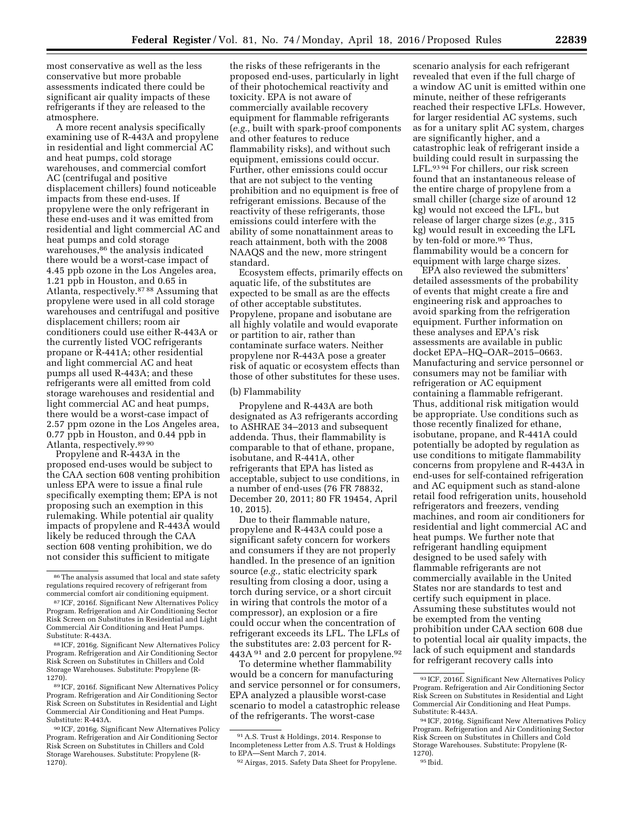most conservative as well as the less conservative but more probable assessments indicated there could be significant air quality impacts of these refrigerants if they are released to the atmosphere.

A more recent analysis specifically examining use of R-443A and propylene in residential and light commercial AC and heat pumps, cold storage warehouses, and commercial comfort AC (centrifugal and positive displacement chillers) found noticeable impacts from these end-uses. If propylene were the only refrigerant in these end-uses and it was emitted from residential and light commercial AC and heat pumps and cold storage warehouses,86 the analysis indicated there would be a worst-case impact of 4.45 ppb ozone in the Los Angeles area, 1.21 ppb in Houston, and 0.65 in Atlanta, respectively.87 88 Assuming that propylene were used in all cold storage warehouses and centrifugal and positive displacement chillers; room air conditioners could use either R-443A or the currently listed VOC refrigerants propane or R-441A; other residential and light commercial AC and heat pumps all used R-443A; and these refrigerants were all emitted from cold storage warehouses and residential and light commercial AC and heat pumps, there would be a worst-case impact of 2.57 ppm ozone in the Los Angeles area, 0.77 ppb in Houston, and 0.44 ppb in Atlanta, respectively.89 90

Propylene and R-443A in the proposed end-uses would be subject to the CAA section 608 venting prohibition unless EPA were to issue a final rule specifically exempting them; EPA is not proposing such an exemption in this rulemaking. While potential air quality impacts of propylene and R-443A would likely be reduced through the CAA section 608 venting prohibition, we do not consider this sufficient to mitigate

89 ICF, 2016f. Significant New Alternatives Policy Program. Refrigeration and Air Conditioning Sector Risk Screen on Substitutes in Residential and Light Commercial Air Conditioning and Heat Pumps. Substitute: R-443A.

the risks of these refrigerants in the proposed end-uses, particularly in light of their photochemical reactivity and toxicity. EPA is not aware of commercially available recovery equipment for flammable refrigerants (*e.g.,* built with spark-proof components and other features to reduce flammability risks), and without such equipment, emissions could occur. Further, other emissions could occur that are not subject to the venting prohibition and no equipment is free of refrigerant emissions. Because of the reactivity of these refrigerants, those emissions could interfere with the ability of some nonattainment areas to reach attainment, both with the 2008 NAAQS and the new, more stringent standard.

Ecosystem effects, primarily effects on aquatic life, of the substitutes are expected to be small as are the effects of other acceptable substitutes. Propylene, propane and isobutane are all highly volatile and would evaporate or partition to air, rather than contaminate surface waters. Neither propylene nor R-443A pose a greater risk of aquatic or ecosystem effects than those of other substitutes for these uses.

#### (b) Flammability

Propylene and R-443A are both designated as A3 refrigerants according to ASHRAE 34–2013 and subsequent addenda. Thus, their flammability is comparable to that of ethane, propane, isobutane, and R-441A, other refrigerants that EPA has listed as acceptable, subject to use conditions, in a number of end-uses (76 FR 78832, December 20, 2011; 80 FR 19454, April 10, 2015).

Due to their flammable nature, propylene and R-443A could pose a significant safety concern for workers and consumers if they are not properly handled. In the presence of an ignition source (*e.g.,* static electricity spark resulting from closing a door, using a torch during service, or a short circuit in wiring that controls the motor of a compressor), an explosion or a fire could occur when the concentration of refrigerant exceeds its LFL. The LFLs of the substitutes are: 2.03 percent for R-443A <sup>91</sup> and 2.0 percent for propylene.<sup>92</sup>

To determine whether flammability would be a concern for manufacturing and service personnel or for consumers, EPA analyzed a plausible worst-case scenario to model a catastrophic release of the refrigerants. The worst-case

scenario analysis for each refrigerant revealed that even if the full charge of a window AC unit is emitted within one minute, neither of these refrigerants reached their respective LFLs. However, for larger residential AC systems, such as for a unitary split AC system, charges are significantly higher, and a catastrophic leak of refrigerant inside a building could result in surpassing the LFL.93 94 For chillers, our risk screen found that an instantaneous release of the entire charge of propylene from a small chiller (charge size of around 12 kg) would not exceed the LFL, but release of larger charge sizes (*e.g.,* 315 kg) would result in exceeding the LFL by ten-fold or more.<sup>95</sup> Thus, flammability would be a concern for equipment with large charge sizes.

EPA also reviewed the submitters' detailed assessments of the probability of events that might create a fire and engineering risk and approaches to avoid sparking from the refrigeration equipment. Further information on these analyses and EPA's risk assessments are available in public docket EPA–HQ–OAR–2015–0663. Manufacturing and service personnel or consumers may not be familiar with refrigeration or AC equipment containing a flammable refrigerant. Thus, additional risk mitigation would be appropriate. Use conditions such as those recently finalized for ethane, isobutane, propane, and R-441A could potentially be adopted by regulation as use conditions to mitigate flammability concerns from propylene and R-443A in end-uses for self-contained refrigeration and AC equipment such as stand-alone retail food refrigeration units, household refrigerators and freezers, vending machines, and room air conditioners for residential and light commercial AC and heat pumps. We further note that refrigerant handling equipment designed to be used safely with flammable refrigerants are not commercially available in the United States nor are standards to test and certify such equipment in place. Assuming these substitutes would not be exempted from the venting prohibition under CAA section 608 due to potential local air quality impacts, the lack of such equipment and standards for refrigerant recovery calls into

<sup>86</sup>The analysis assumed that local and state safety regulations required recovery of refrigerant from commercial comfort air conditioning equipment.

<sup>87</sup> ICF, 2016f. Significant New Alternatives Policy Program. Refrigeration and Air Conditioning Sector Risk Screen on Substitutes in Residential and Light Commercial Air Conditioning and Heat Pumps. Substitute: R-443A.

<sup>88</sup> ICF, 2016g. Significant New Alternatives Policy Program. Refrigeration and Air Conditioning Sector Risk Screen on Substitutes in Chillers and Cold Storage Warehouses. Substitute: Propylene (R-1270).

<sup>90</sup> ICF, 2016g. Significant New Alternatives Policy Program. Refrigeration and Air Conditioning Sector Risk Screen on Substitutes in Chillers and Cold Storage Warehouses. Substitute: Propylene (R-1270).

<sup>91</sup>A.S. Trust & Holdings, 2014. Response to Incompleteness Letter from A.S. Trust & Holdings to EPA—Sent March 7, 2014.

<sup>92</sup>Airgas, 2015. Safety Data Sheet for Propylene.

<sup>93</sup> ICF, 2016f. Significant New Alternatives Policy Program. Refrigeration and Air Conditioning Sector Risk Screen on Substitutes in Residential and Light Commercial Air Conditioning and Heat Pumps.

<sup>94</sup> ICF, 2016g. Significant New Alternatives Policy Program. Refrigeration and Air Conditioning Sector Risk Screen on Substitutes in Chillers and Cold Storage Warehouses. Substitute: Propylene (R-

<sup>95</sup> Ibid.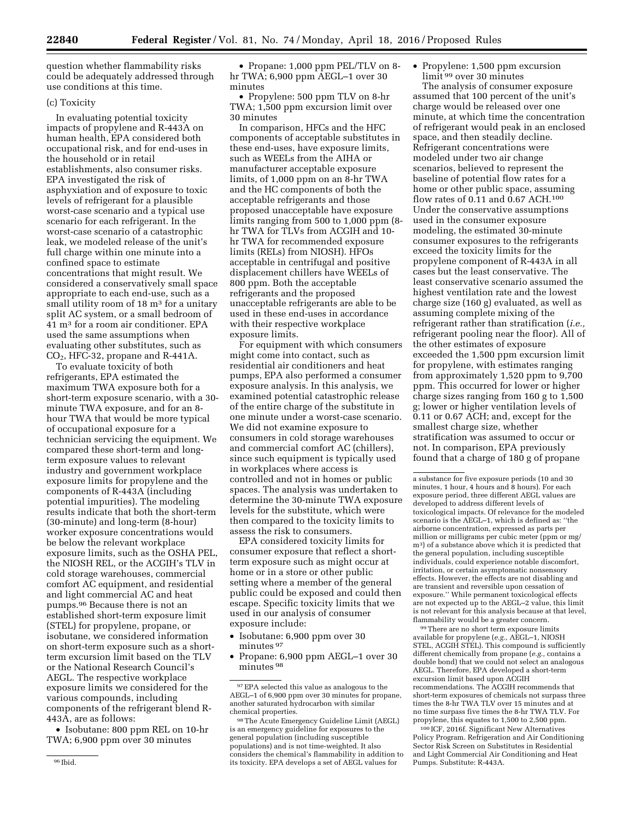question whether flammability risks could be adequately addressed through use conditions at this time.

#### (c) Toxicity

In evaluating potential toxicity impacts of propylene and R-443A on human health, EPA considered both occupational risk, and for end-uses in the household or in retail establishments, also consumer risks. EPA investigated the risk of asphyxiation and of exposure to toxic levels of refrigerant for a plausible worst-case scenario and a typical use scenario for each refrigerant. In the worst-case scenario of a catastrophic leak, we modeled release of the unit's full charge within one minute into a confined space to estimate concentrations that might result. We considered a conservatively small space appropriate to each end-use, such as a small utility room of 18 m<sup>3</sup> for a unitary split AC system, or a small bedroom of 41 m3 for a room air conditioner. EPA used the same assumptions when evaluating other substitutes, such as CO2, HFC-32, propane and R-441A.

To evaluate toxicity of both refrigerants, EPA estimated the maximum TWA exposure both for a short-term exposure scenario, with a 30 minute TWA exposure, and for an 8 hour TWA that would be more typical of occupational exposure for a technician servicing the equipment. We compared these short-term and longterm exposure values to relevant industry and government workplace exposure limits for propylene and the components of R-443A (including potential impurities). The modeling results indicate that both the short-term (30-minute) and long-term (8-hour) worker exposure concentrations would be below the relevant workplace exposure limits, such as the OSHA PEL, the NIOSH REL, or the ACGIH's TLV in cold storage warehouses, commercial comfort AC equipment, and residential and light commercial AC and heat pumps.96 Because there is not an established short-term exposure limit (STEL) for propylene, propane, or isobutane, we considered information on short-term exposure such as a shortterm excursion limit based on the TLV or the National Research Council's AEGL. The respective workplace exposure limits we considered for the various compounds, including components of the refrigerant blend R-443A, are as follows:

• Isobutane: 800 ppm REL on 10-hr TWA; 6,900 ppm over 30 minutes

• Propylene: 500 ppm TLV on 8-hr TWA; 1,500 ppm excursion limit over 30 minutes

In comparison, HFCs and the HFC components of acceptable substitutes in these end-uses, have exposure limits, such as WEELs from the AIHA or manufacturer acceptable exposure limits, of 1,000 ppm on an 8-hr TWA and the HC components of both the acceptable refrigerants and those proposed unacceptable have exposure limits ranging from 500 to 1,000 ppm (8 hr TWA for TLVs from ACGIH and 10 hr TWA for recommended exposure limits (RELs) from NIOSH). HFOs acceptable in centrifugal and positive displacement chillers have WEELs of 800 ppm. Both the acceptable refrigerants and the proposed unacceptable refrigerants are able to be used in these end-uses in accordance with their respective workplace exposure limits.

For equipment with which consumers might come into contact, such as residential air conditioners and heat pumps, EPA also performed a consumer exposure analysis. In this analysis, we examined potential catastrophic release of the entire charge of the substitute in one minute under a worst-case scenario. We did not examine exposure to consumers in cold storage warehouses and commercial comfort AC (chillers), since such equipment is typically used in workplaces where access is controlled and not in homes or public spaces. The analysis was undertaken to determine the 30-minute TWA exposure levels for the substitute, which were then compared to the toxicity limits to assess the risk to consumers.

EPA considered toxicity limits for consumer exposure that reflect a shortterm exposure such as might occur at home or in a store or other public setting where a member of the general public could be exposed and could then escape. Specific toxicity limits that we used in our analysis of consumer exposure include:

- Isobutane: 6,900 ppm over 30 minutes 97
- Propane: 6,900 ppm AEGL–1 over 30 minutes 98

• Propylene: 1,500 ppm excursion limit 99 over 30 minutes

The analysis of consumer exposure assumed that 100 percent of the unit's charge would be released over one minute, at which time the concentration of refrigerant would peak in an enclosed space, and then steadily decline. Refrigerant concentrations were modeled under two air change scenarios, believed to represent the baseline of potential flow rates for a home or other public space, assuming flow rates of 0.11 and 0.67 ACH.100 Under the conservative assumptions used in the consumer exposure modeling, the estimated 30-minute consumer exposures to the refrigerants exceed the toxicity limits for the propylene component of R-443A in all cases but the least conservative. The least conservative scenario assumed the highest ventilation rate and the lowest charge size (160 g) evaluated, as well as assuming complete mixing of the refrigerant rather than stratification (*i.e.,*  refrigerant pooling near the floor). All of the other estimates of exposure exceeded the 1,500 ppm excursion limit for propylene, with estimates ranging from approximately 1,520 ppm to 9,700 ppm. This occurred for lower or higher charge sizes ranging from 160 g to 1,500 g; lower or higher ventilation levels of 0.11 or 0.67 ACH; and, except for the smallest charge size, whether stratification was assumed to occur or not. In comparison, EPA previously found that a charge of 180 g of propane

99There are no short term exposure limits available for propylene (*e.g.,* AEGL–1, NIOSH STEL, ACGIH STEL). This compound is sufficiently different chemically from propane (*e.g.,* contains a double bond) that we could not select an analogous AEGL. Therefore, EPA developed a short-term excursion limit based upon ACGIH recommendations. The ACGIH recommends that short-term exposures of chemicals not surpass three times the 8-hr TWA TLV over 15 minutes and at no time surpass five times the 8-hr TWA TLV. For propylene, this equates to 1,500 to 2,500 ppm.

100 ICF, 2016f. Significant New Alternatives Policy Program. Refrigeration and Air Conditioning Sector Risk Screen on Substitutes in Residential and Light Commercial Air Conditioning and Heat Pumps. Substitute: R-443A.

<sup>•</sup> Propane: 1,000 ppm PEL/TLV on 8 hr TWA; 6,900 ppm AEGL–1 over 30 minutes

 $^{97}\mathrm{EPA}$  selected this value as analogous to the AEGL–1 of 6,900 ppm over 30 minutes for propane, another saturated hydrocarbon with similar chemical properties.

<sup>98</sup>The Acute Emergency Guideline Limit (AEGL) is an emergency guideline for exposures to the general population (including susceptible populations) and is not time-weighted. It also considers the chemical's flammability in addition to its toxicity. EPA develops a set of AEGL values for

a substance for five exposure periods (10 and 30 minutes, 1 hour, 4 hours and 8 hours). For each exposure period, three different AEGL values are developed to address different levels of toxicological impacts. Of relevance for the modeled scenario is the AEGL–1, which is defined as: ''the airborne concentration, expressed as parts per million or milligrams per cubic meter (ppm or mg/ m3) of a substance above which it is predicted that the general population, including susceptible individuals, could experience notable discomfort, irritation, or certain asymptomatic nonsensory effects. However, the effects are not disabling and are transient and reversible upon cessation of exposure.'' While permanent toxicological effects are not expected up to the AEGL–2 value, this limit is not relevant for this analysis because at that level, flammability would be a greater concern.

<sup>96</sup> Ibid.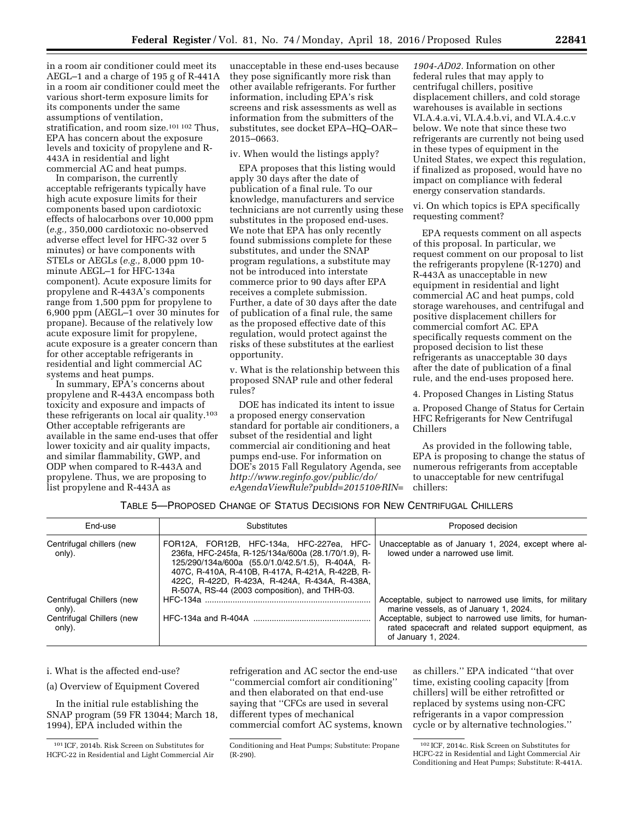in a room air conditioner could meet its AEGL–1 and a charge of 195 g of R-441A in a room air conditioner could meet the various short-term exposure limits for its components under the same assumptions of ventilation, stratification, and room size.101 102 Thus, EPA has concern about the exposure levels and toxicity of propylene and R-443A in residential and light commercial AC and heat pumps.

In comparison, the currently acceptable refrigerants typically have high acute exposure limits for their components based upon cardiotoxic effects of halocarbons over 10,000 ppm (*e.g.,* 350,000 cardiotoxic no-observed adverse effect level for HFC-32 over 5 minutes) or have components with STELs or AEGLs (*e.g.,* 8,000 ppm 10 minute AEGL–1 for HFC-134a component). Acute exposure limits for propylene and R-443A's components range from 1,500 ppm for propylene to 6,900 ppm (AEGL–1 over 30 minutes for propane). Because of the relatively low acute exposure limit for propylene, acute exposure is a greater concern than for other acceptable refrigerants in residential and light commercial AC systems and heat pumps.

In summary, EPA's concerns about propylene and R-443A encompass both toxicity and exposure and impacts of these refrigerants on local air quality.103 Other acceptable refrigerants are available in the same end-uses that offer lower toxicity and air quality impacts, and similar flammability, GWP, and ODP when compared to R-443A and propylene. Thus, we are proposing to list propylene and R-443A as

unacceptable in these end-uses because they pose significantly more risk than other available refrigerants. For further information, including EPA's risk screens and risk assessments as well as information from the submitters of the substitutes, see docket EPA–HQ–OAR– 2015–0663.

iv. When would the listings apply?

EPA proposes that this listing would apply 30 days after the date of publication of a final rule. To our knowledge, manufacturers and service technicians are not currently using these substitutes in the proposed end-uses. We note that EPA has only recently found submissions complete for these substitutes, and under the SNAP program regulations, a substitute may not be introduced into interstate commerce prior to 90 days after EPA receives a complete submission. Further, a date of 30 days after the date of publication of a final rule, the same as the proposed effective date of this regulation, would protect against the risks of these substitutes at the earliest opportunity.

v. What is the relationship between this proposed SNAP rule and other federal rules?

DOE has indicated its intent to issue a proposed energy conservation standard for portable air conditioners, a subset of the residential and light commercial air conditioning and heat pumps end-use. For information on DOE's 2015 Fall Regulatory Agenda, see *[http://www.reginfo.gov/public/do/](http://www.reginfo.gov/public/do/eAgendaViewRule?pubId=201510&RIN=1904-AD02) [eAgendaViewRule?pubId=201510&RIN=](http://www.reginfo.gov/public/do/eAgendaViewRule?pubId=201510&RIN=1904-AD02)*

*[1904-AD02.](http://www.reginfo.gov/public/do/eAgendaViewRule?pubId=201510&RIN=1904-AD02)* Information on other federal rules that may apply to centrifugal chillers, positive displacement chillers, and cold storage warehouses is available in sections VI.A.4.a.vi, VI.A.4.b.vi, and VI.A.4.c.v below. We note that since these two refrigerants are currently not being used in these types of equipment in the United States, we expect this regulation, if finalized as proposed, would have no impact on compliance with federal energy conservation standards.

vi. On which topics is EPA specifically requesting comment?

EPA requests comment on all aspects of this proposal. In particular, we request comment on our proposal to list the refrigerants propylene (R-1270) and R-443A as unacceptable in new equipment in residential and light commercial AC and heat pumps, cold storage warehouses, and centrifugal and positive displacement chillers for commercial comfort AC. EPA specifically requests comment on the proposed decision to list these refrigerants as unacceptable 30 days after the date of publication of a final rule, and the end-uses proposed here.

4. Proposed Changes in Listing Status

a. Proposed Change of Status for Certain HFC Refrigerants for New Centrifugal Chillers

As provided in the following table, EPA is proposing to change the status of numerous refrigerants from acceptable to unacceptable for new centrifugal chillers:

# TABLE 5—PROPOSED CHANGE OF STATUS DECISIONS FOR NEW CENTRIFUGAL CHILLERS

| End-use                                                                    | Substitutes                                                                                                                                                                                                                                                                                                 | Proposed decision                                                                                                                                                                                                                         |
|----------------------------------------------------------------------------|-------------------------------------------------------------------------------------------------------------------------------------------------------------------------------------------------------------------------------------------------------------------------------------------------------------|-------------------------------------------------------------------------------------------------------------------------------------------------------------------------------------------------------------------------------------------|
| Centrifugal chillers (new<br>only).                                        | FOR12A, FOR12B, HFC-134a, HFC-227ea, HFC-<br>236fa, HFC-245fa, R-125/134a/600a (28.1/70/1.9), R-<br>125/290/134a/600a (55.0/1.0/42.5/1.5), R-404A, R-<br>407C, R-410A, R-410B, R-417A, R-421A, R-422B, R-<br>422C, R-422D, R-423A, R-424A, R-434A, R-438A,<br>R-507A, RS-44 (2003 composition), and THR-03. | Unacceptable as of January 1, 2024, except where al-<br>lowed under a narrowed use limit.                                                                                                                                                 |
| Centrifugal Chillers (new<br>only).<br>Centrifugal Chillers (new<br>only). |                                                                                                                                                                                                                                                                                                             | Acceptable, subject to narrowed use limits, for military<br>marine vessels, as of January 1, 2024.<br>Acceptable, subject to narrowed use limits, for human-<br>rated spacecraft and related support equipment, as<br>of January 1, 2024. |

i. What is the affected end-use?

(a) Overview of Equipment Covered

In the initial rule establishing the SNAP program (59 FR 13044; March 18, 1994), EPA included within the

refrigeration and AC sector the end-use ''commercial comfort air conditioning'' and then elaborated on that end-use saying that ''CFCs are used in several different types of mechanical commercial comfort AC systems, known

as chillers.'' EPA indicated ''that over time, existing cooling capacity [from chillers] will be either retrofitted or replaced by systems using non-CFC refrigerants in a vapor compression cycle or by alternative technologies.''

<sup>101</sup> ICF, 2014b. Risk Screen on Substitutes for HCFC-22 in Residential and Light Commercial Air

Conditioning and Heat Pumps; Substitute: Propane (R-290).

<sup>102</sup> ICF, 2014c. Risk Screen on Substitutes for HCFC-22 in Residential and Light Commercial Air Conditioning and Heat Pumps; Substitute: R-441A.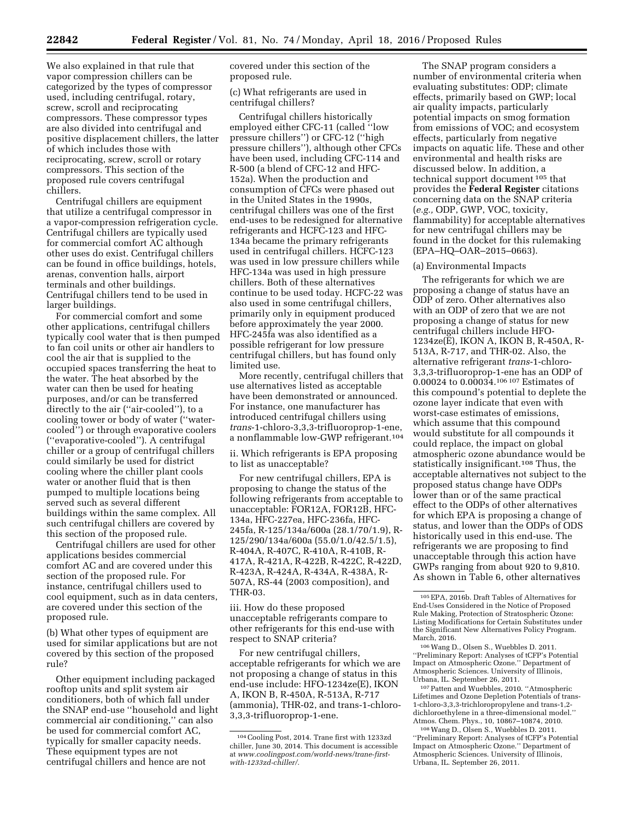We also explained in that rule that vapor compression chillers can be categorized by the types of compressor used, including centrifugal, rotary, screw, scroll and reciprocating compressors. These compressor types are also divided into centrifugal and positive displacement chillers, the latter of which includes those with reciprocating, screw, scroll or rotary compressors. This section of the proposed rule covers centrifugal chillers.

Centrifugal chillers are equipment that utilize a centrifugal compressor in a vapor-compression refrigeration cycle. Centrifugal chillers are typically used for commercial comfort AC although other uses do exist. Centrifugal chillers can be found in office buildings, hotels, arenas, convention halls, airport terminals and other buildings. Centrifugal chillers tend to be used in larger buildings.

For commercial comfort and some other applications, centrifugal chillers typically cool water that is then pumped to fan coil units or other air handlers to cool the air that is supplied to the occupied spaces transferring the heat to the water. The heat absorbed by the water can then be used for heating purposes, and/or can be transferred directly to the air (''air-cooled''), to a cooling tower or body of water (''watercooled'') or through evaporative coolers (''evaporative-cooled''). A centrifugal chiller or a group of centrifugal chillers could similarly be used for district cooling where the chiller plant cools water or another fluid that is then pumped to multiple locations being served such as several different buildings within the same complex. All such centrifugal chillers are covered by this section of the proposed rule.

Centrifugal chillers are used for other applications besides commercial comfort AC and are covered under this section of the proposed rule. For instance, centrifugal chillers used to cool equipment, such as in data centers, are covered under this section of the proposed rule.

(b) What other types of equipment are used for similar applications but are not covered by this section of the proposed rule?

Other equipment including packaged rooftop units and split system air conditioners, both of which fall under the SNAP end-use ''household and light commercial air conditioning,'' can also be used for commercial comfort AC, typically for smaller capacity needs. These equipment types are not centrifugal chillers and hence are not

covered under this section of the proposed rule.

(c) What refrigerants are used in centrifugal chillers?

Centrifugal chillers historically employed either CFC-11 (called ''low pressure chillers'') or CFC-12 (''high pressure chillers''), although other CFCs have been used, including CFC-114 and R-500 (a blend of CFC-12 and HFC-152a). When the production and consumption of CFCs were phased out in the United States in the 1990s, centrifugal chillers was one of the first end-uses to be redesigned for alternative refrigerants and HCFC-123 and HFC-134a became the primary refrigerants used in centrifugal chillers. HCFC-123 was used in low pressure chillers while HFC-134a was used in high pressure chillers. Both of these alternatives continue to be used today. HCFC-22 was also used in some centrifugal chillers, primarily only in equipment produced before approximately the year 2000. HFC-245fa was also identified as a possible refrigerant for low pressure centrifugal chillers, but has found only limited use.

More recently, centrifugal chillers that use alternatives listed as acceptable have been demonstrated or announced. For instance, one manufacturer has introduced centrifugal chillers using *trans*-1-chloro-3,3,3-trifluoroprop-1-ene, a nonflammable low-GWP refrigerant.104

ii. Which refrigerants is EPA proposing to list as unacceptable?

For new centrifugal chillers, EPA is proposing to change the status of the following refrigerants from acceptable to unacceptable: FOR12A, FOR12B, HFC-134a, HFC-227ea, HFC-236fa, HFC-245fa, R-125/134a/600a (28.1/70/1.9), R-125/290/134a/600a (55.0/1.0/42.5/1.5), R-404A, R-407C, R-410A, R-410B, R-417A, R-421A, R-422B, R-422C, R-422D, R-423A, R-424A, R-434A, R-438A, R-507A, RS-44 (2003 composition), and THR-03.

iii. How do these proposed unacceptable refrigerants compare to other refrigerants for this end-use with respect to SNAP criteria?

For new centrifugal chillers, acceptable refrigerants for which we are not proposing a change of status in this end-use include: HFO-1234ze(E), IKON A, IKON B, R-450A, R-513A, R-717 (ammonia), THR-02, and trans-1-chloro-3,3,3-trifluoroprop-1-ene.

The SNAP program considers a number of environmental criteria when evaluating substitutes: ODP; climate effects, primarily based on GWP; local air quality impacts, particularly potential impacts on smog formation from emissions of VOC; and ecosystem effects, particularly from negative impacts on aquatic life. These and other environmental and health risks are discussed below. In addition, a technical support document 105 that provides the **Federal Register** citations concerning data on the SNAP criteria (*e.g.,* ODP, GWP, VOC, toxicity, flammability) for acceptable alternatives for new centrifugal chillers may be found in the docket for this rulemaking (EPA–HQ–OAR–2015–0663).

#### (a) Environmental Impacts

The refrigerants for which we are proposing a change of status have an ODP of zero. Other alternatives also with an ODP of zero that we are not proposing a change of status for new centrifugal chillers include HFO-1234ze(E), IKON A, IKON B, R-450A, R-513A, R-717, and THR-02. Also, the alternative refrigerant *trans*-1-chloro-3,3,3-trifluoroprop-1-ene has an ODP of 0.00024 to 0.00034.106 107 Estimates of this compound's potential to deplete the ozone layer indicate that even with worst-case estimates of emissions, which assume that this compound would substitute for all compounds it could replace, the impact on global atmospheric ozone abundance would be statistically insignificant.108 Thus, the acceptable alternatives not subject to the proposed status change have ODPs lower than or of the same practical effect to the ODPs of other alternatives for which EPA is proposing a change of status, and lower than the ODPs of ODS historically used in this end-use. The refrigerants we are proposing to find unacceptable through this action have GWPs ranging from about 920 to 9,810. As shown in Table 6, other alternatives

''Preliminary Report: Analyses of tCFP's Potential Impact on Atmospheric Ozone.'' Department of Atmospheric Sciences. University of Illinois,

<sup>107</sup> Patten and Wuebbles, 2010. "Atmospheric Lifetimes and Ozone Depletion Potentials of trans-1-chloro-3,3,3-trichloropropylene and trans-1,2 dichloroethylene in a three-dimensional model.''

<sup>108</sup> Wang D., Olsen S., Wuebbles D. 2011. ''Preliminary Report: Analyses of tCFP's Potential Impact on Atmospheric Ozone.'' Department of Atmospheric Sciences. University of Illinois, Urbana, IL. September 26, 2011.

<sup>104</sup>Cooling Post, 2014. Trane first with 1233zd chiller, June 30, 2014. This document is accessible at *[www.coolingpost.com/world-news/trane-first](http://www.coolingpost.com/world-news/trane-first-with-1233zd-chiller/)[with-1233zd-chiller/.](http://www.coolingpost.com/world-news/trane-first-with-1233zd-chiller/)* 

<sup>105</sup>EPA, 2016b. Draft Tables of Alternatives for End-Uses Considered in the Notice of Proposed Rule Making, Protection of Stratospheric Ozone: Listing Modifications for Certain Substitutes under the Significant New Alternatives Policy Program. March, 2016. 106Wang D., Olsen S., Wuebbles D. 2011.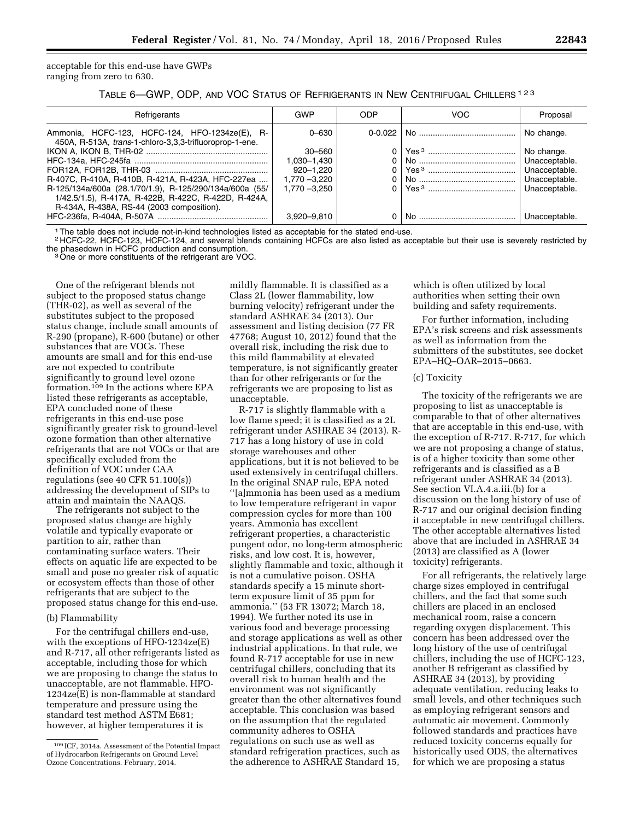acceptable for this end-use have GWPs ranging from zero to 630.

TABLE 6—GWP, ODP, AND VOC STATUS OF REFRIGERANTS IN NEW CENTRIFUGAL CHILLERS 123

| Refrigerants                                                                                                                                                 | GWP           | ODP      | VOC | Proposal      |
|--------------------------------------------------------------------------------------------------------------------------------------------------------------|---------------|----------|-----|---------------|
| Ammonia, HCFC-123, HCFC-124, HFO-1234ze(E), R-<br>450A, R-513A, trans-1-chloro-3,3,3-trifluoroprop-1-ene.                                                    | $0 - 630$     |          |     | No change.    |
|                                                                                                                                                              | $30 - 560$    |          |     | No change.    |
|                                                                                                                                                              | 1.030-1.430   | 0        |     | Unacceptable. |
|                                                                                                                                                              | $920 - 1.220$ | $\Omega$ |     | Unacceptable. |
| R-407C, R-410A, R-410B, R-421A, R-423A, HFC-227ea                                                                                                            | 1,770 -3,220  | $\Omega$ |     | Unacceptable. |
| R-125/134a/600a (28.1/70/1.9), R-125/290/134a/600a (55/<br>1/42.5/1.5), R-417A, R-422B, R-422C, R-422D, R-424A,<br>R-434A, R-438A, RS-44 (2003 composition). | 1.770 -3.250  |          |     | Unacceptable. |
|                                                                                                                                                              | 3,920-9,810   | 0        |     | Unacceptable. |

1The table does not include not-in-kind technologies listed as acceptable for the stated end-use.

<sup>2</sup> HCFC-22, HCFC-123, HCFC-124, and several blends containing HCFCs are also listed as acceptable but their use is severely restricted by the phasedown in HCFC production and consumption.

<sup>3</sup> One or more constituents of the refrigerant are VOC.

One of the refrigerant blends not subject to the proposed status change (THR-02), as well as several of the substitutes subject to the proposed status change, include small amounts of R-290 (propane), R-600 (butane) or other substances that are VOCs. These amounts are small and for this end-use are not expected to contribute significantly to ground level ozone formation.109 In the actions where EPA listed these refrigerants as acceptable, EPA concluded none of these refrigerants in this end-use pose significantly greater risk to ground-level ozone formation than other alternative refrigerants that are not VOCs or that are specifically excluded from the definition of VOC under CAA regulations (see 40 CFR 51.100(s)) addressing the development of SIPs to attain and maintain the NAAQS.

The refrigerants not subject to the proposed status change are highly volatile and typically evaporate or partition to air, rather than contaminating surface waters. Their effects on aquatic life are expected to be small and pose no greater risk of aquatic or ecosystem effects than those of other refrigerants that are subject to the proposed status change for this end-use.

#### (b) Flammability

For the centrifugal chillers end-use, with the exceptions of HFO-1234ze(E) and R-717, all other refrigerants listed as acceptable, including those for which we are proposing to change the status to unacceptable, are not flammable. HFO-1234ze(E) is non-flammable at standard temperature and pressure using the standard test method ASTM E681; however, at higher temperatures it is

mildly flammable. It is classified as a Class 2L (lower flammability, low burning velocity) refrigerant under the standard ASHRAE 34 (2013). Our assessment and listing decision (77 FR 47768; August 10, 2012) found that the overall risk, including the risk due to this mild flammability at elevated temperature, is not significantly greater than for other refrigerants or for the refrigerants we are proposing to list as unacceptable.

R-717 is slightly flammable with a low flame speed; it is classified as a 2L refrigerant under ASHRAE 34 (2013). R-717 has a long history of use in cold storage warehouses and other applications, but it is not believed to be used extensively in centrifugal chillers. In the original SNAP rule, EPA noted ''[a]mmonia has been used as a medium to low temperature refrigerant in vapor compression cycles for more than 100 years. Ammonia has excellent refrigerant properties, a characteristic pungent odor, no long-term atmospheric risks, and low cost. It is, however, slightly flammable and toxic, although it is not a cumulative poison. OSHA standards specify a 15 minute shortterm exposure limit of 35 ppm for ammonia.'' (53 FR 13072; March 18, 1994). We further noted its use in various food and beverage processing and storage applications as well as other industrial applications. In that rule, we found R-717 acceptable for use in new centrifugal chillers, concluding that its overall risk to human health and the environment was not significantly greater than the other alternatives found acceptable. This conclusion was based on the assumption that the regulated community adheres to OSHA regulations on such use as well as standard refrigeration practices, such as the adherence to ASHRAE Standard 15,

which is often utilized by local authorities when setting their own building and safety requirements.

For further information, including EPA's risk screens and risk assessments as well as information from the submitters of the substitutes, see docket EPA–HQ–OAR–2015–0663.

#### (c) Toxicity

The toxicity of the refrigerants we are proposing to list as unacceptable is comparable to that of other alternatives that are acceptable in this end-use, with the exception of R-717. R-717, for which we are not proposing a change of status, is of a higher toxicity than some other refrigerants and is classified as a B refrigerant under ASHRAE 34 (2013). See section VI.A.4.a.iii.(b) for a discussion on the long history of use of R-717 and our original decision finding it acceptable in new centrifugal chillers. The other acceptable alternatives listed above that are included in ASHRAE 34 (2013) are classified as A (lower toxicity) refrigerants.

For all refrigerants, the relatively large charge sizes employed in centrifugal chillers, and the fact that some such chillers are placed in an enclosed mechanical room, raise a concern regarding oxygen displacement. This concern has been addressed over the long history of the use of centrifugal chillers, including the use of HCFC-123, another B refrigerant as classified by ASHRAE 34 (2013), by providing adequate ventilation, reducing leaks to small levels, and other techniques such as employing refrigerant sensors and automatic air movement. Commonly followed standards and practices have reduced toxicity concerns equally for historically used ODS, the alternatives for which we are proposing a status

<sup>109</sup> ICF, 2014a. Assessment of the Potential Impact of Hydrocarbon Refrigerants on Ground Level Ozone Concentrations. February, 2014.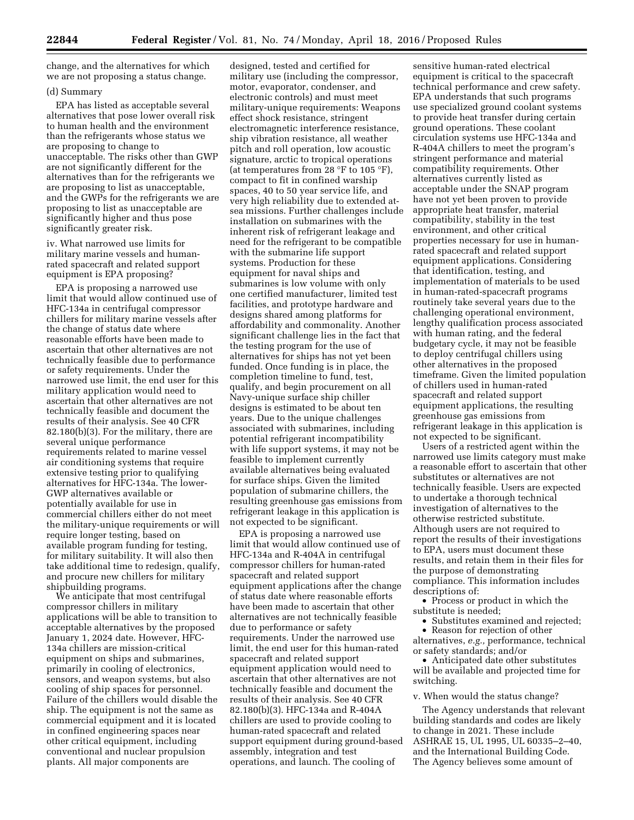change, and the alternatives for which we are not proposing a status change.

#### (d) Summary

EPA has listed as acceptable several alternatives that pose lower overall risk to human health and the environment than the refrigerants whose status we are proposing to change to unacceptable. The risks other than GWP are not significantly different for the alternatives than for the refrigerants we are proposing to list as unacceptable, and the GWPs for the refrigerants we are proposing to list as unacceptable are significantly higher and thus pose significantly greater risk.

iv. What narrowed use limits for military marine vessels and humanrated spacecraft and related support equipment is EPA proposing?

EPA is proposing a narrowed use limit that would allow continued use of HFC-134a in centrifugal compressor chillers for military marine vessels after the change of status date where reasonable efforts have been made to ascertain that other alternatives are not technically feasible due to performance or safety requirements. Under the narrowed use limit, the end user for this military application would need to ascertain that other alternatives are not technically feasible and document the results of their analysis. See 40 CFR 82.180(b)(3). For the military, there are several unique performance requirements related to marine vessel air conditioning systems that require extensive testing prior to qualifying alternatives for HFC-134a. The lower-GWP alternatives available or potentially available for use in commercial chillers either do not meet the military-unique requirements or will require longer testing, based on available program funding for testing, for military suitability. It will also then take additional time to redesign, qualify, and procure new chillers for military shipbuilding programs.

We anticipate that most centrifugal compressor chillers in military applications will be able to transition to acceptable alternatives by the proposed January 1, 2024 date. However, HFC-134a chillers are mission-critical equipment on ships and submarines, primarily in cooling of electronics, sensors, and weapon systems, but also cooling of ship spaces for personnel. Failure of the chillers would disable the ship. The equipment is not the same as commercial equipment and it is located in confined engineering spaces near other critical equipment, including conventional and nuclear propulsion plants. All major components are

designed, tested and certified for military use (including the compressor, motor, evaporator, condenser, and electronic controls) and must meet military-unique requirements: Weapons effect shock resistance, stringent electromagnetic interference resistance, ship vibration resistance, all weather pitch and roll operation, low acoustic signature, arctic to tropical operations (at temperatures from 28 °F to 105 °F), compact to fit in confined warship spaces, 40 to 50 year service life, and very high reliability due to extended atsea missions. Further challenges include installation on submarines with the inherent risk of refrigerant leakage and need for the refrigerant to be compatible with the submarine life support systems. Production for these equipment for naval ships and submarines is low volume with only one certified manufacturer, limited test facilities, and prototype hardware and designs shared among platforms for affordability and commonality. Another significant challenge lies in the fact that the testing program for the use of alternatives for ships has not yet been funded. Once funding is in place, the completion timeline to fund, test, qualify, and begin procurement on all Navy-unique surface ship chiller designs is estimated to be about ten years. Due to the unique challenges associated with submarines, including potential refrigerant incompatibility with life support systems, it may not be feasible to implement currently available alternatives being evaluated for surface ships. Given the limited population of submarine chillers, the resulting greenhouse gas emissions from refrigerant leakage in this application is not expected to be significant.

EPA is proposing a narrowed use limit that would allow continued use of HFC-134a and R-404A in centrifugal compressor chillers for human-rated spacecraft and related support equipment applications after the change of status date where reasonable efforts have been made to ascertain that other alternatives are not technically feasible due to performance or safety requirements. Under the narrowed use limit, the end user for this human-rated spacecraft and related support equipment application would need to ascertain that other alternatives are not technically feasible and document the results of their analysis. See 40 CFR 82.180(b)(3). HFC-134a and R-404A chillers are used to provide cooling to human-rated spacecraft and related support equipment during ground-based assembly, integration and test operations, and launch. The cooling of

sensitive human-rated electrical equipment is critical to the spacecraft technical performance and crew safety. EPA understands that such programs use specialized ground coolant systems to provide heat transfer during certain ground operations. These coolant circulation systems use HFC-134a and R-404A chillers to meet the program's stringent performance and material compatibility requirements. Other alternatives currently listed as acceptable under the SNAP program have not yet been proven to provide appropriate heat transfer, material compatibility, stability in the test environment, and other critical properties necessary for use in humanrated spacecraft and related support equipment applications. Considering that identification, testing, and implementation of materials to be used in human-rated-spacecraft programs routinely take several years due to the challenging operational environment, lengthy qualification process associated with human rating, and the federal budgetary cycle, it may not be feasible to deploy centrifugal chillers using other alternatives in the proposed timeframe. Given the limited population of chillers used in human-rated spacecraft and related support equipment applications, the resulting greenhouse gas emissions from refrigerant leakage in this application is not expected to be significant.

Users of a restricted agent within the narrowed use limits category must make a reasonable effort to ascertain that other substitutes or alternatives are not technically feasible. Users are expected to undertake a thorough technical investigation of alternatives to the otherwise restricted substitute. Although users are not required to report the results of their investigations to EPA, users must document these results, and retain them in their files for the purpose of demonstrating compliance. This information includes descriptions of:

• Process or product in which the substitute is needed;

• Substitutes examined and rejected;

• Reason for rejection of other alternatives, *e.g.,* performance, technical or safety standards; and/or

• Anticipated date other substitutes will be available and projected time for switching.

#### v. When would the status change?

The Agency understands that relevant building standards and codes are likely to change in 2021. These include ASHRAE 15, UL 1995, UL 60335–2–40, and the International Building Code. The Agency believes some amount of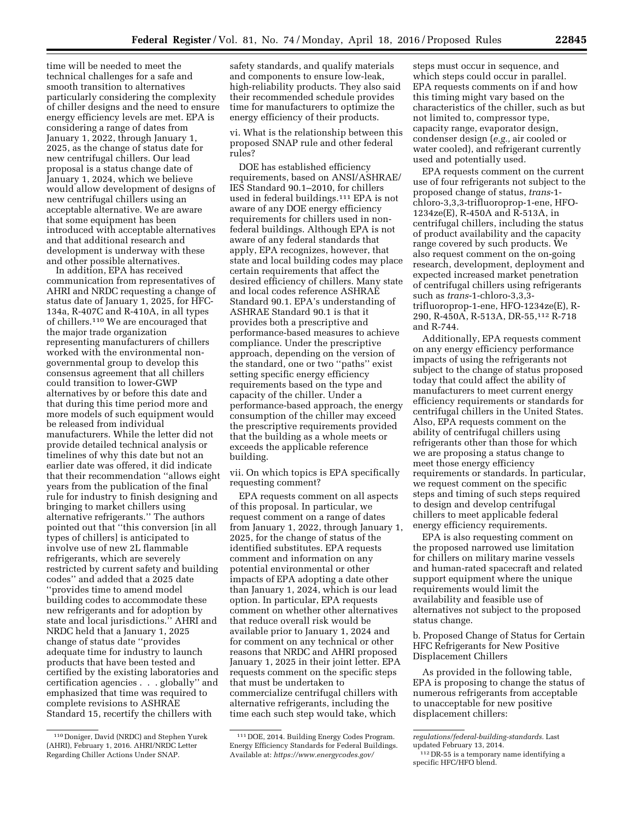time will be needed to meet the technical challenges for a safe and smooth transition to alternatives particularly considering the complexity of chiller designs and the need to ensure energy efficiency levels are met. EPA is considering a range of dates from January 1, 2022, through January 1, 2025, as the change of status date for new centrifugal chillers. Our lead proposal is a status change date of January 1, 2024, which we believe would allow development of designs of new centrifugal chillers using an acceptable alternative. We are aware that some equipment has been introduced with acceptable alternatives and that additional research and development is underway with these and other possible alternatives.

In addition, EPA has received communication from representatives of AHRI and NRDC requesting a change of status date of January 1, 2025, for HFC-134a, R-407C and R-410A, in all types of chillers.110 We are encouraged that the major trade organization representing manufacturers of chillers worked with the environmental nongovernmental group to develop this consensus agreement that all chillers could transition to lower-GWP alternatives by or before this date and that during this time period more and more models of such equipment would be released from individual manufacturers. While the letter did not provide detailed technical analysis or timelines of why this date but not an earlier date was offered, it did indicate that their recommendation ''allows eight years from the publication of the final rule for industry to finish designing and bringing to market chillers using alternative refrigerants.'' The authors pointed out that ''this conversion [in all types of chillers] is anticipated to involve use of new 2L flammable refrigerants, which are severely restricted by current safety and building codes'' and added that a 2025 date ''provides time to amend model building codes to accommodate these new refrigerants and for adoption by state and local jurisdictions.'' AHRI and NRDC held that a January 1, 2025 change of status date ''provides adequate time for industry to launch products that have been tested and certified by the existing laboratories and certification agencies . . . globally'' and emphasized that time was required to complete revisions to ASHRAE Standard 15, recertify the chillers with

safety standards, and qualify materials and components to ensure low-leak, high-reliability products. They also said their recommended schedule provides time for manufacturers to optimize the energy efficiency of their products.

vi. What is the relationship between this proposed SNAP rule and other federal rules?

DOE has established efficiency requirements, based on ANSI/ASHRAE/ IES Standard 90.1–2010, for chillers used in federal buildings.111 EPA is not aware of any DOE energy efficiency requirements for chillers used in nonfederal buildings. Although EPA is not aware of any federal standards that apply, EPA recognizes, however, that state and local building codes may place certain requirements that affect the desired efficiency of chillers. Many state and local codes reference ASHRAE Standard 90.1. EPA's understanding of ASHRAE Standard 90.1 is that it provides both a prescriptive and performance-based measures to achieve compliance. Under the prescriptive approach, depending on the version of the standard, one or two ''paths'' exist setting specific energy efficiency requirements based on the type and capacity of the chiller. Under a performance-based approach, the energy consumption of the chiller may exceed the prescriptive requirements provided that the building as a whole meets or exceeds the applicable reference building.

vii. On which topics is EPA specifically requesting comment?

EPA requests comment on all aspects of this proposal. In particular, we request comment on a range of dates from January 1, 2022, through January 1, 2025, for the change of status of the identified substitutes. EPA requests comment and information on any potential environmental or other impacts of EPA adopting a date other than January 1, 2024, which is our lead option. In particular, EPA requests comment on whether other alternatives that reduce overall risk would be available prior to January 1, 2024 and for comment on any technical or other reasons that NRDC and AHRI proposed January 1, 2025 in their joint letter. EPA requests comment on the specific steps that must be undertaken to commercialize centrifugal chillers with alternative refrigerants, including the time each such step would take, which

steps must occur in sequence, and which steps could occur in parallel. EPA requests comments on if and how this timing might vary based on the characteristics of the chiller, such as but not limited to, compressor type, capacity range, evaporator design, condenser design (*e.g.,* air cooled or water cooled), and refrigerant currently used and potentially used.

EPA requests comment on the current use of four refrigerants not subject to the proposed change of status, *trans*-1 chloro-3,3,3-trifluoroprop-1-ene, HFO-1234ze(E), R-450A and R-513A, in centrifugal chillers, including the status of product availability and the capacity range covered by such products. We also request comment on the on-going research, development, deployment and expected increased market penetration of centrifugal chillers using refrigerants such as *trans*-1-chloro-3,3,3 trifluoroprop-1-ene, HFO-1234ze(E), R-290, R-450A, R-513A, DR-55,112 R-718 and R-744.

Additionally, EPA requests comment on any energy efficiency performance impacts of using the refrigerants not subject to the change of status proposed today that could affect the ability of manufacturers to meet current energy efficiency requirements or standards for centrifugal chillers in the United States. Also, EPA requests comment on the ability of centrifugal chillers using refrigerants other than those for which we are proposing a status change to meet those energy efficiency requirements or standards. In particular, we request comment on the specific steps and timing of such steps required to design and develop centrifugal chillers to meet applicable federal energy efficiency requirements.

EPA is also requesting comment on the proposed narrowed use limitation for chillers on military marine vessels and human-rated spacecraft and related support equipment where the unique requirements would limit the availability and feasible use of alternatives not subject to the proposed status change.

b. Proposed Change of Status for Certain HFC Refrigerants for New Positive Displacement Chillers

As provided in the following table, EPA is proposing to change the status of numerous refrigerants from acceptable to unacceptable for new positive displacement chillers:

<sup>110</sup> Doniger, David (NRDC) and Stephen Yurek (AHRI), February 1, 2016. AHRI/NRDC Letter Regarding Chiller Actions Under SNAP.

<sup>111</sup> DOE, 2014. Building Energy Codes Program. Energy Efficiency Standards for Federal Buildings. Available at: *[https://www.energycodes.gov/](https://www.energycodes.gov/regulations/federal-building-standards)*

*[regulations/federal-building-standards.](https://www.energycodes.gov/regulations/federal-building-standards)* Last

updated February 13, 2014.

<sup>112</sup> DR-55 is a temporary name identifying a specific HFC/HFO blend.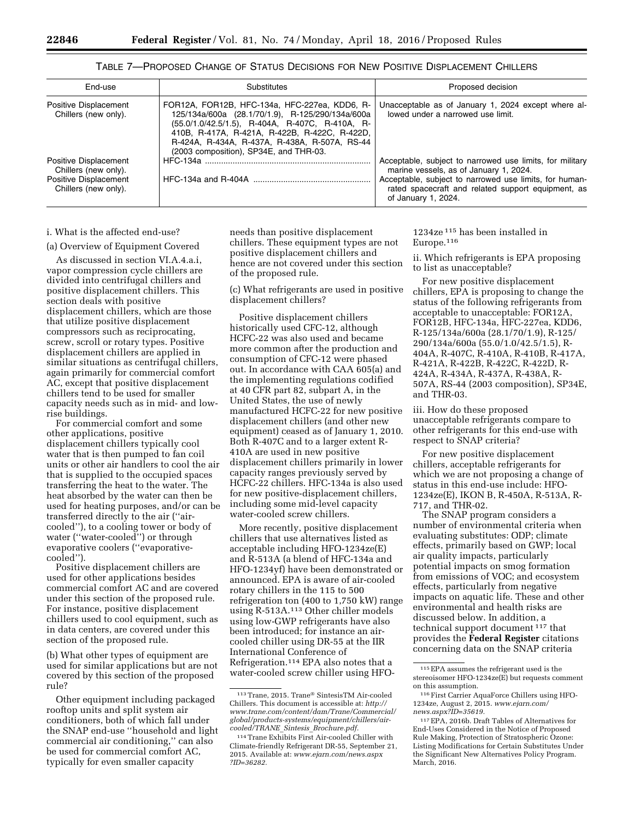| End-use                                                                                        | Substitutes                                                                                                                                                                                                                                                                                      | Proposed decision                                                                                                                                                                                                                         |
|------------------------------------------------------------------------------------------------|--------------------------------------------------------------------------------------------------------------------------------------------------------------------------------------------------------------------------------------------------------------------------------------------------|-------------------------------------------------------------------------------------------------------------------------------------------------------------------------------------------------------------------------------------------|
| Positive Displacement<br>Chillers (new only).                                                  | FOR12A, FOR12B, HFC-134a, HFC-227ea, KDD6, R-<br>125/134a/600a (28.1/70/1.9), R-125/290/134a/600a<br>(55.0/1.0/42.5/1.5), R-404A, R-407C, R-410A, R-<br>410B, R-417A, R-421A, R-422B, R-422C, R-422D,<br>R-424A, R-434A, R-437A, R-438A, R-507A, RS-44<br>(2003 composition), SP34E, and THR-03. | Unacceptable as of January 1, 2024 except where al-<br>lowed under a narrowed use limit.                                                                                                                                                  |
| Positive Displacement<br>Chillers (new only).<br>Positive Displacement<br>Chillers (new only). |                                                                                                                                                                                                                                                                                                  | Acceptable, subject to narrowed use limits, for military<br>marine vessels, as of January 1, 2024.<br>Acceptable, subject to narrowed use limits, for human-<br>rated spacecraft and related support equipment, as<br>of January 1, 2024. |

TABLE 7—PROPOSED CHANGE OF STATUS DECISIONS FOR NEW POSITIVE DISPLACEMENT CHILLERS

i. What is the affected end-use?

### (a) Overview of Equipment Covered

As discussed in section VI.A.4.a.i, vapor compression cycle chillers are divided into centrifugal chillers and positive displacement chillers. This section deals with positive displacement chillers, which are those that utilize positive displacement compressors such as reciprocating, screw, scroll or rotary types. Positive displacement chillers are applied in similar situations as centrifugal chillers, again primarily for commercial comfort AC, except that positive displacement chillers tend to be used for smaller capacity needs such as in mid- and lowrise buildings.

For commercial comfort and some other applications, positive displacement chillers typically cool water that is then pumped to fan coil units or other air handlers to cool the air that is supplied to the occupied spaces transferring the heat to the water. The heat absorbed by the water can then be used for heating purposes, and/or can be transferred directly to the air (''aircooled''), to a cooling tower or body of water (''water-cooled'') or through evaporative coolers (''evaporativecooled'').

Positive displacement chillers are used for other applications besides commercial comfort AC and are covered under this section of the proposed rule. For instance, positive displacement chillers used to cool equipment, such as in data centers, are covered under this section of the proposed rule.

(b) What other types of equipment are used for similar applications but are not covered by this section of the proposed rule?

Other equipment including packaged rooftop units and split system air conditioners, both of which fall under the SNAP end-use ''household and light commercial air conditioning,'' can also be used for commercial comfort AC, typically for even smaller capacity

needs than positive displacement chillers. These equipment types are not positive displacement chillers and hence are not covered under this section of the proposed rule.

(c) What refrigerants are used in positive displacement chillers?

Positive displacement chillers historically used CFC-12, although HCFC-22 was also used and became more common after the production and consumption of CFC-12 were phased out. In accordance with CAA 605(a) and the implementing regulations codified at 40 CFR part 82, subpart A, in the United States, the use of newly manufactured HCFC-22 for new positive displacement chillers (and other new equipment) ceased as of January 1, 2010. Both R-407C and to a larger extent R-410A are used in new positive displacement chillers primarily in lower capacity ranges previously served by HCFC-22 chillers. HFC-134a is also used for new positive-displacement chillers, including some mid-level capacity water-cooled screw chillers.

More recently, positive displacement chillers that use alternatives listed as acceptable including HFO-1234ze(E) and R-513A (a blend of HFC-134a and HFO-1234yf) have been demonstrated or announced. EPA is aware of air-cooled rotary chillers in the 115 to 500 refrigeration ton (400 to 1,750 kW) range using R-513A.113 Other chiller models using low-GWP refrigerants have also been introduced; for instance an aircooled chiller using DR-55 at the IIR International Conference of Refrigeration.114 EPA also notes that a water-cooled screw chiller using HFO-

1234ze 115 has been installed in Europe.116

ii. Which refrigerants is EPA proposing to list as unacceptable?

For new positive displacement chillers, EPA is proposing to change the status of the following refrigerants from acceptable to unacceptable: FOR12A, FOR12B, HFC-134a, HFC-227ea, KDD6, R-125/134a/600a (28.1/70/1.9), R-125/ 290/134a/600a (55.0/1.0/42.5/1.5), R-404A, R-407C, R-410A, R-410B, R-417A, R-421A, R-422B, R-422C, R-422D, R-424A, R-434A, R-437A, R-438A, R-507A, RS-44 (2003 composition), SP34E, and THR-03.

iii. How do these proposed unacceptable refrigerants compare to other refrigerants for this end-use with respect to SNAP criteria?

For new positive displacement chillers, acceptable refrigerants for which we are not proposing a change of status in this end-use include: HFO-1234ze(E), IKON B, R-450A, R-513A, R-717, and THR-02.

The SNAP program considers a number of environmental criteria when evaluating substitutes: ODP; climate effects, primarily based on GWP; local air quality impacts, particularly potential impacts on smog formation from emissions of VOC; and ecosystem effects, particularly from negative impacts on aquatic life. These and other environmental and health risks are discussed below. In addition, a technical support document 117 that provides the **Federal Register** citations concerning data on the SNAP criteria

<sup>113</sup>Trane, 2015. Trane® SintesisTM Air-cooled Chillers. This document is accessible at: *[http://](http://www.trane.com/content/dam/Trane/Commercial/global/products-systems/equipment/chillers/air-cooled/TRANE_Sintesis_Brochure.pdf) [www.trane.com/content/dam/Trane/Commercial/](http://www.trane.com/content/dam/Trane/Commercial/global/products-systems/equipment/chillers/air-cooled/TRANE_Sintesis_Brochure.pdf) [global/products-systems/equipment/chillers/air](http://www.trane.com/content/dam/Trane/Commercial/global/products-systems/equipment/chillers/air-cooled/TRANE_Sintesis_Brochure.pdf)[cooled/TRANE](http://www.trane.com/content/dam/Trane/Commercial/global/products-systems/equipment/chillers/air-cooled/TRANE_Sintesis_Brochure.pdf)*\_*Sintesis*\_*Brochure.pdf.* 

<sup>114</sup>Trane Exhibits First Air-cooled Chiller with Climate-friendly Refrigerant DR-55, September 21, 2015. Available at: *[www.ejarn.com/news.aspx](http://www.ejarn.com/news.aspx?ID=36282) [?ID=36282.](http://www.ejarn.com/news.aspx?ID=36282)* 

<sup>115</sup>EPA assumes the refrigerant used is the stereoisomer HFO-1234ze(E) but requests comment on this assumption.

<sup>116</sup>First Carrier AquaForce Chillers using HFO-1234ze, August 2, 2015. *[www.ejarn.com/](http://www.ejarn.com/news.aspx?ID=35619) [news.aspx?ID=35619.](http://www.ejarn.com/news.aspx?ID=35619)* 

<sup>117</sup>EPA, 2016b. Draft Tables of Alternatives for End-Uses Considered in the Notice of Proposed Rule Making, Protection of Stratospheric Ozone: Listing Modifications for Certain Substitutes Under the Significant New Alternatives Policy Program. March, 2016.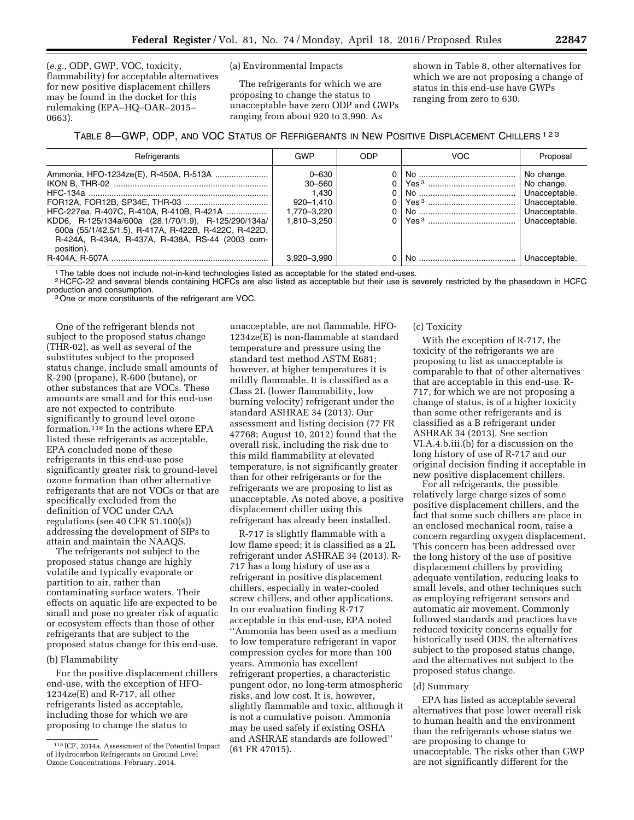(*e.g.,* ODP, GWP, VOC, toxicity, flammability) for acceptable alternatives for new positive displacement chillers may be found in the docket for this rulemaking (EPA–HQ–OAR–2015– 0663).

(a) Environmental Impacts

The refrigerants for which we are proposing to change the status to unacceptable have zero ODP and GWPs ranging from about 920 to 3,990. As

shown in Table 8, other alternatives for which we are not proposing a change of status in this end-use have GWPs ranging from zero to 630.

TABLE 8—GWP, ODP, AND VOC STATUS OF REFRIGERANTS IN NEW POSITIVE DISPLACEMENT CHILLERS 123

| Refrigerants                                                                                                                                                                                                                 | GWP                                                                         | ODP | <b>VOC</b> | Proposal                                                                                     |
|------------------------------------------------------------------------------------------------------------------------------------------------------------------------------------------------------------------------------|-----------------------------------------------------------------------------|-----|------------|----------------------------------------------------------------------------------------------|
| HFC-227ea, R-407C, R-410A, R-410B, R-421A<br>KDD6, R-125/134a/600a (28.1/70/1.9), R-125/290/134a/<br>600a (55/1/42.5/1.5), R-417A, R-422B, R-422C, R-422D,<br>R-424A, R-434A, R-437A, R-438A, RS-44 (2003 com-<br>position). | $0 - 630$<br>$30 - 560$<br>1.430<br>920-1.410<br>1.770-3.220<br>1.810-3.250 |     |            | No change.<br>No change.<br>Unacceptable.<br>Unacceptable.<br>Unacceptable.<br>Unacceptable. |
|                                                                                                                                                                                                                              | 3.920-3.990                                                                 |     | No.        | Unacceptable.                                                                                |

1The table does not include not-in-kind technologies listed as acceptable for the stated end-uses.

<sup>2</sup> HCFC-22 and several blends containing HCFCs are also listed as acceptable but their use is severely restricted by the phasedown in HCFC<br>production and consumption.

<sup>3</sup> One or more constituents of the refrigerant are VOC.

One of the refrigerant blends not subject to the proposed status change (THR-02), as well as several of the substitutes subject to the proposed status change, include small amounts of R-290 (propane), R-600 (butane), or other substances that are VOCs. These amounts are small and for this end-use are not expected to contribute significantly to ground level ozone formation.118 In the actions where EPA listed these refrigerants as acceptable, EPA concluded none of these refrigerants in this end-use pose significantly greater risk to ground-level ozone formation than other alternative refrigerants that are not VOCs or that are specifically excluded from the definition of VOC under CAA regulations (see 40 CFR 51.100(s)) addressing the development of SIPs to attain and maintain the NAAQS.

The refrigerants not subject to the proposed status change are highly volatile and typically evaporate or partition to air, rather than contaminating surface waters. Their effects on aquatic life are expected to be small and pose no greater risk of aquatic or ecosystem effects than those of other refrigerants that are subject to the proposed status change for this end-use.

#### (b) Flammability

For the positive displacement chillers end-use, with the exception of HFO-1234ze(E) and R-717, all other refrigerants listed as acceptable, including those for which we are proposing to change the status to

unacceptable, are not flammable. HFO-1234ze(E) is non-flammable at standard temperature and pressure using the standard test method ASTM E681; however, at higher temperatures it is mildly flammable. It is classified as a Class 2L (lower flammability, low burning velocity) refrigerant under the standard ASHRAE 34 (2013). Our assessment and listing decision (77 FR 47768; August 10, 2012) found that the overall risk, including the risk due to this mild flammability at elevated temperature, is not significantly greater than for other refrigerants or for the refrigerants we are proposing to list as unacceptable. As noted above, a positive displacement chiller using this refrigerant has already been installed.

R-717 is slightly flammable with a low flame speed; it is classified as a 2L refrigerant under ASHRAE 34 (2013). R-717 has a long history of use as a refrigerant in positive displacement chillers, especially in water-cooled screw chillers, and other applications. In our evaluation finding R-717 acceptable in this end-use, EPA noted ''Ammonia has been used as a medium to low temperature refrigerant in vapor compression cycles for more than 100 years. Ammonia has excellent refrigerant properties, a characteristic pungent odor, no long-term atmospheric risks, and low cost. It is, however, slightly flammable and toxic, although it is not a cumulative poison. Ammonia may be used safely if existing OSHA and ASHRAE standards are followed'' (61 FR 47015).

## (c) Toxicity

With the exception of R-717, the toxicity of the refrigerants we are proposing to list as unacceptable is comparable to that of other alternatives that are acceptable in this end-use. R-717, for which we are not proposing a change of status, is of a higher toxicity than some other refrigerants and is classified as a B refrigerant under ASHRAE 34 (2013). See section VI.A.4.b.iii.(b) for a discussion on the long history of use of R-717 and our original decision finding it acceptable in new positive displacement chillers.

For all refrigerants, the possible relatively large charge sizes of some positive displacement chillers, and the fact that some such chillers are place in an enclosed mechanical room, raise a concern regarding oxygen displacement. This concern has been addressed over the long history of the use of positive displacement chillers by providing adequate ventilation, reducing leaks to small levels, and other techniques such as employing refrigerant sensors and automatic air movement. Commonly followed standards and practices have reduced toxicity concerns equally for historically used ODS, the alternatives subject to the proposed status change, and the alternatives not subject to the proposed status change.

### (d) Summary

EPA has listed as acceptable several alternatives that pose lower overall risk to human health and the environment than the refrigerants whose status we are proposing to change to unacceptable. The risks other than GWP are not significantly different for the

<sup>118</sup> ICF, 2014a. Assessment of the Potential Impact of Hydrocarbon Refrigerants on Ground Level Ozone Concentrations. February, 2014.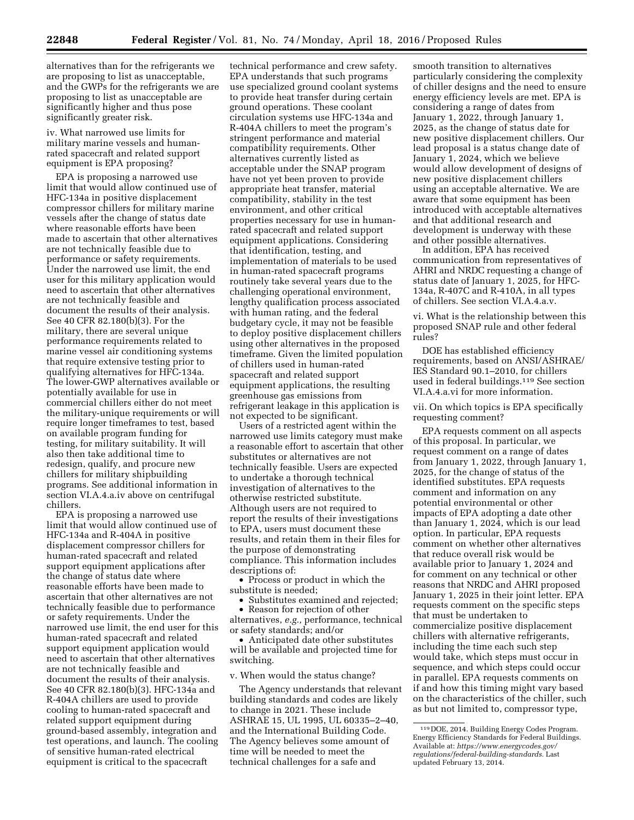alternatives than for the refrigerants we are proposing to list as unacceptable, and the GWPs for the refrigerants we are proposing to list as unacceptable are significantly higher and thus pose significantly greater risk.

iv. What narrowed use limits for military marine vessels and humanrated spacecraft and related support equipment is EPA proposing?

EPA is proposing a narrowed use limit that would allow continued use of HFC-134a in positive displacement compressor chillers for military marine vessels after the change of status date where reasonable efforts have been made to ascertain that other alternatives are not technically feasible due to performance or safety requirements. Under the narrowed use limit, the end user for this military application would need to ascertain that other alternatives are not technically feasible and document the results of their analysis. See 40 CFR 82.180(b)(3). For the military, there are several unique performance requirements related to marine vessel air conditioning systems that require extensive testing prior to qualifying alternatives for HFC-134a. The lower-GWP alternatives available or potentially available for use in commercial chillers either do not meet the military-unique requirements or will require longer timeframes to test, based on available program funding for testing, for military suitability. It will also then take additional time to redesign, qualify, and procure new chillers for military shipbuilding programs. See additional information in section VI.A.4.a.iv above on centrifugal chillers.

EPA is proposing a narrowed use limit that would allow continued use of HFC-134a and R-404A in positive displacement compressor chillers for human-rated spacecraft and related support equipment applications after the change of status date where reasonable efforts have been made to ascertain that other alternatives are not technically feasible due to performance or safety requirements. Under the narrowed use limit, the end user for this human-rated spacecraft and related support equipment application would need to ascertain that other alternatives are not technically feasible and document the results of their analysis. See 40 CFR 82.180(b)(3). HFC-134a and R-404A chillers are used to provide cooling to human-rated spacecraft and related support equipment during ground-based assembly, integration and test operations, and launch. The cooling of sensitive human-rated electrical equipment is critical to the spacecraft

technical performance and crew safety. EPA understands that such programs use specialized ground coolant systems to provide heat transfer during certain ground operations. These coolant circulation systems use HFC-134a and R-404A chillers to meet the program's stringent performance and material compatibility requirements. Other alternatives currently listed as acceptable under the SNAP program have not yet been proven to provide appropriate heat transfer, material compatibility, stability in the test environment, and other critical properties necessary for use in humanrated spacecraft and related support equipment applications. Considering that identification, testing, and implementation of materials to be used in human-rated spacecraft programs routinely take several years due to the challenging operational environment, lengthy qualification process associated with human rating, and the federal budgetary cycle, it may not be feasible to deploy positive displacement chillers using other alternatives in the proposed timeframe. Given the limited population of chillers used in human-rated spacecraft and related support equipment applications, the resulting greenhouse gas emissions from refrigerant leakage in this application is not expected to be significant.

Users of a restricted agent within the narrowed use limits category must make a reasonable effort to ascertain that other substitutes or alternatives are not technically feasible. Users are expected to undertake a thorough technical investigation of alternatives to the otherwise restricted substitute. Although users are not required to report the results of their investigations to EPA, users must document these results, and retain them in their files for the purpose of demonstrating compliance. This information includes descriptions of:

• Process or product in which the substitute is needed;

• Substitutes examined and rejected;

• Reason for rejection of other alternatives, *e.g.,* performance, technical or safety standards; and/or

• Anticipated date other substitutes will be available and projected time for switching.

v. When would the status change?

The Agency understands that relevant building standards and codes are likely to change in 2021. These include ASHRAE 15, UL 1995, UL 60335–2–40, and the International Building Code. The Agency believes some amount of time will be needed to meet the technical challenges for a safe and

smooth transition to alternatives particularly considering the complexity of chiller designs and the need to ensure energy efficiency levels are met. EPA is considering a range of dates from January 1, 2022, through January 1, 2025, as the change of status date for new positive displacement chillers. Our lead proposal is a status change date of January 1, 2024, which we believe would allow development of designs of new positive displacement chillers using an acceptable alternative. We are aware that some equipment has been introduced with acceptable alternatives and that additional research and development is underway with these and other possible alternatives.

In addition, EPA has received communication from representatives of AHRI and NRDC requesting a change of status date of January 1, 2025, for HFC-134a, R-407C and R-410A, in all types of chillers. See section VI.A.4.a.v.

vi. What is the relationship between this proposed SNAP rule and other federal rules?

DOE has established efficiency requirements, based on ANSI/ASHRAE/ IES Standard 90.1–2010, for chillers used in federal buildings.119 See section VI.A.4.a.vi for more information.

vii. On which topics is EPA specifically requesting comment?

EPA requests comment on all aspects of this proposal. In particular, we request comment on a range of dates from January 1, 2022, through January 1, 2025, for the change of status of the identified substitutes. EPA requests comment and information on any potential environmental or other impacts of EPA adopting a date other than January 1, 2024, which is our lead option. In particular, EPA requests comment on whether other alternatives that reduce overall risk would be available prior to January 1, 2024 and for comment on any technical or other reasons that NRDC and AHRI proposed January 1, 2025 in their joint letter. EPA requests comment on the specific steps that must be undertaken to commercialize positive displacement chillers with alternative refrigerants, including the time each such step would take, which steps must occur in sequence, and which steps could occur in parallel. EPA requests comments on if and how this timing might vary based on the characteristics of the chiller, such as but not limited to, compressor type,

<sup>119</sup> DOE, 2014. Building Energy Codes Program. Energy Efficiency Standards for Federal Buildings. Available at: *[https://www.energycodes.gov/](https://www.energycodes.gov/regulations/federal-building-standards) [regulations/federal-building-standards.](https://www.energycodes.gov/regulations/federal-building-standards)* Last updated February 13, 2014.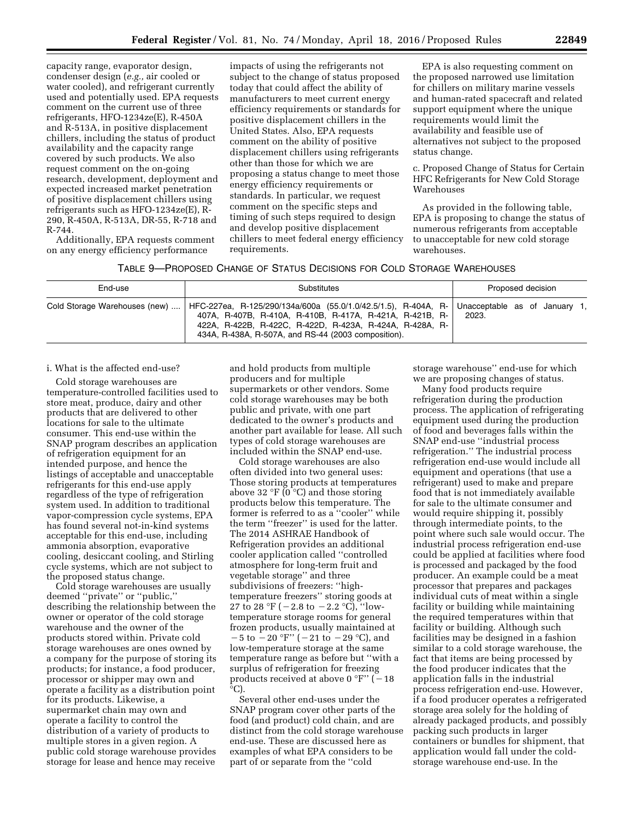capacity range, evaporator design, condenser design (*e.g.,* air cooled or water cooled), and refrigerant currently used and potentially used. EPA requests comment on the current use of three refrigerants, HFO-1234ze(E), R-450A and R-513A, in positive displacement chillers, including the status of product availability and the capacity range covered by such products. We also request comment on the on-going research, development, deployment and expected increased market penetration of positive displacement chillers using refrigerants such as HFO-1234ze(E), R-290, R-450A, R-513A, DR-55, R-718 and R-744.

Additionally, EPA requests comment on any energy efficiency performance

impacts of using the refrigerants not subject to the change of status proposed today that could affect the ability of manufacturers to meet current energy efficiency requirements or standards for positive displacement chillers in the United States. Also, EPA requests comment on the ability of positive displacement chillers using refrigerants other than those for which we are proposing a status change to meet those energy efficiency requirements or standards. In particular, we request comment on the specific steps and timing of such steps required to design and develop positive displacement chillers to meet federal energy efficiency requirements.

EPA is also requesting comment on the proposed narrowed use limitation for chillers on military marine vessels and human-rated spacecraft and related support equipment where the unique requirements would limit the availability and feasible use of alternatives not subject to the proposed status change.

c. Proposed Change of Status for Certain HFC Refrigerants for New Cold Storage Warehouses

As provided in the following table, EPA is proposing to change the status of numerous refrigerants from acceptable to unacceptable for new cold storage warehouses.

| End-use                       | Substitutes                                                                                                                                                                                                                                    | Proposed decision                      |
|-------------------------------|------------------------------------------------------------------------------------------------------------------------------------------------------------------------------------------------------------------------------------------------|----------------------------------------|
| Cold Storage Warehouses (new) | HFC-227ea, R-125/290/134a/600a (55.0/1.0/42.5/1.5), R-404A, R-<br>407A, R-407B, R-410A, R-410B, R-417A, R-421A, R-421B, R-<br>422A, R-422B, R-422C, R-422D, R-423A, R-424A, R-428A, R-1<br>434A, R-438A, R-507A, and RS-44 (2003 composition). | Unacceptable as of January 1,<br>2023. |

## i. What is the affected end-use?

Cold storage warehouses are temperature-controlled facilities used to store meat, produce, dairy and other products that are delivered to other locations for sale to the ultimate consumer. This end-use within the SNAP program describes an application of refrigeration equipment for an intended purpose, and hence the listings of acceptable and unacceptable refrigerants for this end-use apply regardless of the type of refrigeration system used. In addition to traditional vapor-compression cycle systems, EPA has found several not-in-kind systems acceptable for this end-use, including ammonia absorption, evaporative cooling, desiccant cooling, and Stirling cycle systems, which are not subject to the proposed status change.

Cold storage warehouses are usually deemed ''private'' or ''public,'' describing the relationship between the owner or operator of the cold storage warehouse and the owner of the products stored within. Private cold storage warehouses are ones owned by a company for the purpose of storing its products; for instance, a food producer, processor or shipper may own and operate a facility as a distribution point for its products. Likewise, a supermarket chain may own and operate a facility to control the distribution of a variety of products to multiple stores in a given region. A public cold storage warehouse provides storage for lease and hence may receive

and hold products from multiple producers and for multiple supermarkets or other vendors. Some cold storage warehouses may be both public and private, with one part dedicated to the owner's products and another part available for lease. All such types of cold storage warehouses are included within the SNAP end-use.

Cold storage warehouses are also often divided into two general uses: Those storing products at temperatures above 32  $\degree$ F (0  $\degree$ C) and those storing products below this temperature. The former is referred to as a ''cooler'' while the term ''freezer'' is used for the latter. The 2014 ASHRAE Handbook of Refrigeration provides an additional cooler application called ''controlled atmosphere for long-term fruit and vegetable storage'' and three subdivisions of freezers: ''hightemperature freezers'' storing goods at 27 to 28 °F ( $-2.8$  to  $-2.2$  °C), "lowtemperature storage rooms for general frozen products, usually maintained at  $-5$  to  $-20$  °F'' ( $-21$  to  $-29$  °C), and low-temperature storage at the same temperature range as before but ''with a surplus of refrigeration for freezing products received at above 0  $\degree$ F'' ( $-18$ °C).

Several other end-uses under the SNAP program cover other parts of the food (and product) cold chain, and are distinct from the cold storage warehouse end-use. These are discussed here as examples of what EPA considers to be part of or separate from the ''cold

storage warehouse'' end-use for which we are proposing changes of status.

Many food products require refrigeration during the production process. The application of refrigerating equipment used during the production of food and beverages falls within the SNAP end-use ''industrial process refrigeration.'' The industrial process refrigeration end-use would include all equipment and operations (that use a refrigerant) used to make and prepare food that is not immediately available for sale to the ultimate consumer and would require shipping it, possibly through intermediate points, to the point where such sale would occur. The industrial process refrigeration end-use could be applied at facilities where food is processed and packaged by the food producer. An example could be a meat processor that prepares and packages individual cuts of meat within a single facility or building while maintaining the required temperatures within that facility or building. Although such facilities may be designed in a fashion similar to a cold storage warehouse, the fact that items are being processed by the food producer indicates that the application falls in the industrial process refrigeration end-use. However, if a food producer operates a refrigerated storage area solely for the holding of already packaged products, and possibly packing such products in larger containers or bundles for shipment, that application would fall under the coldstorage warehouse end-use. In the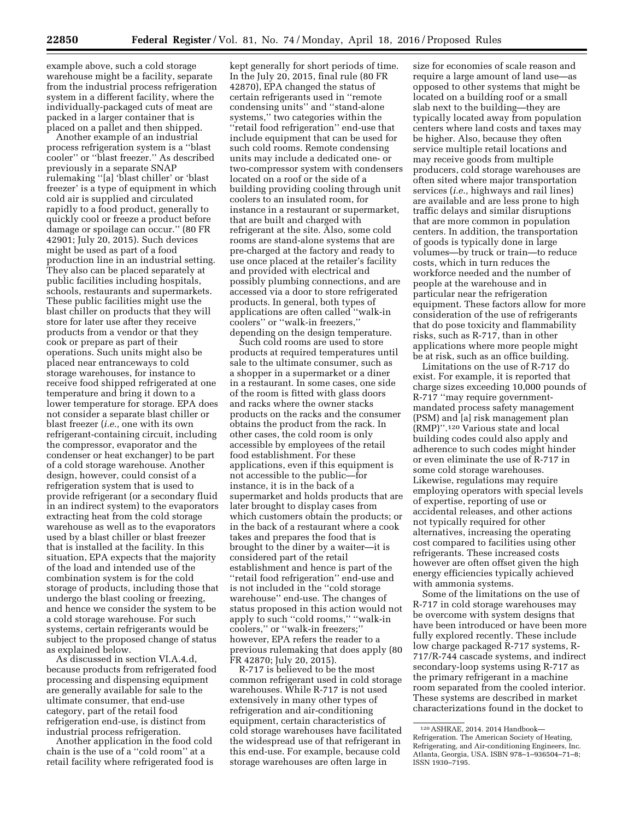example above, such a cold storage warehouse might be a facility, separate from the industrial process refrigeration system in a different facility, where the individually-packaged cuts of meat are packed in a larger container that is placed on a pallet and then shipped.

Another example of an industrial process refrigeration system is a ''blast cooler'' or ''blast freezer.'' As described previously in a separate SNAP rulemaking ''[a] 'blast chiller' or 'blast freezer' is a type of equipment in which cold air is supplied and circulated rapidly to a food product, generally to quickly cool or freeze a product before damage or spoilage can occur.'' (80 FR 42901; July 20, 2015). Such devices might be used as part of a food production line in an industrial setting. They also can be placed separately at public facilities including hospitals, schools, restaurants and supermarkets. These public facilities might use the blast chiller on products that they will store for later use after they receive products from a vendor or that they cook or prepare as part of their operations. Such units might also be placed near entranceways to cold storage warehouses, for instance to receive food shipped refrigerated at one temperature and bring it down to a lower temperature for storage. EPA does not consider a separate blast chiller or blast freezer (*i.e.,* one with its own refrigerant-containing circuit, including the compressor, evaporator and the condenser or heat exchanger) to be part of a cold storage warehouse. Another design, however, could consist of a refrigeration system that is used to provide refrigerant (or a secondary fluid in an indirect system) to the evaporators extracting heat from the cold storage warehouse as well as to the evaporators used by a blast chiller or blast freezer that is installed at the facility. In this situation, EPA expects that the majority of the load and intended use of the combination system is for the cold storage of products, including those that undergo the blast cooling or freezing, and hence we consider the system to be a cold storage warehouse. For such systems, certain refrigerants would be subject to the proposed change of status as explained below.

As discussed in section VI.A.4.d, because products from refrigerated food processing and dispensing equipment are generally available for sale to the ultimate consumer, that end-use category, part of the retail food refrigeration end-use, is distinct from industrial process refrigeration.

Another application in the food cold chain is the use of a ''cold room'' at a retail facility where refrigerated food is

kept generally for short periods of time. In the July 20, 2015, final rule (80 FR 42870), EPA changed the status of certain refrigerants used in ''remote condensing units'' and ''stand-alone systems,'' two categories within the ''retail food refrigeration'' end-use that include equipment that can be used for such cold rooms. Remote condensing units may include a dedicated one- or two-compressor system with condensers located on a roof or the side of a building providing cooling through unit coolers to an insulated room, for instance in a restaurant or supermarket, that are built and charged with refrigerant at the site. Also, some cold rooms are stand-alone systems that are pre-charged at the factory and ready to use once placed at the retailer's facility and provided with electrical and possibly plumbing connections, and are accessed via a door to store refrigerated products. In general, both types of applications are often called ''walk-in coolers'' or ''walk-in freezers,'' depending on the design temperature.

Such cold rooms are used to store products at required temperatures until sale to the ultimate consumer, such as a shopper in a supermarket or a diner in a restaurant. In some cases, one side of the room is fitted with glass doors and racks where the owner stacks products on the racks and the consumer obtains the product from the rack. In other cases, the cold room is only accessible by employees of the retail food establishment. For these applications, even if this equipment is not accessible to the public—for instance, it is in the back of a supermarket and holds products that are later brought to display cases from which customers obtain the products; or in the back of a restaurant where a cook takes and prepares the food that is brought to the diner by a waiter—it is considered part of the retail establishment and hence is part of the ''retail food refrigeration'' end-use and is not included in the ''cold storage warehouse'' end-use. The changes of status proposed in this action would not apply to such ''cold rooms,'' ''walk-in coolers,'' or ''walk-in freezers;'' however, EPA refers the reader to a previous rulemaking that does apply (80 FR 42870; July 20, 2015).

R-717 is believed to be the most common refrigerant used in cold storage warehouses. While R-717 is not used extensively in many other types of refrigeration and air-conditioning equipment, certain characteristics of cold storage warehouses have facilitated the widespread use of that refrigerant in this end-use. For example, because cold storage warehouses are often large in

size for economies of scale reason and require a large amount of land use—as opposed to other systems that might be located on a building roof or a small slab next to the building—they are typically located away from population centers where land costs and taxes may be higher. Also, because they often service multiple retail locations and may receive goods from multiple producers, cold storage warehouses are often sited where major transportation services (*i.e.,* highways and rail lines) are available and are less prone to high traffic delays and similar disruptions that are more common in population centers. In addition, the transportation of goods is typically done in large volumes—by truck or train—to reduce costs, which in turn reduces the workforce needed and the number of people at the warehouse and in particular near the refrigeration equipment. These factors allow for more consideration of the use of refrigerants that do pose toxicity and flammability risks, such as R-717, than in other applications where more people might be at risk, such as an office building.

Limitations on the use of R-717 do exist. For example, it is reported that charge sizes exceeding 10,000 pounds of R-717 ''may require governmentmandated process safety management (PSM) and [a] risk management plan (RMP)''.120 Various state and local building codes could also apply and adherence to such codes might hinder or even eliminate the use of R-717 in some cold storage warehouses. Likewise, regulations may require employing operators with special levels of expertise, reporting of use or accidental releases, and other actions not typically required for other alternatives, increasing the operating cost compared to facilities using other refrigerants. These increased costs however are often offset given the high energy efficiencies typically achieved with ammonia systems.

Some of the limitations on the use of R-717 in cold storage warehouses may be overcome with system designs that have been introduced or have been more fully explored recently. These include low charge packaged R-717 systems, R-717/R-744 cascade systems, and indirect secondary-loop systems using R-717 as the primary refrigerant in a machine room separated from the cooled interior. These systems are described in market characterizations found in the docket to

<sup>120</sup>ASHRAE, 2014. 2014 Handbook— Refrigeration. The American Society of Heating, Refrigerating, and Air-conditioning Engineers, Inc. Atlanta, Georgia, USA. ISBN 978–1–936504–71–8; ISSN 1930–7195.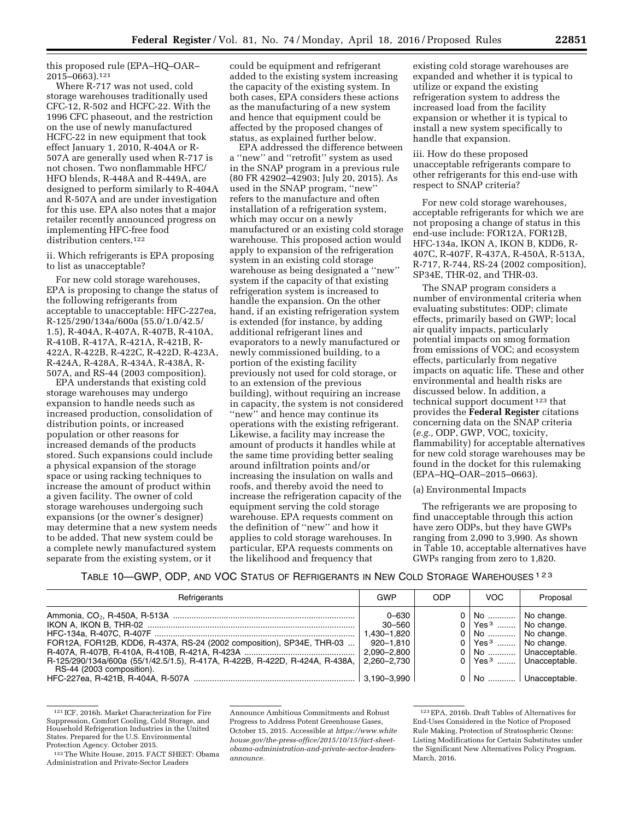this proposed rule (EPA–HQ–OAR– 2015–0663).121

Where R-717 was not used, cold storage warehouses traditionally used CFC-12, R-502 and HCFC-22. With the 1996 CFC phaseout, and the restriction on the use of newly manufactured HCFC-22 in new equipment that took effect January 1, 2010, R-404A or R-507A are generally used when R-717 is not chosen. Two nonflammable HFC/ HFO blends, R-448A and R-449A, are designed to perform similarly to R-404A and R-507A and are under investigation for this use. EPA also notes that a major retailer recently announced progress on implementing HFC-free food distribution centers.<sup>122</sup>

ii. Which refrigerants is EPA proposing to list as unacceptable?

For new cold storage warehouses, EPA is proposing to change the status of the following refrigerants from acceptable to unacceptable: HFC-227ea, R-125/290/134a/600a (55.0/1.0/42.5/ 1.5), R-404A, R-407A, R-407B, R-410A, R-410B, R-417A, R-421A, R-421B, R-422A, R-422B, R-422C, R-422D, R-423A, R-424A, R-428A, R-434A, R-438A, R-507A, and RS-44 (2003 composition).

EPA understands that existing cold storage warehouses may undergo expansion to handle needs such as increased production, consolidation of distribution points, or increased population or other reasons for increased demands of the products stored. Such expansions could include a physical expansion of the storage space or using racking techniques to increase the amount of product within a given facility. The owner of cold storage warehouses undergoing such expansions (or the owner's designer) may determine that a new system needs to be added. That new system could be a complete newly manufactured system separate from the existing system, or it

could be equipment and refrigerant added to the existing system increasing the capacity of the existing system. In both cases, EPA considers these actions as the manufacturing of a new system and hence that equipment could be affected by the proposed changes of status, as explained further below.

EPA addressed the difference between a ''new'' and ''retrofit'' system as used in the SNAP program in a previous rule (80 FR 42902–42903; July 20, 2015). As used in the SNAP program, ''new'' refers to the manufacture and often installation of a refrigeration system, which may occur on a newly manufactured or an existing cold storage warehouse. This proposed action would apply to expansion of the refrigeration system in an existing cold storage warehouse as being designated a ''new'' system if the capacity of that existing refrigeration system is increased to handle the expansion. On the other hand, if an existing refrigeration system is extended (for instance, by adding additional refrigerant lines and evaporators to a newly manufactured or newly commissioned building, to a portion of the existing facility previously not used for cold storage, or to an extension of the previous building), without requiring an increase in capacity, the system is not considered "new" and hence may continue its operations with the existing refrigerant. Likewise, a facility may increase the amount of products it handles while at the same time providing better sealing around infiltration points and/or increasing the insulation on walls and roofs, and thereby avoid the need to increase the refrigeration capacity of the equipment serving the cold storage warehouse. EPA requests comment on the definition of ''new'' and how it applies to cold storage warehouses. In particular, EPA requests comments on the likelihood and frequency that

existing cold storage warehouses are expanded and whether it is typical to utilize or expand the existing refrigeration system to address the increased load from the facility expansion or whether it is typical to install a new system specifically to handle that expansion.

iii. How do these proposed unacceptable refrigerants compare to other refrigerants for this end-use with respect to SNAP criteria?

For new cold storage warehouses, acceptable refrigerants for which we are not proposing a change of status in this end-use include: FOR12A, FOR12B, HFC-134a, IKON A, IKON B, KDD6, R-407C, R-407F, R-437A, R-450A, R-513A, R-717, R-744, RS-24 (2002 composition), SP34E, THR-02, and THR-03.

The SNAP program considers a number of environmental criteria when evaluating substitutes: ODP; climate effects, primarily based on GWP; local air quality impacts, particularly potential impacts on smog formation from emissions of VOC; and ecosystem effects, particularly from negative impacts on aquatic life. These and other environmental and health risks are discussed below. In addition, a technical support document 123 that provides the **Federal Register** citations concerning data on the SNAP criteria (*e.g.,* ODP, GWP, VOC, toxicity, flammability) for acceptable alternatives for new cold storage warehouses may be found in the docket for this rulemaking (EPA–HQ–OAR–2015–0663).

### (a) Environmental Impacts

The refrigerants we are proposing to find unacceptable through this action have zero ODPs, but they have GWPs ranging from 2,090 to 3,990. As shown in Table 10, acceptable alternatives have GWPs ranging from zero to 1,820.

TABLE 10—GWP, ODP, AND VOC STATUS OF REFRIGERANTS IN NEW COLD STORAGE WAREHOUSES 123

| Refrigerants                                                                                                                                                                       | GWP                                                                       | ODP | VOC.                                                                                                                                     | Proposal                                                                                     |
|------------------------------------------------------------------------------------------------------------------------------------------------------------------------------------|---------------------------------------------------------------------------|-----|------------------------------------------------------------------------------------------------------------------------------------------|----------------------------------------------------------------------------------------------|
| FOR12A, FOR12B, KDD6, R-437A, RS-24 (2002 composition), SP34E, THR-03<br>R-125/290/134a/600a (55/1/42.5/1.5), R-417A, R-422B, R-422D, R-424A, R-438A,<br>RS-44 (2003 composition). | 0-630<br>30–560<br>1.430–1.820<br>920-1.810<br>2.090-2.800<br>2,260–2,730 |     | 0   No    No change.<br>$0 \mid \text{Yes}^3 \dots \mid \text{No chance}$<br>0   No    No change.<br>$0$   Yes <sup>3</sup>   No change. | 0   No    Unacceptable.<br>$0$   Yes <sup>3</sup>   Unacceptable.<br>0   No    Unacceptable. |

<sup>121</sup> ICF, 2016h. Market Characterization for Fire Suppression, Comfort Cooling, Cold Storage, and Household Refrigeration Industries in the United States. Prepared for the U.S. Environmental Protection Agency. October 2015.

<sup>122</sup>The White House, 2015. FACT SHEET: Obama Administration and Private-Sector Leaders

Announce Ambitious Commitments and Robust Progress to Address Potent Greenhouse Gases, October 15, 2015. Accessible at *[https://www.white](https://www.whitehouse.gov/the-press-office/2015/10/15/fact-sheet-obama-administration-and-private-sector-leaders-announce) [house.gov/the-press-office/2015/10/15/fact-sheet](https://www.whitehouse.gov/the-press-office/2015/10/15/fact-sheet-obama-administration-and-private-sector-leaders-announce)[obama-administration-and-private-sector-leaders](https://www.whitehouse.gov/the-press-office/2015/10/15/fact-sheet-obama-administration-and-private-sector-leaders-announce)[announce.](https://www.whitehouse.gov/the-press-office/2015/10/15/fact-sheet-obama-administration-and-private-sector-leaders-announce)* 

<sup>123</sup>EPA, 2016b. Draft Tables of Alternatives for End-Uses Considered in the Notice of Proposed Rule Making, Protection of Stratospheric Ozone: Listing Modifications for Certain Substitutes under the Significant New Alternatives Policy Program. March, 2016.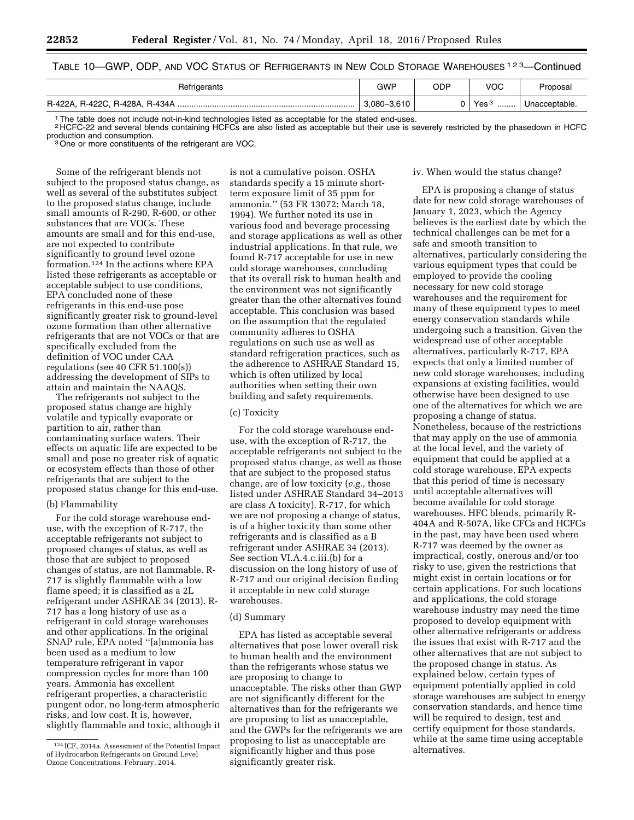# TABLE 10—GWP, ODP, AND VOC STATUS OF REFRIGERANTS IN NEW COLD STORAGE WAREHOUSES 123—Continued

| Refrigerants                                                                                     | GWP         | ODP | VOC                  | Proposal      |  |
|--------------------------------------------------------------------------------------------------|-------------|-----|----------------------|---------------|--|
|                                                                                                  | 3.080-3.610 |     | Yes <sup>3</sup><br> | Unacceptable. |  |
| The table does not include not-in-kind technologies listed as acceptable for the stated end-uses |             |     |                      |               |  |

1The table does not include not-in-kind technologies listed as acceptable for the stated end-uses.

2 HCFC-22 and several blends containing HCFCs are also listed as acceptable but their use is severely restricted by the phasedown in HCFC production and consumption.<br><sup>3</sup>One or more constituents of the refrigerant are VOC.

Some of the refrigerant blends not subject to the proposed status change, as well as several of the substitutes subject to the proposed status change, include small amounts of R-290, R-600, or other substances that are VOCs. These amounts are small and for this end-use, are not expected to contribute significantly to ground level ozone formation.124 In the actions where EPA listed these refrigerants as acceptable or acceptable subject to use conditions, EPA concluded none of these refrigerants in this end-use pose significantly greater risk to ground-level ozone formation than other alternative refrigerants that are not VOCs or that are specifically excluded from the definition of VOC under CAA regulations (see 40 CFR 51.100(s)) addressing the development of SIPs to attain and maintain the NAAQS.

The refrigerants not subject to the proposed status change are highly volatile and typically evaporate or partition to air, rather than contaminating surface waters. Their effects on aquatic life are expected to be small and pose no greater risk of aquatic or ecosystem effects than those of other refrigerants that are subject to the proposed status change for this end-use.

## (b) Flammability

For the cold storage warehouse enduse, with the exception of R-717, the acceptable refrigerants not subject to proposed changes of status, as well as those that are subject to proposed changes of status, are not flammable. R-717 is slightly flammable with a low flame speed; it is classified as a 2L refrigerant under ASHRAE 34 (2013). R-717 has a long history of use as a refrigerant in cold storage warehouses and other applications. In the original SNAP rule, EPA noted ''[a]mmonia has been used as a medium to low temperature refrigerant in vapor compression cycles for more than 100 years. Ammonia has excellent refrigerant properties, a characteristic pungent odor, no long-term atmospheric risks, and low cost. It is, however, slightly flammable and toxic, although it

is not a cumulative poison. OSHA standards specify a 15 minute shortterm exposure limit of 35 ppm for ammonia.'' (53 FR 13072; March 18, 1994). We further noted its use in various food and beverage processing and storage applications as well as other industrial applications. In that rule, we found R-717 acceptable for use in new cold storage warehouses, concluding that its overall risk to human health and the environment was not significantly greater than the other alternatives found acceptable. This conclusion was based on the assumption that the regulated community adheres to OSHA regulations on such use as well as standard refrigeration practices, such as the adherence to ASHRAE Standard 15, which is often utilized by local authorities when setting their own building and safety requirements.

### (c) Toxicity

For the cold storage warehouse enduse, with the exception of R-717, the acceptable refrigerants not subject to the proposed status change, as well as those that are subject to the proposed status change, are of low toxicity (*e.g.,* those listed under ASHRAE Standard 34–2013 are class A toxicity). R-717, for which we are not proposing a change of status, is of a higher toxicity than some other refrigerants and is classified as a B refrigerant under ASHRAE 34 (2013). See section VI.A.4.c.iii.(b) for a discussion on the long history of use of R-717 and our original decision finding it acceptable in new cold storage warehouses.

# (d) Summary

EPA has listed as acceptable several alternatives that pose lower overall risk to human health and the environment than the refrigerants whose status we are proposing to change to unacceptable. The risks other than GWP are not significantly different for the alternatives than for the refrigerants we are proposing to list as unacceptable, and the GWPs for the refrigerants we are proposing to list as unacceptable are significantly higher and thus pose significantly greater risk.

#### iv. When would the status change?

EPA is proposing a change of status date for new cold storage warehouses of January 1, 2023, which the Agency believes is the earliest date by which the technical challenges can be met for a safe and smooth transition to alternatives, particularly considering the various equipment types that could be employed to provide the cooling necessary for new cold storage warehouses and the requirement for many of these equipment types to meet energy conservation standards while undergoing such a transition. Given the widespread use of other acceptable alternatives, particularly R-717, EPA expects that only a limited number of new cold storage warehouses, including expansions at existing facilities, would otherwise have been designed to use one of the alternatives for which we are proposing a change of status. Nonetheless, because of the restrictions that may apply on the use of ammonia at the local level, and the variety of equipment that could be applied at a cold storage warehouse, EPA expects that this period of time is necessary until acceptable alternatives will become available for cold storage warehouses. HFC blends, primarily R-404A and R-507A, like CFCs and HCFCs in the past, may have been used where R-717 was deemed by the owner as impractical, costly, onerous and/or too risky to use, given the restrictions that might exist in certain locations or for certain applications. For such locations and applications, the cold storage warehouse industry may need the time proposed to develop equipment with other alternative refrigerants or address the issues that exist with R-717 and the other alternatives that are not subject to the proposed change in status. As explained below, certain types of equipment potentially applied in cold storage warehouses are subject to energy conservation standards, and hence time will be required to design, test and certify equipment for those standards, while at the same time using acceptable alternatives.

<sup>124</sup> ICF, 2014a. Assessment of the Potential Impact of Hydrocarbon Refrigerants on Ground Level Ozone Concentrations. February, 2014.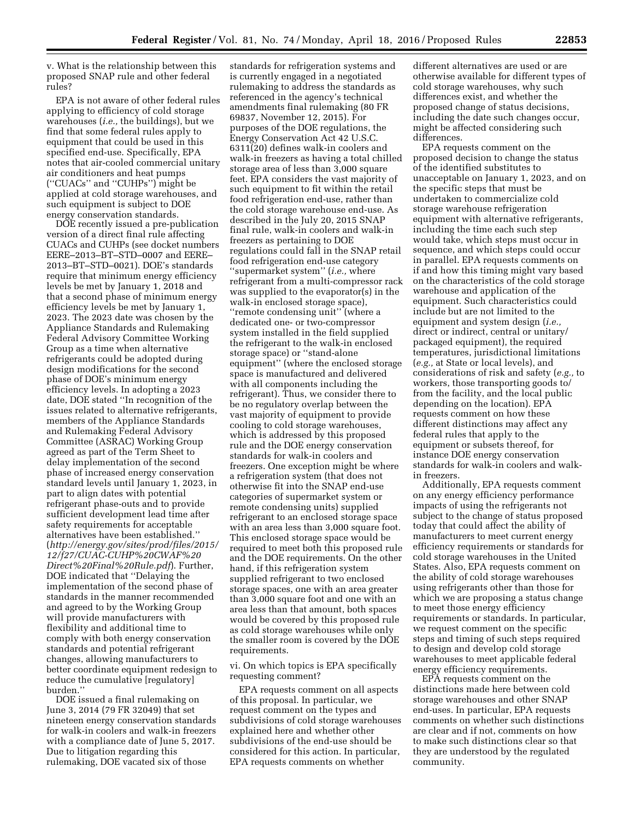v. What is the relationship between this proposed SNAP rule and other federal rules?

EPA is not aware of other federal rules applying to efficiency of cold storage warehouses (*i.e.,* the buildings), but we find that some federal rules apply to equipment that could be used in this specified end-use. Specifically, EPA notes that air-cooled commercial unitary air conditioners and heat pumps (''CUACs'' and ''CUHPs'') might be applied at cold storage warehouses, and such equipment is subject to DOE energy conservation standards.

DOE recently issued a pre-publication version of a direct final rule affecting CUACs and CUHPs (see docket numbers EERE–2013–BT–STD–0007 and EERE– 2013–BT–STD–0021). DOE's standards require that minimum energy efficiency levels be met by January 1, 2018 and that a second phase of minimum energy efficiency levels be met by January 1, 2023. The 2023 date was chosen by the Appliance Standards and Rulemaking Federal Advisory Committee Working Group as a time when alternative refrigerants could be adopted during design modifications for the second phase of DOE's minimum energy efficiency levels. In adopting a 2023 date, DOE stated ''In recognition of the issues related to alternative refrigerants, members of the Appliance Standards and Rulemaking Federal Advisory Committee (ASRAC) Working Group agreed as part of the Term Sheet to delay implementation of the second phase of increased energy conservation standard levels until January 1, 2023, in part to align dates with potential refrigerant phase-outs and to provide sufficient development lead time after safety requirements for acceptable alternatives have been established.'' (*[http://energy.gov/sites/prod/files/2015/](http://energy.gov/sites/prod/files/2015/12/f27/CUAC-CUHP%20CWAF%20Direct%20Final%20Rule.pdf) [12/f27/CUAC-CUHP%20CWAF%20](http://energy.gov/sites/prod/files/2015/12/f27/CUAC-CUHP%20CWAF%20Direct%20Final%20Rule.pdf) [Direct%20Final%20Rule.pdf](http://energy.gov/sites/prod/files/2015/12/f27/CUAC-CUHP%20CWAF%20Direct%20Final%20Rule.pdf)*). Further, DOE indicated that ''Delaying the implementation of the second phase of standards in the manner recommended and agreed to by the Working Group will provide manufacturers with flexibility and additional time to comply with both energy conservation standards and potential refrigerant changes, allowing manufacturers to better coordinate equipment redesign to reduce the cumulative [regulatory] burden.''

DOE issued a final rulemaking on June 3, 2014 (79 FR 32049) that set nineteen energy conservation standards for walk-in coolers and walk-in freezers with a compliance date of June 5, 2017. Due to litigation regarding this rulemaking, DOE vacated six of those

standards for refrigeration systems and is currently engaged in a negotiated rulemaking to address the standards as referenced in the agency's technical amendments final rulemaking (80 FR 69837, November 12, 2015). For purposes of the DOE regulations, the Energy Conservation Act 42 U.S.C. 6311(20) defines walk-in coolers and walk-in freezers as having a total chilled storage area of less than 3,000 square feet. EPA considers the vast majority of such equipment to fit within the retail food refrigeration end-use, rather than the cold storage warehouse end-use. As described in the July 20, 2015 SNAP final rule, walk-in coolers and walk-in freezers as pertaining to DOE regulations could fall in the SNAP retail food refrigeration end-use category ''supermarket system'' (*i.e.,* where refrigerant from a multi-compressor rack was supplied to the evaporator(s) in the walk-in enclosed storage space), ''remote condensing unit'' (where a dedicated one- or two-compressor system installed in the field supplied the refrigerant to the walk-in enclosed storage space) or ''stand-alone equipment'' (where the enclosed storage space is manufactured and delivered with all components including the refrigerant). Thus, we consider there to be no regulatory overlap between the vast majority of equipment to provide cooling to cold storage warehouses, which is addressed by this proposed rule and the DOE energy conservation standards for walk-in coolers and freezers. One exception might be where a refrigeration system (that does not otherwise fit into the SNAP end-use categories of supermarket system or remote condensing units) supplied refrigerant to an enclosed storage space with an area less than 3,000 square foot. This enclosed storage space would be required to meet both this proposed rule and the DOE requirements. On the other hand, if this refrigeration system supplied refrigerant to two enclosed storage spaces, one with an area greater than 3,000 square foot and one with an area less than that amount, both spaces would be covered by this proposed rule as cold storage warehouses while only the smaller room is covered by the DOE requirements.

vi. On which topics is EPA specifically requesting comment?

EPA requests comment on all aspects of this proposal. In particular, we request comment on the types and subdivisions of cold storage warehouses explained here and whether other subdivisions of the end-use should be considered for this action. In particular, EPA requests comments on whether

different alternatives are used or are otherwise available for different types of cold storage warehouses, why such differences exist, and whether the proposed change of status decisions, including the date such changes occur, might be affected considering such differences.

EPA requests comment on the proposed decision to change the status of the identified substitutes to unacceptable on January 1, 2023, and on the specific steps that must be undertaken to commercialize cold storage warehouse refrigeration equipment with alternative refrigerants, including the time each such step would take, which steps must occur in sequence, and which steps could occur in parallel. EPA requests comments on if and how this timing might vary based on the characteristics of the cold storage warehouse and application of the equipment. Such characteristics could include but are not limited to the equipment and system design (*i.e.,*  direct or indirect, central or unitary/ packaged equipment), the required temperatures, jurisdictional limitations (*e.g.,* at State or local levels), and considerations of risk and safety (*e.g.,* to workers, those transporting goods to/ from the facility, and the local public depending on the location). EPA requests comment on how these different distinctions may affect any federal rules that apply to the equipment or subsets thereof, for instance DOE energy conservation standards for walk-in coolers and walkin freezers.

Additionally, EPA requests comment on any energy efficiency performance impacts of using the refrigerants not subject to the change of status proposed today that could affect the ability of manufacturers to meet current energy efficiency requirements or standards for cold storage warehouses in the United States. Also, EPA requests comment on the ability of cold storage warehouses using refrigerants other than those for which we are proposing a status change to meet those energy efficiency requirements or standards. In particular, we request comment on the specific steps and timing of such steps required to design and develop cold storage warehouses to meet applicable federal energy efficiency requirements.

EPA requests comment on the distinctions made here between cold storage warehouses and other SNAP end-uses. In particular, EPA requests comments on whether such distinctions are clear and if not, comments on how to make such distinctions clear so that they are understood by the regulated community.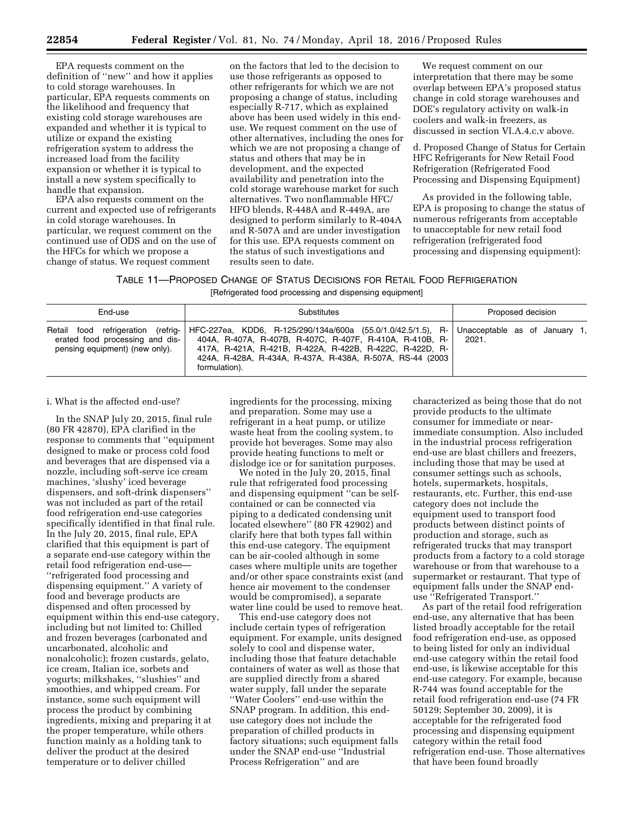EPA requests comment on the definition of ''new'' and how it applies to cold storage warehouses. In particular, EPA requests comments on the likelihood and frequency that existing cold storage warehouses are expanded and whether it is typical to utilize or expand the existing refrigeration system to address the increased load from the facility expansion or whether it is typical to install a new system specifically to handle that expansion.

EPA also requests comment on the current and expected use of refrigerants in cold storage warehouses. In particular, we request comment on the continued use of ODS and on the use of the HFCs for which we propose a change of status. We request comment

on the factors that led to the decision to use those refrigerants as opposed to other refrigerants for which we are not proposing a change of status, including especially R-717, which as explained above has been used widely in this enduse. We request comment on the use of other alternatives, including the ones for which we are not proposing a change of status and others that may be in development, and the expected availability and penetration into the cold storage warehouse market for such alternatives. Two nonflammable HFC/ HFO blends, R-448A and R-449A, are designed to perform similarly to R-404A and R-507A and are under investigation for this use. EPA requests comment on the status of such investigations and results seen to date.

We request comment on our interpretation that there may be some overlap between EPA's proposed status change in cold storage warehouses and DOE's regulatory activity on walk-in coolers and walk-in freezers, as discussed in section VI.A.4.c.v above.

d. Proposed Change of Status for Certain HFC Refrigerants for New Retail Food Refrigeration (Refrigerated Food Processing and Dispensing Equipment)

As provided in the following table, EPA is proposing to change the status of numerous refrigerants from acceptable to unacceptable for new retail food refrigeration (refrigerated food processing and dispensing equipment):

| TABLE 11—PROPOSED CHANGE OF STATUS DECISIONS FOR RETAIL FOOD REFRIGERATION |  |  |  |  |
|----------------------------------------------------------------------------|--|--|--|--|
|----------------------------------------------------------------------------|--|--|--|--|

[Refrigerated food processing and dispensing equipment]

| End-use                                                                                                 | Proposed decision                                                                                                                                                                                                                                                   |                                        |
|---------------------------------------------------------------------------------------------------------|---------------------------------------------------------------------------------------------------------------------------------------------------------------------------------------------------------------------------------------------------------------------|----------------------------------------|
| Retail food refrigeration (refrig-<br>erated food processing and dis-<br>pensing equipment) (new only). | HFC-227ea, KDD6, R-125/290/134a/600a (55.0/1.0/42.5/1.5), R-<br>404A, R-407A, R-407B, R-407C, R-407F, R-410A, R-410B, R-<br>417A, R-421A, R-421B, R-422A, R-422B, R-422C, R-422D, R-<br>424A, R-428A, R-434A, R-437A, R-438A, R-507A, RS-44 (2003)<br>formulation). | Unacceptable as of January 1,<br>2021. |

i. What is the affected end-use?

In the SNAP July 20, 2015, final rule (80 FR 42870), EPA clarified in the response to comments that ''equipment designed to make or process cold food and beverages that are dispensed via a nozzle, including soft-serve ice cream machines, 'slushy' iced beverage dispensers, and soft-drink dispensers'' was not included as part of the retail food refrigeration end-use categories specifically identified in that final rule. In the July 20, 2015, final rule, EPA clarified that this equipment is part of a separate end-use category within the retail food refrigeration end-use— ''refrigerated food processing and dispensing equipment.'' A variety of food and beverage products are dispensed and often processed by equipment within this end-use category, including but not limited to: Chilled and frozen beverages (carbonated and uncarbonated, alcoholic and nonalcoholic); frozen custards, gelato, ice cream, Italian ice, sorbets and yogurts; milkshakes, ''slushies'' and smoothies, and whipped cream. For instance, some such equipment will process the product by combining ingredients, mixing and preparing it at the proper temperature, while others function mainly as a holding tank to deliver the product at the desired temperature or to deliver chilled

ingredients for the processing, mixing and preparation. Some may use a refrigerant in a heat pump, or utilize waste heat from the cooling system, to provide hot beverages. Some may also provide heating functions to melt or dislodge ice or for sanitation purposes.

We noted in the July 20, 2015, final rule that refrigerated food processing and dispensing equipment ''can be selfcontained or can be connected via piping to a dedicated condensing unit located elsewhere'' (80 FR 42902) and clarify here that both types fall within this end-use category. The equipment can be air-cooled although in some cases where multiple units are together and/or other space constraints exist (and hence air movement to the condenser would be compromised), a separate water line could be used to remove heat.

This end-use category does not include certain types of refrigeration equipment. For example, units designed solely to cool and dispense water, including those that feature detachable containers of water as well as those that are supplied directly from a shared water supply, fall under the separate ''Water Coolers'' end-use within the SNAP program. In addition, this enduse category does not include the preparation of chilled products in factory situations; such equipment falls under the SNAP end-use ''Industrial Process Refrigeration'' and are

characterized as being those that do not provide products to the ultimate consumer for immediate or nearimmediate consumption. Also included in the industrial process refrigeration end-use are blast chillers and freezers, including those that may be used at consumer settings such as schools, hotels, supermarkets, hospitals, restaurants, etc. Further, this end-use category does not include the equipment used to transport food products between distinct points of production and storage, such as refrigerated trucks that may transport products from a factory to a cold storage warehouse or from that warehouse to a supermarket or restaurant. That type of equipment falls under the SNAP enduse ''Refrigerated Transport.''

As part of the retail food refrigeration end-use, any alternative that has been listed broadly acceptable for the retail food refrigeration end-use, as opposed to being listed for only an individual end-use category within the retail food end-use, is likewise acceptable for this end-use category. For example, because R-744 was found acceptable for the retail food refrigeration end-use (74 FR 50129; September 30, 2009), it is acceptable for the refrigerated food processing and dispensing equipment category within the retail food refrigeration end-use. Those alternatives that have been found broadly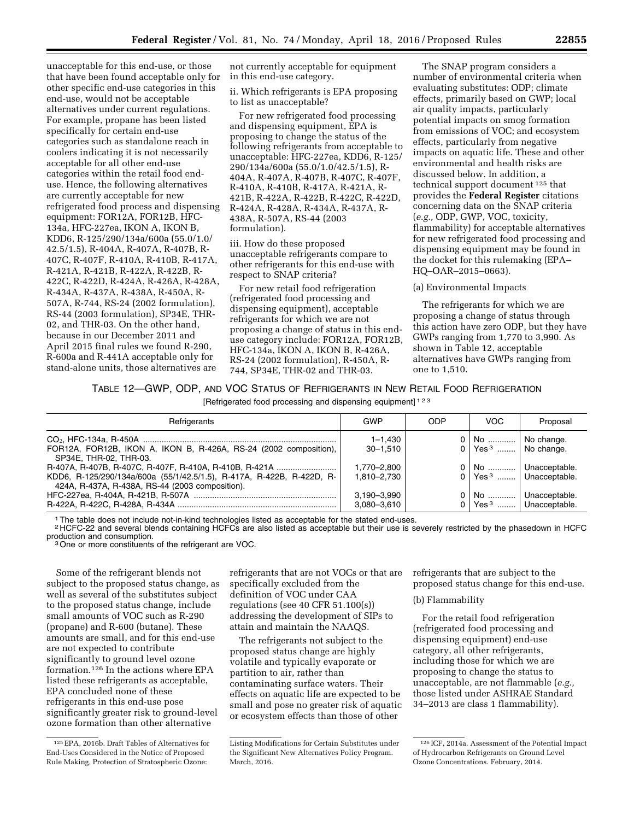not currently acceptable for equipment

in this end-use category.

unacceptable for this end-use, or those that have been found acceptable only for other specific end-use categories in this end-use, would not be acceptable alternatives under current regulations. For example, propane has been listed specifically for certain end-use categories such as standalone reach in coolers indicating it is not necessarily acceptable for all other end-use categories within the retail food enduse. Hence, the following alternatives are currently acceptable for new refrigerated food process and dispensing equipment: FOR12A, FOR12B, HFC-134a, HFC-227ea, IKON A, IKON B, KDD6, R-125/290/134a/600a (55.0/1.0/ 42.5/1.5), R-404A, R-407A, R-407B, R-407C, R-407F, R-410A, R-410B, R-417A, R-421A, R-421B, R-422A, R-422B, R-422C, R-422D, R-424A, R-426A, R-428A, R-434A, R-437A, R-438A, R-450A, R-507A, R-744, RS-24 (2002 formulation), RS-44 (2003 formulation), SP34E, THR-02, and THR-03. On the other hand, because in our December 2011 and April 2015 final rules we found R-290, R-600a and R-441A acceptable only for stand-alone units, those alternatives are

ii. Which refrigerants is EPA proposing to list as unacceptable? For new refrigerated food processing and dispensing equipment, EPA is proposing to change the status of the following refrigerants from acceptable to unacceptable: HFC-227ea, KDD6, R-125/ 290/134a/600a (55.0/1.0/42.5/1.5), R-404A, R-407A, R-407B, R-407C, R-407F, R-410A, R-410B, R-417A, R-421A, R-421B, R-422A, R-422B, R-422C, R-422D, R-424A, R-428A, R-434A, R-437A, R-

iii. How do these proposed unacceptable refrigerants compare to other refrigerants for this end-use with respect to SNAP criteria?

438A, R-507A, RS-44 (2003

formulation).

For new retail food refrigeration (refrigerated food processing and dispensing equipment), acceptable refrigerants for which we are not proposing a change of status in this enduse category include: FOR12A, FOR12B, HFC-134a, IKON A, IKON B, R-426A, RS-24 (2002 formulation), R-450A, R-744, SP34E, THR-02 and THR-03.

The SNAP program considers a number of environmental criteria when evaluating substitutes: ODP; climate effects, primarily based on GWP; local air quality impacts, particularly potential impacts on smog formation from emissions of VOC; and ecosystem effects, particularly from negative impacts on aquatic life. These and other environmental and health risks are discussed below. In addition, a technical support document 125 that provides the **Federal Register** citations concerning data on the SNAP criteria (*e.g.,* ODP, GWP, VOC, toxicity, flammability) for acceptable alternatives for new refrigerated food processing and dispensing equipment may be found in the docket for this rulemaking (EPA– HQ–OAR–2015–0663).

## (a) Environmental Impacts

The refrigerants for which we are proposing a change of status through this action have zero ODP, but they have GWPs ranging from 1,770 to 3,990. As shown in Table 12, acceptable alternatives have GWPs ranging from one to 1,510.

# TABLE 12—GWP, ODP, AND VOC STATUS OF REFRIGERANTS IN NEW RETAIL FOOD REFRIGERATION

[Refrigerated food processing and dispensing equipment] 123

| Refrigerants                                                                                                                                                                       | GWP                         | <b>ODP</b> | <b>VOC</b>                                              | Proposal                                                      |
|------------------------------------------------------------------------------------------------------------------------------------------------------------------------------------|-----------------------------|------------|---------------------------------------------------------|---------------------------------------------------------------|
| FOR12A, FOR12B, IKON A, IKON B, R-426A, RS-24 (2002 composition),<br>SP34E. THR-02. THR-03.                                                                                        | $1 - 1.430$<br>$30 - 1.510$ |            | 0   No    No change.<br>$0$ Yes <sup>3</sup> No change. |                                                               |
| R-407A, R-407B, R-407C, R-407F, R-410A, R-410B, R-421A<br>KDD6, R-125/290/134a/600a (55/1/42.5/1.5), R-417A, R-422B, R-422D, R-<br>424A, R-437A, R-438A, RS-44 (2003 composition). | 1.770-2.800<br>1.810-2.730  |            |                                                         | 0   No    Unacceptable.<br>0 Yes <sup>3</sup> Unacceptable.   |
|                                                                                                                                                                                    | 3.190-3.990<br>3,080-3,610  |            |                                                         | No    Unacceptable.<br>$\vert$ Yes <sup>3</sup> Unacceptable. |

1The table does not include not-in-kind technologies listed as acceptable for the stated end-uses.

<sup>2</sup> HCFC-22 and several blends containing HCFCs are also listed as acceptable but their use is severely restricted by the phasedown in HCFC production and consumption.

<sup>3</sup> One or more constituents of the refrigerant are VOC.

Some of the refrigerant blends not subject to the proposed status change, as well as several of the substitutes subject to the proposed status change, include small amounts of VOC such as R-290 (propane) and R-600 (butane). These amounts are small, and for this end-use are not expected to contribute significantly to ground level ozone formation.126 In the actions where EPA listed these refrigerants as acceptable, EPA concluded none of these refrigerants in this end-use pose significantly greater risk to ground-level ozone formation than other alternative

refrigerants that are not VOCs or that are specifically excluded from the definition of VOC under CAA regulations (see 40 CFR 51.100(s)) addressing the development of SIPs to attain and maintain the NAAQS.

The refrigerants not subject to the proposed status change are highly volatile and typically evaporate or partition to air, rather than contaminating surface waters. Their effects on aquatic life are expected to be small and pose no greater risk of aquatic or ecosystem effects than those of other

refrigerants that are subject to the proposed status change for this end-use.

## (b) Flammability

For the retail food refrigeration (refrigerated food processing and dispensing equipment) end-use category, all other refrigerants, including those for which we are proposing to change the status to unacceptable, are not flammable (*e.g.,*  those listed under ASHRAE Standard 34–2013 are class 1 flammability).

<sup>125</sup>EPA, 2016b. Draft Tables of Alternatives for End-Uses Considered in the Notice of Proposed Rule Making, Protection of Stratospheric Ozone:

Listing Modifications for Certain Substitutes under the Significant New Alternatives Policy Program. March, 2016.

<sup>126</sup> ICF, 2014a. Assessment of the Potential Impact of Hydrocarbon Refrigerants on Ground Level Ozone Concentrations. February, 2014.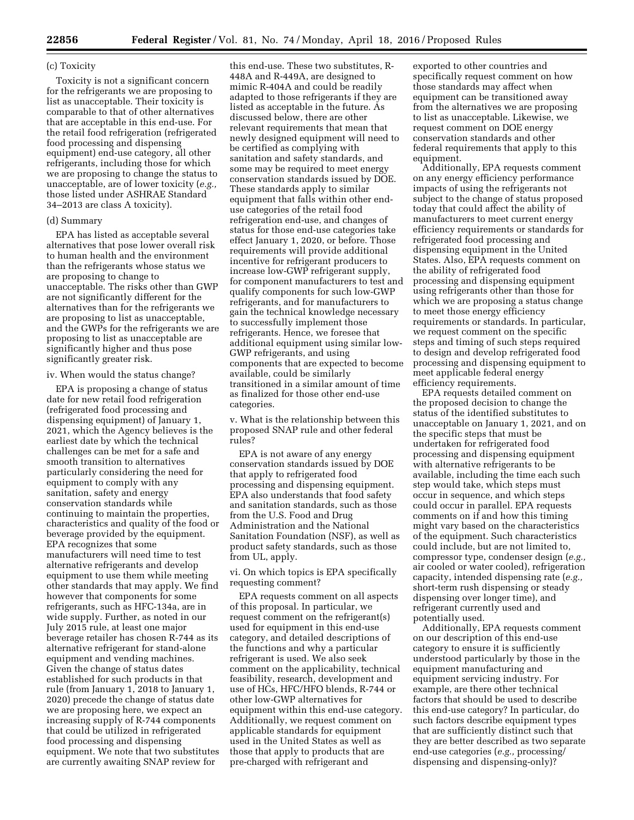## (c) Toxicity

Toxicity is not a significant concern for the refrigerants we are proposing to list as unacceptable. Their toxicity is comparable to that of other alternatives that are acceptable in this end-use. For the retail food refrigeration (refrigerated food processing and dispensing equipment) end-use category, all other refrigerants, including those for which we are proposing to change the status to unacceptable, are of lower toxicity (*e.g.,*  those listed under ASHRAE Standard 34–2013 are class A toxicity).

## (d) Summary

EPA has listed as acceptable several alternatives that pose lower overall risk to human health and the environment than the refrigerants whose status we are proposing to change to unacceptable. The risks other than GWP are not significantly different for the alternatives than for the refrigerants we are proposing to list as unacceptable, and the GWPs for the refrigerants we are proposing to list as unacceptable are significantly higher and thus pose significantly greater risk.

## iv. When would the status change?

EPA is proposing a change of status date for new retail food refrigeration (refrigerated food processing and dispensing equipment) of January 1, 2021, which the Agency believes is the earliest date by which the technical challenges can be met for a safe and smooth transition to alternatives particularly considering the need for equipment to comply with any sanitation, safety and energy conservation standards while continuing to maintain the properties, characteristics and quality of the food or beverage provided by the equipment. EPA recognizes that some manufacturers will need time to test alternative refrigerants and develop equipment to use them while meeting other standards that may apply. We find however that components for some refrigerants, such as HFC-134a, are in wide supply. Further, as noted in our July 2015 rule, at least one major beverage retailer has chosen R-744 as its alternative refrigerant for stand-alone equipment and vending machines. Given the change of status dates established for such products in that rule (from January 1, 2018 to January 1, 2020) precede the change of status date we are proposing here, we expect an increasing supply of R-744 components that could be utilized in refrigerated food processing and dispensing equipment. We note that two substitutes are currently awaiting SNAP review for

this end-use. These two substitutes, R-448A and R-449A, are designed to mimic R-404A and could be readily adapted to those refrigerants if they are listed as acceptable in the future. As discussed below, there are other relevant requirements that mean that newly designed equipment will need to be certified as complying with sanitation and safety standards, and some may be required to meet energy conservation standards issued by DOE. These standards apply to similar equipment that falls within other enduse categories of the retail food refrigeration end-use, and changes of status for those end-use categories take effect January 1, 2020, or before. Those requirements will provide additional incentive for refrigerant producers to increase low-GWP refrigerant supply, for component manufacturers to test and qualify components for such low-GWP refrigerants, and for manufacturers to gain the technical knowledge necessary to successfully implement those refrigerants. Hence, we foresee that additional equipment using similar low-GWP refrigerants, and using components that are expected to become available, could be similarly transitioned in a similar amount of time as finalized for those other end-use categories.

v. What is the relationship between this proposed SNAP rule and other federal rules?

EPA is not aware of any energy conservation standards issued by DOE that apply to refrigerated food processing and dispensing equipment. EPA also understands that food safety and sanitation standards, such as those from the U.S. Food and Drug Administration and the National Sanitation Foundation (NSF), as well as product safety standards, such as those from UL, apply.

vi. On which topics is EPA specifically requesting comment?

EPA requests comment on all aspects of this proposal. In particular, we request comment on the refrigerant(s) used for equipment in this end-use category, and detailed descriptions of the functions and why a particular refrigerant is used. We also seek comment on the applicability, technical feasibility, research, development and use of HCs, HFC/HFO blends, R-744 or other low-GWP alternatives for equipment within this end-use category. Additionally, we request comment on applicable standards for equipment used in the United States as well as those that apply to products that are pre-charged with refrigerant and

exported to other countries and specifically request comment on how those standards may affect when equipment can be transitioned away from the alternatives we are proposing to list as unacceptable. Likewise, we request comment on DOE energy conservation standards and other federal requirements that apply to this equipment.

Additionally, EPA requests comment on any energy efficiency performance impacts of using the refrigerants not subject to the change of status proposed today that could affect the ability of manufacturers to meet current energy efficiency requirements or standards for refrigerated food processing and dispensing equipment in the United States. Also, EPA requests comment on the ability of refrigerated food processing and dispensing equipment using refrigerants other than those for which we are proposing a status change to meet those energy efficiency requirements or standards. In particular, we request comment on the specific steps and timing of such steps required to design and develop refrigerated food processing and dispensing equipment to meet applicable federal energy efficiency requirements.

EPA requests detailed comment on the proposed decision to change the status of the identified substitutes to unacceptable on January 1, 2021, and on the specific steps that must be undertaken for refrigerated food processing and dispensing equipment with alternative refrigerants to be available, including the time each such step would take, which steps must occur in sequence, and which steps could occur in parallel. EPA requests comments on if and how this timing might vary based on the characteristics of the equipment. Such characteristics could include, but are not limited to, compressor type, condenser design (*e.g.,*  air cooled or water cooled), refrigeration capacity, intended dispensing rate (*e.g.,*  short-term rush dispensing or steady dispensing over longer time), and refrigerant currently used and potentially used.

Additionally, EPA requests comment on our description of this end-use category to ensure it is sufficiently understood particularly by those in the equipment manufacturing and equipment servicing industry. For example, are there other technical factors that should be used to describe this end-use category? In particular, do such factors describe equipment types that are sufficiently distinct such that they are better described as two separate end-use categories (*e.g.,* processing/ dispensing and dispensing-only)?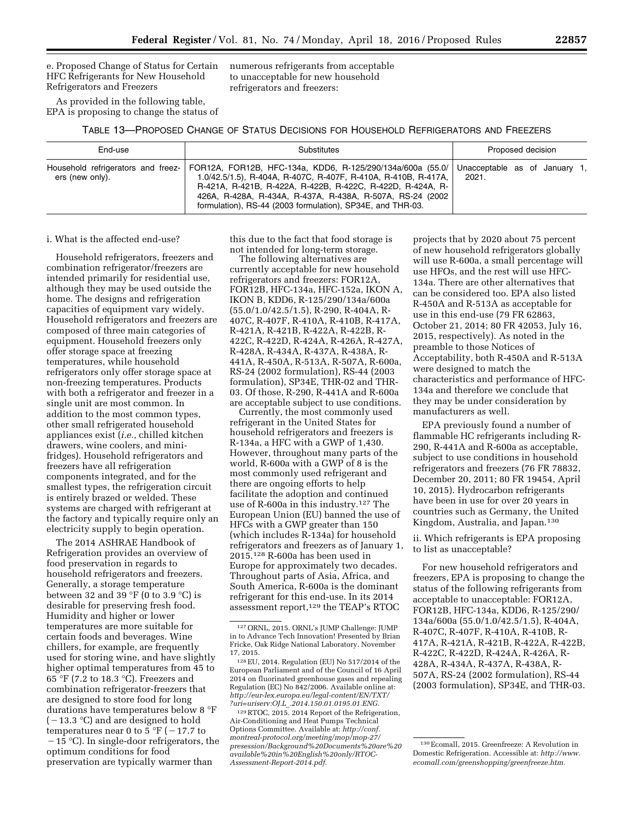e. Proposed Change of Status for Certain HFC Refrigerants for New Household Refrigerators and Freezers

As provided in the following table, EPA is proposing to change the status of numerous refrigerants from acceptable to unacceptable for new household refrigerators and freezers:

TABLE 13—PROPOSED CHANGE OF STATUS DECISIONS FOR HOUSEHOLD REFRIGERATORS AND FREEZERS

| End-use<br>Substitutes                                |                                                                                                                                                                                                                                                                                                                        | Proposed decision                      |  |  |  |
|-------------------------------------------------------|------------------------------------------------------------------------------------------------------------------------------------------------------------------------------------------------------------------------------------------------------------------------------------------------------------------------|----------------------------------------|--|--|--|
| Household refrigerators and freez-<br>ers (new only). | FOR12A, FOR12B, HFC-134a, KDD6, R-125/290/134a/600a (55.0/<br>1.0/42.5/1.5), R-404A, R-407C, R-407F, R-410A, R-410B, R-417A,<br>R-421A, R-421B, R-422A, R-422B, R-422C, R-422D, R-424A, R-<br>426A, R-428A, R-434A, R-437A, R-438A, R-507A, RS-24 (2002)<br>formulation), RS-44 (2003 formulation), SP34E, and THR-03. | Unacceptable as of January 1.<br>2021. |  |  |  |

### i. What is the affected end-use?

Household refrigerators, freezers and combination refrigerator/freezers are intended primarily for residential use, although they may be used outside the home. The designs and refrigeration capacities of equipment vary widely. Household refrigerators and freezers are composed of three main categories of equipment. Household freezers only offer storage space at freezing temperatures, while household refrigerators only offer storage space at non-freezing temperatures. Products with both a refrigerator and freezer in a single unit are most common. In addition to the most common types, other small refrigerated household appliances exist (*i.e.,* chilled kitchen drawers, wine coolers, and minifridges). Household refrigerators and freezers have all refrigeration components integrated, and for the smallest types, the refrigeration circuit is entirely brazed or welded. These systems are charged with refrigerant at the factory and typically require only an electricity supply to begin operation.

The 2014 ASHRAE Handbook of Refrigeration provides an overview of food preservation in regards to household refrigerators and freezers. Generally, a storage temperature between 32 and 39 °F (0 to 3.9 °C) is desirable for preserving fresh food. Humidity and higher or lower temperatures are more suitable for certain foods and beverages. Wine chillers, for example, are frequently used for storing wine, and have slightly higher optimal temperatures from 45 to 65 °F (7.2 to 18.3 °C). Freezers and combination refrigerator-freezers that are designed to store food for long durations have temperatures below 8 °F  $(-13.3 \text{ °C})$  and are designed to hold temperatures near 0 to 5 °F ( $-17.7$  to  $-15$  °C). In single-door refrigerators, the optimum conditions for food preservation are typically warmer than

this due to the fact that food storage is not intended for long-term storage.

The following alternatives are currently acceptable for new household refrigerators and freezers: FOR12A, FOR12B, HFC-134a, HFC-152a, IKON A, IKON B, KDD6, R-125/290/134a/600a (55.0/1.0/42.5/1.5), R-290, R-404A, R-407C, R-407F, R-410A, R-410B, R-417A, R-421A, R-421B, R-422A, R-422B, R-422C, R-422D, R-424A, R-426A, R-427A, R-428A, R-434A, R-437A, R-438A, R-441A, R-450A, R-513A, R-507A, R-600a, RS-24 (2002 formulation), RS-44 (2003 formulation), SP34E, THR-02 and THR-03. Of those, R-290, R-441A and R-600a are acceptable subject to use conditions.

Currently, the most commonly used refrigerant in the United States for household refrigerators and freezers is R-134a, a HFC with a GWP of 1,430. However, throughout many parts of the world, R-600a with a GWP of 8 is the most commonly used refrigerant and there are ongoing efforts to help facilitate the adoption and continued use of R-600a in this industry.127 The European Union (EU) banned the use of HFCs with a GWP greater than 150 (which includes R-134a) for household refrigerators and freezers as of January 1, 2015.128 R-600a has been used in Europe for approximately two decades. Throughout parts of Asia, Africa, and South America, R-600a is the dominant refrigerant for this end-use. In its 2014 assessment report,129 the TEAP's RTOC

projects that by 2020 about 75 percent of new household refrigerators globally will use R-600a, a small percentage will use HFOs, and the rest will use HFC-134a. There are other alternatives that can be considered too. EPA also listed R-450A and R-513A as acceptable for use in this end-use (79 FR 62863, October 21, 2014; 80 FR 42053, July 16, 2015, respectively). As noted in the preamble to those Notices of Acceptability, both R-450A and R-513A were designed to match the characteristics and performance of HFC-134a and therefore we conclude that they may be under consideration by manufacturers as well.

EPA previously found a number of flammable HC refrigerants including R-290, R-441A and R-600a as acceptable, subject to use conditions in household refrigerators and freezers (76 FR 78832, December 20, 2011; 80 FR 19454, April 10, 2015). Hydrocarbon refrigerants have been in use for over 20 years in countries such as Germany, the United Kingdom, Australia, and Japan.130

ii. Which refrigerants is EPA proposing to list as unacceptable?

For new household refrigerators and freezers, EPA is proposing to change the status of the following refrigerants from acceptable to unacceptable: FOR12A, FOR12B, HFC-134a, KDD6, R-125/290/ 134a/600a (55.0/1.0/42.5/1.5), R-404A, R-407C, R-407F, R-410A, R-410B, R-417A, R-421A, R-421B, R-422A, R-422B, R-422C, R-422D, R-424A, R-426A, R-428A, R-434A, R-437A, R-438A, R-507A, RS-24 (2002 formulation), RS-44 (2003 formulation), SP34E, and THR-03.

<sup>127</sup>ORNL, 2015. ORNL's JUMP Challenge: JUMP in to Advance Tech Innovation! Presented by Brian Fricke, Oak Ridge National Laboratory. November 17, 2015.

<sup>128</sup>EU, 2014. Regulation (EU) No 517/2014 of the European Parliament and of the Council of 16 April 2014 on fluorinated greenhouse gases and repealing Regulation (EC) No 842/2006. Available online at: *[http://eur-lex.europa.eu/legal-content/EN/TXT/](http://eur-lex.europa.eu/legal-content/EN/TXT/?uri=uriserv:OJ.L_.2014.150.01.0195.01.ENG) ?uri=uriserv:OJ.L*\_*[.2014.150.01.0195.01.ENG.](http://eur-lex.europa.eu/legal-content/EN/TXT/?uri=uriserv:OJ.L_.2014.150.01.0195.01.ENG)* 

<sup>129</sup>RTOC, 2015. 2014 Report of the Refrigeration, Air-Conditioning and Heat Pumps Technical Options Committee. Available at: *[http://conf.](http://conf.montreal-protocol.org/meeting/mop/mop-27/presession/Background%20Documents%20are%20available%20in%20English%20only/RTOC-Assessment-Report-2014.pdf) [montreal-protocol.org/meeting/mop/mop-27/](http://conf.montreal-protocol.org/meeting/mop/mop-27/presession/Background%20Documents%20are%20available%20in%20English%20only/RTOC-Assessment-Report-2014.pdf) [presession/Background%20Documents%20are%20](http://conf.montreal-protocol.org/meeting/mop/mop-27/presession/Background%20Documents%20are%20available%20in%20English%20only/RTOC-Assessment-Report-2014.pdf) [available%20in%20English%20only/RTOC-](http://conf.montreal-protocol.org/meeting/mop/mop-27/presession/Background%20Documents%20are%20available%20in%20English%20only/RTOC-Assessment-Report-2014.pdf)[Assessment-Report-2014.pdf.](http://conf.montreal-protocol.org/meeting/mop/mop-27/presession/Background%20Documents%20are%20available%20in%20English%20only/RTOC-Assessment-Report-2014.pdf)* 

<sup>130</sup>Ecomall, 2015. Greenfreeze: A Revolution in Domestic Refrigeration. Accessible at: *[http://www.](http://www.ecomall.com/greenshopping/greenfreeze.htm) [ecomall.com/greenshopping/greenfreeze.htm.](http://www.ecomall.com/greenshopping/greenfreeze.htm)*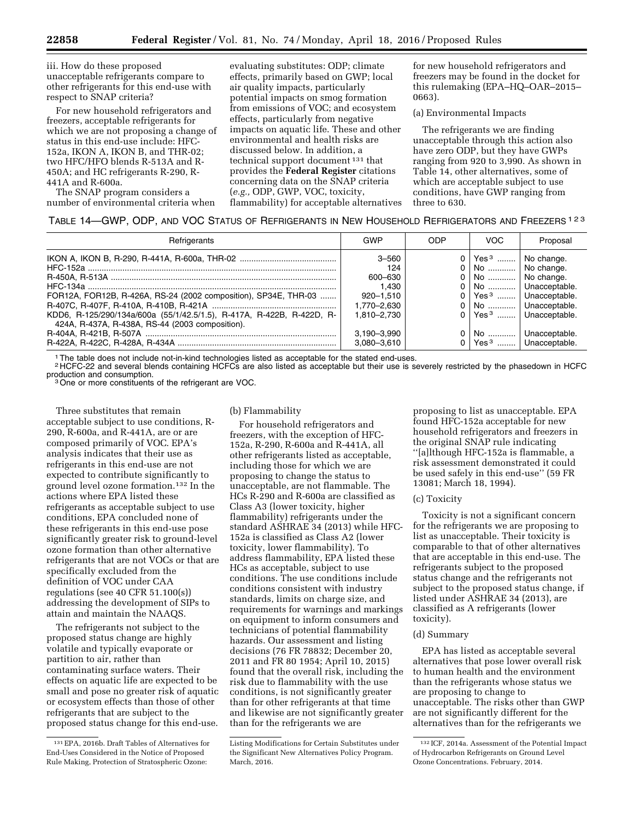iii. How do these proposed unacceptable refrigerants compare to other refrigerants for this end-use with respect to SNAP criteria?

For new household refrigerators and freezers, acceptable refrigerants for which we are not proposing a change of status in this end-use include: HFC-152a, IKON A, IKON B, and THR-02; two HFC/HFO blends R-513A and R-450A; and HC refrigerants R-290, R-441A and R-600a.

The SNAP program considers a number of environmental criteria when

evaluating substitutes: ODP; climate effects, primarily based on GWP; local air quality impacts, particularly potential impacts on smog formation from emissions of VOC; and ecosystem effects, particularly from negative impacts on aquatic life. These and other environmental and health risks are discussed below. In addition, a technical support document 131 that provides the **Federal Register** citations concerning data on the SNAP criteria (*e.g.,* ODP, GWP, VOC, toxicity, flammability) for acceptable alternatives

for new household refrigerators and freezers may be found in the docket for this rulemaking (EPA–HQ–OAR–2015– 0663).

(a) Environmental Impacts

The refrigerants we are finding unacceptable through this action also have zero ODP, but they have GWPs ranging from 920 to 3,990. As shown in Table 14, other alternatives, some of which are acceptable subject to use conditions, have GWP ranging from three to 630.

# TABLE 14—GWP, ODP, AND VOC STATUS OF REFRIGERANTS IN NEW HOUSEHOLD REFRIGERATORS AND FREEZERS 123

| Refrigerants                                                                                                                                                                                | GWP                                                                                                           | ODP | <b>VOC</b>                                                                                         | Proposal                                                                                                                                                                                              |
|---------------------------------------------------------------------------------------------------------------------------------------------------------------------------------------------|---------------------------------------------------------------------------------------------------------------|-----|----------------------------------------------------------------------------------------------------|-------------------------------------------------------------------------------------------------------------------------------------------------------------------------------------------------------|
| FOR12A, FOR12B, R-426A, RS-24 (2002 composition), SP34E, THR-03<br>KDD6, R-125/290/134a/600a (55/1/42.5/1.5), R-417A, R-422B, R-422D, R-<br>424A, R-437A, R-438A, RS-44 (2003 composition). | $3 - 560$<br>124<br>600-630<br>1.430<br>920-1.510<br>1.770–2.630<br>1.810-2.730<br>3,190-3,990<br>3,080-3,610 |     | $0 \mid \text{Yes}^3 \dots \mid \text{No change}.$<br>0   No    No change.<br>0   No    No change. | 0   No    Unacceptable.<br>$0$   Yes <sup>3</sup>   Unacceptable.<br>0   No    Unacceptable.<br>$0$   Yes <sup>3</sup>   Unacceptable.<br>0   No    Unacceptable.<br>0 Yes <sup>3</sup> Unacceptable. |

1The table does not include not-in-kind technologies listed as acceptable for the stated end-uses.

<sup>2</sup> HCFC-22 and several blends containing HCFCs are also listed as acceptable but their use is severely restricted by the phasedown in HCFC production and consumption.

<sup>3</sup> One or more constituents of the refrigerant are VOC.

Three substitutes that remain acceptable subject to use conditions, R-290, R-600a, and R-441A, are or are composed primarily of VOC. EPA's analysis indicates that their use as refrigerants in this end-use are not expected to contribute significantly to ground level ozone formation.132 In the actions where EPA listed these refrigerants as acceptable subject to use conditions, EPA concluded none of these refrigerants in this end-use pose significantly greater risk to ground-level ozone formation than other alternative refrigerants that are not VOCs or that are specifically excluded from the definition of VOC under CAA regulations (see 40 CFR 51.100(s)) addressing the development of SIPs to attain and maintain the NAAQS.

The refrigerants not subject to the proposed status change are highly volatile and typically evaporate or partition to air, rather than contaminating surface waters. Their effects on aquatic life are expected to be small and pose no greater risk of aquatic or ecosystem effects than those of other refrigerants that are subject to the proposed status change for this end-use.

## (b) Flammability

For household refrigerators and freezers, with the exception of HFC-152a, R-290, R-600a and R-441A, all other refrigerants listed as acceptable, including those for which we are proposing to change the status to unacceptable, are not flammable. The HCs R-290 and R-600a are classified as Class A3 (lower toxicity, higher flammability) refrigerants under the standard ASHRAE 34 (2013) while HFC-152a is classified as Class A2 (lower toxicity, lower flammability). To address flammability, EPA listed these HCs as acceptable, subject to use conditions. The use conditions include conditions consistent with industry standards, limits on charge size, and requirements for warnings and markings on equipment to inform consumers and technicians of potential flammability hazards. Our assessment and listing decisions (76 FR 78832; December 20, 2011 and FR 80 1954; April 10, 2015) found that the overall risk, including the risk due to flammability with the use conditions, is not significantly greater than for other refrigerants at that time and likewise are not significantly greater than for the refrigerants we are

proposing to list as unacceptable. EPA found HFC-152a acceptable for new household refrigerators and freezers in the original SNAP rule indicating ''[a]lthough HFC-152a is flammable, a risk assessment demonstrated it could be used safely in this end-use'' (59 FR 13081; March 18, 1994).

## (c) Toxicity

Toxicity is not a significant concern for the refrigerants we are proposing to list as unacceptable. Their toxicity is comparable to that of other alternatives that are acceptable in this end-use. The refrigerants subject to the proposed status change and the refrigerants not subject to the proposed status change, if listed under ASHRAE 34 (2013), are classified as A refrigerants (lower toxicity).

## (d) Summary

EPA has listed as acceptable several alternatives that pose lower overall risk to human health and the environment than the refrigerants whose status we are proposing to change to unacceptable. The risks other than GWP are not significantly different for the alternatives than for the refrigerants we

<sup>131</sup>EPA, 2016b. Draft Tables of Alternatives for End-Uses Considered in the Notice of Proposed Rule Making, Protection of Stratospheric Ozone:

Listing Modifications for Certain Substitutes under the Significant New Alternatives Policy Program. March, 2016.

<sup>132</sup> ICF, 2014a. Assessment of the Potential Impact of Hydrocarbon Refrigerants on Ground Level Ozone Concentrations. February, 2014.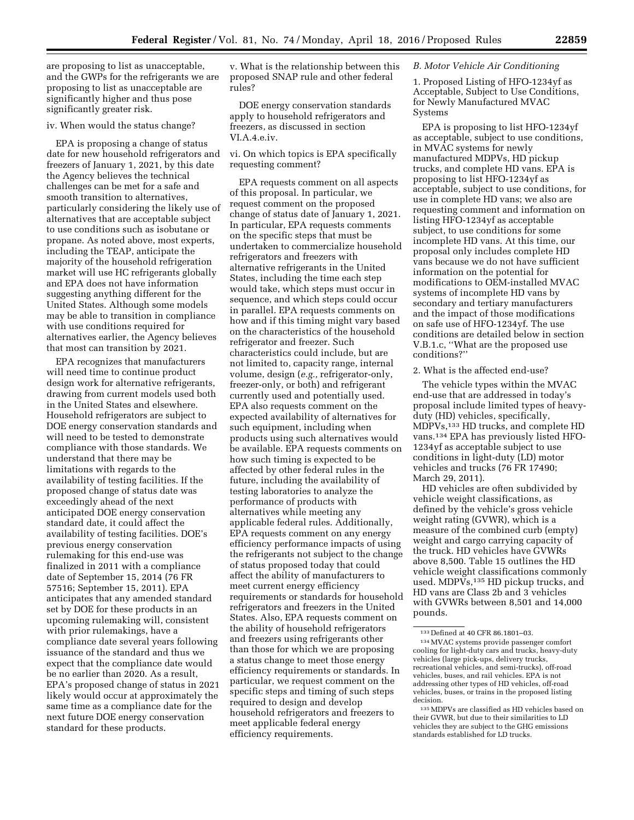are proposing to list as unacceptable, and the GWPs for the refrigerants we are proposing to list as unacceptable are significantly higher and thus pose significantly greater risk.

## iv. When would the status change?

EPA is proposing a change of status date for new household refrigerators and freezers of January 1, 2021, by this date the Agency believes the technical challenges can be met for a safe and smooth transition to alternatives, particularly considering the likely use of alternatives that are acceptable subject to use conditions such as isobutane or propane. As noted above, most experts, including the TEAP, anticipate the majority of the household refrigeration market will use HC refrigerants globally and EPA does not have information suggesting anything different for the United States. Although some models may be able to transition in compliance with use conditions required for alternatives earlier, the Agency believes that most can transition by 2021.

EPA recognizes that manufacturers will need time to continue product design work for alternative refrigerants, drawing from current models used both in the United States and elsewhere. Household refrigerators are subject to DOE energy conservation standards and will need to be tested to demonstrate compliance with those standards. We understand that there may be limitations with regards to the availability of testing facilities. If the proposed change of status date was exceedingly ahead of the next anticipated DOE energy conservation standard date, it could affect the availability of testing facilities. DOE's previous energy conservation rulemaking for this end-use was finalized in 2011 with a compliance date of September 15, 2014 (76 FR 57516; September 15, 2011). EPA anticipates that any amended standard set by DOE for these products in an upcoming rulemaking will, consistent with prior rulemakings, have a compliance date several years following issuance of the standard and thus we expect that the compliance date would be no earlier than 2020. As a result, EPA's proposed change of status in 2021 likely would occur at approximately the same time as a compliance date for the next future DOE energy conservation standard for these products.

v. What is the relationship between this proposed SNAP rule and other federal rules?

DOE energy conservation standards apply to household refrigerators and freezers, as discussed in section VI.A.4.e.iv.

vi. On which topics is EPA specifically requesting comment?

EPA requests comment on all aspects of this proposal. In particular, we request comment on the proposed change of status date of January 1, 2021. In particular, EPA requests comments on the specific steps that must be undertaken to commercialize household refrigerators and freezers with alternative refrigerants in the United States, including the time each step would take, which steps must occur in sequence, and which steps could occur in parallel. EPA requests comments on how and if this timing might vary based on the characteristics of the household refrigerator and freezer. Such characteristics could include, but are not limited to, capacity range, internal volume, design (*e.g.,* refrigerator-only, freezer-only, or both) and refrigerant currently used and potentially used. EPA also requests comment on the expected availability of alternatives for such equipment, including when products using such alternatives would be available. EPA requests comments on how such timing is expected to be affected by other federal rules in the future, including the availability of testing laboratories to analyze the performance of products with alternatives while meeting any applicable federal rules. Additionally, EPA requests comment on any energy efficiency performance impacts of using the refrigerants not subject to the change of status proposed today that could affect the ability of manufacturers to meet current energy efficiency requirements or standards for household refrigerators and freezers in the United States. Also, EPA requests comment on the ability of household refrigerators and freezers using refrigerants other than those for which we are proposing a status change to meet those energy efficiency requirements or standards. In particular, we request comment on the specific steps and timing of such steps required to design and develop household refrigerators and freezers to meet applicable federal energy efficiency requirements.

## *B. Motor Vehicle Air Conditioning*

1. Proposed Listing of HFO-1234yf as Acceptable, Subject to Use Conditions, for Newly Manufactured MVAC Systems

EPA is proposing to list HFO-1234yf as acceptable, subject to use conditions, in MVAC systems for newly manufactured MDPVs, HD pickup trucks, and complete HD vans. EPA is proposing to list HFO-1234yf as acceptable, subject to use conditions, for use in complete HD vans; we also are requesting comment and information on listing HFO-1234yf as acceptable subject, to use conditions for some incomplete HD vans. At this time, our proposal only includes complete HD vans because we do not have sufficient information on the potential for modifications to OEM-installed MVAC systems of incomplete HD vans by secondary and tertiary manufacturers and the impact of those modifications on safe use of HFO-1234yf. The use conditions are detailed below in section V.B.1.c, ''What are the proposed use conditions?''

## 2. What is the affected end-use?

The vehicle types within the MVAC end-use that are addressed in today's proposal include limited types of heavyduty (HD) vehicles, specifically, MDPVs,133 HD trucks, and complete HD vans.134 EPA has previously listed HFO-1234yf as acceptable subject to use conditions in light-duty (LD) motor vehicles and trucks (76 FR 17490; March 29, 2011).

HD vehicles are often subdivided by vehicle weight classifications, as defined by the vehicle's gross vehicle weight rating (GVWR), which is a measure of the combined curb (empty) weight and cargo carrying capacity of the truck. HD vehicles have GVWRs above 8,500. Table 15 outlines the HD vehicle weight classifications commonly used. MDPVs,<sup>135</sup> HD pickup trucks, and HD vans are Class 2b and 3 vehicles with GVWRs between 8,501 and 14,000 pounds.

<sup>133</sup> Defined at 40 CFR 86.1801–03.

<sup>134</sup>MVAC systems provide passenger comfort cooling for light-duty cars and trucks, heavy-duty vehicles (large pick-ups, delivery trucks, recreational vehicles, and semi-trucks), off-road vehicles, buses, and rail vehicles. EPA is not addressing other types of HD vehicles, off-road vehicles, buses, or trains in the proposed listing decision.

<sup>135</sup>MDPVs are classified as HD vehicles based on their GVWR, but due to their similarities to LD vehicles they are subject to the GHG emissions standards established for LD trucks.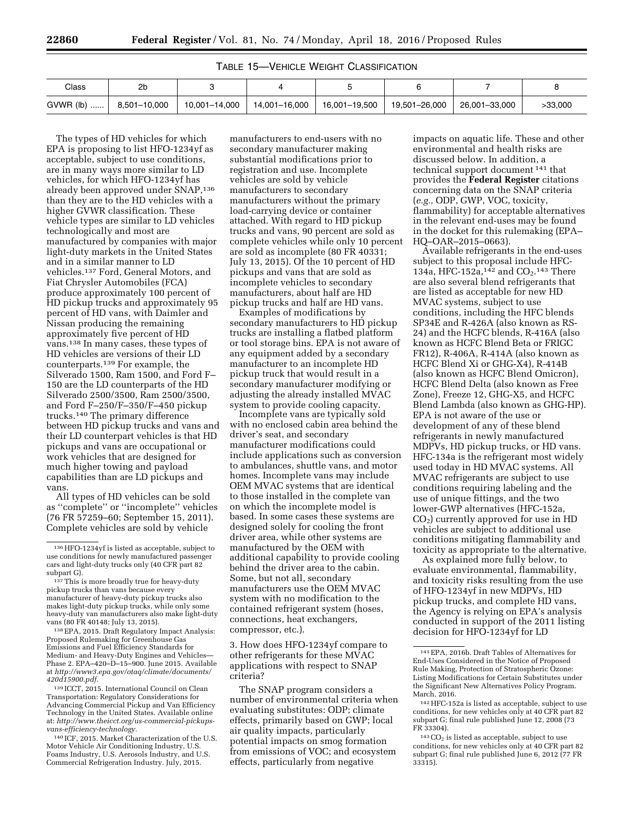| Class       | កា           |               |               |               |               |               |         |
|-------------|--------------|---------------|---------------|---------------|---------------|---------------|---------|
| $GVWR$ (lb) | 8,501-10,000 | 10,001-14,000 | 14,001-16,000 | 16,001–19,500 | 19,501–26,000 | 26,001-33,000 | >33.000 |

The types of HD vehicles for which EPA is proposing to list HFO-1234yf as acceptable, subject to use conditions, are in many ways more similar to LD vehicles, for which HFO-1234yf has already been approved under SNAP,<sup>136</sup> than they are to the HD vehicles with a higher GVWR classification. These vehicle types are similar to LD vehicles technologically and most are manufactured by companies with major light-duty markets in the United States and in a similar manner to LD vehicles.137 Ford, General Motors, and Fiat Chrysler Automobiles (FCA) produce approximately 100 percent of HD pickup trucks and approximately 95 percent of HD vans, with Daimler and Nissan producing the remaining approximately five percent of HD vans.138 In many cases, these types of HD vehicles are versions of their LD counterparts.139 For example, the Silverado 1500, Ram 1500, and Ford F– 150 are the LD counterparts of the HD Silverado 2500/3500, Ram 2500/3500, and Ford F–250/F–350/F–450 pickup trucks.140 The primary difference between HD pickup trucks and vans and their LD counterpart vehicles is that HD pickups and vans are occupational or work vehicles that are designed for much higher towing and payload capabilities than are LD pickups and vans.

All types of HD vehicles can be sold as ''complete'' or ''incomplete'' vehicles (76 FR 57259–60; September 15, 2011). Complete vehicles are sold by vehicle

139 ICCT, 2015. International Council on Clean Transportation: Regulatory Considerations for Advancing Commercial Pickup and Van Efficiency Technology in the United States. Available online at: *[http://www.theicct.org/us-commercial-pickups](http://www.theicct.org/us-commercial-pickups-vans-efficiency-technology)[vans-efficiency-technology.](http://www.theicct.org/us-commercial-pickups-vans-efficiency-technology)* 

140 ICF, 2015. Market Characterization of the U.S. Motor Vehicle Air Conditioning Industry, U.S. Foams Industry, U.S. Aerosols Industry, and U.S. Commercial Refrigeration Industry. July, 2015.

manufacturers to end-users with no secondary manufacturer making substantial modifications prior to registration and use. Incomplete vehicles are sold by vehicle manufacturers to secondary manufacturers without the primary load-carrying device or container attached. With regard to HD pickup trucks and vans, 90 percent are sold as complete vehicles while only 10 percent are sold as incomplete (80 FR 40331; July 13, 2015). Of the 10 percent of HD pickups and vans that are sold as incomplete vehicles to secondary manufacturers, about half are HD pickup trucks and half are HD vans.

Examples of modifications by secondary manufacturers to HD pickup trucks are installing a flatbed platform or tool storage bins. EPA is not aware of any equipment added by a secondary manufacturer to an incomplete HD pickup truck that would result in a secondary manufacturer modifying or adjusting the already installed MVAC system to provide cooling capacity.

Incomplete vans are typically sold with no enclosed cabin area behind the driver's seat, and secondary manufacturer modifications could include applications such as conversion to ambulances, shuttle vans, and motor homes. Incomplete vans may include OEM MVAC systems that are identical to those installed in the complete van on which the incomplete model is based. In some cases these systems are designed solely for cooling the front driver area, while other systems are manufactured by the OEM with additional capability to provide cooling behind the driver area to the cabin. Some, but not all, secondary manufacturers use the OEM MVAC system with no modification to the contained refrigerant system (hoses, connections, heat exchangers, compressor, etc.).

3. How does HFO-1234yf compare to other refrigerants for these MVAC applications with respect to SNAP criteria?

The SNAP program considers a number of environmental criteria when evaluating substitutes: ODP; climate effects, primarily based on GWP; local air quality impacts, particularly potential impacts on smog formation from emissions of VOC; and ecosystem effects, particularly from negative

impacts on aquatic life. These and other environmental and health risks are discussed below. In addition, a technical support document 141 that provides the **Federal Register** citations concerning data on the SNAP criteria (*e.g.,* ODP, GWP, VOC, toxicity, flammability) for acceptable alternatives in the relevant end-uses may be found in the docket for this rulemaking (EPA– HQ–OAR–2015–0663).

Available refrigerants in the end-uses subject to this proposal include HFC-134a, HFC-152a,<sup>142</sup> and  $CO<sub>2</sub>$ .<sup>143</sup> There are also several blend refrigerants that are listed as acceptable for new HD MVAC systems, subject to use conditions, including the HFC blends SP34E and R-426A (also known as RS-24) and the HCFC blends, R-416A (also known as HCFC Blend Beta or FRIGC FR12), R-406A, R-414A (also known as HCFC Blend Xi or GHG-X4), R-414B (also known as HCFC Blend Omicron), HCFC Blend Delta (also known as Free Zone), Freeze 12, GHG-X5, and HCFC Blend Lambda (also known as GHG-HP). EPA is not aware of the use or development of any of these blend refrigerants in newly manufactured MDPVs, HD pickup trucks, or HD vans. HFC-134a is the refrigerant most widely used today in HD MVAC systems. All MVAC refrigerants are subject to use conditions requiring labeling and the use of unique fittings, and the two lower-GWP alternatives (HFC-152a,  $CO<sub>2</sub>$ ) currently approved for use in HD vehicles are subject to additional use conditions mitigating flammability and toxicity as appropriate to the alternative.

As explained more fully below, to evaluate environmental, flammability, and toxicity risks resulting from the use of HFO-1234yf in new MDPVs, HD pickup trucks, and complete HD vans, the Agency is relying on EPA's analysis conducted in support of the 2011 listing decision for HFO-1234yf for LD

<sup>136</sup>HFO-1234yf is listed as acceptable, subject to use conditions for newly manufactured passenger cars and light-duty trucks only (40 CFR part 82

<sup>137</sup> This is more broadly true for heavy-duty pickup trucks than vans because every manufacturer of heavy-duty pickup trucks also makes light-duty pickup trucks, while only some heavy-duty van manufacturers also make light-duty

<sup>&</sup>lt;sup>138</sup> EPA, 2015. Draft Regulatory Impact Analysis: Proposed Rulemaking for Greenhouse Gas Emissions and Fuel Efficiency Standards for Medium- and Heavy-Duty Engines and Vehicles— Phase 2. EPA–420–D–15–900. June 2015. Available at *[http://www3.epa.gov/otaq/climate/documents/](http://www3.epa.gov/otaq/climate/documents/420d15900.pdf) [420d15900.pdf.](http://www3.epa.gov/otaq/climate/documents/420d15900.pdf)* 

<sup>141</sup>EPA, 2016b. Draft Tables of Alternatives for End-Uses Considered in the Notice of Proposed Rule Making, Protection of Stratospheric Ozone: Listing Modifications for Certain Substitutes under the Significant New Alternatives Policy Program. March, 2016.

<sup>142</sup>HFC-152a is listed as acceptable, subject to use conditions, for new vehicles only at 40 CFR part 82 subpart G; final rule published June 12, 2008 (73 FR 33304).

 $143$  CO<sub>2</sub> is listed as acceptable, subject to use conditions, for new vehicles only at 40 CFR part 82 subpart G; final rule published June 6, 2012 (77 FR 33315).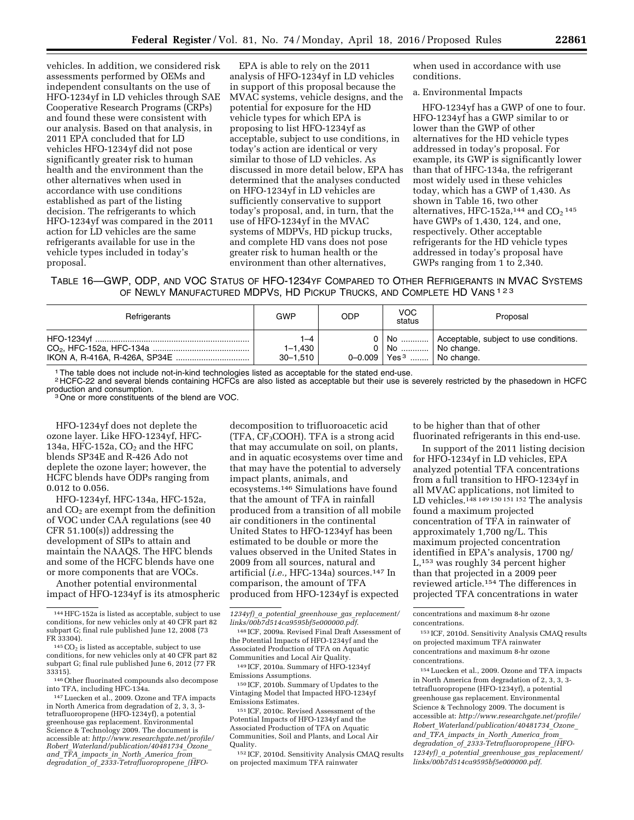vehicles. In addition, we considered risk assessments performed by OEMs and independent consultants on the use of HFO-1234yf in LD vehicles through SAE Cooperative Research Programs (CRPs) and found these were consistent with our analysis. Based on that analysis, in 2011 EPA concluded that for LD vehicles HFO-1234yf did not pose significantly greater risk to human health and the environment than the other alternatives when used in accordance with use conditions established as part of the listing decision. The refrigerants to which HFO-1234yf was compared in the 2011 action for LD vehicles are the same refrigerants available for use in the vehicle types included in today's proposal.

EPA is able to rely on the 2011 analysis of HFO-1234yf in LD vehicles in support of this proposal because the MVAC systems, vehicle designs, and the potential for exposure for the HD vehicle types for which EPA is proposing to list HFO-1234yf as acceptable, subject to use conditions, in today's action are identical or very similar to those of LD vehicles. As discussed in more detail below, EPA has determined that the analyses conducted on HFO-1234yf in LD vehicles are sufficiently conservative to support today's proposal, and, in turn, that the use of HFO-1234yf in the MVAC systems of MDPVs, HD pickup trucks, and complete HD vans does not pose greater risk to human health or the environment than other alternatives,

when used in accordance with use conditions.

a. Environmental Impacts

HFO-1234yf has a GWP of one to four. HFO-1234yf has a GWP similar to or lower than the GWP of other alternatives for the HD vehicle types addressed in today's proposal. For example, its GWP is significantly lower than that of HFC-134a, the refrigerant most widely used in these vehicles today, which has a GWP of 1,430. As shown in Table 16, two other alternatives, HFC-152a,<sup>144</sup> and  $CO<sub>2</sub>$ <sup>145</sup> have GWPs of 1,430, 124, and one, respectively. Other acceptable refrigerants for the HD vehicle types addressed in today's proposal have GWPs ranging from 1 to 2,340.

TABLE 16—GWP, ODP, AND VOC STATUS OF HFO-1234YF COMPARED TO OTHER REFRIGERANTS IN MVAC SYSTEMS OF NEWLY MANUFACTURED MDPVS, HD PICKUP TRUCKS, AND COMPLETE HD VANS 123

| Refrigerants | GWP                                | <b>ODP</b> | VOC<br>status                                                   | Proposal                                         |
|--------------|------------------------------------|------------|-----------------------------------------------------------------|--------------------------------------------------|
|              | 1-4<br>$1 - 1.430$<br>$30 - 1.510$ |            | 0   No    No change.<br>0-0.009   Yes <sup>3</sup>   No change. | 0   No    Acceptable, subject to use conditions. |

1The table does not include not-in-kind technologies listed as acceptable for the stated end-use.

<sup>2</sup> HCFC-22 and several blends containing HCFCs are also listed as acceptable but their use is severely restricted by the phasedown in HCFC<br>production and consumption.

<sup>3</sup> One or more constituents of the blend are VOC.

HFO-1234yf does not deplete the ozone layer. Like HFO-1234yf, HFC-134a, HFC-152a,  $CO<sub>2</sub>$  and the HFC blends SP34E and R-426 Ado not deplete the ozone layer; however, the HCFC blends have ODPs ranging from 0.012 to 0.056.

HFO-1234yf, HFC-134a, HFC-152a, and  $CO<sub>2</sub>$  are exempt from the definition of VOC under CAA regulations (see 40 CFR 51.100(s)) addressing the development of SIPs to attain and maintain the NAAQS. The HFC blends and some of the HCFC blends have one or more components that are VOCs.

Another potential environmental impact of HFO-1234yf is its atmospheric

<sup>147</sup> Luecken et al., 2009. Ozone and TFA impacts in North America from degradation of 2, 3, 3, 3 tetrafluoropropene (HFO-1234yf), a potential greenhouse gas replacement. Environmental Science & Technology 2009. The document is accessible at: *[http://www.researchgate.net/profile/](http://www.researchgate.net/profile/Robert_Waterland/publication/40481734_Ozone_and_TFA_impacts_in_North_America_from_degradation_of_2333-Tetrafluoropropene_(HFO-1234yf)_a_potential_greenhouse_gas_replacement/links/00b7d514ca9595bf5e000000.pdf) Robert*\_*[Waterland/publication/40481734](http://www.researchgate.net/profile/Robert_Waterland/publication/40481734_Ozone_and_TFA_impacts_in_North_America_from_degradation_of_2333-Tetrafluoropropene_(HFO-1234yf)_a_potential_greenhouse_gas_replacement/links/00b7d514ca9595bf5e000000.pdf)*\_*Ozone*\_ *and*\_*TFA*\_*impacts*\_*in*\_*North*\_*[America](http://www.researchgate.net/profile/Robert_Waterland/publication/40481734_Ozone_and_TFA_impacts_in_North_America_from_degradation_of_2333-Tetrafluoropropene_(HFO-1234yf)_a_potential_greenhouse_gas_replacement/links/00b7d514ca9595bf5e000000.pdf)*\_*from*\_ *degradation*\_*of*\_*[2333-Tetrafluoropropene](http://www.researchgate.net/profile/Robert_Waterland/publication/40481734_Ozone_and_TFA_impacts_in_North_America_from_degradation_of_2333-Tetrafluoropropene_(HFO-1234yf)_a_potential_greenhouse_gas_replacement/links/00b7d514ca9595bf5e000000.pdf)*\_*(HFO-*

decomposition to trifluoroacetic acid  $(TFA, CF<sub>3</sub>COOH)$ . TFA is a strong acid that may accumulate on soil, on plants, and in aquatic ecosystems over time and that may have the potential to adversely impact plants, animals, and ecosystems.146 Simulations have found that the amount of TFA in rainfall produced from a transition of all mobile air conditioners in the continental United States to HFO-1234yf has been estimated to be double or more the values observed in the United States in 2009 from all sources, natural and artificial (*i.e.,* HFC-134a) sources.147 In comparison, the amount of TFA produced from HFO-1234yf is expected

148 ICF, 2009a. Revised Final Draft Assessment of the Potential Impacts of HFO-1234yf and the Associated Production of TFA on Aquatic Communities and Local Air Quality.

149 ICF, 2010a. Summary of HFO-1234yf Emissions Assumptions.

150 ICF, 2010b. Summary of Updates to the Vintaging Model that Impacted HFO-1234yf Emissions Estimates.

151 ICF, 2010c. Revised Assessment of the Potential Impacts of HFO-1234yf and the Associated Production of TFA on Aquatic Communities, Soil and Plants, and Local Air Quality.

152 ICF, 2010d. Sensitivity Analysis CMAQ results on projected maximum TFA rainwater

to be higher than that of other fluorinated refrigerants in this end-use.

In support of the 2011 listing decision for HFO-1234yf in LD vehicles, EPA analyzed potential TFA concentrations from a full transition to HFO-1234yf in all MVAC applications, not limited to LD vehicles.<sup>148 149 150 151 152</sup> The analysis found a maximum projected concentration of TFA in rainwater of approximately 1,700 ng/L. This maximum projected concentration identified in EPA's analysis, 1700 ng/ L,153 was roughly 34 percent higher than that projected in a 2009 peer reviewed article.154 The differences in projected TFA concentrations in water

154Luecken et al., 2009. Ozone and TFA impacts in North America from degradation of 2, 3, 3, 3 tetrafluoropropene (HFO-1234yf), a potential greenhouse gas replacement. Environmental Science & Technology 2009. The document is accessible at: *[http://www.researchgate.net/profile/](http://www.researchgate.net/profile/Robert_Waterland/publication/40481734_Ozone_and_TFA_impacts_in_North_America_from_degradation_of_2333-Tetrafluoropropene_(HFO-1234yf)_a_potential_greenhouse_gas_replacement/links/00b7d514ca9595bf5e000000.pdf) Robert*\_*[Waterland/publication/40481734](http://www.researchgate.net/profile/Robert_Waterland/publication/40481734_Ozone_and_TFA_impacts_in_North_America_from_degradation_of_2333-Tetrafluoropropene_(HFO-1234yf)_a_potential_greenhouse_gas_replacement/links/00b7d514ca9595bf5e000000.pdf)*\_*Ozone*\_ *and*\_*TFA*\_*impacts*\_*in*\_*North*\_*[America](http://www.researchgate.net/profile/Robert_Waterland/publication/40481734_Ozone_and_TFA_impacts_in_North_America_from_degradation_of_2333-Tetrafluoropropene_(HFO-1234yf)_a_potential_greenhouse_gas_replacement/links/00b7d514ca9595bf5e000000.pdf)*\_*from*\_ *degradation*\_*of*\_*[2333-Tetrafluoropropene](http://www.researchgate.net/profile/Robert_Waterland/publication/40481734_Ozone_and_TFA_impacts_in_North_America_from_degradation_of_2333-Tetrafluoropropene_(HFO-1234yf)_a_potential_greenhouse_gas_replacement/links/00b7d514ca9595bf5e000000.pdf)*\_*(HFO-1234yf)*\_*a*\_*potential*\_*greenhouse*\_*gas*\_*[replacement/](http://www.researchgate.net/profile/Robert_Waterland/publication/40481734_Ozone_and_TFA_impacts_in_North_America_from_degradation_of_2333-Tetrafluoropropene_(HFO-1234yf)_a_potential_greenhouse_gas_replacement/links/00b7d514ca9595bf5e000000.pdf) [links/00b7d514ca9595bf5e000000.pdf](http://www.researchgate.net/profile/Robert_Waterland/publication/40481734_Ozone_and_TFA_impacts_in_North_America_from_degradation_of_2333-Tetrafluoropropene_(HFO-1234yf)_a_potential_greenhouse_gas_replacement/links/00b7d514ca9595bf5e000000.pdf).* 

<sup>144</sup>HFC-152a is listed as acceptable, subject to use conditions, for new vehicles only at 40 CFR part 82 subpart G; final rule published June 12, 2008 (73<br>FR 33304).

 $145CO<sub>2</sub>$  is listed as acceptable, subject to use conditions, for new vehicles only at 40 CFR part 82 subpart G; final rule published June 6, 2012 (77 FR

<sup>&</sup>lt;sup>146</sup> Other fluorinated compounds also decompose<br>into TFA, including HFC-134a.

*<sup>1234</sup>yf)*\_*a*\_*potential*\_*greenhouse*\_*gas*\_*[replacement/](http://www.researchgate.net/profile/Robert_Waterland/publication/40481734_Ozone_and_TFA_impacts_in_North_America_from_degradation_of_2333-Tetrafluoropropene_(HFO-1234yf)_a_potential_greenhouse_gas_replacement/links/00b7d514ca9595bf5e000000.pdf) [links/00b7d514ca9595bf5e000000.pdf](http://www.researchgate.net/profile/Robert_Waterland/publication/40481734_Ozone_and_TFA_impacts_in_North_America_from_degradation_of_2333-Tetrafluoropropene_(HFO-1234yf)_a_potential_greenhouse_gas_replacement/links/00b7d514ca9595bf5e000000.pdf)*.

concentrations and maximum 8-hr ozone concentrations.

<sup>153</sup> ICF, 2010d. Sensitivity Analysis CMAQ results on projected maximum TFA rainwater concentrations and maximum 8-hr ozone concentrations.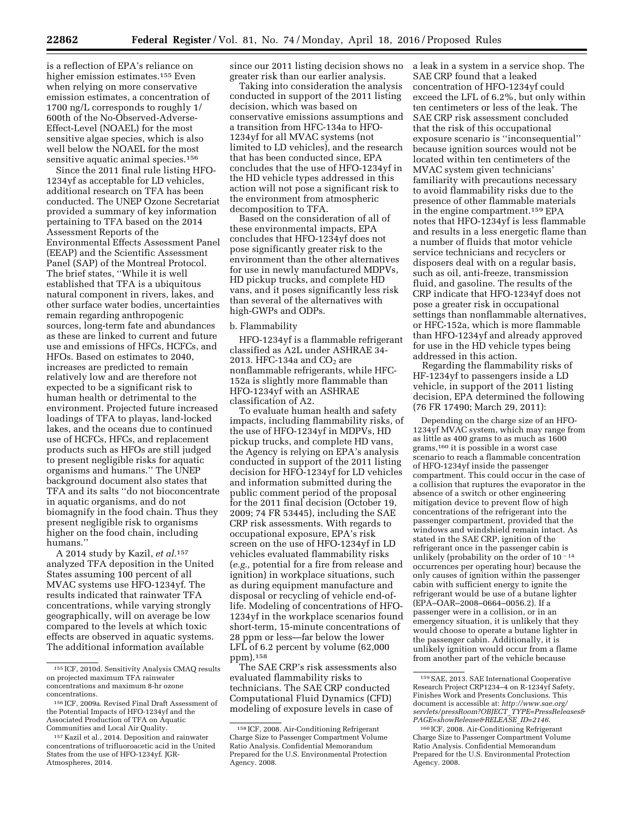is a reflection of EPA's reliance on higher emission estimates.<sup>155</sup> Even when relying on more conservative emission estimates, a concentration of 1700 ng/L corresponds to roughly 1/ 600th of the No-Observed-Adverse-Effect-Level (NOAEL) for the most sensitive algae species, which is also well below the NOAEL for the most sensitive aquatic animal species.<sup>156</sup>

Since the 2011 final rule listing HFO-1234yf as acceptable for LD vehicles, additional research on TFA has been conducted. The UNEP Ozone Secretariat provided a summary of key information pertaining to TFA based on the 2014 Assessment Reports of the Environmental Effects Assessment Panel (EEAP) and the Scientific Assessment Panel (SAP) of the Montreal Protocol. The brief states, ''While it is well established that TFA is a ubiquitous natural component in rivers, lakes, and other surface water bodies, uncertainties remain regarding anthropogenic sources, long-term fate and abundances as these are linked to current and future use and emissions of HFCs, HCFCs, and HFOs. Based on estimates to 2040, increases are predicted to remain relatively low and are therefore not expected to be a significant risk to human health or detrimental to the environment. Projected future increased loadings of TFA to playas, land-locked lakes, and the oceans due to continued use of HCFCs, HFCs, and replacement products such as HFOs are still judged to present negligible risks for aquatic organisms and humans.'' The UNEP background document also states that TFA and its salts ''do not bioconcentrate in aquatic organisms, and do not biomagnify in the food chain. Thus they present negligible risk to organisms higher on the food chain, including humans.''

A 2014 study by Kazil, *et al.*157 analyzed TFA deposition in the United States assuming 100 percent of all MVAC systems use HFO-1234yf. The results indicated that rainwater TFA concentrations, while varying strongly geographically, will on average be low compared to the levels at which toxic effects are observed in aquatic systems. The additional information available

since our 2011 listing decision shows no greater risk than our earlier analysis.

Taking into consideration the analysis conducted in support of the 2011 listing decision, which was based on conservative emissions assumptions and a transition from HFC-134a to HFO-1234yf for all MVAC systems (not limited to LD vehicles), and the research that has been conducted since, EPA concludes that the use of HFO-1234yf in the HD vehicle types addressed in this action will not pose a significant risk to the environment from atmospheric decomposition to TFA.

Based on the consideration of all of these environmental impacts, EPA concludes that HFO-1234yf does not pose significantly greater risk to the environment than the other alternatives for use in newly manufactured MDPVs, HD pickup trucks, and complete HD vans, and it poses significantly less risk than several of the alternatives with high-GWPs and ODPs.

### b. Flammability

HFO-1234yf is a flammable refrigerant classified as A2L under ASHRAE 34- 2013. HFC-134a and  $CO<sub>2</sub>$  are nonflammable refrigerants, while HFC-152a is slightly more flammable than HFO-1234yf with an ASHRAE classification of A2.

To evaluate human health and safety impacts, including flammability risks, of the use of HFO-1234yf in MDPVs, HD pickup trucks, and complete HD vans, the Agency is relying on EPA's analysis conducted in support of the 2011 listing decision for HFO-1234yf for LD vehicles and information submitted during the public comment period of the proposal for the 2011 final decision (October 19, 2009; 74 FR 53445), including the SAE CRP risk assessments. With regards to occupational exposure, EPA's risk screen on the use of HFO-1234yf in LD vehicles evaluated flammability risks (*e.g.,* potential for a fire from release and ignition) in workplace situations, such as during equipment manufacture and disposal or recycling of vehicle end-oflife. Modeling of concentrations of HFO-1234yf in the workplace scenarios found short-term, 15-minute concentrations of 28 ppm or less—far below the lower LFL of 6.2 percent by volume (62,000 ppm).158

The SAE CRP's risk assessments also evaluated flammability risks to technicians. The SAE CRP conducted Computational Fluid Dynamics (CFD) modeling of exposure levels in case of

a leak in a system in a service shop. The SAE CRP found that a leaked concentration of HFO-1234yf could exceed the LFL of 6.2%, but only within ten centimeters or less of the leak. The SAE CRP risk assessment concluded that the risk of this occupational exposure scenario is ''inconsequential'' because ignition sources would not be located within ten centimeters of the MVAC system given technicians' familiarity with precautions necessary to avoid flammability risks due to the presence of other flammable materials in the engine compartment.159 EPA notes that HFO-1234yf is less flammable and results in a less energetic flame than a number of fluids that motor vehicle service technicians and recyclers or disposers deal with on a regular basis, such as oil, anti-freeze, transmission fluid, and gasoline. The results of the CRP indicate that HFO-1234yf does not pose a greater risk in occupational settings than nonflammable alternatives, or HFC-152a, which is more flammable than HFO-1234yf and already approved for use in the HD vehicle types being addressed in this action.

Regarding the flammability risks of HF-1234yf to passengers inside a LD vehicle, in support of the 2011 listing decision, EPA determined the following (76 FR 17490; March 29, 2011):

Depending on the charge size of an HFO-1234yf MVAC system, which may range from as little as 400 grams to as much as 1600 grams,160 it is possible in a worst case scenario to reach a flammable concentration of HFO-1234yf inside the passenger compartment. This could occur in the case of a collision that ruptures the evaporator in the absence of a switch or other engineering mitigation device to prevent flow of high concentrations of the refrigerant into the passenger compartment, provided that the windows and windshield remain intact. As stated in the SAE CRP, ignition of the refrigerant once in the passenger cabin is unlikely (probability on the order of  $10<sup>-14</sup>$ occurrences per operating hour) because the only causes of ignition within the passenger cabin with sufficient energy to ignite the refrigerant would be use of a butane lighter (EPA–OAR–2008–0664–0056.2). If a passenger were in a collision, or in an emergency situation, it is unlikely that they would choose to operate a butane lighter in the passenger cabin. Additionally, it is unlikely ignition would occur from a flame from another part of the vehicle because

<sup>155</sup> ICF, 2010d. Sensitivity Analysis CMAQ results on projected maximum TFA rainwater concentrations and maximum 8-hr ozone concentrations.

<sup>156</sup> ICF, 2009a. Revised Final Draft Assessment of the Potential Impacts of HFO-1234yf and the Associated Production of TFA on Aquatic Communities and Local Air Quality.

<sup>157</sup> Kazil et al., 2014. Deposition and rainwater concentrations of trifluoroacetic acid in the United States from the use of HFO-1234yf. JGR-Atmospheres, 2014.

<sup>158</sup> ICF, 2008. Air-Conditioning Refrigerant Charge Size to Passenger Compartment Volume Ratio Analysis. Confidential Memorandum Prepared for the U.S. Environmental Protection Agency. 2008.

<sup>159</sup>SAE, 2013. SAE International Cooperative Research Project CRP1234–4 on R-1234yf Safety, Finishes Work and Presents Conclusions. This document is accessible at: *[http://www.sae.org/](http://www.sae.org/servlets/pressRoom?OBJECT_TYPE=PressReleases&PAGE=showRelease&RELEASE_ID=2146) [servlets/pressRoom?OBJECT](http://www.sae.org/servlets/pressRoom?OBJECT_TYPE=PressReleases&PAGE=showRelease&RELEASE_ID=2146)*\_*TYPE=PressReleases& [PAGE=showRelease&RELEASE](http://www.sae.org/servlets/pressRoom?OBJECT_TYPE=PressReleases&PAGE=showRelease&RELEASE_ID=2146)*\_*ID=2146*.

<sup>160</sup> ICF, 2008. Air-Conditioning Refrigerant Charge Size to Passenger Compartment Volume Ratio Analysis. Confidential Memorandum Prepared for the U.S. Environmental Protection Agency. 2008.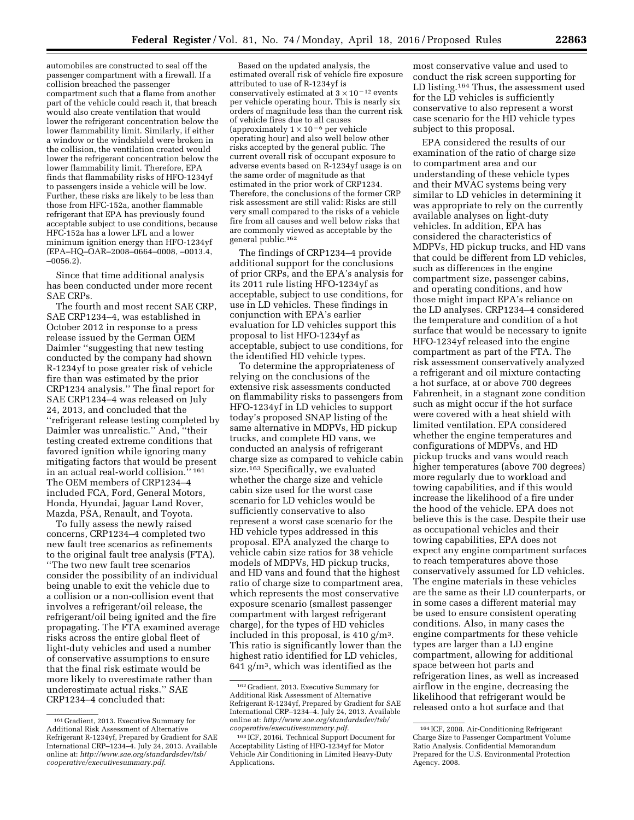automobiles are constructed to seal off the passenger compartment with a firewall. If a collision breached the passenger compartment such that a flame from another part of the vehicle could reach it, that breach would also create ventilation that would lower the refrigerant concentration below the lower flammability limit. Similarly, if either a window or the windshield were broken in the collision, the ventilation created would lower the refrigerant concentration below the lower flammability limit. Therefore, EPA finds that flammability risks of HFO-1234yf to passengers inside a vehicle will be low. Further, these risks are likely to be less than those from HFC-152a, another flammable refrigerant that EPA has previously found acceptable subject to use conditions, because HFC-152a has a lower LFL and a lower minimum ignition energy than HFO-1234yf (EPA–HQ–OAR–2008–0664–0008, –0013.4, –0056.2).

Since that time additional analysis has been conducted under more recent SAE CRPs.

The fourth and most recent SAE CRP, SAE CRP1234–4, was established in October 2012 in response to a press release issued by the German OEM Daimler ''suggesting that new testing conducted by the company had shown R-1234yf to pose greater risk of vehicle fire than was estimated by the prior CRP1234 analysis.'' The final report for SAE CRP1234–4 was released on July 24, 2013, and concluded that the ''refrigerant release testing completed by Daimler was unrealistic.'' And, ''their testing created extreme conditions that favored ignition while ignoring many mitigating factors that would be present in an actual real-world collision.'' 161 The OEM members of CRP1234–4 included FCA, Ford, General Motors, Honda, Hyundai, Jaguar Land Rover, Mazda, PSA, Renault, and Toyota.

To fully assess the newly raised concerns, CRP1234–4 completed two new fault tree scenarios as refinements to the original fault tree analysis (FTA). ''The two new fault tree scenarios consider the possibility of an individual being unable to exit the vehicle due to a collision or a non-collision event that involves a refrigerant/oil release, the refrigerant/oil being ignited and the fire propagating. The FTA examined average risks across the entire global fleet of light-duty vehicles and used a number of conservative assumptions to ensure that the final risk estimate would be more likely to overestimate rather than underestimate actual risks.'' SAE CRP1234–4 concluded that:

Based on the updated analysis, the estimated overall risk of vehicle fire exposure attributed to use of R-1234yf is conservatively estimated at  $3 \times 10^{-12}$  events per vehicle operating hour. This is nearly six orders of magnitude less than the current risk of vehicle fires due to all causes (approximately  $1 \times 10^{-6}$  per vehicle operating hour) and also well below other risks accepted by the general public. The current overall risk of occupant exposure to adverse events based on R-1234yf usage is on the same order of magnitude as that estimated in the prior work of CRP1234. Therefore, the conclusions of the former CRP risk assessment are still valid: Risks are still very small compared to the risks of a vehicle fire from all causes and well below risks that are commonly viewed as acceptable by the general public.162

The findings of CRP1234–4 provide additional support for the conclusions of prior CRPs, and the EPA's analysis for its 2011 rule listing HFO-1234yf as acceptable, subject to use conditions, for use in LD vehicles. These findings in conjunction with EPA's earlier evaluation for LD vehicles support this proposal to list HFO-1234yf as acceptable, subject to use conditions, for the identified HD vehicle types.

To determine the appropriateness of relying on the conclusions of the extensive risk assessments conducted on flammability risks to passengers from HFO-1234yf in LD vehicles to support today's proposed SNAP listing of the same alternative in MDPVs, HD pickup trucks, and complete HD vans, we conducted an analysis of refrigerant charge size as compared to vehicle cabin size.163 Specifically, we evaluated whether the charge size and vehicle cabin size used for the worst case scenario for LD vehicles would be sufficiently conservative to also represent a worst case scenario for the HD vehicle types addressed in this proposal. EPA analyzed the charge to vehicle cabin size ratios for 38 vehicle models of MDPVs, HD pickup trucks, and HD vans and found that the highest ratio of charge size to compartment area, which represents the most conservative exposure scenario (smallest passenger compartment with largest refrigerant charge), for the types of HD vehicles included in this proposal, is 410 g/m3. This ratio is significantly lower than the highest ratio identified for LD vehicles,  $641$  g/m<sup>3</sup>, which was identified as the

most conservative value and used to conduct the risk screen supporting for LD listing.<sup>164</sup> Thus, the assessment used for the LD vehicles is sufficiently conservative to also represent a worst case scenario for the HD vehicle types subject to this proposal.

EPA considered the results of our examination of the ratio of charge size to compartment area and our understanding of these vehicle types and their MVAC systems being very similar to LD vehicles in determining it was appropriate to rely on the currently available analyses on light-duty vehicles. In addition, EPA has considered the characteristics of MDPVs, HD pickup trucks, and HD vans that could be different from LD vehicles, such as differences in the engine compartment size, passenger cabins, and operating conditions, and how those might impact EPA's reliance on the LD analyses. CRP1234–4 considered the temperature and condition of a hot surface that would be necessary to ignite HFO-1234yf released into the engine compartment as part of the FTA. The risk assessment conservatively analyzed a refrigerant and oil mixture contacting a hot surface, at or above 700 degrees Fahrenheit, in a stagnant zone condition such as might occur if the hot surface were covered with a heat shield with limited ventilation. EPA considered whether the engine temperatures and configurations of MDPVs, and HD pickup trucks and vans would reach higher temperatures (above 700 degrees) more regularly due to workload and towing capabilities, and if this would increase the likelihood of a fire under the hood of the vehicle. EPA does not believe this is the case. Despite their use as occupational vehicles and their towing capabilities, EPA does not expect any engine compartment surfaces to reach temperatures above those conservatively assumed for LD vehicles. The engine materials in these vehicles are the same as their LD counterparts, or in some cases a different material may be used to ensure consistent operating conditions. Also, in many cases the engine compartments for these vehicle types are larger than a LD engine compartment, allowing for additional space between hot parts and refrigeration lines, as well as increased airflow in the engine, decreasing the likelihood that refrigerant would be released onto a hot surface and that

<sup>161</sup> Gradient, 2013. Executive Summary for Additional Risk Assessment of Alternative Refrigerant R-1234yf, Prepared by Gradient for SAE International CRP–1234–4. July 24, 2013. Available online at: *[http://www.sae.org/standardsdev/tsb/](http://www.sae.org/standardsdev/tsb/cooperative/executivesummary.pdf) [cooperative/executivesummary.pdf](http://www.sae.org/standardsdev/tsb/cooperative/executivesummary.pdf)*.

<sup>162</sup> Gradient, 2013. Executive Summary for Additional Risk Assessment of Alternative Refrigerant R-1234yf, Prepared by Gradient for SAE International CRP–1234–4. July 24, 2013. Available online at: *[http://www.sae.org/standardsdev/tsb/](http://www.sae.org/standardsdev/tsb/cooperative/executivesummary.pdf) [cooperative/executivesummary.pdf](http://www.sae.org/standardsdev/tsb/cooperative/executivesummary.pdf)*.

<sup>163</sup> ICF, 2016i. Technical Support Document for Acceptability Listing of HFO-1234yf for Motor Vehicle Air Conditioning in Limited Heavy-Duty Applications.

<sup>164</sup> ICF, 2008. Air-Conditioning Refrigerant Charge Size to Passenger Compartment Volume Ratio Analysis. Confidential Memorandum Prepared for the U.S. Environmental Protection Agency. 2008.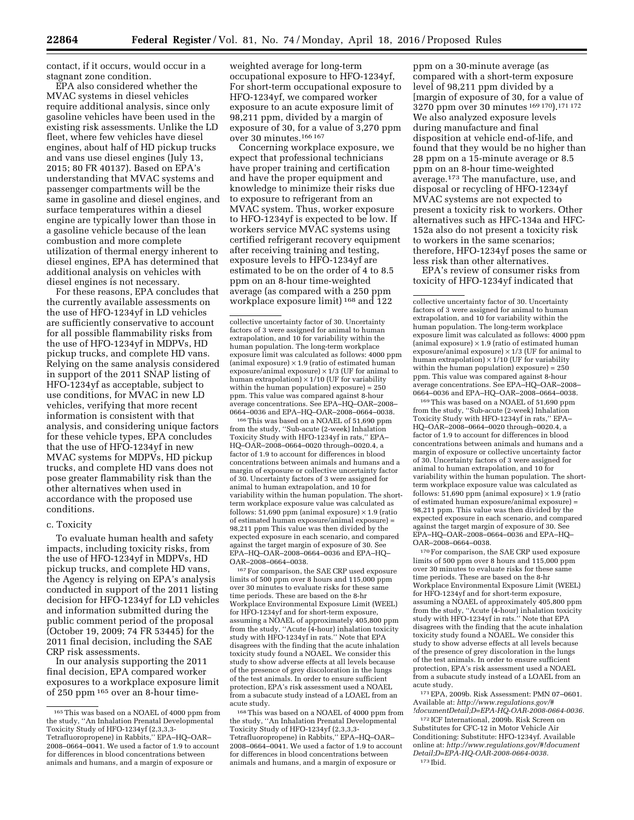contact, if it occurs, would occur in a stagnant zone condition.

EPA also considered whether the MVAC systems in diesel vehicles require additional analysis, since only gasoline vehicles have been used in the existing risk assessments. Unlike the LD fleet, where few vehicles have diesel engines, about half of HD pickup trucks and vans use diesel engines (July 13, 2015; 80 FR 40137). Based on EPA's understanding that MVAC systems and passenger compartments will be the same in gasoline and diesel engines, and surface temperatures within a diesel engine are typically lower than those in a gasoline vehicle because of the lean combustion and more complete utilization of thermal energy inherent to diesel engines, EPA has determined that additional analysis on vehicles with diesel engines is not necessary.

For these reasons, EPA concludes that the currently available assessments on the use of HFO-1234yf in LD vehicles are sufficiently conservative to account for all possible flammability risks from the use of HFO-1234yf in MDPVs, HD pickup trucks, and complete HD vans. Relying on the same analysis considered in support of the 2011 SNAP listing of HFO-1234yf as acceptable, subject to use conditions, for MVAC in new LD vehicles, verifying that more recent information is consistent with that analysis, and considering unique factors for these vehicle types, EPA concludes that the use of HFO-1234yf in new MVAC systems for MDPVs, HD pickup trucks, and complete HD vans does not pose greater flammability risk than the other alternatives when used in accordance with the proposed use conditions.

## c. Toxicity

To evaluate human health and safety impacts, including toxicity risks, from the use of HFO-1234yf in MDPVs, HD pickup trucks, and complete HD vans, the Agency is relying on EPA's analysis conducted in support of the 2011 listing decision for HFO-1234yf for LD vehicles and information submitted during the public comment period of the proposal (October 19, 2009; 74 FR 53445) for the 2011 final decision, including the SAE CRP risk assessments.

In our analysis supporting the 2011 final decision, EPA compared worker exposures to a workplace exposure limit of 250 ppm 165 over an 8-hour timeweighted average for long-term occupational exposure to HFO-1234yf, For short-term occupational exposure to HFO-1234yf, we compared worker exposure to an acute exposure limit of 98,211 ppm, divided by a margin of exposure of 30, for a value of 3,270 ppm over 30 minutes.166 167

Concerning workplace exposure, we expect that professional technicians have proper training and certification and have the proper equipment and knowledge to minimize their risks due to exposure to refrigerant from an MVAC system. Thus, worker exposure to HFO-1234yf is expected to be low. If workers service MVAC systems using certified refrigerant recovery equipment after receiving training and testing, exposure levels to HFO-1234yf are estimated to be on the order of 4 to 8.5 ppm on an 8-hour time-weighted average (as compared with a 250 ppm workplace exposure limit) 168 and 122

collective uncertainty factor of 30. Uncertainty factors of 3 were assigned for animal to human extrapolation, and 10 for variability within the human population. The long-term workplace exposure limit was calculated as follows: 4000 ppm (animal exposure)  $\times$  1.9 (ratio of estimated human exposure/animal exposure)  $\times$  1/3 (UF for animal to human extrapolation)  $\times$  1/10 (UF for variability within the human population) exposure) =  $250$ ppm. This value was compared against 8-hour average concentrations. See EPA–HQ–OAR–2008– 0664–0036 and EPA–HQ–OAR–2008–0664–0038.

166This was based on a NOAEL of 51,690 ppm from the study, ''Sub-acute (2-week) Inhalation Toxicity Study with HFO-1234yf in rats,'' EPA– HQ–OAR–2008–0664–0020 through–0020.4, a factor of 1.9 to account for differences in blood concentrations between animals and humans and a margin of exposure or collective uncertainty factor of 30. Uncertainty factors of 3 were assigned for animal to human extrapolation, and 10 for variability within the human population. The shortterm workplace exposure value was calculated as follows: 51,690 ppm (animal exposure)  $\times$  1.9 (ratio of estimated human exposure/animal exposure) = 98,211 ppm This value was then divided by the expected exposure in each scenario, and compared against the target margin of exposure of 30. See EPA–HQ–OAR–2008–0664–0036 and EPA–HQ– OAR–2008–0664–0038.

167For comparison, the SAE CRP used exposure limits of 500 ppm over 8 hours and 115,000 ppm over 30 minutes to evaluate risks for these same time periods. These are based on the 8-hr Workplace Environmental Exposure Limit (WEEL) for HFO-1234yf and for short-term exposure, assuming a NOAEL of approximately 405,800 ppm from the study, ''Acute (4-hour) inhalation toxicity study with HFO-1234yf in rats.'' Note that EPA disagrees with the finding that the acute inhalation toxicity study found a NOAEL. We consider this study to show adverse effects at all levels because of the presence of grey discoloration in the lungs of the test animals. In order to ensure sufficient protection, EPA's risk assessment used a NOAEL from a subacute study instead of a LOAEL from an acute study.

168This was based on a NOAEL of 4000 ppm from the study, ''An Inhalation Prenatal Developmental Toxicity Study of HFO-1234yf (2,3,3,3- Tetrafluoropropene) in Rabbits,'' EPA–HQ–OAR– 2008–0664–0041. We used a factor of 1.9 to account for differences in blood concentrations between animals and humans, and a margin of exposure or

ppm on a 30-minute average (as compared with a short-term exposure level of 98,211 ppm divided by a [margin of exposure of 30, for a value of 3270 ppm over 30 minutes 169 170).171 172 We also analyzed exposure levels during manufacture and final disposition at vehicle end-of-life, and found that they would be no higher than 28 ppm on a 15-minute average or 8.5 ppm on an 8-hour time-weighted average.173 The manufacture, use, and disposal or recycling of HFO-1234yf MVAC systems are not expected to present a toxicity risk to workers. Other alternatives such as HFC-134a and HFC-152a also do not present a toxicity risk to workers in the same scenarios; therefore, HFO-1234yf poses the same or less risk than other alternatives.

EPA's review of consumer risks from toxicity of HFO-1234yf indicated that

169This was based on a NOAEL of 51,690 ppm from the study, ''Sub-acute (2-week) Inhalation Toxicity Study with HFO-1234yf in rats,'' EPA– HQ–OAR–2008–0664–0020 through–0020.4, a factor of 1.9 to account for differences in blood concentrations between animals and humans and a margin of exposure or collective uncertainty factor of 30. Uncertainty factors of 3 were assigned for animal to human extrapolation, and 10 for variability within the human population. The shortterm workplace exposure value was calculated as follows:  $51,690$  ppm (animal exposure)  $\times$  1.9 (ratio of estimated human exposure/animal exposure) = 98,211 ppm. This value was then divided by the expected exposure in each scenario, and compared against the target margin of exposure of 30. See EPA–HQ–OAR–2008–0664–0036 and EPA–HQ– OAR–2008–0664–0038.

170For comparison, the SAE CRP used exposure limits of 500 ppm over 8 hours and 115,000 ppm over 30 minutes to evaluate risks for these same time periods. These are based on the 8-hr Workplace Environmental Exposure Limit (WEEL) for HFO-1234yf and for short-term exposure, assuming a NOAEL of approximately 405,800 ppm from the study, ''Acute (4-hour) inhalation toxicity study with HFO-1234yf in rats.'' Note that EPA disagrees with the finding that the acute inhalation toxicity study found a NOAEL. We consider this study to show adverse effects at all levels because of the presence of grey discoloration in the lungs of the test animals. In order to ensure sufficient protection, EPA's risk assessment used a NOAEL from a subacute study instead of a LOAEL from an acute study.

171EPA, 2009b. Risk Assessment: PMN 07–0601. Available at: *[http://www.regulations.gov/#](http://www.regulations.gov/#!documentDetail;D=EPA-HQ-OAR-2008-0664-0036) [!documentDetail;D=EPA-HQ-OAR-2008-0664-0036.](http://www.regulations.gov/#!documentDetail;D=EPA-HQ-OAR-2008-0664-0036)* 

172 ICF International, 2009b. Risk Screen on Substitutes for CFC-12 in Motor Vehicle Air Conditioning: Substitute: HFO-1234yf. Available online at: *[http://www.regulations.gov/#!document](http://www.regulations.gov/#!documentDetail;D=EPA-HQ-OAR-2008-0664-0038) [Detail;D=EPA-HQ-OAR-2008-0664-0038.](http://www.regulations.gov/#!documentDetail;D=EPA-HQ-OAR-2008-0664-0038)*  173 Ibid.

<sup>165</sup>This was based on a NOAEL of 4000 ppm from the study, ''An Inhalation Prenatal Developmental Toxicity Study of HFO-1234yf (2,3,3,3- Tetrafluoropropene) in Rabbits,'' EPA–HQ–OAR– 2008–0664–0041. We used a factor of 1.9 to account for differences in blood concentrations between animals and humans, and a margin of exposure or

collective uncertainty factor of 30. Uncertainty factors of 3 were assigned for animal to human extrapolation, and 10 for variability within the human population. The long-term workplace exposure limit was calculated as follows: 4000 ppm (animal exposure)  $\times$  1.9 (ratio of estimated huma exposure/animal exposure)  $\times$  1/3 (UF for animal to human extrapolation)  $\times$  1/10 (UF for variability within the human population) exposure) =  $250$ ppm. This value was compared against 8-hour average concentrations. See EPA–HQ–OAR–2008– 0664–0036 and EPA–HQ–OAR–2008–0664–0038.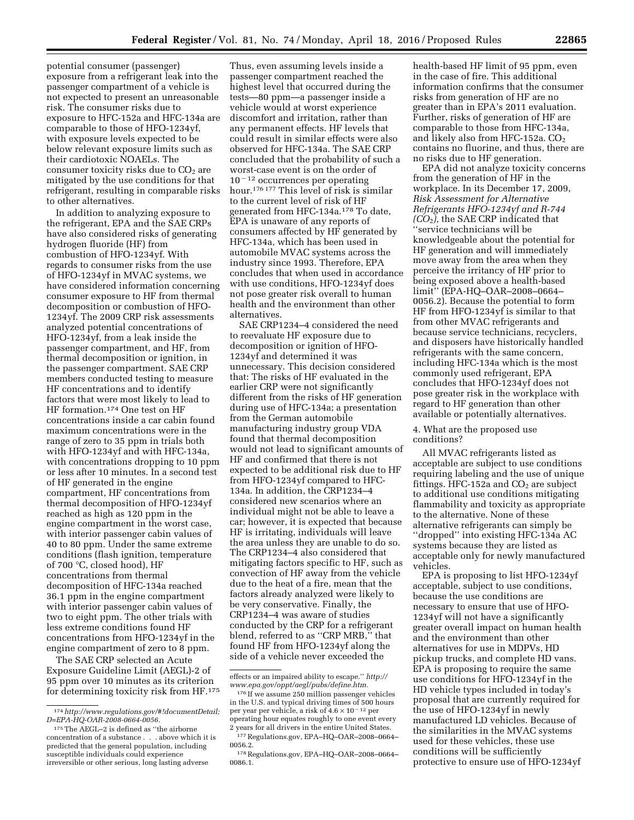potential consumer (passenger) exposure from a refrigerant leak into the passenger compartment of a vehicle is not expected to present an unreasonable risk. The consumer risks due to exposure to HFC-152a and HFC-134a are

comparable to those of HFO-1234yf, with exposure levels expected to be below relevant exposure limits such as their cardiotoxic NOAELs. The consumer toxicity risks due to  $CO<sub>2</sub>$  are mitigated by the use conditions for that refrigerant, resulting in comparable risks to other alternatives.

In addition to analyzing exposure to the refrigerant, EPA and the SAE CRPs have also considered risks of generating hydrogen fluoride (HF) from combustion of HFO-1234yf. With regards to consumer risks from the use of HFO-1234yf in MVAC systems, we have considered information concerning consumer exposure to HF from thermal decomposition or combustion of HFO-1234yf. The 2009 CRP risk assessments analyzed potential concentrations of HFO-1234yf, from a leak inside the passenger compartment, and HF, from thermal decomposition or ignition, in the passenger compartment. SAE CRP members conducted testing to measure HF concentrations and to identify factors that were most likely to lead to HF formation.174 One test on HF concentrations inside a car cabin found maximum concentrations were in the range of zero to 35 ppm in trials both with HFO-1234yf and with HFC-134a, with concentrations dropping to 10 ppm or less after 10 minutes. In a second test of HF generated in the engine compartment, HF concentrations from thermal decomposition of HFO-1234yf reached as high as 120 ppm in the engine compartment in the worst case, with interior passenger cabin values of 40 to 80 ppm. Under the same extreme conditions (flash ignition, temperature of 700 °C, closed hood), HF concentrations from thermal decomposition of HFC-134a reached 36.1 ppm in the engine compartment with interior passenger cabin values of two to eight ppm. The other trials with less extreme conditions found HF concentrations from HFO-1234yf in the engine compartment of zero to 8 ppm.

The SAE CRP selected an Acute Exposure Guideline Limit (AEGL)-2 of 95 ppm over 10 minutes as its criterion for determining toxicity risk from HF.175

Thus, even assuming levels inside a passenger compartment reached the highest level that occurred during the tests—80 ppm—a passenger inside a vehicle would at worst experience discomfort and irritation, rather than any permanent effects. HF levels that could result in similar effects were also observed for HFC-134a. The SAE CRP concluded that the probability of such a worst-case event is on the order of  $10<sup>-12</sup>$  occurrences per operating hour.176 177 This level of risk is similar to the current level of risk of HF generated from HFC-134a.178 To date, EPA is unaware of any reports of consumers affected by HF generated by HFC-134a, which has been used in automobile MVAC systems across the industry since 1993. Therefore, EPA concludes that when used in accordance with use conditions, HFO-1234yf does not pose greater risk overall to human health and the environment than other alternatives.

SAE CRP1234–4 considered the need to reevaluate HF exposure due to decomposition or ignition of HFO-1234yf and determined it was unnecessary. This decision considered that: The risks of HF evaluated in the earlier CRP were not significantly different from the risks of HF generation during use of HFC-134a; a presentation from the German automobile manufacturing industry group VDA found that thermal decomposition would not lead to significant amounts of HF and confirmed that there is not expected to be additional risk due to HF from HFO-1234yf compared to HFC-134a. In addition, the CRP1234–4 considered new scenarios where an individual might not be able to leave a car; however, it is expected that because HF is irritating, individuals will leave the area unless they are unable to do so. The CRP1234–4 also considered that mitigating factors specific to HF, such as convection of HF away from the vehicle due to the heat of a fire, mean that the factors already analyzed were likely to be very conservative. Finally, the CRP1234–4 was aware of studies conducted by the CRP for a refrigerant blend, referred to as ''CRP MRB,'' that found HF from HFO-1234yf along the side of a vehicle never exceeded the

health-based HF limit of 95 ppm, even in the case of fire. This additional information confirms that the consumer risks from generation of HF are no greater than in EPA's 2011 evaluation. Further, risks of generation of HF are comparable to those from HFC-134a, and likely also from HFC-152a.  $CO<sub>2</sub>$ contains no fluorine, and thus, there are no risks due to HF generation.

EPA did not analyze toxicity concerns from the generation of HF in the workplace. In its December 17, 2009, *Risk Assessment for Alternative Refrigerants HFO-1234yf and R-744 (CO*2*),* the SAE CRP indicated that ''service technicians will be knowledgeable about the potential for HF generation and will immediately move away from the area when they perceive the irritancy of HF prior to being exposed above a health-based limit'' (EPA-HQ–OAR–2008–0664– 0056.2). Because the potential to form HF from HFO-1234yf is similar to that from other MVAC refrigerants and because service technicians, recyclers, and disposers have historically handled refrigerants with the same concern, including HFC-134a which is the most commonly used refrigerant, EPA concludes that HFO-1234yf does not pose greater risk in the workplace with regard to HF generation than other available or potentially alternatives.

## 4. What are the proposed use conditions?

All MVAC refrigerants listed as acceptable are subject to use conditions requiring labeling and the use of unique fittings. HFC-152a and  $CO<sub>2</sub>$  are subject to additional use conditions mitigating flammability and toxicity as appropriate to the alternative. None of these alternative refrigerants can simply be ''dropped'' into existing HFC-134a AC systems because they are listed as acceptable only for newly manufactured vehicles.

EPA is proposing to list HFO-1234yf acceptable, subject to use conditions, because the use conditions are necessary to ensure that use of HFO-1234yf will not have a significantly greater overall impact on human health and the environment than other alternatives for use in MDPVs, HD pickup trucks, and complete HD vans. EPA is proposing to require the same use conditions for HFO-1234yf in the HD vehicle types included in today's proposal that are currently required for the use of HFO-1234yf in newly manufactured LD vehicles. Because of the similarities in the MVAC systems used for these vehicles, these use conditions will be sufficiently protective to ensure use of HFO-1234yf

<sup>174</sup>*[http://www.regulations.gov/#!documentDetail;](http://www.regulations.gov/#!documentDetail;D=EPA-HQ-OAR-2008-0664-0056) [D=EPA-HQ-OAR-2008-0664-0056.](http://www.regulations.gov/#!documentDetail;D=EPA-HQ-OAR-2008-0664-0056)* 

<sup>175</sup>The AEGL–2 is defined as ''the airborne concentration of a substance . . . above which it is predicted that the general population, including susceptible individuals could experience irreversible or other serious, long lasting adverse

effects or an impaired ability to escape.'' *[http://](http://www.epa.gov/oppt/aegl/pubs/define.htm) [www.epa.gov/oppt/aegl/pubs/define.htm.](http://www.epa.gov/oppt/aegl/pubs/define.htm)* 

<sup>176</sup> If we assume 250 million passenger vehicles in the U.S. and typical driving times of 500 hours per year per vehicle, a risk of  $4.6 \times 10^{-12}$  per operating hour equates roughly to one event every 2 years for all drivers in the entire United States.

<sup>177</sup>Regulations.gov, EPA–HQ–OAR–2008–0664– 0056.2.

<sup>178</sup>Regulations.gov, EPA–HQ–OAR–2008–0664– 0086.1.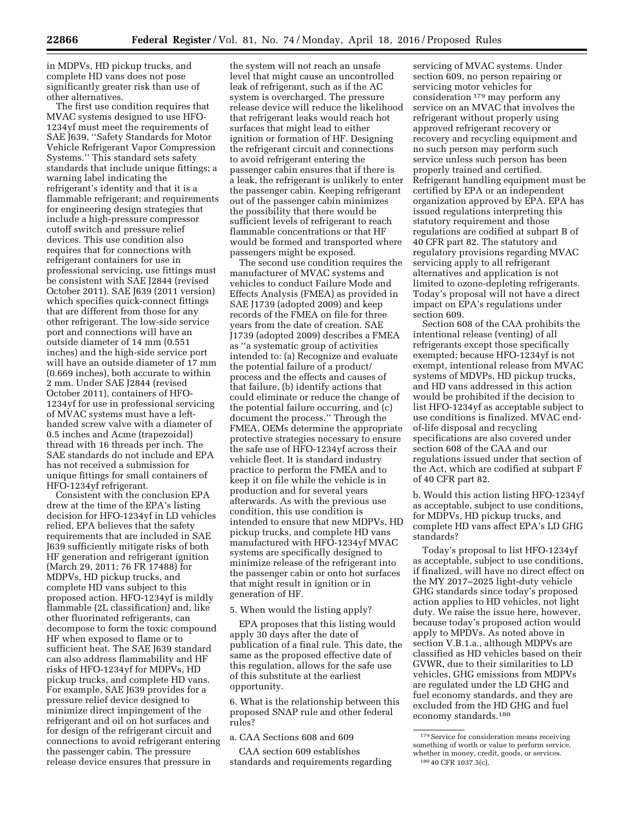in MDPVs, HD pickup trucks, and complete HD vans does not pose significantly greater risk than use of other alternatives.

The first use condition requires that MVAC systems designed to use HFO-1234yf must meet the requirements of SAE J639, ''Safety Standards for Motor Vehicle Refrigerant Vapor Compression Systems.'' This standard sets safety standards that include unique fittings; a warning label indicating the refrigerant's identity and that it is a flammable refrigerant; and requirements for engineering design strategies that include a high-pressure compressor cutoff switch and pressure relief devices. This use condition also requires that for connections with refrigerant containers for use in professional servicing, use fittings must be consistent with SAE J2844 (revised October 2011). SAE J639 (2011 version) which specifies quick-connect fittings that are different from those for any other refrigerant. The low-side service port and connections will have an outside diameter of 14 mm (0.551 inches) and the high-side service port will have an outside diameter of 17 mm (0.669 inches), both accurate to within 2 mm. Under SAE J2844 (revised October 2011), containers of HFO-1234yf for use in professional servicing of MVAC systems must have a lefthanded screw valve with a diameter of 0.5 inches and Acme (trapezoidal) thread with 16 threads per inch. The SAE standards do not include and EPA has not received a submission for unique fittings for small containers of HFO-1234yf refrigerant.

Consistent with the conclusion EPA drew at the time of the EPA's listing decision for HFO-1234yf in LD vehicles relied, EPA believes that the safety requirements that are included in SAE J639 sufficiently mitigate risks of both HF generation and refrigerant ignition (March 29, 2011; 76 FR 17488) for MDPVs, HD pickup trucks, and complete HD vans subject to this proposed action. HFO-1234yf is mildly flammable (2L classification) and, like other fluorinated refrigerants, can decompose to form the toxic compound HF when exposed to flame or to sufficient heat. The SAE J639 standard can also address flammability and HF risks of HFO-1234yf for MDPVs, HD pickup trucks, and complete HD vans. For example, SAE J639 provides for a pressure relief device designed to minimize direct impingement of the refrigerant and oil on hot surfaces and for design of the refrigerant circuit and connections to avoid refrigerant entering the passenger cabin. The pressure release device ensures that pressure in

the system will not reach an unsafe level that might cause an uncontrolled leak of refrigerant, such as if the AC system is overcharged. The pressure release device will reduce the likelihood that refrigerant leaks would reach hot surfaces that might lead to either ignition or formation of HF. Designing the refrigerant circuit and connections to avoid refrigerant entering the passenger cabin ensures that if there is a leak, the refrigerant is unlikely to enter the passenger cabin. Keeping refrigerant out of the passenger cabin minimizes the possibility that there would be sufficient levels of refrigerant to reach flammable concentrations or that HF would be formed and transported where passengers might be exposed.

The second use condition requires the manufacturer of MVAC systems and vehicles to conduct Failure Mode and Effects Analysis (FMEA) as provided in SAE J1739 (adopted 2009) and keep records of the FMEA on file for three years from the date of creation. SAE J1739 (adopted 2009) describes a FMEA as ''a systematic group of activities intended to: (a) Recognize and evaluate the potential failure of a product/ process and the effects and causes of that failure, (b) identify actions that could eliminate or reduce the change of the potential failure occurring, and (c) document the process.'' Through the FMEA, OEMs determine the appropriate protective strategies necessary to ensure the safe use of HFO-1234yf across their vehicle fleet. It is standard industry practice to perform the FMEA and to keep it on file while the vehicle is in production and for several years afterwards. As with the previous use condition, this use condition is intended to ensure that new MDPVs, HD pickup trucks, and complete HD vans manufactured with HFO-1234yf MVAC systems are specifically designed to minimize release of the refrigerant into the passenger cabin or onto hot surfaces that might result in ignition or in generation of HF.

## 5. When would the listing apply?

EPA proposes that this listing would apply 30 days after the date of publication of a final rule. This date, the same as the proposed effective date of this regulation, allows for the safe use of this substitute at the earliest opportunity.

6. What is the relationship between this proposed SNAP rule and other federal rules?

a. CAA Sections 608 and 609

CAA section 609 establishes standards and requirements regarding

servicing of MVAC systems. Under section 609, no person repairing or servicing motor vehicles for consideration 179 may perform any service on an MVAC that involves the refrigerant without properly using approved refrigerant recovery or recovery and recycling equipment and no such person may perform such service unless such person has been properly trained and certified. Refrigerant handling equipment must be certified by EPA or an independent organization approved by EPA. EPA has issued regulations interpreting this statutory requirement and those regulations are codified at subpart B of 40 CFR part 82. The statutory and regulatory provisions regarding MVAC servicing apply to all refrigerant alternatives and application is not limited to ozone-depleting refrigerants. Today's proposal will not have a direct impact on EPA's regulations under section 609.

Section 608 of the CAA prohibits the intentional release (venting) of all refrigerants except those specifically exempted; because HFO-1234yf is not exempt, intentional release from MVAC systems of MDVPs, HD pickup trucks, and HD vans addressed in this action would be prohibited if the decision to list HFO-1234yf as acceptable subject to use conditions is finalized. MVAC endof-life disposal and recycling specifications are also covered under section 608 of the CAA and our regulations issued under that section of the Act, which are codified at subpart F of 40 CFR part 82.

b. Would this action listing HFO-1234yf as acceptable, subject to use conditions, for MDPVs, HD pickup trucks, and complete HD vans affect EPA's LD GHG standards?

Today's proposal to list HFO-1234yf as acceptable, subject to use conditions, if finalized, will have no direct effect on the MY 2017–2025 light-duty vehicle GHG standards since today's proposed action applies to HD vehicles, not light duty. We raise the issue here, however, because today's proposed action would apply to MPDVs. As noted above in section V.B.1.a., although MDPVs are classified as HD vehicles based on their GVWR, due to their similarities to LD vehicles, GHG emissions from MDPVs are regulated under the LD GHG and fuel economy standards, and they are excluded from the HD GHG and fuel economy standards.180

 $^{\rm 179}$  Service for consideration means receiving something of worth or value to perform service, whether in money, credit, goods, or services. 180 40 CFR 1037.5(c).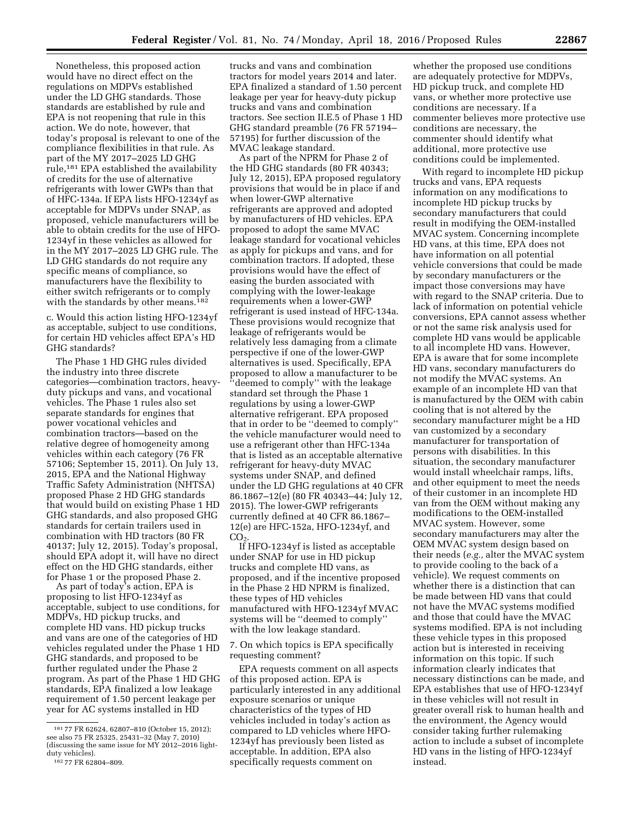Nonetheless, this proposed action would have no direct effect on the regulations on MDPVs established under the LD GHG standards. Those standards are established by rule and EPA is not reopening that rule in this action. We do note, however, that today's proposal is relevant to one of the compliance flexibilities in that rule. As part of the MY 2017–2025 LD GHG rule,181 EPA established the availability of credits for the use of alternative refrigerants with lower GWPs than that of HFC-134a. If EPA lists HFO-1234yf as acceptable for MDPVs under SNAP, as proposed, vehicle manufacturers will be able to obtain credits for the use of HFO-1234yf in these vehicles as allowed for in the MY 2017–2025 LD GHG rule. The LD GHG standards do not require any specific means of compliance, so manufacturers have the flexibility to either switch refrigerants or to comply with the standards by other means.182

c. Would this action listing HFO-1234yf as acceptable, subject to use conditions, for certain HD vehicles affect EPA's HD GHG standards?

The Phase 1 HD GHG rules divided the industry into three discrete categories—combination tractors, heavyduty pickups and vans, and vocational vehicles. The Phase 1 rules also set separate standards for engines that power vocational vehicles and combination tractors—based on the relative degree of homogeneity among vehicles within each category (76 FR 57106; September 15, 2011). On July 13, 2015, EPA and the National Highway Traffic Safety Administration (NHTSA) proposed Phase 2 HD GHG standards that would build on existing Phase 1 HD GHG standards, and also proposed GHG standards for certain trailers used in combination with HD tractors (80 FR 40137; July 12, 2015). Today's proposal, should EPA adopt it, will have no direct effect on the HD GHG standards, either for Phase 1 or the proposed Phase 2.

As part of today's action, EPA is proposing to list HFO-1234yf as acceptable, subject to use conditions, for MDPVs, HD pickup trucks, and complete HD vans. HD pickup trucks and vans are one of the categories of HD vehicles regulated under the Phase 1 HD GHG standards, and proposed to be further regulated under the Phase 2 program. As part of the Phase 1 HD GHG standards, EPA finalized a low leakage requirement of 1.50 percent leakage per year for AC systems installed in HD

trucks and vans and combination tractors for model years 2014 and later. EPA finalized a standard of 1.50 percent leakage per year for heavy-duty pickup trucks and vans and combination tractors. See section II.E.5 of Phase 1 HD GHG standard preamble (76 FR 57194– 57195) for further discussion of the MVAC leakage standard.

As part of the NPRM for Phase 2 of the HD GHG standards (80 FR 40343; July 12, 2015), EPA proposed regulatory provisions that would be in place if and when lower-GWP alternative refrigerants are approved and adopted by manufacturers of HD vehicles. EPA proposed to adopt the same MVAC leakage standard for vocational vehicles as apply for pickups and vans, and for combination tractors. If adopted, these provisions would have the effect of easing the burden associated with complying with the lower-leakage requirements when a lower-GWP refrigerant is used instead of HFC-134a. These provisions would recognize that leakage of refrigerants would be relatively less damaging from a climate perspective if one of the lower-GWP alternatives is used. Specifically, EPA proposed to allow a manufacturer to be ''deemed to comply'' with the leakage standard set through the Phase 1 regulations by using a lower-GWP alternative refrigerant. EPA proposed that in order to be ''deemed to comply'' the vehicle manufacturer would need to use a refrigerant other than HFC-134a that is listed as an acceptable alternative refrigerant for heavy-duty MVAC systems under SNAP, and defined under the LD GHG regulations at 40 CFR 86.1867–12(e) (80 FR 40343–44; July 12, 2015). The lower-GWP refrigerants currently defined at 40 CFR 86.1867– 12(e) are HFC-152a, HFO-1234yf, and  $CO<sub>2</sub>$ 

If HFO-1234yf is listed as acceptable under SNAP for use in HD pickup trucks and complete HD vans, as proposed, and if the incentive proposed in the Phase 2 HD NPRM is finalized, these types of HD vehicles manufactured with HFO-1234yf MVAC systems will be ''deemed to comply'' with the low leakage standard.

7. On which topics is EPA specifically requesting comment?

EPA requests comment on all aspects of this proposed action. EPA is particularly interested in any additional exposure scenarios or unique characteristics of the types of HD vehicles included in today's action as compared to LD vehicles where HFO-1234yf has previously been listed as acceptable. In addition, EPA also specifically requests comment on

whether the proposed use conditions are adequately protective for MDPVs, HD pickup truck, and complete HD vans, or whether more protective use conditions are necessary. If a commenter believes more protective use conditions are necessary, the commenter should identify what additional, more protective use conditions could be implemented.

With regard to incomplete HD pickup trucks and vans, EPA requests information on any modifications to incomplete HD pickup trucks by secondary manufacturers that could result in modifying the OEM-installed MVAC system. Concerning incomplete HD vans, at this time, EPA does not have information on all potential vehicle conversions that could be made by secondary manufacturers or the impact those conversions may have with regard to the SNAP criteria. Due to lack of information on potential vehicle conversions, EPA cannot assess whether or not the same risk analysis used for complete HD vans would be applicable to all incomplete HD vans. However, EPA is aware that for some incomplete HD vans, secondary manufacturers do not modify the MVAC systems. An example of an incomplete HD van that is manufactured by the OEM with cabin cooling that is not altered by the secondary manufacturer might be a HD van customized by a secondary manufacturer for transportation of persons with disabilities. In this situation, the secondary manufacturer would install wheelchair ramps, lifts, and other equipment to meet the needs of their customer in an incomplete HD van from the OEM without making any modifications to the OEM-installed MVAC system. However, some secondary manufacturers may alter the OEM MVAC system design based on their needs (*e.g.,* alter the MVAC system to provide cooling to the back of a vehicle). We request comments on whether there is a distinction that can be made between HD vans that could not have the MVAC systems modified and those that could have the MVAC systems modified. EPA is not including these vehicle types in this proposed action but is interested in receiving information on this topic. If such information clearly indicates that necessary distinctions can be made, and EPA establishes that use of HFO-1234yf in these vehicles will not result in greater overall risk to human health and the environment, the Agency would consider taking further rulemaking action to include a subset of incomplete HD vans in the listing of HFO-1234yf instead.

<sup>181</sup> 77 FR 62624, 62807–810 (October 15, 2012); see also 75 FR 25325, 25431–32 (May 7, 2010) (discussing the same issue for MY 2012–2016 light-<br>duty vehicles).

<sup>182 77</sup> FR 62804-809.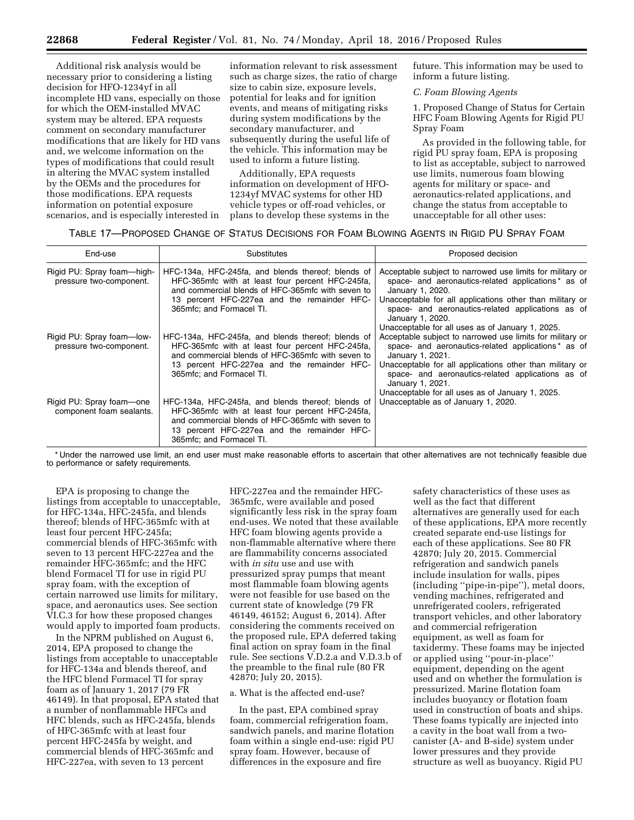Additional risk analysis would be necessary prior to considering a listing decision for HFO-1234yf in all incomplete HD vans, especially on those for which the OEM-installed MVAC system may be altered. EPA requests comment on secondary manufacturer modifications that are likely for HD vans and, we welcome information on the types of modifications that could result in altering the MVAC system installed by the OEMs and the procedures for those modifications. EPA requests information on potential exposure scenarios, and is especially interested in

information relevant to risk assessment such as charge sizes, the ratio of charge size to cabin size, exposure levels, potential for leaks and for ignition events, and means of mitigating risks during system modifications by the secondary manufacturer, and subsequently during the useful life of the vehicle. This information may be used to inform a future listing.

Additionally, EPA requests information on development of HFO-1234yf MVAC systems for other HD vehicle types or off-road vehicles, or plans to develop these systems in the future. This information may be used to inform a future listing.

*C. Foam Blowing Agents* 

1. Proposed Change of Status for Certain HFC Foam Blowing Agents for Rigid PU Spray Foam

As provided in the following table, for rigid PU spray foam, EPA is proposing to list as acceptable, subject to narrowed use limits, numerous foam blowing agents for military or space- and aeronautics-related applications, and change the status from acceptable to unacceptable for all other uses:

## TABLE 17—PROPOSED CHANGE OF STATUS DECISIONS FOR FOAM BLOWING AGENTS IN RIGID PU SPRAY FOAM

| End-use                                               | Substitutes                                                                                                                                                                                                                              | Proposed decision                                                                                                                                                                                                                                                                                        |
|-------------------------------------------------------|------------------------------------------------------------------------------------------------------------------------------------------------------------------------------------------------------------------------------------------|----------------------------------------------------------------------------------------------------------------------------------------------------------------------------------------------------------------------------------------------------------------------------------------------------------|
| Rigid PU: Spray foam—high-<br>pressure two-component. | HFC-134a, HFC-245fa, and blends thereof; blends of<br>HFC-365mfc with at least four percent HFC-245fa,<br>and commercial blends of HFC-365mfc with seven to<br>13 percent HFC-227ea and the remainder HFC-<br>365mfc; and Formacel TI.   | Acceptable subject to narrowed use limits for military or<br>space- and aeronautics-related applications* as of<br>January 1, 2020.<br>Unacceptable for all applications other than military or<br>space- and aeronautics-related applications as of<br>January 1, 2020.                                 |
| Rigid PU: Spray foam—low-<br>pressure two-component.  | HFC-134a, HFC-245fa, and blends thereof; blends of<br>HFC-365mfc with at least four percent HFC-245fa,<br>and commercial blends of HFC-365mfc with seven to<br>13 percent HFC-227ea and the remainder HFC-<br>365mfc: and Formacel TI.   | Unacceptable for all uses as of January 1, 2025.<br>Acceptable subject to narrowed use limits for military or<br>space- and aeronautics-related applications* as of<br>January 1, 2021.<br>Unacceptable for all applications other than military or<br>space- and aeronautics-related applications as of |
| Rigid PU: Spray foam—one<br>component foam sealants.  | HFC-134a, HFC-245fa, and blends thereof; blends of<br>HFC-365 mfc with at least four percent HFC-245 fa,<br>and commercial blends of HFC-365mfc with seven to<br>13 percent HFC-227ea and the remainder HFC-<br>365mfc; and Formacel TI. | January 1, 2021.<br>Unacceptable for all uses as of January 1, 2025.<br>Unacceptable as of January 1, 2020.                                                                                                                                                                                              |

\* Under the narrowed use limit, an end user must make reasonable efforts to ascertain that other alternatives are not technically feasible due to performance or safety requirements.

EPA is proposing to change the listings from acceptable to unacceptable, for HFC-134a, HFC-245fa, and blends thereof; blends of HFC-365mfc with at least four percent HFC-245fa; commercial blends of HFC-365mfc with seven to 13 percent HFC-227ea and the remainder HFC-365mfc; and the HFC blend Formacel TI for use in rigid PU spray foam, with the exception of certain narrowed use limits for military, space, and aeronautics uses. See section VI.C.3 for how these proposed changes would apply to imported foam products.

In the NPRM published on August 6, 2014, EPA proposed to change the listings from acceptable to unacceptable for HFC-134a and blends thereof, and the HFC blend Formacel TI for spray foam as of January 1, 2017 (79 FR 46149). In that proposal, EPA stated that a number of nonflammable HFCs and HFC blends, such as HFC-245fa, blends of HFC-365mfc with at least four percent HFC-245fa by weight, and commercial blends of HFC-365mfc and HFC-227ea, with seven to 13 percent

HFC-227ea and the remainder HFC-365mfc, were available and posed significantly less risk in the spray foam end-uses. We noted that these available HFC foam blowing agents provide a non-flammable alternative where there are flammability concerns associated with *in situ* use and use with pressurized spray pumps that meant most flammable foam blowing agents were not feasible for use based on the current state of knowledge (79 FR 46149, 46152; August 6, 2014). After considering the comments received on the proposed rule, EPA deferred taking final action on spray foam in the final rule. See sections V.D.2.a and V.D.3.b of the preamble to the final rule (80 FR 42870; July 20, 2015).

## a. What is the affected end-use?

In the past, EPA combined spray foam, commercial refrigeration foam, sandwich panels, and marine flotation foam within a single end-use: rigid PU spray foam. However, because of differences in the exposure and fire

safety characteristics of these uses as well as the fact that different alternatives are generally used for each of these applications, EPA more recently created separate end-use listings for each of these applications. See 80 FR 42870; July 20, 2015. Commercial refrigeration and sandwich panels include insulation for walls, pipes (including ''pipe-in-pipe''), metal doors, vending machines, refrigerated and unrefrigerated coolers, refrigerated transport vehicles, and other laboratory and commercial refrigeration equipment, as well as foam for taxidermy. These foams may be injected or applied using ''pour-in-place'' equipment, depending on the agent used and on whether the formulation is pressurized. Marine flotation foam includes buoyancy or flotation foam used in construction of boats and ships. These foams typically are injected into a cavity in the boat wall from a twocanister (A- and B-side) system under lower pressures and they provide structure as well as buoyancy. Rigid PU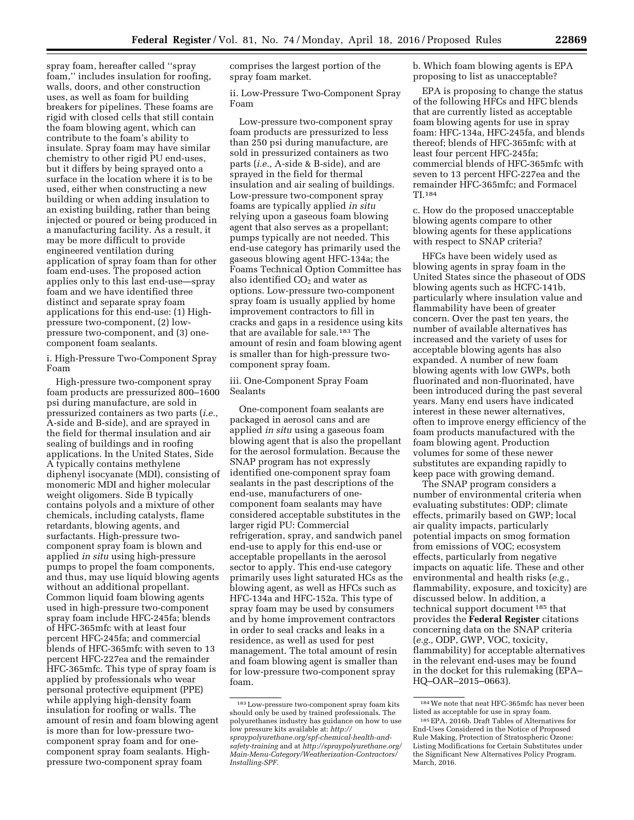b. Which foam blowing agents is EPA proposing to list as unacceptable?

EPA is proposing to change the status of the following HFCs and HFC blends that are currently listed as acceptable foam blowing agents for use in spray foam: HFC-134a, HFC-245fa, and blends thereof; blends of HFC-365mfc with at least four percent HFC-245fa; commercial blends of HFC-365mfc with seven to 13 percent HFC-227ea and the remainder HFC-365mfc; and Formacel TI.184

c. How do the proposed unacceptable blowing agents compare to other blowing agents for these applications with respect to SNAP criteria?

HFCs have been widely used as blowing agents in spray foam in the United States since the phaseout of ODS blowing agents such as HCFC-141b, particularly where insulation value and flammability have been of greater concern. Over the past ten years, the number of available alternatives has increased and the variety of uses for acceptable blowing agents has also expanded. A number of new foam blowing agents with low GWPs, both fluorinated and non-fluorinated, have been introduced during the past several years. Many end users have indicated interest in these newer alternatives, often to improve energy efficiency of the foam products manufactured with the foam blowing agent. Production volumes for some of these newer substitutes are expanding rapidly to keep pace with growing demand.

The SNAP program considers a number of environmental criteria when evaluating substitutes: ODP; climate effects, primarily based on GWP; local air quality impacts, particularly potential impacts on smog formation from emissions of VOC; ecosystem effects, particularly from negative impacts on aquatic life. These and other environmental and health risks (*e.g.,*  flammability, exposure, and toxicity) are discussed below. In addition, a technical support document 185 that provides the **Federal Register** citations concerning data on the SNAP criteria (*e.g.,* ODP, GWP, VOC, toxicity, flammability) for acceptable alternatives in the relevant end-uses may be found in the docket for this rulemaking (EPA– HQ–OAR–2015–0663).

spray foam, hereafter called ''spray foam,'' includes insulation for roofing, walls, doors, and other construction uses, as well as foam for building breakers for pipelines. These foams are rigid with closed cells that still contain the foam blowing agent, which can contribute to the foam's ability to insulate. Spray foam may have similar chemistry to other rigid PU end-uses, but it differs by being sprayed onto a surface in the location where it is to be used, either when constructing a new building or when adding insulation to an existing building, rather than being injected or poured or being produced in a manufacturing facility. As a result, it may be more difficult to provide engineered ventilation during application of spray foam than for other foam end-uses. The proposed action applies only to this last end-use—spray foam and we have identified three distinct and separate spray foam applications for this end-use: (1) Highpressure two-component, (2) lowpressure two-component, and (3) onecomponent foam sealants.

i. High-Pressure Two-Component Spray Foam

High-pressure two-component spray foam products are pressurized 800–1600 psi during manufacture, are sold in pressurized containers as two parts (*i.e.,*  A-side and B-side), and are sprayed in the field for thermal insulation and air sealing of buildings and in roofing applications. In the United States, Side A typically contains methylene diphenyl isocyanate (MDI), consisting of monomeric MDI and higher molecular weight oligomers. Side B typically contains polyols and a mixture of other chemicals, including catalysts, flame retardants, blowing agents, and surfactants. High-pressure twocomponent spray foam is blown and applied *in situ* using high-pressure pumps to propel the foam components, and thus, may use liquid blowing agents without an additional propellant. Common liquid foam blowing agents used in high-pressure two-component spray foam include HFC-245fa; blends of HFC-365mfc with at least four percent HFC-245fa; and commercial blends of HFC-365mfc with seven to 13 percent HFC-227ea and the remainder HFC-365mfc. This type of spray foam is applied by professionals who wear personal protective equipment (PPE) while applying high-density foam insulation for roofing or walls. The amount of resin and foam blowing agent is more than for low-pressure twocomponent spray foam and for onecomponent spray foam sealants. Highpressure two-component spray foam

comprises the largest portion of the spray foam market.

ii. Low-Pressure Two-Component Spray Foam

Low-pressure two-component spray foam products are pressurized to less than 250 psi during manufacture, are sold in pressurized containers as two parts (*i.e.,* A-side & B-side), and are sprayed in the field for thermal insulation and air sealing of buildings. Low-pressure two-component spray foams are typically applied *in situ*  relying upon a gaseous foam blowing agent that also serves as a propellant; pumps typically are not needed. This end-use category has primarily used the gaseous blowing agent HFC-134a; the Foams Technical Option Committee has also identified  $\mathrm{CO}_2$  and water as options. Low-pressure two-component spray foam is usually applied by home improvement contractors to fill in cracks and gaps in a residence using kits that are available for sale.183 The amount of resin and foam blowing agent is smaller than for high-pressure twocomponent spray foam.

iii. One-Component Spray Foam Sealants

One-component foam sealants are packaged in aerosol cans and are applied *in situ* using a gaseous foam blowing agent that is also the propellant for the aerosol formulation. Because the SNAP program has not expressly identified one-component spray foam sealants in the past descriptions of the end-use, manufacturers of onecomponent foam sealants may have considered acceptable substitutes in the larger rigid PU: Commercial refrigeration, spray, and sandwich panel end-use to apply for this end-use or acceptable propellants in the aerosol sector to apply. This end-use category primarily uses light saturated HCs as the blowing agent, as well as HFCs such as HFC-134a and HFC-152a. This type of spray foam may be used by consumers and by home improvement contractors in order to seal cracks and leaks in a residence, as well as used for pest management. The total amount of resin and foam blowing agent is smaller than for low-pressure two-component spray foam.

<sup>184</sup>We note that neat HFC-365mfc has never been listed as acceptable for use in spray foam.

<sup>185</sup>EPA, 2016b. Draft Tables of Alternatives for End-Uses Considered in the Notice of Proposed Rule Making, Protection of Stratospheric Ozone: Listing Modifications for Certain Substitutes under the Significant New Alternatives Policy Program. March, 2016.

<sup>183</sup>Low-pressure two-component spray foam kits should only be used by trained professionals. The polyurethanes industry has guidance on how to use low pressure kits available at: *[http://](http://spraypolyurethane.org/spf-chemical-health-and-safety-training) [spraypolyurethane.org/spf-chemical-health-and](http://spraypolyurethane.org/spf-chemical-health-and-safety-training)[safety-training](http://spraypolyurethane.org/spf-chemical-health-and-safety-training)* and at *[http://spraypolyurethane.org/](http://spraypolyurethane.org/Main-Menu-Category/Weatherization-Contractors/Installing-SPF) [Main-Menu-Category/Weatherization-Contractors/](http://spraypolyurethane.org/Main-Menu-Category/Weatherization-Contractors/Installing-SPF) [Installing-SPF.](http://spraypolyurethane.org/Main-Menu-Category/Weatherization-Contractors/Installing-SPF)*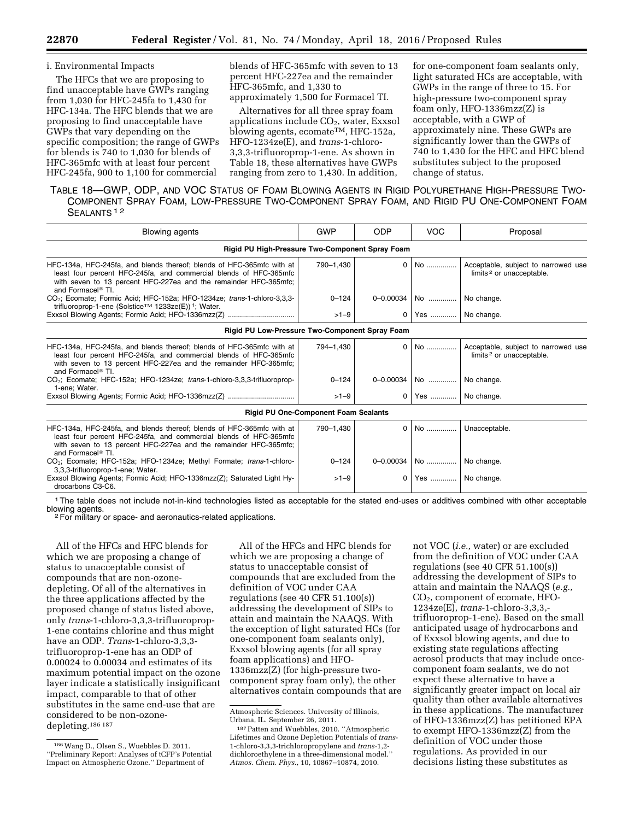## i. Environmental Impacts

The HFCs that we are proposing to find unacceptable have GWPs ranging from 1,030 for HFC-245fa to 1,430 for HFC-134a. The HFC blends that we are proposing to find unacceptable have GWPs that vary depending on the specific composition; the range of GWPs for blends is 740 to 1,030 for blends of HFC-365mfc with at least four percent HFC-245fa, 900 to 1,100 for commercial

blends of HFC-365mfc with seven to 13 percent HFC-227ea and the remainder HFC-365mfc, and 1,330 to approximately 1,500 for Formacel TI.

Alternatives for all three spray foam applications include  $CO<sub>2</sub>$ , water, Exxsol blowing agents, ecomate<sup>TM</sup>, HFC-152a, HFO-1234ze(E), and *trans*-1-chloro-3,3,3-trifluoroprop-1-ene. As shown in Table 18, these alternatives have GWPs ranging from zero to 1,430. In addition,

for one-component foam sealants only, light saturated HCs are acceptable, with GWPs in the range of three to 15. For high-pressure two-component spray foam only, HFO-1336mzz(Z) is acceptable, with a GWP of approximately nine. These GWPs are significantly lower than the GWPs of 740 to 1,430 for the HFC and HFC blend substitutes subject to the proposed change of status.

TABLE 18—GWP, ODP, AND VOC STATUS OF FOAM BLOWING AGENTS IN RIGID POLYURETHANE HIGH-PRESSURE TWO-COMPONENT SPRAY FOAM, LOW-PRESSURE TWO-COMPONENT SPRAY FOAM, AND RIGID PU ONE-COMPONENT FOAM SEALANTS<sup>12</sup>

| <b>Blowing agents</b>                                                                                                                                                                                                                           | <b>GWP</b> | <b>ODP</b>     | <b>VOC</b>         | Proposal                                                                    |
|-------------------------------------------------------------------------------------------------------------------------------------------------------------------------------------------------------------------------------------------------|------------|----------------|--------------------|-----------------------------------------------------------------------------|
| Rigid PU High-Pressure Two-Component Spray Foam                                                                                                                                                                                                 |            |                |                    |                                                                             |
| HFC-134a, HFC-245fa, and blends thereof; blends of HFC-365mfc with at<br>least four percent HFC-245fa, and commercial blends of HFC-365mfc<br>with seven to 13 percent HFC-227ea and the remainder HFC-365mfc;<br>and Formacel <sup>®</sup> TI. | 790-1,430  | $\Omega$       | No                 | Acceptable, subject to narrowed use<br>limits <sup>2</sup> or unacceptable. |
| CO <sub>2</sub> : Ecomate: Formic Acid: HFC-152a: HFO-1234ze: trans-1-chloro-3,3,3-<br>trifluoroprop-1-ene (Solstice™ 1233ze(E)) <sup>1</sup> ; Water.                                                                                          | $0 - 124$  |                | $0 - 0.00034$   No | No change.                                                                  |
|                                                                                                                                                                                                                                                 | $>1-9$     | $\Omega$       | Yes    No change.  |                                                                             |
| Rigid PU Low-Pressure Two-Component Spray Foam                                                                                                                                                                                                  |            |                |                    |                                                                             |
| HFC-134a, HFC-245fa, and blends thereof; blends of HFC-365mfc with at<br>least four percent HFC-245fa, and commercial blends of HFC-365mfc<br>with seven to 13 percent HFC-227ea and the remainder HFC-365mfc;<br>and Formacel <sup>®</sup> TI. | 794-1,430  | $\Omega$       | No                 | Acceptable, subject to narrowed use<br>limits <sup>2</sup> or unacceptable. |
| CO <sub>2</sub> ; Ecomate: HFC-152a; HFO-1234ze: trans-1-chloro-3,3,3-trifluoroprop-<br>1-ene: Water.                                                                                                                                           | $0 - 124$  |                | $0 - 0.00034$ No   | No change.                                                                  |
|                                                                                                                                                                                                                                                 | $>1-9$     |                | 0   Yes            | No change.                                                                  |
| Rigid PU One-Component Foam Sealants                                                                                                                                                                                                            |            |                |                    |                                                                             |
| HFC-134a, HFC-245fa, and blends thereof; blends of HFC-365mfc with at<br>least four percent HFC-245fa, and commercial blends of HFC-365mfc<br>with seven to 13 percent HFC-227ea and the remainder HFC-365mfc;<br>and Formacel <sup>®</sup> TI. | 790-1,430  | 0 <sup>1</sup> | No                 | Unacceptable.                                                               |
| CO <sub>2</sub> : Ecomate: HFC-152a: HFO-1234ze: Methyl Formate: <i>trans</i> -1-chloro-<br>3,3,3-trifluoroprop-1-ene; Water.                                                                                                                   | $0 - 124$  |                | $0 - 0.00034$   No | No change.                                                                  |
| Exxsol Blowing Agents; Formic Acid; HFO-1336mzz(Z); Saturated Light Hy-<br>drocarbons C3-C6.                                                                                                                                                    | $>1-9$     | $\Omega$       | Yes                | No change.                                                                  |

<sup>1</sup>The table does not include not-in-kind technologies listed as acceptable for the stated end-uses or additives combined with other acceptable blowing agents.

along agents. 2For military or space- and aeronautics-related applications.

All of the HFCs and HFC blends for which we are proposing a change of status to unacceptable consist of compounds that are non-ozonedepleting. Of all of the alternatives in the three applications affected by the proposed change of status listed above, only *trans*-1-chloro-3,3,3-trifluoroprop-1-ene contains chlorine and thus might have an ODP. *Trans*-1-chloro-3,3,3 trifluoroprop-1-ene has an ODP of 0.00024 to 0.00034 and estimates of its maximum potential impact on the ozone layer indicate a statistically insignificant impact, comparable to that of other substitutes in the same end-use that are considered to be non-ozonedepleting.186 187

All of the HFCs and HFC blends for which we are proposing a change of status to unacceptable consist of compounds that are excluded from the definition of VOC under CAA regulations (see 40 CFR 51.100(s)) addressing the development of SIPs to attain and maintain the NAAQS. With the exception of light saturated HCs (for one-component foam sealants only), Exxsol blowing agents (for all spray foam applications) and HFO-1336mzz(Z) (for high-pressure twocomponent spray foam only), the other alternatives contain compounds that are

not VOC (*i.e.,* water) or are excluded from the definition of VOC under CAA regulations (see 40 CFR 51.100(s)) addressing the development of SIPs to attain and maintain the NAAQS (*e.g.,*  CO2, component of ecomate, HFO-1234ze(E), *trans*-1-chloro-3,3,3, trifluoroprop-1-ene). Based on the small anticipated usage of hydrocarbons and of Exxsol blowing agents, and due to existing state regulations affecting aerosol products that may include oncecomponent foam sealants, we do not expect these alternative to have a significantly greater impact on local air quality than other available alternatives in these applications. The manufacturer of HFO-1336mzz(Z) has petitioned EPA to exempt HFO-1336mzz(Z) from the definition of VOC under those regulations. As provided in our decisions listing these substitutes as

<sup>186</sup>Wang D., Olsen S., Wuebbles D. 2011. ''Preliminary Report: Analyses of tCFP's Potential Impact on Atmospheric Ozone.'' Department of

Atmospheric Sciences. University of Illinois, Urbana, IL. September 26, 2011.

<sup>187</sup>Patten and Wuebbles, 2010. ''Atmospheric Lifetimes and Ozone Depletion Potentials of *trans-*1-chloro-3,3,3-trichloropropylene and *trans-*1,2 dichloroethylene in a three-dimensional model.'' *Atmos. Chem. Phys.,* 10, 10867–10874, 2010.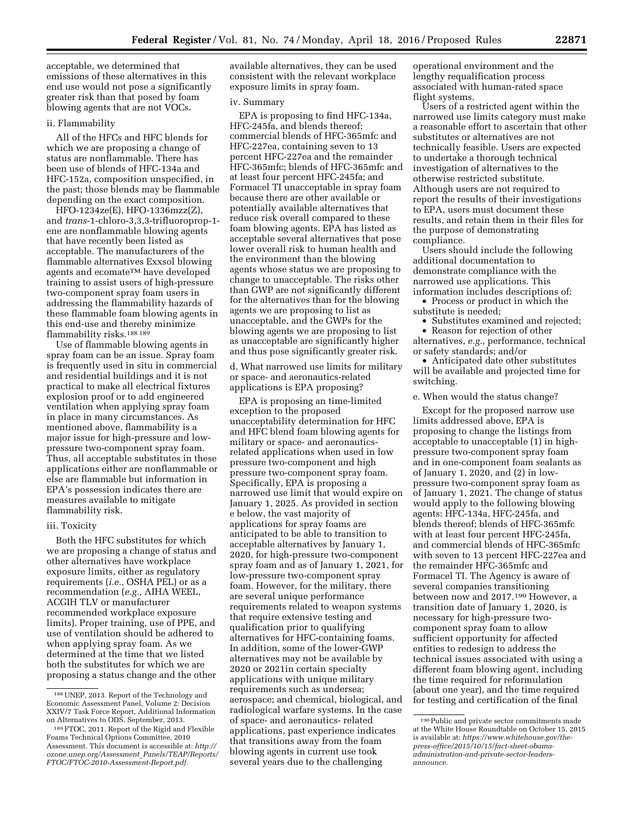acceptable, we determined that emissions of these alternatives in this end use would not pose a significantly greater risk than that posed by foam blowing agents that are not VOCs.

## ii. Flammability

All of the HFCs and HFC blends for which we are proposing a change of status are nonflammable. There has been use of blends of HFC-134a and HFC-152a, composition unspecified, in the past; those blends may be flammable depending on the exact composition.

HFO-1234ze(E), HFO-1336mzz(Z), and *trans*-1-chloro-3,3,3-trifluoroprop-1 ene are nonflammable blowing agents that have recently been listed as acceptable. The manufacturers of the flammable alternatives Exxsol blowing agents and ecomateTM have developed training to assist users of high-pressure two-component spray foam users in addressing the flammability hazards of these flammable foam blowing agents in this end-use and thereby minimize flammability risks.188 189

Use of flammable blowing agents in spray foam can be an issue. Spray foam is frequently used in situ in commercial and residential buildings and it is not practical to make all electrical fixtures explosion proof or to add engineered ventilation when applying spray foam in place in many circumstances. As mentioned above, flammability is a major issue for high-pressure and lowpressure two-component spray foam. Thus, all acceptable substitutes in these applications either are nonflammable or else are flammable but information in EPA's possession indicates there are measures available to mitigate flammability risk.

#### iii. Toxicity

Both the HFC substitutes for which we are proposing a change of status and other alternatives have workplace exposure limits, either as regulatory requirements (*i.e.,* OSHA PEL) or as a recommendation (*e.g.,* AIHA WEEL, ACGIH TLV or manufacturer recommended workplace exposure limits). Proper training, use of PPE, and use of ventilation should be adhered to when applying spray foam. As we determined at the time that we listed both the substitutes for which we are proposing a status change and the other available alternatives, they can be used consistent with the relevant workplace exposure limits in spray foam.

## iv. Summary

EPA is proposing to find HFC-134a, HFC-245fa, and blends thereof; commercial blends of HFC-365mfc and HFC-227ea, containing seven to 13 percent HFC-227ea and the remainder HFC-365mfc; blends of HFC-365mfc and at least four percent HFC-245fa; and Formacel TI unacceptable in spray foam because there are other available or potentially available alternatives that reduce risk overall compared to these foam blowing agents. EPA has listed as acceptable several alternatives that pose lower overall risk to human health and the environment than the blowing agents whose status we are proposing to change to unacceptable. The risks other than GWP are not significantly different for the alternatives than for the blowing agents we are proposing to list as unacceptable, and the GWPs for the blowing agents we are proposing to list as unacceptable are significantly higher and thus pose significantly greater risk.

d. What narrowed use limits for military or space- and aeronautics-related applications is EPA proposing?

EPA is proposing an time-limited exception to the proposed unacceptability determination for HFC and HFC blend foam blowing agents for military or space- and aeronauticsrelated applications when used in low pressure two-component and high pressure two-component spray foam. Specifically, EPA is proposing a narrowed use limit that would expire on January 1, 2025. As provided in section e below, the vast majority of applications for spray foams are anticipated to be able to transition to acceptable alternatives by January 1, 2020, for high-pressure two-component spray foam and as of January 1, 2021, for low-pressure two-component spray foam. However, for the military, there are several unique performance requirements related to weapon systems that require extensive testing and qualification prior to qualifying alternatives for HFC-containing foams. In addition, some of the lower-GWP alternatives may not be available by 2020 or 2021in certain specialty applications with unique military requirements such as undersea; aerospace; and chemical, biological, and radiological warfare systems. In the case of space- and aeronautics- related applications, past experience indicates that transitions away from the foam blowing agents in current use took several years due to the challenging

operational environment and the lengthy requalification process associated with human-rated space flight systems.

Users of a restricted agent within the narrowed use limits category must make a reasonable effort to ascertain that other substitutes or alternatives are not technically feasible. Users are expected to undertake a thorough technical investigation of alternatives to the otherwise restricted substitute. Although users are not required to report the results of their investigations to EPA, users must document these results, and retain them in their files for the purpose of demonstrating compliance.

Users should include the following additional documentation to demonstrate compliance with the narrowed use applications. This information includes descriptions of:

• Process or product in which the substitute is needed;

• Substitutes examined and rejected;

• Reason for rejection of other alternatives, *e.g.,* performance, technical or safety standards; and/or

• Anticipated date other substitutes will be available and projected time for switching.

## e. When would the status change?

Except for the proposed narrow use limits addressed above, EPA is proposing to change the listings from acceptable to unacceptable (1) in highpressure two-component spray foam and in one-component foam sealants as of January 1, 2020, and (2) in lowpressure two-component spray foam as of January 1, 2021. The change of status would apply to the following blowing agents: HFC-134a, HFC-245fa, and blends thereof; blends of HFC-365mfc with at least four percent HFC-245fa, and commercial blends of HFC-365mfc with seven to 13 percent HFC-227ea and the remainder HFC-365mfc and Formacel TI. The Agency is aware of several companies transitioning between now and 2017.190 However, a transition date of January 1, 2020, is necessary for high-pressure twocomponent spray foam to allow sufficient opportunity for affected entities to redesign to address the technical issues associated with using a different foam blowing agent, including the time required for reformulation (about one year), and the time required for testing and certification of the final

<sup>188</sup>UNEP, 2013. Report of the Technology and Economic Assessment Panel, Volume 2: Decision XXIV/7 Task Force Report, Additional Information on Alternatives to ODS. September, 2013.

<sup>189</sup>FTOC, 2011. Report of the Rigid and Flexible Foams Technical Options Committee, 2010 Assessment. This document is accessible at: *[http://](http://ozone.unep.org/Assessment_Panels/TEAP/Reports/FTOC/FTOC-2010-Assessment-Report.pdf)  [ozone.unep.org/Assessment](http://ozone.unep.org/Assessment_Panels/TEAP/Reports/FTOC/FTOC-2010-Assessment-Report.pdf)*\_*Panels/TEAP/Reports/ [FTOC/FTOC-2010-Assessment-Report.pdf.](http://ozone.unep.org/Assessment_Panels/TEAP/Reports/FTOC/FTOC-2010-Assessment-Report.pdf)* 

<sup>190</sup>Public and private sector commitments made at the White House Roundtable on October 15, 2015 is available at: *[https://www.whitehouse.gov/the](https://www.whitehouse.gov/the-press-office/2015/10/15/fact-sheet-obama-administration-and-private-sector-leaders-announce)[press-office/2015/10/15/fact-sheet-obama](https://www.whitehouse.gov/the-press-office/2015/10/15/fact-sheet-obama-administration-and-private-sector-leaders-announce)[administration-and-private-sector-leaders](https://www.whitehouse.gov/the-press-office/2015/10/15/fact-sheet-obama-administration-and-private-sector-leaders-announce)[announce.](https://www.whitehouse.gov/the-press-office/2015/10/15/fact-sheet-obama-administration-and-private-sector-leaders-announce)*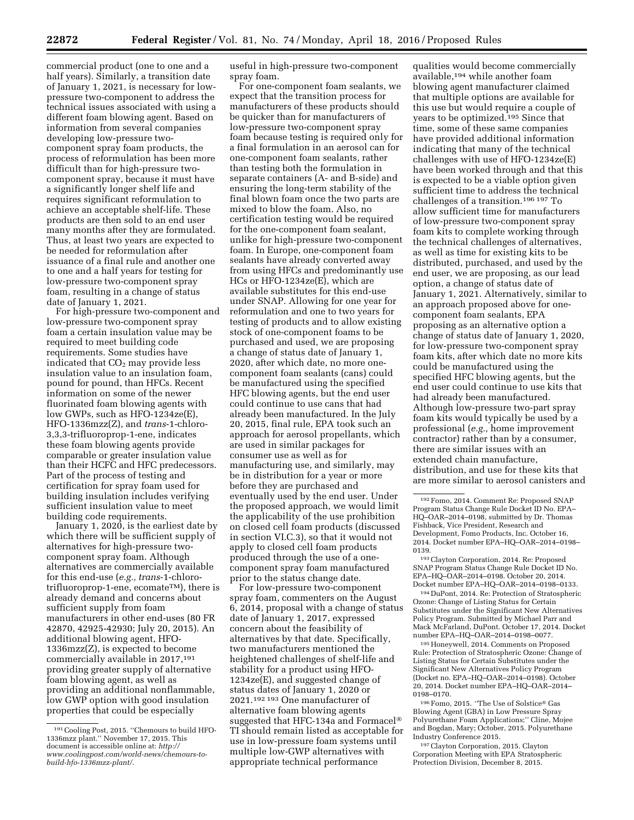commercial product (one to one and a half years). Similarly, a transition date of January 1, 2021, is necessary for lowpressure two-component to address the technical issues associated with using a different foam blowing agent. Based on information from several companies developing low-pressure twocomponent spray foam products, the process of reformulation has been more difficult than for high-pressure twocomponent spray, because it must have a significantly longer shelf life and requires significant reformulation to achieve an acceptable shelf-life. These products are then sold to an end user many months after they are formulated. Thus, at least two years are expected to be needed for reformulation after issuance of a final rule and another one to one and a half years for testing for low-pressure two-component spray foam, resulting in a change of status date of January 1, 2021.

For high-pressure two-component and low-pressure two-component spray foam a certain insulation value may be required to meet building code requirements. Some studies have indicated that  $CO<sub>2</sub>$  may provide less insulation value to an insulation foam, pound for pound, than HFCs. Recent information on some of the newer fluorinated foam blowing agents with low GWPs, such as HFO-1234ze(E), HFO-1336mzz(Z), and *trans*-1-chloro-3,3,3-trifluoroprop-1-ene, indicates these foam blowing agents provide comparable or greater insulation value than their HCFC and HFC predecessors. Part of the process of testing and certification for spray foam used for building insulation includes verifying sufficient insulation value to meet building code requirements.

January 1, 2020, is the earliest date by which there will be sufficient supply of alternatives for high-pressure twocomponent spray foam. Although alternatives are commercially available for this end-use (*e.g., trans*-1-chlorotrifluoroprop-1-ene, ecomate<sup>TM</sup>), there is already demand and concerns about sufficient supply from foam manufacturers in other end-uses (80 FR 42870, 42925-42930; July 20, 2015). An additional blowing agent, HFO-1336mzz(Z), is expected to become commercially available in 2017,<sup>191</sup> providing greater supply of alternative foam blowing agent, as well as providing an additional nonflammable, low GWP option with good insulation properties that could be especially

useful in high-pressure two-component spray foam.

For one-component foam sealants, we expect that the transition process for manufacturers of these products should be quicker than for manufacturers of low-pressure two-component spray foam because testing is required only for a final formulation in an aerosol can for one-component foam sealants, rather than testing both the formulation in separate containers (A- and B-side) and ensuring the long-term stability of the final blown foam once the two parts are mixed to blow the foam. Also, no certification testing would be required for the one-component foam sealant, unlike for high-pressure two-component foam. In Europe, one-component foam sealants have already converted away from using HFCs and predominantly use HCs or HFO-1234ze(E), which are available substitutes for this end-use under SNAP. Allowing for one year for reformulation and one to two years for testing of products and to allow existing stock of one-component foams to be purchased and used, we are proposing a change of status date of January 1, 2020, after which date, no more onecomponent foam sealants (cans) could be manufactured using the specified HFC blowing agents, but the end user could continue to use cans that had already been manufactured. In the July 20, 2015, final rule, EPA took such an approach for aerosol propellants, which are used in similar packages for consumer use as well as for manufacturing use, and similarly, may be in distribution for a year or more before they are purchased and eventually used by the end user. Under the proposed approach, we would limit the applicability of the use prohibition on closed cell foam products (discussed in section VI.C.3), so that it would not apply to closed cell foam products produced through the use of a onecomponent spray foam manufactured prior to the status change date.

For low-pressure two-component spray foam, commenters on the August 6, 2014, proposal with a change of status date of January 1, 2017, expressed concern about the feasibility of alternatives by that date. Specifically, two manufacturers mentioned the heightened challenges of shelf-life and stability for a product using HFO-1234ze(E), and suggested change of status dates of January 1, 2020 or 2021.192 193 One manufacturer of alternative foam blowing agents suggested that HFC-134a and Formacel® TI should remain listed as acceptable for use in low-pressure foam systems until multiple low-GWP alternatives with appropriate technical performance

qualities would become commercially available,194 while another foam blowing agent manufacturer claimed that multiple options are available for this use but would require a couple of years to be optimized.195 Since that time, some of these same companies have provided additional information indicating that many of the technical challenges with use of HFO-1234ze(E) have been worked through and that this is expected to be a viable option given sufficient time to address the technical challenges of a transition.196 197 To allow sufficient time for manufacturers of low-pressure two-component spray foam kits to complete working through the technical challenges of alternatives, as well as time for existing kits to be distributed, purchased, and used by the end user, we are proposing, as our lead option, a change of status date of January 1, 2021. Alternatively, similar to an approach proposed above for onecomponent foam sealants, EPA proposing as an alternative option a change of status date of January 1, 2020, for low-pressure two-component spray foam kits, after which date no more kits could be manufactured using the specified HFC blowing agents, but the end user could continue to use kits that had already been manufactured. Although low-pressure two-part spray foam kits would typically be used by a professional (*e.g.,* home improvement contractor) rather than by a consumer, there are similar issues with an extended chain manufacture, distribution, and use for these kits that are more similar to aerosol canisters and

194 DuPont, 2014. Re: Protection of Stratospheric Ozone: Change of Listing Status for Certain Substitutes under the Significant New Alternatives Policy Program. Submitted by Michael Parr and Mack McFarland, DuPont. October 17, 2014. Docket number EPA–HQ–OAR–2014–0198–0077.

195Honeywell, 2014. Comments on Proposed Rule: Protection of Stratospheric Ozone: Change of Listing Status for Certain Substitutes under the Significant New Alternatives Policy Program (Docket no. EPA–HQ–OAR–2014–0198). October 20, 2014. Docket number EPA–HQ–OAR–2014– 0198–0170.

196Fomo, 2015. *''*The Use of Solstice® Gas Blowing Agent (GBA) in Low Pressure Spray Polyurethane Foam Applications;'' Cline, Mojee and Bogdan, Mary; October, 2015. Polyurethane Industry Conference 2015.

197Clayton Corporation, 2015. Clayton Corporation Meeting with EPA Stratospheric Protection Division, December 8, 2015.

<sup>191</sup>Cooling Post, 2015. ''Chemours to build HFO-1336mzz plant.'' November 17, 2015. This document is accessible online at: *[http://](http://www.coolingpost.com/world-news/chemours-to-build-hfo-1336mzz-plant/) [www.coolingpost.com/world-news/chemours-to](http://www.coolingpost.com/world-news/chemours-to-build-hfo-1336mzz-plant/)[build-hfo-1336mzz-plant/](http://www.coolingpost.com/world-news/chemours-to-build-hfo-1336mzz-plant/)*.

<sup>192</sup>Fomo, 2014. Comment Re: Proposed SNAP Program Status Change Rule Docket ID No. EPA– HQ–OAR–2014–0198, submitted by Dr. Thomas Fishback, Vice President, Research and Development, Fomo Products, Inc. October 16, 2014. Docket number EPA–HQ–OAR–2014–0198– 0139.

<sup>193</sup>Clayton Corporation, 2014. Re: Proposed SNAP Program Status Change Rule Docket ID No. EPA–HQ–OAR–2014–0198. October 20, 2014. Docket number EPA–HQ–OAR–2014–0198–0133.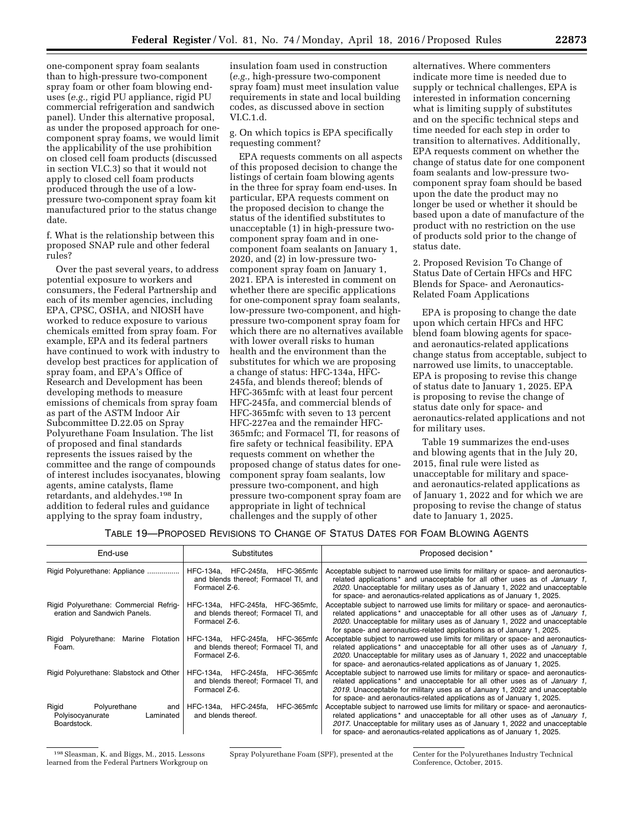one-component spray foam sealants than to high-pressure two-component spray foam or other foam blowing enduses (*e.g.,* rigid PU appliance, rigid PU commercial refrigeration and sandwich panel). Under this alternative proposal, as under the proposed approach for onecomponent spray foams, we would limit the applicability of the use prohibition on closed cell foam products (discussed in section VI.C.3) so that it would not apply to closed cell foam products produced through the use of a lowpressure two-component spray foam kit manufactured prior to the status change date.

f. What is the relationship between this proposed SNAP rule and other federal rules?

Over the past several years, to address potential exposure to workers and consumers, the Federal Partnership and each of its member agencies, including EPA, CPSC, OSHA, and NIOSH have worked to reduce exposure to various chemicals emitted from spray foam. For example, EPA and its federal partners have continued to work with industry to develop best practices for application of spray foam, and EPA's Office of Research and Development has been developing methods to measure emissions of chemicals from spray foam as part of the ASTM Indoor Air Subcommittee D.22.05 on Spray Polyurethane Foam Insulation. The list of proposed and final standards represents the issues raised by the committee and the range of compounds of interest includes isocyanates, blowing agents, amine catalysts, flame retardants, and aldehydes.198 In addition to federal rules and guidance applying to the spray foam industry,

insulation foam used in construction (*e.g.,* high-pressure two-component spray foam) must meet insulation value requirements in state and local building codes, as discussed above in section VI.C.1.d.

g. On which topics is EPA specifically requesting comment?

EPA requests comments on all aspects of this proposed decision to change the listings of certain foam blowing agents in the three for spray foam end-uses. In particular, EPA requests comment on the proposed decision to change the status of the identified substitutes to unacceptable (1) in high-pressure twocomponent spray foam and in onecomponent foam sealants on January 1, 2020, and (2) in low-pressure twocomponent spray foam on January 1, 2021. EPA is interested in comment on whether there are specific applications for one-component spray foam sealants, low-pressure two-component, and highpressure two-component spray foam for which there are no alternatives available with lower overall risks to human health and the environment than the substitutes for which we are proposing a change of status: HFC-134a, HFC-245fa, and blends thereof; blends of HFC-365mfc with at least four percent HFC-245fa, and commercial blends of HFC-365mfc with seven to 13 percent HFC-227ea and the remainder HFC-365mfc; and Formacel TI, for reasons of fire safety or technical feasibility. EPA requests comment on whether the proposed change of status dates for onecomponent spray foam sealants, low pressure two-component, and high pressure two-component spray foam are appropriate in light of technical challenges and the supply of other

alternatives. Where commenters indicate more time is needed due to supply or technical challenges, EPA is interested in information concerning what is limiting supply of substitutes and on the specific technical steps and time needed for each step in order to transition to alternatives. Additionally, EPA requests comment on whether the change of status date for one component foam sealants and low-pressure twocomponent spray foam should be based upon the date the product may no longer be used or whether it should be based upon a date of manufacture of the product with no restriction on the use of products sold prior to the change of status date.

2. Proposed Revision To Change of Status Date of Certain HFCs and HFC Blends for Space- and Aeronautics-Related Foam Applications

EPA is proposing to change the date upon which certain HFCs and HFC blend foam blowing agents for spaceand aeronautics-related applications change status from acceptable, subject to narrowed use limits, to unacceptable. EPA is proposing to revise this change of status date to January 1, 2025. EPA is proposing to revise the change of status date only for space- and aeronautics-related applications and not for military uses.

Table 19 summarizes the end-uses and blowing agents that in the July 20, 2015, final rule were listed as unacceptable for military and spaceand aeronautics-related applications as of January 1, 2022 and for which we are proposing to revise the change of status date to January 1, 2025.

# TABLE 19—PROPOSED REVISIONS TO CHANGE OF STATUS DATES FOR FOAM BLOWING AGENTS

| End-use                                                                      | Substitutes                                                                               | Proposed decision*                                                                                                                                                                                                                                                                                                                |  |  |
|------------------------------------------------------------------------------|-------------------------------------------------------------------------------------------|-----------------------------------------------------------------------------------------------------------------------------------------------------------------------------------------------------------------------------------------------------------------------------------------------------------------------------------|--|--|
| Rigid Polyurethane: Appliance                                                | HFC-134a. HFC-245fa. HFC-365mfc<br>and blends thereof; Formacel TI, and<br>Formacel Z-6.  | Acceptable subject to narrowed use limits for military or space- and aeronautics-<br>related applications * and unacceptable for all other uses as of <i>January 1</i> .<br>2020. Unacceptable for military uses as of January 1, 2022 and unacceptable<br>for space- and aeronautics-related applications as of January 1, 2025. |  |  |
| Rigid Polyurethane: Commercial Refrig-<br>eration and Sandwich Panels.       | HFC-134a, HFC-245fa, HFC-365mfc,<br>and blends thereof; Formacel TI, and<br>Formacel Z-6. | Acceptable subject to narrowed use limits for military or space- and aeronautics-<br>related applications * and unacceptable for all other uses as of <i>January 1</i> .<br>2020. Unacceptable for military uses as of January 1, 2022 and unacceptable<br>for space- and aeronautics-related applications as of January 1, 2025. |  |  |
| Marine Flotation<br>Rigid Polyurethane:<br>Foam.                             | HFC-134a, HFC-245fa, HFC-365mfc<br>and blends thereof; Formacel TI, and<br>Formacel Z-6.  | Acceptable subject to narrowed use limits for military or space- and aeronautics-<br>related applications * and unacceptable for all other uses as of <i>January 1</i> .<br>2020. Unacceptable for military uses as of January 1, 2022 and unacceptable<br>for space- and aeronautics-related applications as of January 1, 2025. |  |  |
| Rigid Polyurethane: Slabstock and Other                                      | HFC-134a. HFC-245fa. HFC-365mfc<br>and blends thereof; Formacel TI, and<br>Formacel Z-6.  | Acceptable subject to narrowed use limits for military or space- and aeronautics-<br>related applications * and unacceptable for all other uses as of <i>January 1</i> .<br>2019. Unacceptable for military uses as of January 1, 2022 and unacceptable<br>for space- and aeronautics-related applications as of January 1, 2025. |  |  |
| Rigid<br>Polyurethane<br>and<br>Polyisocyanurate<br>Laminated<br>Boardstock. | HFC-365mfc<br>HFC-134a. HFC-245fa.<br>and blends thereof.                                 | Acceptable subject to narrowed use limits for military or space- and aeronautics-<br>related applications * and unacceptable for all other uses as of <i>January 1</i> .<br>2017. Unacceptable for military uses as of January 1, 2022 and unacceptable<br>for space- and aeronautics-related applications as of January 1, 2025. |  |  |

198Sleasman, K. and Biggs, M., 2015. Lessons learned from the Federal Partners Workgroup on

Conference, October, 2015.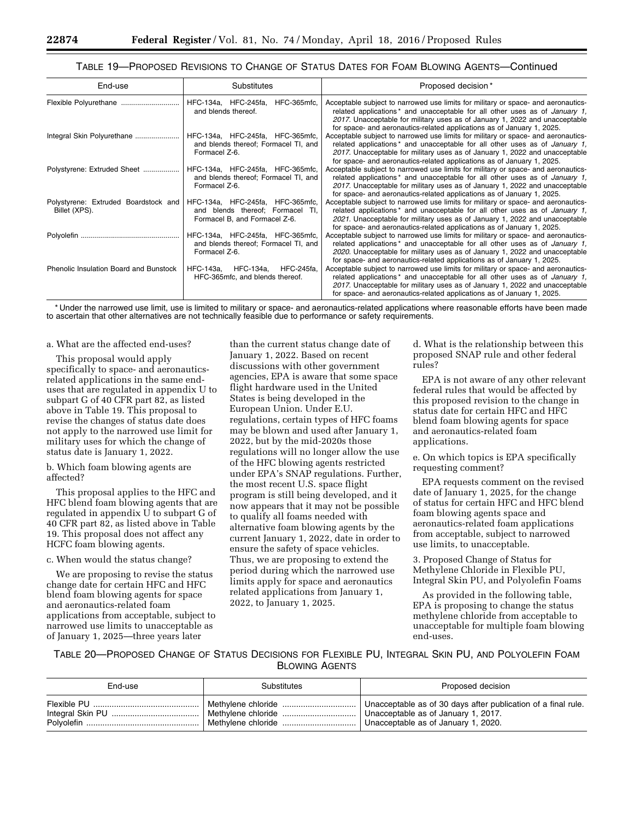## TABLE 19—PROPOSED REVISIONS TO CHANGE OF STATUS DATES FOR FOAM BLOWING AGENTS—Continued

| End-use                                               | <b>Substitutes</b>                                                                                    | Proposed decision*                                                                                                                                                                                                                                                                                                                           |
|-------------------------------------------------------|-------------------------------------------------------------------------------------------------------|----------------------------------------------------------------------------------------------------------------------------------------------------------------------------------------------------------------------------------------------------------------------------------------------------------------------------------------------|
|                                                       | HFC-134a, HFC-245fa,<br>HFC-365mfc,<br>and blends thereof.                                            | Acceptable subject to narrowed use limits for military or space- and aeronautics-<br>related applications <sup>*</sup> and unacceptable for all other uses as of <i>January 1</i> ,<br>2017. Unacceptable for military uses as of January 1, 2022 and unacceptable<br>for space- and aeronautics-related applications as of January 1, 2025. |
| Integral Skin Polyurethane                            | HFC-134a, HFC-245fa, HFC-365mfc,<br>and blends thereof; Formacel TI, and<br>Formacel Z-6.             | Acceptable subject to narrowed use limits for military or space- and aeronautics-<br>related applications <sup>*</sup> and unacceptable for all other uses as of <i>January 1</i> ,<br>2017. Unacceptable for military uses as of January 1, 2022 and unacceptable<br>for space- and aeronautics-related applications as of January 1, 2025. |
| Polystyrene: Extruded Sheet                           | HFC-134a, HFC-245fa, HFC-365mfc,<br>and blends thereof; Formacel TI, and<br>Formacel Z-6.             | Acceptable subject to narrowed use limits for military or space- and aeronautics-<br>related applications <sup>*</sup> and unacceptable for all other uses as of <i>January 1</i> .<br>2017. Unacceptable for military uses as of January 1, 2022 and unacceptable<br>for space- and aeronautics-related applications as of January 1, 2025. |
| Polystyrene: Extruded Boardstock and<br>Billet (XPS). | HFC-134a, HFC-245fa, HFC-365mfc,<br>and blends thereof; Formacel TI,<br>Formacel B, and Formacel Z-6. | Acceptable subject to narrowed use limits for military or space- and aeronautics-<br>related applications <sup>*</sup> and unacceptable for all other uses as of <i>January 1</i> .<br>2021. Unacceptable for military uses as of January 1, 2022 and unacceptable<br>for space- and aeronautics-related applications as of January 1, 2025. |
|                                                       | HFC-134a, HFC-245fa, HFC-365mfc,<br>and blends thereof; Formacel TI, and<br>Formacel Z-6.             | Acceptable subject to narrowed use limits for military or space- and aeronautics-<br>related applications <sup>*</sup> and unacceptable for all other uses as of <i>January 1</i> ,<br>2020. Unacceptable for military uses as of January 1, 2022 and unacceptable<br>for space- and aeronautics-related applications as of January 1, 2025. |
| Phenolic Insulation Board and Bunstock                | HFC-245fa,<br>HFC-143a,<br>HFC-134a,<br>HFC-365mfc, and blends thereof.                               | Acceptable subject to narrowed use limits for military or space- and aeronautics-<br>related applications <sup>*</sup> and unacceptable for all other uses as of <i>January 1</i> .<br>2017. Unacceptable for military uses as of January 1, 2022 and unacceptable<br>for space- and aeronautics-related applications as of January 1, 2025. |

\* Under the narrowed use limit, use is limited to military or space- and aeronautics-related applications where reasonable efforts have been made to ascertain that other alternatives are not technically feasible due to performance or safety requirements.

### a. What are the affected end-uses?

This proposal would apply specifically to space- and aeronauticsrelated applications in the same enduses that are regulated in appendix U to subpart G of 40 CFR part 82, as listed above in Table 19. This proposal to revise the changes of status date does not apply to the narrowed use limit for military uses for which the change of status date is January 1, 2022.

b. Which foam blowing agents are affected?

This proposal applies to the HFC and HFC blend foam blowing agents that are regulated in appendix U to subpart G of 40 CFR part 82, as listed above in Table 19. This proposal does not affect any HCFC foam blowing agents.

## c. When would the status change?

We are proposing to revise the status change date for certain HFC and HFC blend foam blowing agents for space and aeronautics-related foam applications from acceptable, subject to narrowed use limits to unacceptable as of January 1, 2025—three years later

than the current status change date of January 1, 2022. Based on recent discussions with other government agencies, EPA is aware that some space flight hardware used in the United States is being developed in the European Union. Under E.U. regulations, certain types of HFC foams may be blown and used after January 1, 2022, but by the mid-2020s those regulations will no longer allow the use of the HFC blowing agents restricted under EPA's SNAP regulations. Further, the most recent U.S. space flight program is still being developed, and it now appears that it may not be possible to qualify all foams needed with alternative foam blowing agents by the current January 1, 2022, date in order to ensure the safety of space vehicles. Thus, we are proposing to extend the period during which the narrowed use limits apply for space and aeronautics related applications from January 1, 2022, to January 1, 2025.

d. What is the relationship between this proposed SNAP rule and other federal rules?

EPA is not aware of any other relevant federal rules that would be affected by this proposed revision to the change in status date for certain HFC and HFC blend foam blowing agents for space and aeronautics-related foam applications.

e. On which topics is EPA specifically requesting comment?

EPA requests comment on the revised date of January 1, 2025, for the change of status for certain HFC and HFC blend foam blowing agents space and aeronautics-related foam applications from acceptable, subject to narrowed use limits, to unacceptable.

3. Proposed Change of Status for Methylene Chloride in Flexible PU, Integral Skin PU, and Polyolefin Foams

As provided in the following table, EPA is proposing to change the status methylene chloride from acceptable to unacceptable for multiple foam blowing end-uses.

TABLE 20—PROPOSED CHANGE OF STATUS DECISIONS FOR FLEXIBLE PU, INTEGRAL SKIN PU, AND POLYOLEFIN FOAM BLOWING AGENTS

| End-use | Substitutes | Proposed decision                                             |
|---------|-------------|---------------------------------------------------------------|
|         |             | Unacceptable as of 30 days after publication of a final rule. |
|         |             | Unacceptable as of January 1, 2017.                           |
|         |             | Unacceptable as of January 1, 2020.                           |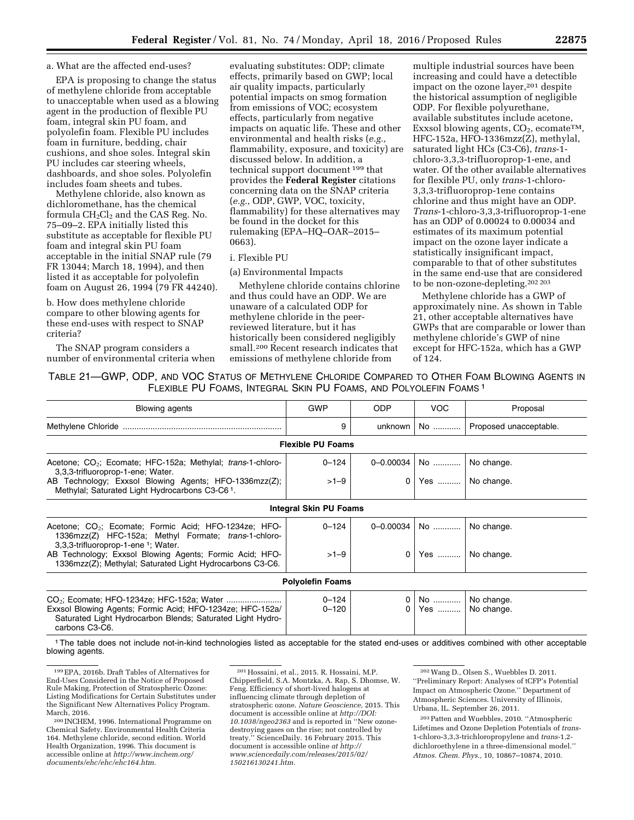#### a. What are the affected end-uses?

EPA is proposing to change the status of methylene chloride from acceptable to unacceptable when used as a blowing agent in the production of flexible PU foam, integral skin PU foam, and polyolefin foam. Flexible PU includes foam in furniture, bedding, chair cushions, and shoe soles. Integral skin PU includes car steering wheels, dashboards, and shoe soles. Polyolefin includes foam sheets and tubes.

Methylene chloride, also known as dichloromethane, has the chemical formula  $CH_2Cl_2$  and the CAS Reg. No. 75–09–2. EPA initially listed this substitute as acceptable for flexible PU foam and integral skin PU foam acceptable in the initial SNAP rule (79 FR 13044; March 18, 1994), and then listed it as acceptable for polyolefin foam on August 26, 1994 (79 FR 44240).

b. How does methylene chloride compare to other blowing agents for these end-uses with respect to SNAP criteria?

The SNAP program considers a number of environmental criteria when

evaluating substitutes: ODP; climate effects, primarily based on GWP; local air quality impacts, particularly potential impacts on smog formation from emissions of VOC; ecosystem effects, particularly from negative impacts on aquatic life. These and other environmental and health risks (*e.g.,*  flammability, exposure, and toxicity) are discussed below. In addition, a technical support document 199 that provides the **Federal Register** citations concerning data on the SNAP criteria (*e.g.,* ODP, GWP, VOC, toxicity, flammability) for these alternatives may be found in the docket for this rulemaking (EPA–HQ–OAR–2015– 0663).

## i. Flexible PU

(a) Environmental Impacts

Methylene chloride contains chlorine and thus could have an ODP. We are unaware of a calculated ODP for methylene chloride in the peerreviewed literature, but it has historically been considered negligibly small.200 Recent research indicates that emissions of methylene chloride from

multiple industrial sources have been increasing and could have a detectible impact on the ozone layer,<sup>201</sup> despite the historical assumption of negligible ODP. For flexible polyurethane, available substitutes include acetone, Exxsol blowing agents,  $CO<sub>2</sub>$ , ecomate<sup>TM</sup>, HFC-152a, HFO-1336mzz(Z), methylal, saturated light HCs (C3-C6), *trans*-1 chloro-3,3,3-trifluoroprop-1-ene, and water. Of the other available alternatives for flexible PU, only *trans*-1-chloro-3,3,3-trifluoroprop-1ene contains chlorine and thus might have an ODP. *Trans*-1-chloro-3,3,3-trifluoroprop-1-ene has an ODP of 0.00024 to 0.00034 and estimates of its maximum potential impact on the ozone layer indicate a statistically insignificant impact, comparable to that of other substitutes in the same end-use that are considered to be non-ozone-depleting.202 203

Methylene chloride has a GWP of approximately nine. As shown in Table 21, other acceptable alternatives have GWPs that are comparable or lower than methylene chloride's GWP of nine except for HFC-152a, which has a GWP of 124.

TABLE 21—GWP, ODP, AND VOC STATUS OF METHYLENE CHLORIDE COMPARED TO OTHER FOAM BLOWING AGENTS IN FLEXIBLE PU FOAMS, INTEGRAL SKIN PU FOAMS, AND POLYOLEFIN FOAMS 1

| <b>Blowing agents</b>                                                                                                                                                                                                                                                                       | <b>GWP</b>             | <b>ODP</b>            | VOC.                    | Proposal                 |  |  |  |
|---------------------------------------------------------------------------------------------------------------------------------------------------------------------------------------------------------------------------------------------------------------------------------------------|------------------------|-----------------------|-------------------------|--------------------------|--|--|--|
|                                                                                                                                                                                                                                                                                             | 9                      | unknown               | No                      | Proposed unacceptable.   |  |  |  |
| <b>Flexible PU Foams</b>                                                                                                                                                                                                                                                                    |                        |                       |                         |                          |  |  |  |
| Acetone; CO <sub>2</sub> ; Ecomate; HFC-152a; Methylal; <i>trans</i> -1-chloro-<br>3,3,3-trifluoroprop-1-ene; Water.<br>AB Technology; Exxsol Blowing Agents; HFO-1336mzz(Z);<br>Methylal; Saturated Light Hydrocarbons C3-C61.                                                             | $0 - 124$<br>$>1-9$    | 0-0.00034<br>$\Omega$ | No<br>Yes    No change. | No change.               |  |  |  |
| <b>Integral Skin PU Foams</b>                                                                                                                                                                                                                                                               |                        |                       |                         |                          |  |  |  |
| Acetone; $CO_2$ ; Ecomate; Formic Acid; HFO-1234ze; HFO-<br>1336mzz(Z) HFC-152a; Methyl Formate; trans-1-chloro-<br>3.3.3-trifluoroprop-1-ene <sup>1</sup> ; Water.<br>AB Technology; Exxsol Blowing Agents; Formic Acid; HFO-<br>1336mzz(Z); Methylal; Saturated Light Hydrocarbons C3-C6. | $0 - 124$<br>$>1-9$    | 0-0.00034<br>0        | No<br>Yes               | No change.<br>No change. |  |  |  |
| <b>Polyolefin Foams</b>                                                                                                                                                                                                                                                                     |                        |                       |                         |                          |  |  |  |
| Exxsol Blowing Agents; Formic Acid; HFO-1234ze; HFC-152a/<br>Saturated Light Hydrocarbon Blends; Saturated Light Hydro-<br>carbons C3-C6.                                                                                                                                                   | $0 - 124$<br>$0 - 120$ | 0<br>$\Omega$         | No   <br>Yes            | No change.<br>No change. |  |  |  |

1The table does not include not-in-kind technologies listed as acceptable for the stated end-uses or additives combined with other acceptable blowing agents.

Chemical Safety. Environmental Health Criteria 164. Methylene chloride, second edition. World Health Organization, 1996. This document is accessible online at *[http://www.inchem.org/](http://www.inchem.org/documents/ehc/ehc/ehc164.htm) [documents/ehc/ehc/ehc164.htm.](http://www.inchem.org/documents/ehc/ehc/ehc164.htm)* 

201Hossaini, et al., 2015. R. Hossaini, M.P. Chipperfield, S.A. Montzka, A. Rap, S. Dhomse, W. Feng. Efficiency of short-lived halogens at influencing climate through depletion of stratospheric ozone. *Nature Geoscience,* 2015. This document is accessible online at *[http://DOI:](http://DOI:10.1038/ngeo2363)  [10.1038/ngeo2363](http://DOI:10.1038/ngeo2363)* and is reported in ''New ozonedestroying gases on the rise; not controlled by treaty.'' ScienceDaily. 16 February 2015. This document is accessible online *at [http://](http://www.sciencedaily.com/releases/2015/02/150216130241.htm) [www.sciencedaily.com/releases/2015/02/](http://www.sciencedaily.com/releases/2015/02/150216130241.htm) [150216130241.htm.](http://www.sciencedaily.com/releases/2015/02/150216130241.htm)* 

202Wang D., Olsen S., Wuebbles D. 2011. ''Preliminary Report: Analyses of tCFP's Potential Impact on Atmospheric Ozone.'' Department of Atmospheric Sciences. University of Illinois, Urbana, IL. September 26, 2011.

203Patten and Wuebbles, 2010. ''Atmospheric Lifetimes and Ozone Depletion Potentials of *trans-*1-chloro-3,3,3-trichloropropylene and *trans-*1,2 dichloroethylene in a three-dimensional model.'' *Atmos. Chem. Phys.,* 10, 10867–10874, 2010.

<sup>199</sup>EPA, 2016b. Draft Tables of Alternatives for End-Uses Considered in the Notice of Proposed Rule Making, Protection of Stratospheric Ozone: Listing Modifications for Certain Substitutes under the Significant New Alternatives Policy Program. March, 2016. 200 INCHEM, 1996. International Programme on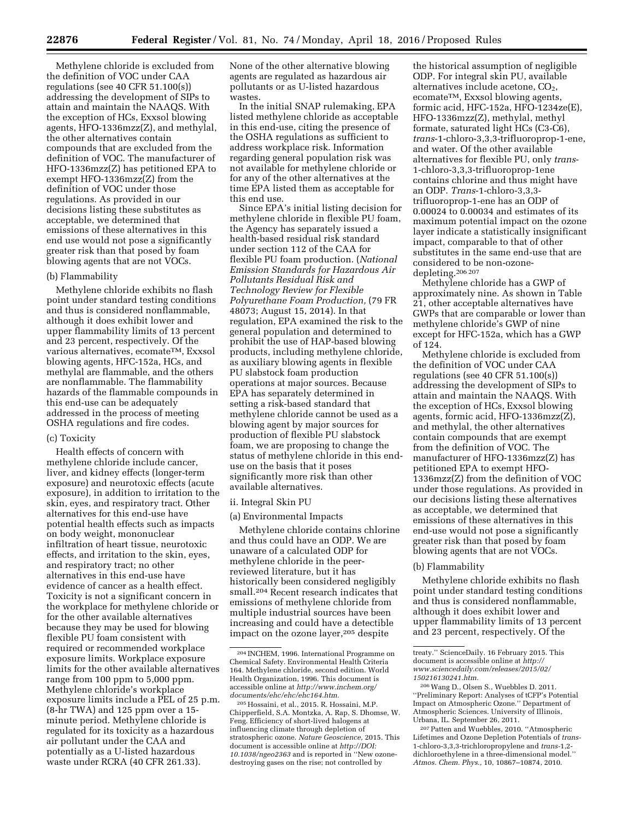Methylene chloride is excluded from the definition of VOC under CAA regulations (see 40 CFR 51.100(s)) addressing the development of SIPs to attain and maintain the NAAQS. With the exception of HCs, Exxsol blowing agents, HFO-1336mzz(Z), and methylal, the other alternatives contain compounds that are excluded from the definition of VOC. The manufacturer of HFO-1336mzz(Z) has petitioned EPA to exempt HFO-1336mzz(Z) from the definition of VOC under those regulations. As provided in our decisions listing these substitutes as acceptable, we determined that emissions of these alternatives in this end use would not pose a significantly greater risk than that posed by foam blowing agents that are not VOCs.

## (b) Flammability

Methylene chloride exhibits no flash point under standard testing conditions and thus is considered nonflammable, although it does exhibit lower and upper flammability limits of 13 percent and 23 percent, respectively. Of the various alternatives, ecomateTM, Exxsol blowing agents, HFC-152a, HCs, and methylal are flammable, and the others are nonflammable. The flammability hazards of the flammable compounds in this end-use can be adequately addressed in the process of meeting OSHA regulations and fire codes.

### (c) Toxicity

Health effects of concern with methylene chloride include cancer, liver, and kidney effects (longer-term exposure) and neurotoxic effects (acute exposure), in addition to irritation to the skin, eyes, and respiratory tract. Other alternatives for this end-use have potential health effects such as impacts on body weight, mononuclear infiltration of heart tissue, neurotoxic effects, and irritation to the skin, eyes, and respiratory tract; no other alternatives in this end-use have evidence of cancer as a health effect. Toxicity is not a significant concern in the workplace for methylene chloride or for the other available alternatives because they may be used for blowing flexible PU foam consistent with required or recommended workplace exposure limits. Workplace exposure limits for the other available alternatives range from 100 ppm to 5,000 ppm. Methylene chloride's workplace exposure limits include a PEL of 25 p.m. (8-hr TWA) and 125 ppm over a 15 minute period. Methylene chloride is regulated for its toxicity as a hazardous air pollutant under the CAA and potentially as a U-listed hazardous waste under RCRA (40 CFR 261.33).

None of the other alternative blowing agents are regulated as hazardous air pollutants or as U-listed hazardous wastes.

In the initial SNAP rulemaking, EPA listed methylene chloride as acceptable in this end-use, citing the presence of the OSHA regulations as sufficient to address workplace risk. Information regarding general population risk was not available for methylene chloride or for any of the other alternatives at the time EPA listed them as acceptable for this end use.

Since EPA's initial listing decision for methylene chloride in flexible PU foam, the Agency has separately issued a health-based residual risk standard under section 112 of the CAA for flexible PU foam production. (*National Emission Standards for Hazardous Air Pollutants Residual Risk and Technology Review for Flexible Polyurethane Foam Production,* (79 FR 48073; August 15, 2014). In that regulation, EPA examined the risk to the general population and determined to prohibit the use of HAP-based blowing products, including methylene chloride, as auxiliary blowing agents in flexible PU slabstock foam production operations at major sources. Because EPA has separately determined in setting a risk-based standard that methylene chloride cannot be used as a blowing agent by major sources for production of flexible PU slabstock foam, we are proposing to change the status of methylene chloride in this enduse on the basis that it poses significantly more risk than other available alternatives.

### ii. Integral Skin PU

## (a) Environmental Impacts

Methylene chloride contains chlorine and thus could have an ODP. We are unaware of a calculated ODP for methylene chloride in the peerreviewed literature, but it has historically been considered negligibly small.204 Recent research indicates that emissions of methylene chloride from multiple industrial sources have been increasing and could have a detectible impact on the ozone layer,<sup>205</sup> despite

the historical assumption of negligible ODP. For integral skin PU, available alternatives include acetone,  $CO<sub>2</sub>$ , ecomateTM, Exxsol blowing agents, formic acid, HFC-152a, HFO-1234ze(E), HFO-1336mzz(Z), methylal, methyl formate, saturated light HCs (C3-C6), *trans*-1-chloro-3,3,3-trifluoroprop-1-ene, and water. Of the other available alternatives for flexible PU, only *trans*-1-chloro-3,3,3-trifluoroprop-1ene contains chlorine and thus might have an ODP. *Trans*-1-chloro-3,3,3 trifluoroprop-1-ene has an ODP of 0.00024 to 0.00034 and estimates of its maximum potential impact on the ozone layer indicate a statistically insignificant impact, comparable to that of other substitutes in the same end-use that are considered to be non-ozonedepleting.206 207

Methylene chloride has a GWP of approximately nine. As shown in Table 21, other acceptable alternatives have GWPs that are comparable or lower than methylene chloride's GWP of nine except for HFC-152a, which has a GWP of 124.

Methylene chloride is excluded from the definition of VOC under CAA regulations (see 40 CFR 51.100(s)) addressing the development of SIPs to attain and maintain the NAAQS. With the exception of HCs, Exxsol blowing agents, formic acid, HFO-1336mzz(Z), and methylal, the other alternatives contain compounds that are exempt from the definition of VOC. The manufacturer of HFO-1336mzz(Z) has petitioned EPA to exempt HFO-1336mzz(Z) from the definition of VOC under those regulations. As provided in our decisions listing these alternatives as acceptable, we determined that emissions of these alternatives in this end-use would not pose a significantly greater risk than that posed by foam blowing agents that are not VOCs.

#### (b) Flammability

Methylene chloride exhibits no flash point under standard testing conditions and thus is considered nonflammable, although it does exhibit lower and upper flammability limits of 13 percent and 23 percent, respectively. Of the

207Patten and Wuebbles, 2010. ''Atmospheric Lifetimes and Ozone Depletion Potentials of *trans-*1-chloro-3,3,3-trichloropropylene and *trans-*1,2 dichloroethylene in a three-dimensional model.'' *Atmos. Chem. Phys.,* 10, 10867–10874, 2010.

<sup>204</sup> INCHEM, 1996. International Programme on Chemical Safety. Environmental Health Criteria 164. Methylene chloride, second edition. World Health Organization, 1996. This document is accessible online at *[http://www.inchem.org/](http://www.inchem.org/documents/ehc/ehc/ehc164.htm) [documents/ehc/ehc/ehc164.htm.](http://www.inchem.org/documents/ehc/ehc/ehc164.htm)* 

<sup>205</sup>Hossaini, et al., 2015. R. Hossaini, M.P. Chipperfield, S.A. Montzka, A. Rap, S. Dhomse, W. Feng. Efficiency of short-lived halogens at influencing climate through depletion of stratospheric ozone. *Nature Geoscience,* 2015. This document is accessible online at *[http://DOI:](http://DOI:10.1038/ngeo2363)  [10.1038/ngeo2363](http://DOI:10.1038/ngeo2363)* and is reported in ''New ozonedestroying gases on the rise; not controlled by

treaty.'' ScienceDaily. 16 February 2015. This document is accessible online at *[http://](http://www.sciencedaily.com/releases/2015/02/150216130241.htm) [www.sciencedaily.com/releases/2015/02/](http://www.sciencedaily.com/releases/2015/02/150216130241.htm) [150216130241.htm.](http://www.sciencedaily.com/releases/2015/02/150216130241.htm)* 

<sup>206</sup>Wang D., Olsen S., Wuebbles D. 2011. ''Preliminary Report: Analyses of tCFP's Potential Impact on Atmospheric Ozone.'' Department of Atmospheric Sciences. University of Illinois, Urbana, IL. September 26, 2011.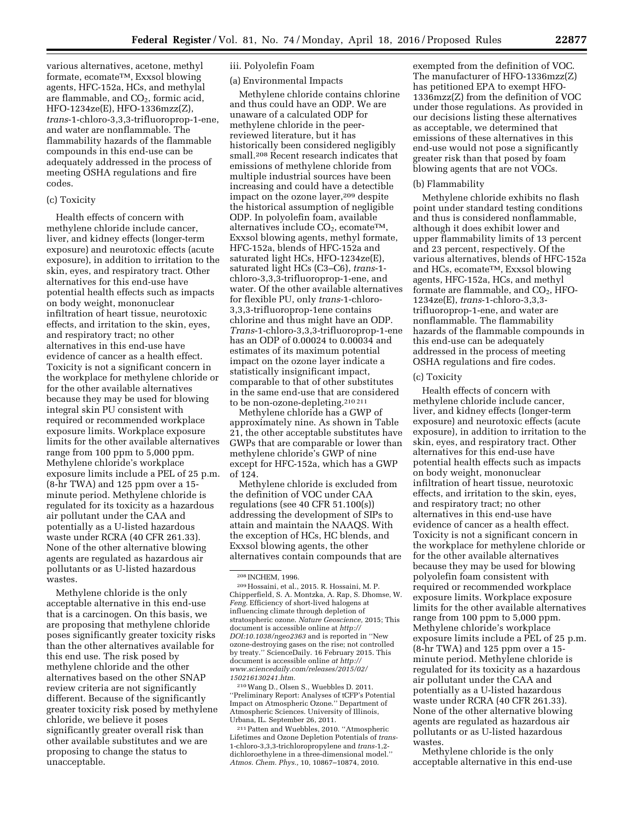various alternatives, acetone, methyl formate, ecomateTM, Exxsol blowing agents, HFC-152a, HCs, and methylal are flammable, and  $CO<sub>2</sub>$ , formic acid, HFO-1234ze(E), HFO-1336mzz(Z), *trans*-1-chloro-3,3,3-trifluoroprop-1-ene, and water are nonflammable. The flammability hazards of the flammable compounds in this end-use can be adequately addressed in the process of meeting OSHA regulations and fire codes.

## (c) Toxicity

Health effects of concern with methylene chloride include cancer, liver, and kidney effects (longer-term exposure) and neurotoxic effects (acute exposure), in addition to irritation to the skin, eyes, and respiratory tract. Other alternatives for this end-use have potential health effects such as impacts on body weight, mononuclear infiltration of heart tissue, neurotoxic effects, and irritation to the skin, eyes, and respiratory tract; no other alternatives in this end-use have evidence of cancer as a health effect. Toxicity is not a significant concern in the workplace for methylene chloride or for the other available alternatives because they may be used for blowing integral skin PU consistent with required or recommended workplace exposure limits. Workplace exposure limits for the other available alternatives range from 100 ppm to 5,000 ppm. Methylene chloride's workplace exposure limits include a PEL of 25 p.m. (8-hr TWA) and 125 ppm over a 15 minute period. Methylene chloride is regulated for its toxicity as a hazardous air pollutant under the CAA and potentially as a U-listed hazardous waste under RCRA (40 CFR 261.33). None of the other alternative blowing agents are regulated as hazardous air pollutants or as U-listed hazardous wastes.

Methylene chloride is the only acceptable alternative in this end-use that is a carcinogen. On this basis, we are proposing that methylene chloride poses significantly greater toxicity risks than the other alternatives available for this end use. The risk posed by methylene chloride and the other alternatives based on the other SNAP review criteria are not significantly different. Because of the significantly greater toxicity risk posed by methylene chloride, we believe it poses significantly greater overall risk than other available substitutes and we are proposing to change the status to unacceptable.

# iii. Polyolefin Foam

### (a) Environmental Impacts

Methylene chloride contains chlorine and thus could have an ODP. We are unaware of a calculated ODP for methylene chloride in the peerreviewed literature, but it has historically been considered negligibly small.208 Recent research indicates that emissions of methylene chloride from multiple industrial sources have been increasing and could have a detectible impact on the ozone layer,<sup>209</sup> despite the historical assumption of negligible ODP. In polyolefin foam, available alternatives include  $CO<sub>2</sub>$ , ecomate<sup>TM</sup>, Exxsol blowing agents, methyl formate, HFC-152a, blends of HFC-152a and saturated light HCs, HFO-1234ze(E), saturated light HCs (C3–C6), *trans*-1 chloro-3,3,3-trifluoroprop-1-ene, and water. Of the other available alternatives for flexible PU, only *trans*-1-chloro-3,3,3-trifluoroprop-1ene contains chlorine and thus might have an ODP. *Trans*-1-chloro-3,3,3-trifluoroprop-1-ene has an ODP of 0.00024 to 0.00034 and estimates of its maximum potential impact on the ozone layer indicate a statistically insignificant impact, comparable to that of other substitutes in the same end-use that are considered to be non-ozone-depleting.210 211

Methylene chloride has a GWP of approximately nine. As shown in Table 21, the other acceptable substitutes have GWPs that are comparable or lower than methylene chloride's GWP of nine except for HFC-152a, which has a GWP of 124.

Methylene chloride is excluded from the definition of VOC under CAA regulations (see 40 CFR 51.100(s)) addressing the development of SIPs to attain and maintain the NAAQS. With the exception of HCs, HC blends, and Exxsol blowing agents, the other alternatives contain compounds that are

210Wang D., Olsen S., Wuebbles D. 2011. ''Preliminary Report: Analyses of tCFP's Potential Impact on Atmospheric Ozone.'' Department of Atmospheric Sciences. University of Illinois, Urbana, IL. September 26, 2011.

211Patten and Wuebbles, 2010. ''Atmospheric Lifetimes and Ozone Depletion Potentials of *trans-*1-chloro-3,3,3-trichloropropylene and *trans-*1,2 dichloroethylene in a three-dimensional model.'' *Atmos. Chem. Phys.,* 10, 10867–10874, 2010.

exempted from the definition of VOC. The manufacturer of HFO-1336mzz(Z) has petitioned EPA to exempt HFO-1336mzz(Z) from the definition of VOC under those regulations. As provided in our decisions listing these alternatives as acceptable, we determined that emissions of these alternatives in this end-use would not pose a significantly greater risk than that posed by foam blowing agents that are not VOCs.

#### (b) Flammability

Methylene chloride exhibits no flash point under standard testing conditions and thus is considered nonflammable, although it does exhibit lower and upper flammability limits of 13 percent and 23 percent, respectively. Of the various alternatives, blends of HFC-152a and HCs, ecomateTM, Exxsol blowing agents, HFC-152a, HCs, and methyl formate are flammable, and  $CO<sub>2</sub>$ , HFO-1234ze(E), *trans*-1-chloro-3,3,3 trifluoroprop-1-ene, and water are nonflammable. The flammability hazards of the flammable compounds in this end-use can be adequately addressed in the process of meeting OSHA regulations and fire codes.

## (c) Toxicity

Health effects of concern with methylene chloride include cancer, liver, and kidney effects (longer-term exposure) and neurotoxic effects (acute exposure), in addition to irritation to the skin, eyes, and respiratory tract. Other alternatives for this end-use have potential health effects such as impacts on body weight, mononuclear infiltration of heart tissue, neurotoxic effects, and irritation to the skin, eyes, and respiratory tract; no other alternatives in this end-use have evidence of cancer as a health effect. Toxicity is not a significant concern in the workplace for methylene chloride or for the other available alternatives because they may be used for blowing polyolefin foam consistent with required or recommended workplace exposure limits. Workplace exposure limits for the other available alternatives range from 100 ppm to 5,000 ppm. Methylene chloride's workplace exposure limits include a PEL of 25 p.m. (8-hr TWA) and 125 ppm over a 15 minute period. Methylene chloride is regulated for its toxicity as a hazardous air pollutant under the CAA and potentially as a U-listed hazardous waste under RCRA (40 CFR 261.33). None of the other alternative blowing agents are regulated as hazardous air pollutants or as U-listed hazardous wastes.

Methylene chloride is the only acceptable alternative in this end-use

<sup>208</sup> INCHEM, 1996.

<sup>209</sup>Hossaini, et al., 2015. R. Hossaini, M. P. Chipperfield, S. A. Montzka, A. Rap, S. Dhomse, W. *Feng.* Efficiency of short-lived halogens at influencing climate through depletion of stratospheric ozone. *Nature Geoscience,* 2015; This document is accessible online at *[http://](http://DOI:10.1038/ngeo2363) [DOI:10.1038/ngeo2363](http://DOI:10.1038/ngeo2363)* and is reported in ''New ozone-destroying gases on the rise; not controlled by treaty.'' ScienceDaily. 16 February 2015. This document is accessible online *at [http://](http://www.sciencedaily.com/releases/2015/02/150216130241.htm) [www.sciencedaily.com/releases/2015/02/](http://www.sciencedaily.com/releases/2015/02/150216130241.htm) [150216130241.htm.](http://www.sciencedaily.com/releases/2015/02/150216130241.htm)*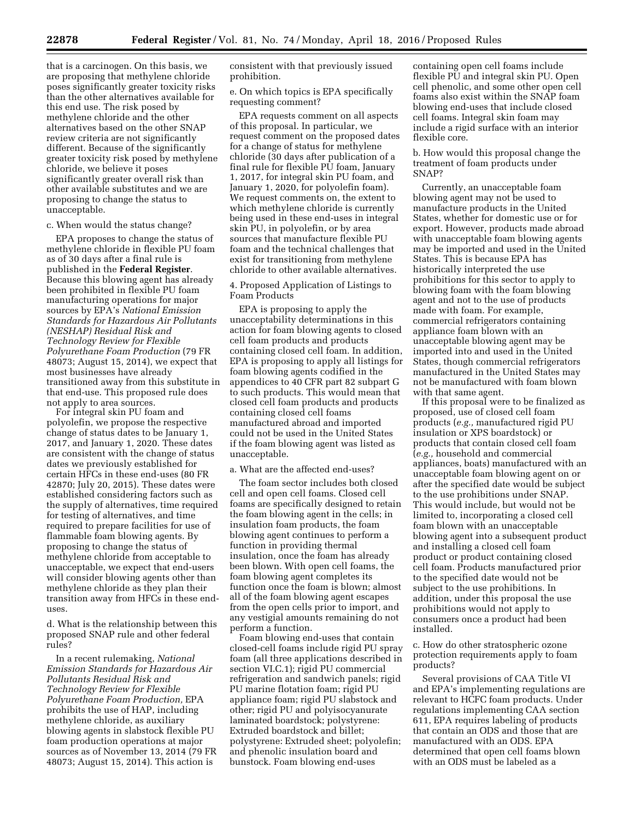that is a carcinogen. On this basis, we are proposing that methylene chloride poses significantly greater toxicity risks than the other alternatives available for this end use. The risk posed by methylene chloride and the other alternatives based on the other SNAP review criteria are not significantly different. Because of the significantly greater toxicity risk posed by methylene chloride, we believe it poses significantly greater overall risk than other available substitutes and we are proposing to change the status to unacceptable.

### c. When would the status change?

EPA proposes to change the status of methylene chloride in flexible PU foam as of 30 days after a final rule is published in the **Federal Register**. Because this blowing agent has already been prohibited in flexible PU foam manufacturing operations for major sources by EPA's *National Emission Standards for Hazardous Air Pollutants (NESHAP) Residual Risk and Technology Review for Flexible Polyurethane Foam Production* (79 FR 48073; August 15, 2014), we expect that most businesses have already transitioned away from this substitute in that end-use. This proposed rule does not apply to area sources.

For integral skin PU foam and polyolefin, we propose the respective change of status dates to be January 1, 2017, and January 1, 2020. These dates are consistent with the change of status dates we previously established for certain HFCs in these end-uses (80 FR 42870; July 20, 2015). These dates were established considering factors such as the supply of alternatives, time required for testing of alternatives, and time required to prepare facilities for use of flammable foam blowing agents. By proposing to change the status of methylene chloride from acceptable to unacceptable, we expect that end-users will consider blowing agents other than methylene chloride as they plan their transition away from HFCs in these enduses.

d. What is the relationship between this proposed SNAP rule and other federal rules?

In a recent rulemaking, *National Emission Standards for Hazardous Air Pollutants Residual Risk and Technology Review for Flexible Polyurethane Foam Production,* EPA prohibits the use of HAP, including methylene chloride, as auxiliary blowing agents in slabstock flexible PU foam production operations at major sources as of November 13, 2014 (79 FR 48073; August 15, 2014). This action is

consistent with that previously issued prohibition.

e. On which topics is EPA specifically requesting comment?

EPA requests comment on all aspects of this proposal. In particular, we request comment on the proposed dates for a change of status for methylene chloride (30 days after publication of a final rule for flexible PU foam, January 1, 2017, for integral skin PU foam, and January 1, 2020, for polyolefin foam). We request comments on, the extent to which methylene chloride is currently being used in these end-uses in integral skin PU, in polyolefin, or by area sources that manufacture flexible PU foam and the technical challenges that exist for transitioning from methylene chloride to other available alternatives.

## 4. Proposed Application of Listings to Foam Products

EPA is proposing to apply the unacceptability determinations in this action for foam blowing agents to closed cell foam products and products containing closed cell foam. In addition, EPA is proposing to apply all listings for foam blowing agents codified in the appendices to 40 CFR part 82 subpart G to such products. This would mean that closed cell foam products and products containing closed cell foams manufactured abroad and imported could not be used in the United States if the foam blowing agent was listed as unacceptable.

### a. What are the affected end-uses?

The foam sector includes both closed cell and open cell foams. Closed cell foams are specifically designed to retain the foam blowing agent in the cells; in insulation foam products, the foam blowing agent continues to perform a function in providing thermal insulation, once the foam has already been blown. With open cell foams, the foam blowing agent completes its function once the foam is blown; almost all of the foam blowing agent escapes from the open cells prior to import, and any vestigial amounts remaining do not perform a function.

Foam blowing end-uses that contain closed-cell foams include rigid PU spray foam (all three applications described in section VI.C.1); rigid PU commercial refrigeration and sandwich panels; rigid PU marine flotation foam; rigid PU appliance foam; rigid PU slabstock and other; rigid PU and polyisocyanurate laminated boardstock; polystyrene: Extruded boardstock and billet; polystyrene: Extruded sheet; polyolefin; and phenolic insulation board and bunstock. Foam blowing end-uses

containing open cell foams include flexible PU and integral skin PU. Open cell phenolic, and some other open cell foams also exist within the SNAP foam blowing end-uses that include closed cell foams. Integral skin foam may include a rigid surface with an interior flexible core.

b. How would this proposal change the treatment of foam products under SNAP?

Currently, an unacceptable foam blowing agent may not be used to manufacture products in the United States, whether for domestic use or for export. However, products made abroad with unacceptable foam blowing agents may be imported and used in the United States. This is because EPA has historically interpreted the use prohibitions for this sector to apply to blowing foam with the foam blowing agent and not to the use of products made with foam. For example, commercial refrigerators containing appliance foam blown with an unacceptable blowing agent may be imported into and used in the United States, though commercial refrigerators manufactured in the United States may not be manufactured with foam blown with that same agent.

If this proposal were to be finalized as proposed, use of closed cell foam products (*e.g.,* manufactured rigid PU insulation or XPS boardstock) or products that contain closed cell foam (*e.g.,* household and commercial appliances, boats) manufactured with an unacceptable foam blowing agent on or after the specified date would be subject to the use prohibitions under SNAP. This would include, but would not be limited to, incorporating a closed cell foam blown with an unacceptable blowing agent into a subsequent product and installing a closed cell foam product or product containing closed cell foam. Products manufactured prior to the specified date would not be subject to the use prohibitions. In addition, under this proposal the use prohibitions would not apply to consumers once a product had been installed.

c. How do other stratospheric ozone protection requirements apply to foam products?

Several provisions of CAA Title VI and EPA's implementing regulations are relevant to HCFC foam products. Under regulations implementing CAA section 611, EPA requires labeling of products that contain an ODS and those that are manufactured with an ODS. EPA determined that open cell foams blown with an ODS must be labeled as a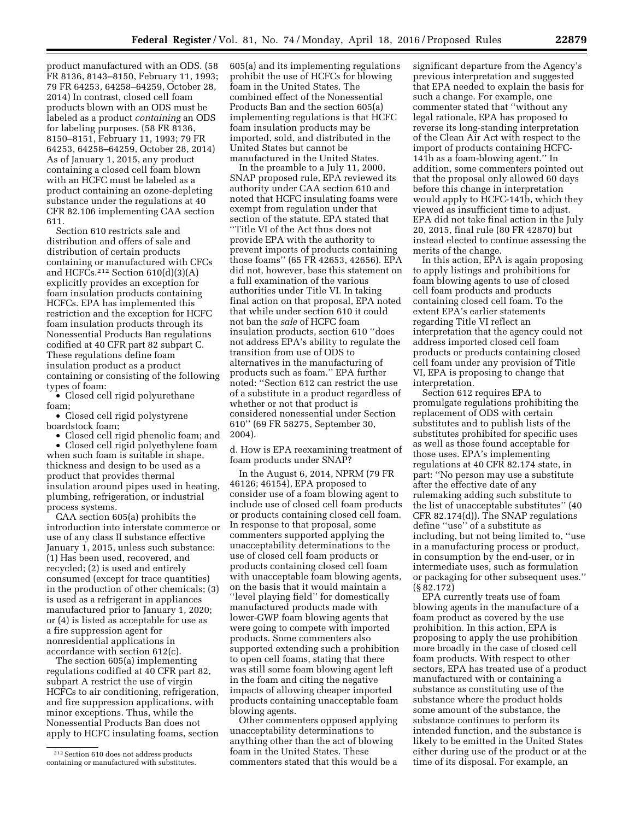product manufactured with an ODS. (58 FR 8136, 8143–8150, February 11, 1993; 79 FR 64253, 64258–64259, October 28, 2014) In contrast, closed cell foam products blown with an ODS must be labeled as a product *containing* an ODS for labeling purposes. (58 FR 8136, 8150–8151, February 11, 1993; 79 FR 64253, 64258–64259, October 28, 2014) As of January 1, 2015, any product containing a closed cell foam blown with an HCFC must be labeled as a product containing an ozone-depleting substance under the regulations at 40 CFR 82.106 implementing CAA section 611.

Section 610 restricts sale and distribution and offers of sale and distribution of certain products containing or manufactured with CFCs and HCFCs.<sup>212</sup> Section  $610(d)(3)(A)$ explicitly provides an exception for foam insulation products containing HCFCs. EPA has implemented this restriction and the exception for HCFC foam insulation products through its Nonessential Products Ban regulations codified at 40 CFR part 82 subpart C. These regulations define foam insulation product as a product containing or consisting of the following types of foam:

• Closed cell rigid polyurethane foam;

• Closed cell rigid polystyrene boardstock foam;

• Closed cell rigid phenolic foam; and

• Closed cell rigid polyethylene foam when such foam is suitable in shape, thickness and design to be used as a product that provides thermal insulation around pipes used in heating, plumbing, refrigeration, or industrial process systems.

CAA section 605(a) prohibits the introduction into interstate commerce or use of any class II substance effective January 1, 2015, unless such substance: (1) Has been used, recovered, and recycled; (2) is used and entirely consumed (except for trace quantities) in the production of other chemicals; (3) is used as a refrigerant in appliances manufactured prior to January 1, 2020; or (4) is listed as acceptable for use as a fire suppression agent for nonresidential applications in accordance with section 612(c).

The section 605(a) implementing regulations codified at 40 CFR part 82, subpart A restrict the use of virgin HCFCs to air conditioning, refrigeration, and fire suppression applications, with minor exceptions. Thus, while the Nonessential Products Ban does not apply to HCFC insulating foams, section 605(a) and its implementing regulations prohibit the use of HCFCs for blowing foam in the United States. The combined effect of the Nonessential Products Ban and the section 605(a) implementing regulations is that HCFC foam insulation products may be imported, sold, and distributed in the United States but cannot be manufactured in the United States.

In the preamble to a July 11, 2000, SNAP proposed rule, EPA reviewed its authority under CAA section 610 and noted that HCFC insulating foams were exempt from regulation under that section of the statute. EPA stated that ''Title VI of the Act thus does not provide EPA with the authority to prevent imports of products containing those foams'' (65 FR 42653, 42656). EPA did not, however, base this statement on a full examination of the various authorities under Title VI. In taking final action on that proposal, EPA noted that while under section 610 it could not ban the *sale* of HCFC foam insulation products, section 610 ''does not address EPA's ability to regulate the transition from use of ODS to alternatives in the manufacturing of products such as foam.'' EPA further noted: ''Section 612 can restrict the use of a substitute in a product regardless of whether or not that product is considered nonessential under Section 610'' (69 FR 58275, September 30, 2004).

d. How is EPA reexamining treatment of foam products under SNAP?

In the August 6, 2014, NPRM (79 FR 46126; 46154), EPA proposed to consider use of a foam blowing agent to include use of closed cell foam products or products containing closed cell foam. In response to that proposal, some commenters supported applying the unacceptability determinations to the use of closed cell foam products or products containing closed cell foam with unacceptable foam blowing agents, on the basis that it would maintain a ''level playing field'' for domestically manufactured products made with lower-GWP foam blowing agents that were going to compete with imported products. Some commenters also supported extending such a prohibition to open cell foams, stating that there was still some foam blowing agent left in the foam and citing the negative impacts of allowing cheaper imported products containing unacceptable foam blowing agents.

Other commenters opposed applying unacceptability determinations to anything other than the act of blowing foam in the United States. These commenters stated that this would be a significant departure from the Agency's previous interpretation and suggested that EPA needed to explain the basis for such a change. For example, one commenter stated that ''without any legal rationale, EPA has proposed to reverse its long-standing interpretation of the Clean Air Act with respect to the import of products containing HCFC-141b as a foam-blowing agent.'' In addition, some commenters pointed out that the proposal only allowed 60 days before this change in interpretation would apply to HCFC-141b, which they viewed as insufficient time to adjust. EPA did not take final action in the July 20, 2015, final rule (80 FR 42870) but instead elected to continue assessing the merits of the change.

In this action, EPA is again proposing to apply listings and prohibitions for foam blowing agents to use of closed cell foam products and products containing closed cell foam. To the extent EPA's earlier statements regarding Title VI reflect an interpretation that the agency could not address imported closed cell foam products or products containing closed cell foam under any provision of Title VI, EPA is proposing to change that interpretation.

Section 612 requires EPA to promulgate regulations prohibiting the replacement of ODS with certain substitutes and to publish lists of the substitutes prohibited for specific uses as well as those found acceptable for those uses. EPA's implementing regulations at 40 CFR 82.174 state, in part: ''No person may use a substitute after the effective date of any rulemaking adding such substitute to the list of unacceptable substitutes'' (40 CFR 82.174(d)). The SNAP regulations define ''use'' of a substitute as including, but not being limited to, ''use in a manufacturing process or product, in consumption by the end-user, or in intermediate uses, such as formulation or packaging for other subsequent uses.'' (§ 82.172)

EPA currently treats use of foam blowing agents in the manufacture of a foam product as covered by the use prohibition. In this action, EPA is proposing to apply the use prohibition more broadly in the case of closed cell foam products. With respect to other sectors, EPA has treated use of a product manufactured with or containing a substance as constituting use of the substance where the product holds some amount of the substance, the substance continues to perform its intended function, and the substance is likely to be emitted in the United States either during use of the product or at the time of its disposal. For example, an

<sup>212</sup>Section 610 does not address products containing or manufactured with substitutes.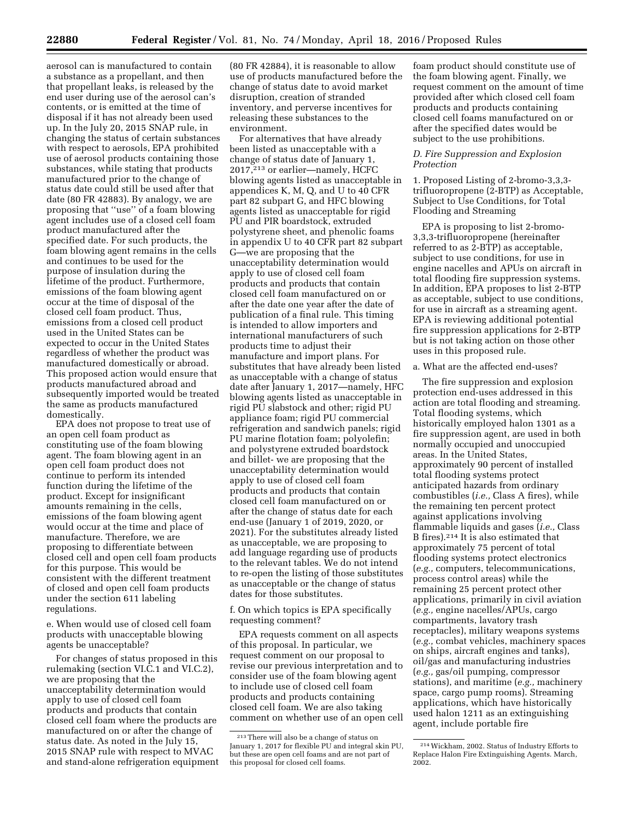aerosol can is manufactured to contain a substance as a propellant, and then that propellant leaks, is released by the end user during use of the aerosol can's contents, or is emitted at the time of disposal if it has not already been used up. In the July 20, 2015 SNAP rule, in changing the status of certain substances with respect to aerosols, EPA prohibited use of aerosol products containing those substances, while stating that products manufactured prior to the change of status date could still be used after that date (80 FR 42883). By analogy, we are proposing that ''use'' of a foam blowing agent includes use of a closed cell foam product manufactured after the specified date. For such products, the foam blowing agent remains in the cells and continues to be used for the purpose of insulation during the lifetime of the product. Furthermore, emissions of the foam blowing agent occur at the time of disposal of the closed cell foam product. Thus, emissions from a closed cell product used in the United States can be expected to occur in the United States regardless of whether the product was manufactured domestically or abroad. This proposed action would ensure that products manufactured abroad and subsequently imported would be treated the same as products manufactured domestically.

EPA does not propose to treat use of an open cell foam product as constituting use of the foam blowing agent. The foam blowing agent in an open cell foam product does not continue to perform its intended function during the lifetime of the product. Except for insignificant amounts remaining in the cells, emissions of the foam blowing agent would occur at the time and place of manufacture. Therefore, we are proposing to differentiate between closed cell and open cell foam products for this purpose. This would be consistent with the different treatment of closed and open cell foam products under the section 611 labeling regulations.

e. When would use of closed cell foam products with unacceptable blowing agents be unacceptable?

For changes of status proposed in this rulemaking (section VI.C.1 and VI.C.2), we are proposing that the unacceptability determination would apply to use of closed cell foam products and products that contain closed cell foam where the products are manufactured on or after the change of status date. As noted in the July 15, 2015 SNAP rule with respect to MVAC and stand-alone refrigeration equipment

(80 FR 42884), it is reasonable to allow use of products manufactured before the change of status date to avoid market disruption, creation of stranded inventory, and perverse incentives for releasing these substances to the environment.

For alternatives that have already been listed as unacceptable with a change of status date of January 1, 2017,213 or earlier—namely, HCFC blowing agents listed as unacceptable in appendices K, M, Q, and U to 40 CFR part 82 subpart G, and HFC blowing agents listed as unacceptable for rigid PU and PIR boardstock, extruded polystyrene sheet, and phenolic foams in appendix U to 40 CFR part 82 subpart G—we are proposing that the unacceptability determination would apply to use of closed cell foam products and products that contain closed cell foam manufactured on or after the date one year after the date of publication of a final rule. This timing is intended to allow importers and international manufacturers of such products time to adjust their manufacture and import plans. For substitutes that have already been listed as unacceptable with a change of status date after January 1, 2017—namely, HFC blowing agents listed as unacceptable in rigid PU slabstock and other; rigid PU appliance foam; rigid PU commercial refrigeration and sandwich panels; rigid PU marine flotation foam; polyolefin; and polystyrene extruded boardstock and billet- we are proposing that the unacceptability determination would apply to use of closed cell foam products and products that contain closed cell foam manufactured on or after the change of status date for each end-use (January 1 of 2019, 2020, or 2021). For the substitutes already listed as unacceptable, we are proposing to add language regarding use of products to the relevant tables. We do not intend to re-open the listing of those substitutes as unacceptable or the change of status dates for those substitutes.

f. On which topics is EPA specifically requesting comment?

EPA requests comment on all aspects of this proposal. In particular, we request comment on our proposal to revise our previous interpretation and to consider use of the foam blowing agent to include use of closed cell foam products and products containing closed cell foam. We are also taking comment on whether use of an open cell

foam product should constitute use of the foam blowing agent. Finally, we request comment on the amount of time provided after which closed cell foam products and products containing closed cell foams manufactured on or after the specified dates would be subject to the use prohibitions.

## *D. Fire Suppression and Explosion Protection*

1. Proposed Listing of 2-bromo-3,3,3 trifluoropropene (2-BTP) as Acceptable, Subject to Use Conditions, for Total Flooding and Streaming

EPA is proposing to list 2-bromo-3,3,3-trifluoropropene (hereinafter referred to as 2-BTP) as acceptable, subject to use conditions, for use in engine nacelles and APUs on aircraft in total flooding fire suppression systems. In addition, EPA proposes to list 2-BTP as acceptable, subject to use conditions, for use in aircraft as a streaming agent. EPA is reviewing additional potential fire suppression applications for 2-BTP but is not taking action on those other uses in this proposed rule.

### a. What are the affected end-uses?

The fire suppression and explosion protection end-uses addressed in this action are total flooding and streaming. Total flooding systems, which historically employed halon 1301 as a fire suppression agent, are used in both normally occupied and unoccupied areas. In the United States, approximately 90 percent of installed total flooding systems protect anticipated hazards from ordinary combustibles (*i.e.,* Class A fires), while the remaining ten percent protect against applications involving flammable liquids and gases (*i.e.,* Class B fires).214 It is also estimated that approximately 75 percent of total flooding systems protect electronics (*e.g.,* computers, telecommunications, process control areas) while the remaining 25 percent protect other applications, primarily in civil aviation (*e.g.,* engine nacelles/APUs, cargo compartments, lavatory trash receptacles), military weapons systems (*e.g.,* combat vehicles, machinery spaces on ships, aircraft engines and tanks), oil/gas and manufacturing industries (*e.g.,* gas/oil pumping, compressor stations), and maritime (*e.g.,* machinery space, cargo pump rooms). Streaming applications, which have historically used halon 1211 as an extinguishing agent, include portable fire

<sup>213</sup>There will also be a change of status on January 1, 2017 for flexible PU and integral skin PU, but these are open cell foams and are not part of this proposal for closed cell foams.

<sup>214</sup>Wickham, 2002. Status of Industry Efforts to Replace Halon Fire Extinguishing Agents. March, 2002.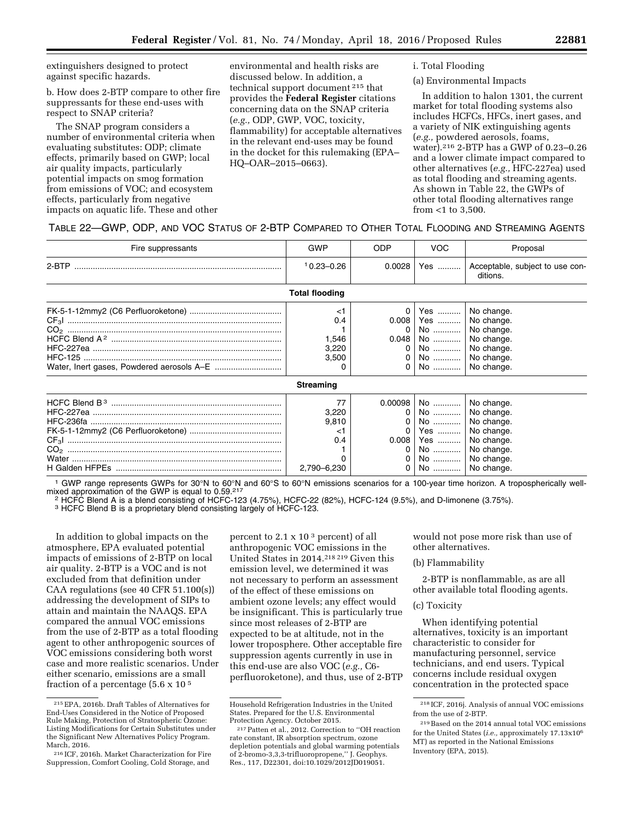extinguishers designed to protect against specific hazards.

b. How does 2-BTP compare to other fire suppressants for these end-uses with respect to SNAP criteria?

The SNAP program considers a number of environmental criteria when evaluating substitutes: ODP; climate effects, primarily based on GWP; local air quality impacts, particularly potential impacts on smog formation from emissions of VOC; and ecosystem effects, particularly from negative impacts on aquatic life. These and other

environmental and health risks are discussed below. In addition, a technical support document 215 that provides the **Federal Register** citations concerning data on the SNAP criteria (*e.g.,* ODP, GWP, VOC, toxicity, flammability) for acceptable alternatives in the relevant end-uses may be found in the docket for this rulemaking (EPA– HQ–OAR–2015–0663).

i. Total Flooding

### (a) Environmental Impacts

In addition to halon 1301, the current market for total flooding systems also includes HCFCs, HFCs, inert gases, and a variety of NIK extinguishing agents (*e.g.,* powdered aerosols, foams, water).216 2-BTP has a GWP of 0.23–0.26 and a lower climate impact compared to other alternatives (*e.g.,* HFC-227ea) used as total flooding and streaming agents. As shown in Table 22, the GWPs of other total flooding alternatives range from <1 to 3,500.

|  |  |  | TABLE 22-GWP, ODP, AND VOC STATUS OF 2-BTP COMPARED TO OTHER TOTAL FLOODING AND STREAMING AGENTS |
|--|--|--|--------------------------------------------------------------------------------------------------|
|--|--|--|--------------------------------------------------------------------------------------------------|

| Fire suppressants | GWP                                          | <b>ODP</b> | <b>VOC</b>                                             | Proposal                                                                                                               |
|-------------------|----------------------------------------------|------------|--------------------------------------------------------|------------------------------------------------------------------------------------------------------------------------|
|                   | $10.23 - 0.26$                               | 0.0028     | Yes                                                    | Acceptable, subject to use con-<br>ditions.                                                                            |
|                   | <b>Total flooding</b>                        |            |                                                        |                                                                                                                        |
|                   | $<$ 1<br>0.4<br>1,546<br>3,220<br>3,500<br>0 | 0<br>0     | Yes   <br>$0.008$   Yes   <br>$0.048$   No             | No change.<br>No change.<br>No    No change.<br>No change.<br>No    No change.<br>No    No change.<br>No    No change. |
|                   | <b>Streaming</b>                             |            |                                                        |                                                                                                                        |
|                   | 77<br>3,220<br>9,810<br>$<$ 1<br>0.4         | 0          | $0.00098$   No   <br>$No$  <br>Yes   <br>$0.008$   Yes | No change.<br>No    No change.<br>No change.<br>No change.<br>No change.<br>No change.                                 |
|                   | 0                                            |            |                                                        | No    No change.                                                                                                       |

<sup>1</sup> GWP range represents GWPs for 30°N to 60°N and 60°S to 60°N emissions scenarios for a 100-year time horizon. A tropospherically wellmixed approximation of the GWP is equal to 0.59.<sup>217</sup>

<sup>2</sup> HCFC Blend A is a blend consisting of HCFC-123 (4.75%), HCFC-22 (82%), HCFC-124 (9.5%), and D-limonene (3.75%).<br><sup>3</sup> HCFC Blend B is a proprietary blend consisting largely of HCFC-123.

H Galden HFPEs ........................................................................ 2,790–6,230 0 No ............ No change.

In addition to global impacts on the atmosphere, EPA evaluated potential impacts of emissions of 2-BTP on local air quality. 2-BTP is a VOC and is not excluded from that definition under CAA regulations (see 40 CFR 51.100(s)) addressing the development of SIPs to attain and maintain the NAAQS. EPA compared the annual VOC emissions from the use of 2-BTP as a total flooding agent to other anthropogenic sources of VOC emissions considering both worst case and more realistic scenarios. Under either scenario, emissions are a small fraction of a percentage  $(5.6 \times 10^{-5})$ 

percent to 2.1 x 10 3 percent) of all anthropogenic VOC emissions in the United States in 2014.218 219 Given this emission level, we determined it was not necessary to perform an assessment of the effect of these emissions on ambient ozone levels; any effect would be insignificant. This is particularly true since most releases of 2-BTP are expected to be at altitude, not in the lower troposphere. Other acceptable fire suppression agents currently in use in this end-use are also VOC (*e.g.,* C6 perfluoroketone), and thus, use of 2-BTP

would not pose more risk than use of other alternatives.

### (b) Flammability

2-BTP is nonflammable, as are all other available total flooding agents.

#### (c) Toxicity

When identifying potential alternatives, toxicity is an important characteristic to consider for manufacturing personnel, service technicians, and end users. Typical concerns include residual oxygen concentration in the protected space

<sup>215</sup>EPA, 2016b. Draft Tables of Alternatives for End-Uses Considered in the Notice of Proposed Rule Making, Protection of Stratospheric Ozone: Listing Modifications for Certain Substitutes under the Significant New Alternatives Policy Program. March, 2016.

<sup>216</sup> ICF, 2016h. Market Characterization for Fire Suppression, Comfort Cooling, Cold Storage, and

Household Refrigeration Industries in the United States. Prepared for the U.S. Environmental<br>Protection Agency. October 2015.

<sup>&</sup>lt;sup>217</sup> Patten et al., 2012. Correction to "OH reaction rate constant, IR absorption spectrum, ozone depletion potentials and global warming potentials of 2-bromo-3,3,3-trifluoropropene,'' J. Geophys. Res., 117, D22301, doi:10.1029/2012JD019051.

<sup>218</sup> ICF, 2016j. Analysis of annual VOC emissions from the use of 2-BTP.

<sup>219</sup>Based on the 2014 annual total VOC emissions for the United States (*i.e.,* approximately 17.13x106 MT) as reported in the National Emissions Inventory (EPA, 2015).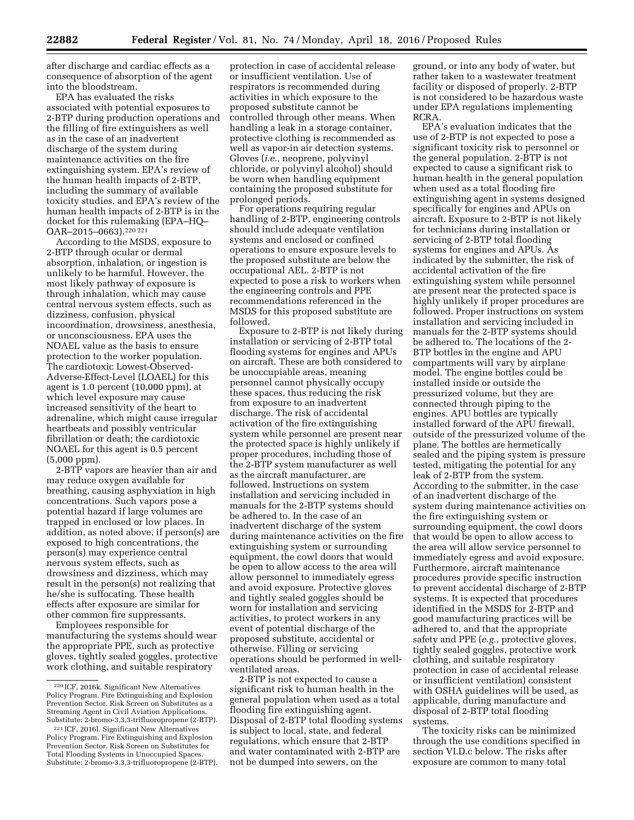after discharge and cardiac effects as a consequence of absorption of the agent into the bloodstream.

EPA has evaluated the risks associated with potential exposures to 2-BTP during production operations and the filling of fire extinguishers as well as in the case of an inadvertent discharge of the system during maintenance activities on the fire extinguishing system. EPA's review of the human health impacts of 2-BTP, including the summary of available toxicity studies, and EPA's review of the human health impacts of 2-BTP is in the docket for this rulemaking (EPA–HQ– OAR–2015–0663).220 221

According to the MSDS, exposure to 2-BTP through ocular or dermal absorption, inhalation, or ingestion is unlikely to be harmful. However, the most likely pathway of exposure is through inhalation, which may cause central nervous system effects, such as dizziness, confusion, physical incoordination, drowsiness, anesthesia, or unconsciousness. EPA uses the NOAEL value as the basis to ensure protection to the worker population. The cardiotoxic Lowest-Observed-Adverse-Effect-Level (LOAEL) for this agent is 1.0 percent (10,000 ppm), at which level exposure may cause increased sensitivity of the heart to adrenaline, which might cause irregular heartbeats and possibly ventricular fibrillation or death; the cardiotoxic NOAEL for this agent is 0.5 percent (5,000 ppm).

2-BTP vapors are heavier than air and may reduce oxygen available for breathing, causing asphyxiation in high concentrations. Such vapors pose a potential hazard if large volumes are trapped in enclosed or low places. In addition, as noted above, if person(s) are exposed to high concentrations, the person(s) may experience central nervous system effects, such as drowsiness and dizziness, which may result in the person(s) not realizing that he/she is suffocating. These health effects after exposure are similar for other common fire suppressants.

Employees responsible for manufacturing the systems should wear the appropriate PPE, such as protective gloves, tightly sealed goggles, protective work clothing, and suitable respiratory

protection in case of accidental release or insufficient ventilation. Use of respirators is recommended during activities in which exposure to the proposed substitute cannot be controlled through other means. When handling a leak in a storage container, protective clothing is recommended as well as vapor-in air detection systems. Gloves (*i.e.,* neoprene, polyvinyl chloride, or polyvinyl alcohol) should be worn when handling equipment containing the proposed substitute for prolonged periods.

For operations requiring regular handling of 2-BTP, engineering controls should include adequate ventilation systems and enclosed or confined operations to ensure exposure levels to the proposed substitute are below the occupational AEL. 2-BTP is not expected to pose a risk to workers when the engineering controls and PPE recommendations referenced in the MSDS for this proposed substitute are followed.

Exposure to 2-BTP is not likely during installation or servicing of 2-BTP total flooding systems for engines and APUs on aircraft. These are both considered to be unoccupiable areas, meaning personnel cannot physically occupy these spaces, thus reducing the risk from exposure to an inadvertent discharge. The risk of accidental activation of the fire extinguishing system while personnel are present near the protected space is highly unlikely if proper procedures, including those of the 2-BTP system manufacturer as well as the aircraft manufacturer, are followed. Instructions on system installation and servicing included in manuals for the 2-BTP systems should be adhered to. In the case of an inadvertent discharge of the system during maintenance activities on the fire extinguishing system or surrounding equipment, the cowl doors that would be open to allow access to the area will allow personnel to immediately egress and avoid exposure. Protective gloves and tightly sealed goggles should be worn for installation and servicing activities, to protect workers in any event of potential discharge of the proposed substitute, accidental or otherwise. Filling or servicing operations should be performed in wellventilated areas.

2-BTP is not expected to cause a significant risk to human health in the general population when used as a total flooding fire extinguishing agent. Disposal of 2-BTP total flooding systems is subject to local, state, and federal regulations, which ensure that 2-BTP and water contaminated with 2-BTP are not be dumped into sewers, on the

ground, or into any body of water, but rather taken to a wastewater treatment facility or disposed of properly. 2-BTP is not considered to be hazardous waste under EPA regulations implementing RCRA.

EPA's evaluation indicates that the use of 2-BTP is not expected to pose a significant toxicity risk to personnel or the general population. 2-BTP is not expected to cause a significant risk to human health in the general population when used as a total flooding fire extinguishing agent in systems designed specifically for engines and APUs on aircraft. Exposure to 2-BTP is not likely for technicians during installation or servicing of 2-BTP total flooding systems for engines and APUs. As indicated by the submitter, the risk of accidental activation of the fire extinguishing system while personnel are present near the protected space is highly unlikely if proper procedures are followed. Proper instructions on system installation and servicing included in manuals for the 2-BTP systems should be adhered to. The locations of the 2- BTP bottles in the engine and APU compartments will vary by airplane model. The engine bottles could be installed inside or outside the pressurized volume, but they are connected through piping to the engines. APU bottles are typically installed forward of the APU firewall, outside of the pressurized volume of the plane. The bottles are hermetically sealed and the piping system is pressure tested, mitigating the potential for any leak of 2-BTP from the system. According to the submitter, in the case of an inadvertent discharge of the system during maintenance activities on the fire extinguishing system or surrounding equipment, the cowl doors that would be open to allow access to the area will allow service personnel to immediately egress and avoid exposure. Furthermore, aircraft maintenance procedures provide specific instruction to prevent accidental discharge of 2-BTP systems. It is expected that procedures identified in the MSDS for 2-BTP and good manufacturing practices will be adhered to, and that the appropriate safety and PPE (*e.g.,* protective gloves, tightly sealed goggles, protective work clothing, and suitable respiratory protection in case of accidental release or insufficient ventilation) consistent with OSHA guidelines will be used, as applicable, during manufacture and disposal of 2-BTP total flooding systems.

The toxicity risks can be minimized through the use conditions specified in section VI.D.c below. The risks after exposure are common to many total

<sup>220</sup> ICF, 2016k. Significant New Alternatives Policy Program. Fire Extinguishing and Explosion Prevention Sector. Risk Screen on Substitutes as a Streaming Agent in Civil Aviation Applications. Substitute: 2-bromo-3,3,3-trifluoropropene (2-BTP).

<sup>221</sup> ICF, 2016l. Significant New Alternatives Policy Program. Fire Extinguishing and Explosion Prevention Sector. Risk Screen on Substitutes for Total Flooding Systems in Unoccupied Spaces. Substitute: 2-bromo-3,3,3-trifluoropropene (2-BTP).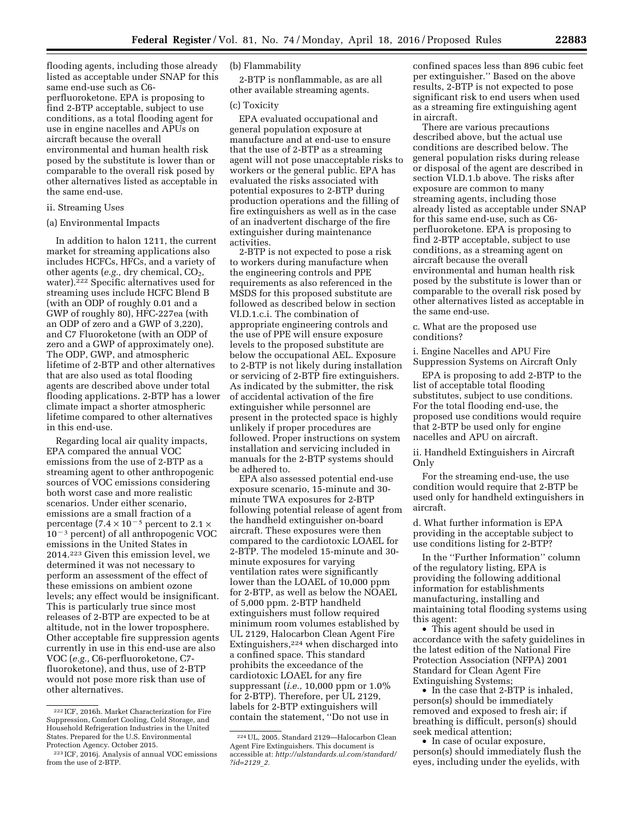flooding agents, including those already listed as acceptable under SNAP for this same end-use such as C6 perfluoroketone. EPA is proposing to find 2-BTP acceptable, subject to use conditions, as a total flooding agent for use in engine nacelles and APUs on aircraft because the overall environmental and human health risk posed by the substitute is lower than or comparable to the overall risk posed by other alternatives listed as acceptable in the same end-use.

#### ii. Streaming Uses

#### (a) Environmental Impacts

In addition to halon 1211, the current market for streaming applications also includes HCFCs, HFCs, and a variety of other agents (*e.g.*, dry chemical, CO<sub>2</sub>, water).222 Specific alternatives used for streaming uses include HCFC Blend B (with an ODP of roughly 0.01 and a GWP of roughly 80), HFC-227ea (with an ODP of zero and a GWP of 3,220), and C7 Fluoroketone (with an ODP of zero and a GWP of approximately one). The ODP, GWP, and atmospheric lifetime of 2-BTP and other alternatives that are also used as total flooding agents are described above under total flooding applications. 2-BTP has a lower climate impact a shorter atmospheric lifetime compared to other alternatives in this end-use.

Regarding local air quality impacts, EPA compared the annual VOC emissions from the use of 2-BTP as a streaming agent to other anthropogenic sources of VOC emissions considering both worst case and more realistic scenarios. Under either scenario, emissions are a small fraction of a percentage (7.4  $\times$  10<sup>-5</sup> percent to 2.1  $\times$  $10^{-3}$  percent) of all anthropogenic VOC emissions in the United States in 2014.223 Given this emission level, we determined it was not necessary to perform an assessment of the effect of these emissions on ambient ozone levels; any effect would be insignificant. This is particularly true since most releases of 2-BTP are expected to be at altitude, not in the lower troposphere. Other acceptable fire suppression agents currently in use in this end-use are also VOC (*e.g.,* C6-perfluoroketone, C7 fluoroketone), and thus, use of 2-BTP would not pose more risk than use of other alternatives.

### (b) Flammability

2-BTP is nonflammable, as are all other available streaming agents.

#### (c) Toxicity

EPA evaluated occupational and general population exposure at manufacture and at end-use to ensure that the use of 2-BTP as a streaming agent will not pose unacceptable risks to workers or the general public. EPA has evaluated the risks associated with potential exposures to 2-BTP during production operations and the filling of fire extinguishers as well as in the case of an inadvertent discharge of the fire extinguisher during maintenance activities.

2-BTP is not expected to pose a risk to workers during manufacture when the engineering controls and PPE requirements as also referenced in the MSDS for this proposed substitute are followed as described below in section VI.D.1.c.i. The combination of appropriate engineering controls and the use of PPE will ensure exposure levels to the proposed substitute are below the occupational AEL. Exposure to 2-BTP is not likely during installation or servicing of 2-BTP fire extinguishers. As indicated by the submitter, the risk of accidental activation of the fire extinguisher while personnel are present in the protected space is highly unlikely if proper procedures are followed. Proper instructions on system installation and servicing included in manuals for the 2-BTP systems should be adhered to.

EPA also assessed potential end-use exposure scenario, 15-minute and 30 minute TWA exposures for 2-BTP following potential release of agent from the handheld extinguisher on-board aircraft. These exposures were then compared to the cardiotoxic LOAEL for 2-BTP. The modeled 15-minute and 30 minute exposures for varying ventilation rates were significantly lower than the LOAEL of 10,000 ppm for 2-BTP, as well as below the NOAEL of 5,000 ppm. 2-BTP handheld extinguishers must follow required minimum room volumes established by UL 2129, Halocarbon Clean Agent Fire Extinguishers,224 when discharged into a confined space. This standard prohibits the exceedance of the cardiotoxic LOAEL for any fire suppressant (*i.e.,* 10,000 ppm or 1.0% for 2-BTP). Therefore, per UL 2129, labels for 2-BTP extinguishers will contain the statement, ''Do not use in

confined spaces less than 896 cubic feet per extinguisher.'' Based on the above results, 2-BTP is not expected to pose significant risk to end users when used as a streaming fire extinguishing agent in aircraft.

There are various precautions described above, but the actual use conditions are described below. The general population risks during release or disposal of the agent are described in section VI.D.1.b above. The risks after exposure are common to many streaming agents, including those already listed as acceptable under SNAP for this same end-use, such as C6 perfluoroketone. EPA is proposing to find 2-BTP acceptable, subject to use conditions, as a streaming agent on aircraft because the overall environmental and human health risk posed by the substitute is lower than or comparable to the overall risk posed by other alternatives listed as acceptable in the same end-use.

c. What are the proposed use conditions?

i. Engine Nacelles and APU Fire Suppression Systems on Aircraft Only

EPA is proposing to add 2-BTP to the list of acceptable total flooding substitutes, subject to use conditions. For the total flooding end-use, the proposed use conditions would require that 2-BTP be used only for engine nacelles and APU on aircraft.

ii. Handheld Extinguishers in Aircraft Only

For the streaming end-use, the use condition would require that 2-BTP be used only for handheld extinguishers in aircraft.

d. What further information is EPA providing in the acceptable subject to use conditions listing for 2-BTP?

In the ''Further Information'' column of the regulatory listing, EPA is providing the following additional information for establishments manufacturing, installing and maintaining total flooding systems using this agent:

• This agent should be used in accordance with the safety guidelines in the latest edition of the National Fire Protection Association (NFPA) 2001 Standard for Clean Agent Fire Extinguishing Systems;

• In the case that 2-BTP is inhaled, person(s) should be immediately removed and exposed to fresh air; if breathing is difficult, person(s) should seek medical attention;

• In case of ocular exposure, person(s) should immediately flush the eyes, including under the eyelids, with

<sup>222</sup> ICF, 2016h. Market Characterization for Fire Suppression, Comfort Cooling, Cold Storage, and Household Refrigeration Industries in the United States. Prepared for the U.S. Environmental Protection Agency. October 2015.

<sup>223</sup> ICF, 2016j. Analysis of annual VOC emissions from the use of 2-BTP.

<sup>224</sup>UL, 2005. Standard 2129—Halocarbon Clean Agent Fire Extinguishers. This document is accessible at: *[http://ulstandards.ul.com/standard/](http://ulstandards.ul.com/standard/?id=2129_2) [?id=2129](http://ulstandards.ul.com/standard/?id=2129_2)*\_*2.*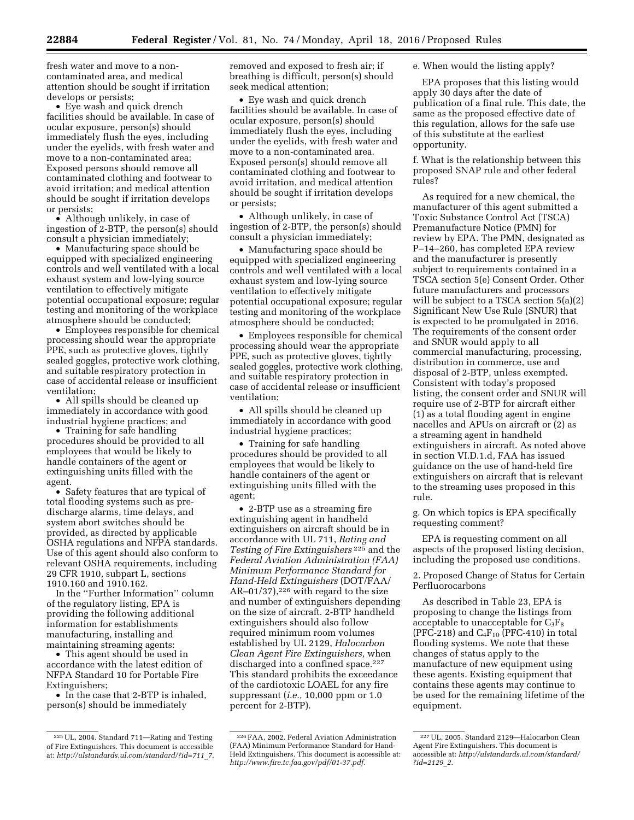fresh water and move to a noncontaminated area, and medical attention should be sought if irritation develops or persists;

• Eye wash and quick drench facilities should be available. In case of ocular exposure, person(s) should immediately flush the eyes, including under the eyelids, with fresh water and move to a non-contaminated area; Exposed persons should remove all contaminated clothing and footwear to avoid irritation; and medical attention should be sought if irritation develops or persists;

• Although unlikely, in case of ingestion of 2-BTP, the person(s) should consult a physician immediately;

• Manufacturing space should be equipped with specialized engineering controls and well ventilated with a local exhaust system and low-lying source ventilation to effectively mitigate potential occupational exposure; regular testing and monitoring of the workplace atmosphere should be conducted;

• Employees responsible for chemical processing should wear the appropriate PPE, such as protective gloves, tightly sealed goggles, protective work clothing, and suitable respiratory protection in case of accidental release or insufficient ventilation;

• All spills should be cleaned up immediately in accordance with good industrial hygiene practices; and

• Training for safe handling procedures should be provided to all employees that would be likely to handle containers of the agent or extinguishing units filled with the agent.

• Safety features that are typical of total flooding systems such as predischarge alarms, time delays, and system abort switches should be provided, as directed by applicable OSHA regulations and NFPA standards. Use of this agent should also conform to relevant OSHA requirements, including 29 CFR 1910, subpart L, sections 1910.160 and 1910.162.

In the ''Further Information'' column of the regulatory listing, EPA is providing the following additional information for establishments manufacturing, installing and maintaining streaming agents:

• This agent should be used in accordance with the latest edition of NFPA Standard 10 for Portable Fire Extinguishers;

• In the case that 2-BTP is inhaled, person(s) should be immediately

removed and exposed to fresh air; if breathing is difficult, person(s) should seek medical attention;

• Eye wash and quick drench facilities should be available. In case of ocular exposure, person(s) should immediately flush the eyes, including under the eyelids, with fresh water and move to a non-contaminated area. Exposed person(s) should remove all contaminated clothing and footwear to avoid irritation, and medical attention should be sought if irritation develops or persists;

• Although unlikely, in case of ingestion of 2-BTP, the person(s) should consult a physician immediately;

• Manufacturing space should be equipped with specialized engineering controls and well ventilated with a local exhaust system and low-lying source ventilation to effectively mitigate potential occupational exposure; regular testing and monitoring of the workplace atmosphere should be conducted;

• Employees responsible for chemical processing should wear the appropriate PPE, such as protective gloves, tightly sealed goggles, protective work clothing, and suitable respiratory protection in case of accidental release or insufficient ventilation;

• All spills should be cleaned up immediately in accordance with good industrial hygiene practices;

• Training for safe handling procedures should be provided to all employees that would be likely to handle containers of the agent or extinguishing units filled with the agent;

• 2-BTP use as a streaming fire extinguishing agent in handheld extinguishers on aircraft should be in accordance with UL 711, *Rating and Testing of Fire Extinguishers* 225 and the *Federal Aviation Administration (FAA) Minimum Performance Standard for Hand-Held Extinguishers* (DOT/FAA/ AR–01/37), $226$  with regard to the size and number of extinguishers depending on the size of aircraft. 2-BTP handheld extinguishers should also follow required minimum room volumes established by UL 2129, *Halocarbon Clean Agent Fire Extinguishers,* when discharged into a confined space.<sup>227</sup> This standard prohibits the exceedance of the cardiotoxic LOAEL for any fire suppressant (*i.e.,* 10,000 ppm or 1.0 percent for 2-BTP).

e. When would the listing apply?

EPA proposes that this listing would apply 30 days after the date of publication of a final rule. This date, the same as the proposed effective date of this regulation, allows for the safe use of this substitute at the earliest opportunity.

f. What is the relationship between this proposed SNAP rule and other federal rules?

As required for a new chemical, the manufacturer of this agent submitted a Toxic Substance Control Act (TSCA) Premanufacture Notice (PMN) for review by EPA. The PMN, designated as P–14–260, has completed EPA review and the manufacturer is presently subject to requirements contained in a TSCA section 5(e) Consent Order. Other future manufacturers and processors will be subject to a TSCA section 5(a)(2) Significant New Use Rule (SNUR) that is expected to be promulgated in 2016. The requirements of the consent order and SNUR would apply to all commercial manufacturing, processing, distribution in commerce, use and disposal of 2-BTP, unless exempted. Consistent with today's proposed listing, the consent order and SNUR will require use of 2-BTP for aircraft either (1) as a total flooding agent in engine nacelles and APUs on aircraft or (2) as a streaming agent in handheld extinguishers in aircraft. As noted above in section VI.D.1.d, FAA has issued guidance on the use of hand-held fire extinguishers on aircraft that is relevant to the streaming uses proposed in this rule.

g. On which topics is EPA specifically requesting comment?

EPA is requesting comment on all aspects of the proposed listing decision, including the proposed use conditions.

2. Proposed Change of Status for Certain Perfluorocarbons

As described in Table 23, EPA is proposing to change the listings from acceptable to unacceptable for  $C_3F_8$ (PFC-218) and  $C_4F_{10}$  (PFC-410) in total flooding systems. We note that these changes of status apply to the manufacture of new equipment using these agents. Existing equipment that contains these agents may continue to be used for the remaining lifetime of the equipment.

<sup>225</sup>UL, 2004. Standard 711—Rating and Testing of Fire Extinguishers. This document is accessible at: *[http://ulstandards.ul.com/standard/?id=711](http://ulstandards.ul.com/standard/?id=711_7)*\_*7.* 

<sup>226</sup>FAA, 2002. Federal Aviation Administration (FAA) Minimum Performance Standard for Hand-Held Extinguishers. This document is accessible at: *[http://www.fire.tc.faa.gov/pdf/01-37.pdf.](http://www.fire.tc.faa.gov/pdf/01-37.pdf)* 

<sup>227</sup>UL, 2005. Standard 2129—Halocarbon Clean Agent Fire Extinguishers. This document is accessible at: *[http://ulstandards.ul.com/standard/](http://ulstandards.ul.com/standard/?id=2129_2) [?id=2129](http://ulstandards.ul.com/standard/?id=2129_2)*\_*2.*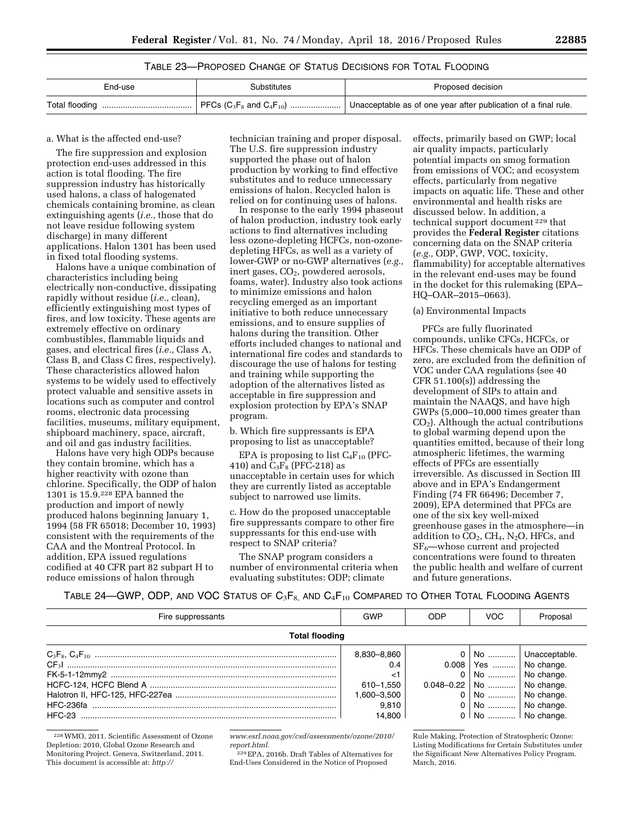## TABLE 23—PROPOSED CHANGE OF STATUS DECISIONS FOR TOTAL FLOODING

| End-use | Substitutes | Proposed decision |
|---------|-------------|-------------------|
|         |             |                   |

#### a. What is the affected end-use?

The fire suppression and explosion protection end-uses addressed in this action is total flooding. The fire suppression industry has historically used halons, a class of halogenated chemicals containing bromine, as clean extinguishing agents (*i.e.,* those that do not leave residue following system discharge) in many different applications. Halon 1301 has been used in fixed total flooding systems.

Halons have a unique combination of characteristics including being electrically non-conductive, dissipating rapidly without residue (*i.e.,* clean), efficiently extinguishing most types of fires, and low toxicity. These agents are extremely effective on ordinary combustibles, flammable liquids and gases, and electrical fires (*i.e.,* Class A, Class B, and Class C fires, respectively). These characteristics allowed halon systems to be widely used to effectively protect valuable and sensitive assets in locations such as computer and control rooms, electronic data processing facilities, museums, military equipment, shipboard machinery, space, aircraft, and oil and gas industry facilities.

Halons have very high ODPs because they contain bromine, which has a higher reactivity with ozone than chlorine. Specifically, the ODP of halon 1301 is 15.9.228 EPA banned the production and import of newly produced halons beginning January 1, 1994 (58 FR 65018; December 10, 1993) consistent with the requirements of the CAA and the Montreal Protocol. In addition, EPA issued regulations codified at 40 CFR part 82 subpart H to reduce emissions of halon through

technician training and proper disposal. The U.S. fire suppression industry supported the phase out of halon production by working to find effective substitutes and to reduce unnecessary emissions of halon. Recycled halon is relied on for continuing uses of halons.

In response to the early 1994 phaseout of halon production, industry took early actions to find alternatives including less ozone-depleting HCFCs, non-ozonedepleting HFCs, as well as a variety of lower-GWP or no-GWP alternatives (*e.g.,*  inert gases, CO<sub>2</sub>, powdered aerosols, foams, water). Industry also took actions to minimize emissions and halon recycling emerged as an important initiative to both reduce unnecessary emissions, and to ensure supplies of halons during the transition. Other efforts included changes to national and international fire codes and standards to discourage the use of halons for testing and training while supporting the adoption of the alternatives listed as acceptable in fire suppression and explosion protection by EPA's SNAP program.

b. Which fire suppressants is EPA proposing to list as unacceptable?

EPA is proposing to list  $C_4F_{10}$  (PFC-410) and  $C_3F_8$  (PFC-218) as unacceptable in certain uses for which they are currently listed as acceptable subject to narrowed use limits.

c. How do the proposed unacceptable fire suppressants compare to other fire suppressants for this end-use with respect to SNAP criteria?

The SNAP program considers a number of environmental criteria when evaluating substitutes: ODP; climate

effects, primarily based on GWP; local air quality impacts, particularly potential impacts on smog formation from emissions of VOC; and ecosystem effects, particularly from negative impacts on aquatic life. These and other environmental and health risks are discussed below. In addition, a technical support document 229 that provides the **Federal Register** citations concerning data on the SNAP criteria (*e.g.,* ODP, GWP, VOC, toxicity, flammability) for acceptable alternatives in the relevant end-uses may be found in the docket for this rulemaking (EPA– HQ–OAR–2015–0663).

#### (a) Environmental Impacts

PFCs are fully fluorinated compounds, unlike CFCs, HCFCs, or HFCs. These chemicals have an ODP of zero, are excluded from the definition of VOC under CAA regulations (see 40 CFR 51.100(s)) addressing the development of SIPs to attain and maintain the NAAQS, and have high GWPs (5,000–10,000 times greater than  $CO<sub>2</sub>$ ). Although the actual contributions to global warming depend upon the quantities emitted, because of their long atmospheric lifetimes, the warming effects of PFCs are essentially irreversible. As discussed in Section III above and in EPA's Endangerment Finding (74 FR 66496; December 7, 2009), EPA determined that PFCs are one of the six key well-mixed greenhouse gases in the atmosphere—in addition to  $CO<sub>2</sub>$ ,  $CH<sub>4</sub>$ , N<sub>2</sub>O, HFCs, and  $SF<sub>6</sub>$ —whose current and projected concentrations were found to threaten the public health and welfare of current and future generations.

TABLE 24—GWP, ODP, AND VOC STATUS OF  $C_3F_{8}$ , AND  $C_4F_{10}$  Compared to Other Total Flooding Agents

| Fire suppressants     | GWP         | <b>ODP</b> | <b>VOC</b>                  | Proposal            |
|-----------------------|-------------|------------|-----------------------------|---------------------|
| <b>Total flooding</b> |             |            |                             |                     |
|                       | 8,830-8,860 | $\Omega$   |                             | No    Unacceptable. |
|                       | 0.4         |            | $0.008$   Yes    No change. |                     |
|                       | <1          |            | 0   No    No change.        |                     |
|                       | 610-1,550   |            | 0.048-0.22 No  No change.   |                     |
|                       | 1,600–3,500 |            | 0   No    No change.        |                     |
|                       | 9.810       |            | 0   No    No change.        |                     |
|                       | 14.800      |            | 0   No    No change.        |                     |

228WMO, 2011. Scientific Assessment of Ozone Depletion: 2010, Global Ozone Research and Monitoring Project. Geneva, Switzerland, 2011. This document is accessible at: *[http://](http://www.esrl.noaa.gov/csd/assessments/ozone/2010/report.html)*

*[www.esrl.noaa.gov/csd/assessments/ozone/2010/](http://www.esrl.noaa.gov/csd/assessments/ozone/2010/report.html) [report.html.](http://www.esrl.noaa.gov/csd/assessments/ozone/2010/report.html)* 

229EPA, 2016b. Draft Tables of Alternatives for End-Uses Considered in the Notice of Proposed

Rule Making, Protection of Stratospheric Ozone: Listing Modifications for Certain Substitutes under the Significant New Alternatives Policy Program. March, 2016.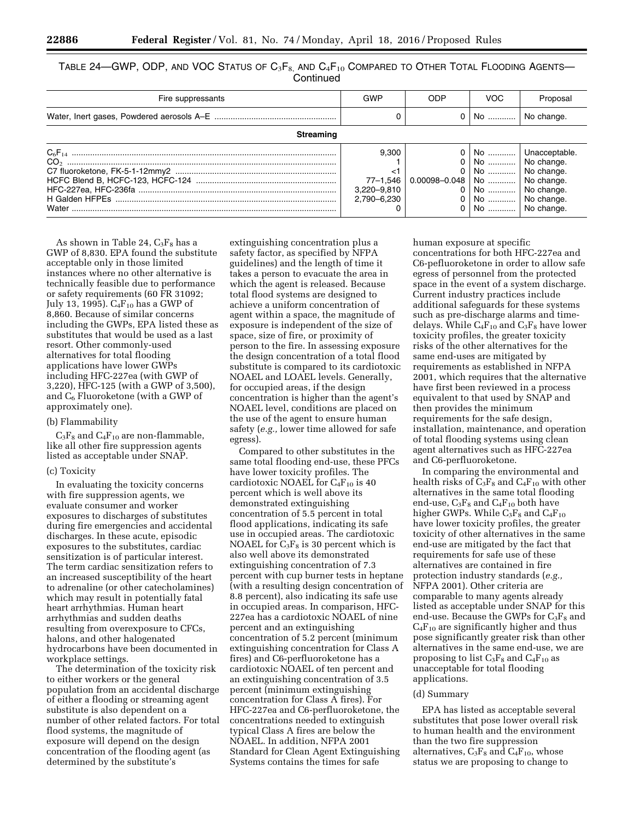| TABLE 24—GWP, ODP, AND VOC STATUS OF $C_3F_8$ , AND $C_4F_{10}$ COMPARED TO OTHER TOTAL FLOODING AGENTS— |
|----------------------------------------------------------------------------------------------------------|
| Continued                                                                                                |

| Fire suppressants | GWP                                                   | ODP                              | VOC                                                                                                                       | Proposal                |
|-------------------|-------------------------------------------------------|----------------------------------|---------------------------------------------------------------------------------------------------------------------------|-------------------------|
|                   |                                                       |                                  | $0 \mid$ No                                                                                                               | No change.              |
| Streaming         |                                                       |                                  |                                                                                                                           |                         |
|                   | 9.300<br><1<br>77-1,546<br>3,220-9,810<br>2,790-6,230 | 0.00098-0.048   No    No change. | $\overline{0}$ No  No change.<br>0   No    No change.<br>0   No    No change.<br>0   No    No change.<br>No    No change. | 0   No    Unacceptable. |

As shown in Table 24,  $C_3F_8$  has a GWP of 8,830. EPA found the substitute acceptable only in those limited instances where no other alternative is technically feasible due to performance or safety requirements (60 FR 31092; July 13, 1995).  $C_4F_{10}$  has a GWP of 8,860. Because of similar concerns including the GWPs, EPA listed these as substitutes that would be used as a last resort. Other commonly-used alternatives for total flooding applications have lower GWPs including HFC-227ea (with GWP of 3,220), HFC-125 (with a GWP of 3,500), and  $C_6$  Fluoroketone (with a GWP of approximately one).

#### (b) Flammability

 $C_3F_8$  and  $C_4F_{10}$  are non-flammable, like all other fire suppression agents listed as acceptable under SNAP.

#### (c) Toxicity

In evaluating the toxicity concerns with fire suppression agents, we evaluate consumer and worker exposures to discharges of substitutes during fire emergencies and accidental discharges. In these acute, episodic exposures to the substitutes, cardiac sensitization is of particular interest. The term cardiac sensitization refers to an increased susceptibility of the heart to adrenaline (or other catecholamines) which may result in potentially fatal heart arrhythmias. Human heart arrhythmias and sudden deaths resulting from overexposure to CFCs, halons, and other halogenated hydrocarbons have been documented in workplace settings.

The determination of the toxicity risk to either workers or the general population from an accidental discharge of either a flooding or streaming agent substitute is also dependent on a number of other related factors. For total flood systems, the magnitude of exposure will depend on the design concentration of the flooding agent (as determined by the substitute's

extinguishing concentration plus a safety factor, as specified by NFPA guidelines) and the length of time it takes a person to evacuate the area in which the agent is released. Because total flood systems are designed to achieve a uniform concentration of agent within a space, the magnitude of exposure is independent of the size of space, size of fire, or proximity of person to the fire. In assessing exposure the design concentration of a total flood substitute is compared to its cardiotoxic NOAEL and LOAEL levels. Generally, for occupied areas, if the design concentration is higher than the agent's NOAEL level, conditions are placed on the use of the agent to ensure human safety (*e.g.,* lower time allowed for safe egress).

Compared to other substitutes in the same total flooding end-use, these PFCs have lower toxicity profiles. The cardiotoxic NOAEL for  $C_4F_{10}$  is 40 percent which is well above its demonstrated extinguishing concentration of 5.5 percent in total flood applications, indicating its safe use in occupied areas. The cardiotoxic NOAEL for  $C_3F_8$  is 30 percent which is also well above its demonstrated extinguishing concentration of 7.3 percent with cup burner tests in heptane (with a resulting design concentration of 8.8 percent), also indicating its safe use in occupied areas. In comparison, HFC-227ea has a cardiotoxic NOAEL of nine percent and an extinguishing concentration of 5.2 percent (minimum extinguishing concentration for Class A fires) and C6-perfluoroketone has a cardiotoxic NOAEL of ten percent and an extinguishing concentration of 3.5 percent (minimum extinguishing concentration for Class A fires). For HFC-227ea and C6-perfluoroketone, the concentrations needed to extinguish typical Class A fires are below the NOAEL. In addition, NFPA 2001 Standard for Clean Agent Extinguishing Systems contains the times for safe

human exposure at specific concentrations for both HFC-227ea and C6-pefluoroketone in order to allow safe egress of personnel from the protected space in the event of a system discharge. Current industry practices include additional safeguards for these systems such as pre-discharge alarms and timedelays. While  $C_4F_{10}$  and  $C_3F_8$  have lower toxicity profiles, the greater toxicity risks of the other alternatives for the same end-uses are mitigated by requirements as established in NFPA 2001, which requires that the alternative have first been reviewed in a process equivalent to that used by SNAP and then provides the minimum requirements for the safe design, installation, maintenance, and operation of total flooding systems using clean agent alternatives such as HFC-227ea and C6-perfluoroketone.

In comparing the environmental and health risks of  $C_3F_8$  and  $C_4F_{10}$  with other alternatives in the same total flooding end-use,  $C_3F_8$  and  $C_4F_{10}$  both have higher GWPs. While  $C_3F_8$  and  $C_4F_{10}$ have lower toxicity profiles, the greater toxicity of other alternatives in the same end-use are mitigated by the fact that requirements for safe use of these alternatives are contained in fire protection industry standards (*e.g.,*  NFPA 2001). Other criteria are comparable to many agents already listed as acceptable under SNAP for this end-use. Because the GWPs for  $C_3F_8$  and  $C_4F_{10}$  are significantly higher and thus pose significantly greater risk than other alternatives in the same end-use, we are proposing to list  $C_3F_8$  and  $C_4F_{10}$  as unacceptable for total flooding applications.

#### (d) Summary

EPA has listed as acceptable several substitutes that pose lower overall risk to human health and the environment than the two fire suppression alternatives,  $C_3F_8$  and  $C_4F_{10}$ , whose status we are proposing to change to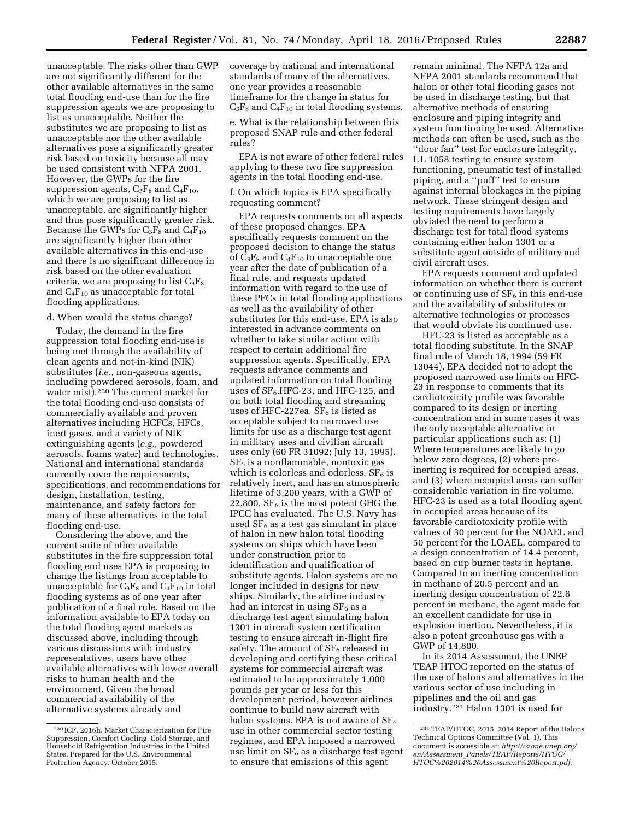unacceptable. The risks other than GWP are not significantly different for the other available alternatives in the same total flooding end-use than for the fire suppression agents we are proposing to list as unacceptable. Neither the substitutes we are proposing to list as unacceptable nor the other available alternatives pose a significantly greater risk based on toxicity because all may be used consistent with NFPA 2001. However, the GWPs for the fire suppression agents,  $C_3F_8$  and  $C_4F_{10}$ , which we are proposing to list as unacceptable, are significantly higher and thus pose significantly greater risk. Because the GWPs for  $C_3F_8$  and  $C_4F_{10}$ are significantly higher than other available alternatives in this end-use and there is no significant difference in risk based on the other evaluation criteria, we are proposing to list  $C_3F_8$ and  $C_4F_{10}$  as unacceptable for total flooding applications.

### d. When would the status change?

Today, the demand in the fire suppression total flooding end-use is being met through the availability of clean agents and not-in-kind (NIK) substitutes (*i.e.,* non-gaseous agents, including powdered aerosols, foam, and water mist).<sup>230</sup> The current market for the total flooding end-use consists of commercially available and proven alternatives including HCFCs, HFCs, inert gases, and a variety of NIK extinguishing agents (*e.g.,* powdered aerosols, foams water) and technologies. National and international standards currently cover the requirements, specifications, and recommendations for design, installation, testing, maintenance, and safety factors for many of these alternatives in the total flooding end-use.

Considering the above, and the current suite of other available substitutes in the fire suppression total flooding end uses EPA is proposing to change the listings from acceptable to unacceptable for  $C_3F_8$  and  $C_4F_{10}$  in total flooding systems as of one year after publication of a final rule. Based on the information available to EPA today on the total flooding agent markets as discussed above, including through various discussions with industry representatives, users have other available alternatives with lower overall risks to human health and the environment. Given the broad commercial availability of the alternative systems already and

coverage by national and international standards of many of the alternatives, one year provides a reasonable timeframe for the change in status for  $C_3F_8$  and  $C_4F_{10}$  in total flooding systems.

e. What is the relationship between this proposed SNAP rule and other federal rules?

EPA is not aware of other federal rules applying to these two fire suppression agents in the total flooding end-use.

f. On which topics is EPA specifically requesting comment?

EPA requests comments on all aspects of these proposed changes. EPA specifically requests comment on the proposed decision to change the status of  $C_3F_8$  and  $C_4F_{10}$  to unacceptable one year after the date of publication of a final rule, and requests updated information with regard to the use of these PFCs in total flooding applications as well as the availability of other substitutes for this end-use. EPA is also interested in advance comments on whether to take similar action with respect to certain additional fire suppression agents. Specifically, EPA requests advance comments and updated information on total flooding uses of  $SF_6$ , HFC-23, and HFC-125, and on both total flooding and streaming uses of HFC-227ea.  $SF<sub>6</sub>$  is listed as acceptable subject to narrowed use limits for use as a discharge test agent in military uses and civilian aircraft uses only (60 FR 31092; July 13, 1995).  $SF<sub>6</sub>$  is a nonflammable, nontoxic gas which is colorless and odorless.  $SF<sub>6</sub>$  is relatively inert, and has an atmospheric lifetime of 3,200 years, with a GWP of 22,800.  $\rm SF_6$  is the most potent GHG the IPCC has evaluated. The U.S. Navy has used  $SF<sub>6</sub>$  as a test gas simulant in place of halon in new halon total flooding systems on ships which have been under construction prior to identification and qualification of substitute agents. Halon systems are no longer included in designs for new ships. Similarly, the airline industry had an interest in using  $SF<sub>6</sub>$  as a discharge test agent simulating halon 1301 in aircraft system certification testing to ensure aircraft in-flight fire safety. The amount of  $SF<sub>6</sub>$  released in developing and certifying these critical systems for commercial aircraft was estimated to be approximately 1,000 pounds per year or less for this development period, however airlines continue to build new aircraft with halon systems. EPA is not aware of  $SF<sub>6</sub>$ use in other commercial sector testing regimes, and EPA imposed a narrowed use limit on  $SF<sub>6</sub>$  as a discharge test agent to ensure that emissions of this agent

remain minimal. The NFPA 12a and NFPA 2001 standards recommend that halon or other total flooding gases not be used in discharge testing, but that alternative methods of ensuring enclosure and piping integrity and system functioning be used. Alternative methods can often be used, such as the ''door fan'' test for enclosure integrity, UL 1058 testing to ensure system functioning, pneumatic test of installed piping, and a ''puff'' test to ensure against internal blockages in the piping network. These stringent design and testing requirements have largely obviated the need to perform a discharge test for total flood systems containing either halon 1301 or a substitute agent outside of military and civil aircraft uses.

EPA requests comment and updated information on whether there is current or continuing use of  $SF_6$  in this end-use and the availability of substitutes or alternative technologies or processes that would obviate its continued use.

HFC-23 is listed as acceptable as a total flooding substitute. In the SNAP final rule of March 18, 1994 (59 FR 13044), EPA decided not to adopt the proposed narrowed use limits on HFC-23 in response to comments that its cardiotoxicity profile was favorable compared to its design or inerting concentration and in some cases it was the only acceptable alternative in particular applications such as: (1) Where temperatures are likely to go below zero degrees, (2) where preinerting is required for occupied areas, and (3) where occupied areas can suffer considerable variation in fire volume. HFC-23 is used as a total flooding agent in occupied areas because of its favorable cardiotoxicity profile with values of 30 percent for the NOAEL and 50 percent for the LOAEL, compared to a design concentration of 14.4 percent, based on cup burner tests in heptane. Compared to an inerting concentration in methane of 20.5 percent and an inerting design concentration of 22.6 percent in methane, the agent made for an excellent candidate for use in explosion inertion. Nevertheless, it is also a potent greenhouse gas with a GWP of 14,800.

In its 2014 Assessment, the UNEP TEAP HTOC reported on the status of the use of halons and alternatives in the various sector of use including in pipelines and the oil and gas industry.231 Halon 1301 is used for

<sup>230</sup> ICF, 2016h. Market Characterization for Fire Suppression, Comfort Cooling, Cold Storage, and Household Refrigeration Industries in the United States. Prepared for the U.S. Environmental Protection Agency. October 2015.

<sup>231</sup>TEAP/HTOC, 2015. 2014 Report of the Halons Technical Options Committee (Vol. 1). This document is accessible at: *[http://ozone.unep.org/](http://ozone.unep.org/en/Assessment_Panels/TEAP/Reports/HTOC/HTOC%202014%20Assessment%20Report.pdf) en/Assessment*\_*[Panels/TEAP/Reports/HTOC/](http://ozone.unep.org/en/Assessment_Panels/TEAP/Reports/HTOC/HTOC%202014%20Assessment%20Report.pdf) [HTOC%202014%20Assessment%20Report.pdf](http://ozone.unep.org/en/Assessment_Panels/TEAP/Reports/HTOC/HTOC%202014%20Assessment%20Report.pdf)*.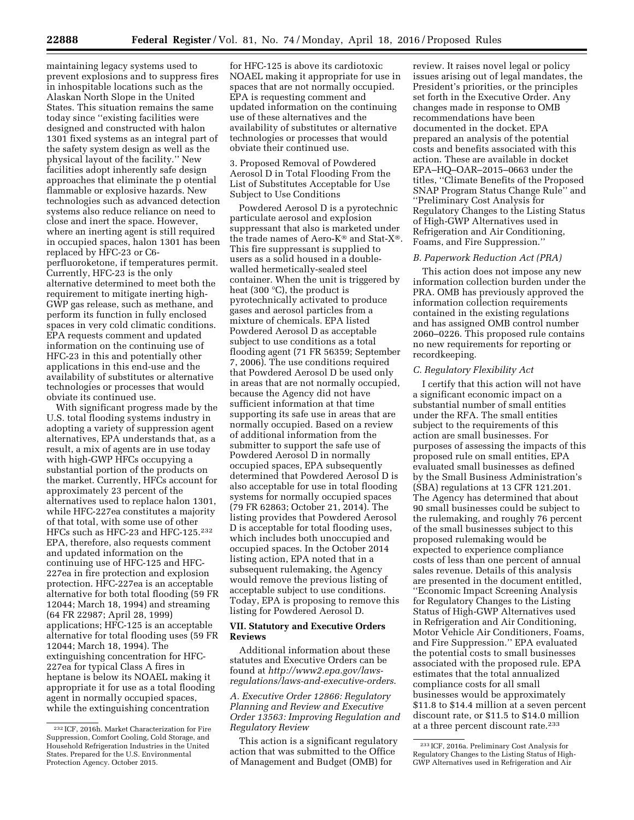maintaining legacy systems used to prevent explosions and to suppress fires in inhospitable locations such as the Alaskan North Slope in the United States. This situation remains the same today since ''existing facilities were designed and constructed with halon 1301 fixed systems as an integral part of the safety system design as well as the physical layout of the facility.'' New facilities adopt inherently safe design approaches that eliminate the p otential flammable or explosive hazards. New technologies such as advanced detection systems also reduce reliance on need to close and inert the space. However, where an inerting agent is still required in occupied spaces, halon 1301 has been replaced by HFC-23 or C6 perfluoroketone, if temperatures permit. Currently, HFC-23 is the only alternative determined to meet both the requirement to mitigate inerting high-GWP gas release, such as methane, and perform its function in fully enclosed spaces in very cold climatic conditions. EPA requests comment and updated information on the continuing use of HFC-23 in this and potentially other applications in this end-use and the availability of substitutes or alternative technologies or processes that would

obviate its continued use. With significant progress made by the U.S. total flooding systems industry in adopting a variety of suppression agent alternatives, EPA understands that, as a result, a mix of agents are in use today with high-GWP HFCs occupying a substantial portion of the products on the market. Currently, HFCs account for approximately 23 percent of the alternatives used to replace halon 1301, while HFC-227ea constitutes a majority of that total, with some use of other HFCs such as HFC-23 and HFC-125.232 EPA, therefore, also requests comment and updated information on the continuing use of HFC-125 and HFC-227ea in fire protection and explosion protection. HFC-227ea is an acceptable alternative for both total flooding (59 FR 12044; March 18, 1994) and streaming (64 FR 22987; April 28, 1999) applications; HFC-125 is an acceptable alternative for total flooding uses (59 FR 12044; March 18, 1994). The extinguishing concentration for HFC-227ea for typical Class A fires in heptane is below its NOAEL making it appropriate it for use as a total flooding agent in normally occupied spaces, while the extinguishing concentration

for HFC-125 is above its cardiotoxic NOAEL making it appropriate for use in spaces that are not normally occupied. EPA is requesting comment and updated information on the continuing use of these alternatives and the availability of substitutes or alternative technologies or processes that would obviate their continued use.

### 3. Proposed Removal of Powdered Aerosol D in Total Flooding From the List of Substitutes Acceptable for Use Subject to Use Conditions

Powdered Aerosol D is a pyrotechnic particulate aerosol and explosion suppressant that also is marketed under the trade names of Aero-K® and Stat-X®. This fire suppressant is supplied to users as a solid housed in a doublewalled hermetically-sealed steel container. When the unit is triggered by heat (300 °C), the product is pyrotechnically activated to produce gases and aerosol particles from a mixture of chemicals. EPA listed Powdered Aerosol D as acceptable subject to use conditions as a total flooding agent (71 FR 56359; September 7, 2006). The use conditions required that Powdered Aerosol D be used only in areas that are not normally occupied, because the Agency did not have sufficient information at that time supporting its safe use in areas that are normally occupied. Based on a review of additional information from the submitter to support the safe use of Powdered Aerosol D in normally occupied spaces, EPA subsequently determined that Powdered Aerosol D is also acceptable for use in total flooding systems for normally occupied spaces (79 FR 62863; October 21, 2014). The listing provides that Powdered Aerosol D is acceptable for total flooding uses, which includes both unoccupied and occupied spaces. In the October 2014 listing action, EPA noted that in a subsequent rulemaking, the Agency would remove the previous listing of acceptable subject to use conditions. Today, EPA is proposing to remove this listing for Powdered Aerosol D.

### **VII. Statutory and Executive Orders Reviews**

Additional information about these statutes and Executive Orders can be found at *[http://www2.epa.gov/laws](http://www2.epa.gov/laws-regulations/laws-and-executive-orders)[regulations/laws-and-executive-orders](http://www2.epa.gov/laws-regulations/laws-and-executive-orders)*.

*A. Executive Order 12866: Regulatory Planning and Review and Executive Order 13563: Improving Regulation and Regulatory Review* 

This action is a significant regulatory action that was submitted to the Office of Management and Budget (OMB) for

review. It raises novel legal or policy issues arising out of legal mandates, the President's priorities, or the principles set forth in the Executive Order. Any changes made in response to OMB recommendations have been documented in the docket. EPA prepared an analysis of the potential costs and benefits associated with this action. These are available in docket EPA–HQ–OAR–2015–0663 under the titles, ''Climate Benefits of the Proposed SNAP Program Status Change Rule'' and ''Preliminary Cost Analysis for Regulatory Changes to the Listing Status of High-GWP Alternatives used in Refrigeration and Air Conditioning, Foams, and Fire Suppression.''

### *B. Paperwork Reduction Act (PRA)*

This action does not impose any new information collection burden under the PRA. OMB has previously approved the information collection requirements contained in the existing regulations and has assigned OMB control number 2060–0226. This proposed rule contains no new requirements for reporting or recordkeeping.

#### *C. Regulatory Flexibility Act*

I certify that this action will not have a significant economic impact on a substantial number of small entities under the RFA. The small entities subject to the requirements of this action are small businesses. For purposes of assessing the impacts of this proposed rule on small entities, EPA evaluated small businesses as defined by the Small Business Administration's (SBA) regulations at 13 CFR 121.201. The Agency has determined that about 90 small businesses could be subject to the rulemaking, and roughly 76 percent of the small businesses subject to this proposed rulemaking would be expected to experience compliance costs of less than one percent of annual sales revenue. Details of this analysis are presented in the document entitled, ''Economic Impact Screening Analysis for Regulatory Changes to the Listing Status of High-GWP Alternatives used in Refrigeration and Air Conditioning, Motor Vehicle Air Conditioners, Foams, and Fire Suppression.'' EPA evaluated the potential costs to small businesses associated with the proposed rule. EPA estimates that the total annualized compliance costs for all small businesses would be approximately \$11.8 to \$14.4 million at a seven percent discount rate, or \$11.5 to \$14.0 million at a three percent discount rate.233

<sup>232</sup> ICF, 2016h. Market Characterization for Fire Suppression, Comfort Cooling, Cold Storage, and Household Refrigeration Industries in the United States. Prepared for the U.S. Environmental Protection Agency. October 2015.

<sup>233</sup> ICF, 2016a. Preliminary Cost Analysis for Regulatory Changes to the Listing Status of High-GWP Alternatives used in Refrigeration and Air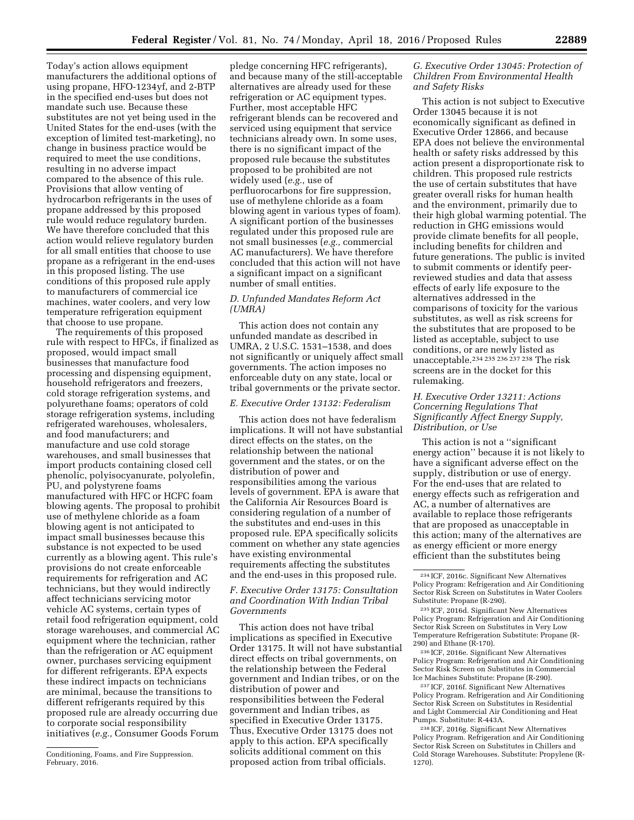Today's action allows equipment manufacturers the additional options of using propane, HFO-1234yf, and 2-BTP in the specified end-uses but does not mandate such use. Because these substitutes are not yet being used in the United States for the end-uses (with the exception of limited test-marketing), no change in business practice would be required to meet the use conditions, resulting in no adverse impact compared to the absence of this rule. Provisions that allow venting of hydrocarbon refrigerants in the uses of propane addressed by this proposed rule would reduce regulatory burden. We have therefore concluded that this action would relieve regulatory burden for all small entities that choose to use propane as a refrigerant in the end-uses in this proposed listing. The use conditions of this proposed rule apply to manufacturers of commercial ice machines, water coolers, and very low temperature refrigeration equipment that choose to use propane.

The requirements of this proposed rule with respect to HFCs, if finalized as proposed, would impact small businesses that manufacture food processing and dispensing equipment, household refrigerators and freezers, cold storage refrigeration systems, and polyurethane foams; operators of cold storage refrigeration systems, including refrigerated warehouses, wholesalers, and food manufacturers; and manufacture and use cold storage warehouses, and small businesses that import products containing closed cell phenolic, polyisocyanurate, polyolefin, PU, and polystyrene foams manufactured with HFC or HCFC foam blowing agents. The proposal to prohibit use of methylene chloride as a foam blowing agent is not anticipated to impact small businesses because this substance is not expected to be used currently as a blowing agent. This rule's provisions do not create enforceable requirements for refrigeration and AC technicians, but they would indirectly affect technicians servicing motor vehicle AC systems, certain types of retail food refrigeration equipment, cold storage warehouses, and commercial AC equipment where the technician, rather than the refrigeration or AC equipment owner, purchases servicing equipment for different refrigerants. EPA expects these indirect impacts on technicians are minimal, because the transitions to different refrigerants required by this proposed rule are already occurring due to corporate social responsibility initiatives (*e.g.,* Consumer Goods Forum

pledge concerning HFC refrigerants), and because many of the still-acceptable alternatives are already used for these refrigeration or AC equipment types. Further, most acceptable HFC refrigerant blends can be recovered and serviced using equipment that service technicians already own. In some uses, there is no significant impact of the proposed rule because the substitutes proposed to be prohibited are not widely used (*e.g.,* use of perfluorocarbons for fire suppression, use of methylene chloride as a foam blowing agent in various types of foam). A significant portion of the businesses regulated under this proposed rule are not small businesses (*e.g.,* commercial AC manufacturers). We have therefore concluded that this action will not have a significant impact on a significant number of small entities.

## *D. Unfunded Mandates Reform Act (UMRA)*

This action does not contain any unfunded mandate as described in UMRA, 2 U.S.C. 1531–1538, and does not significantly or uniquely affect small governments. The action imposes no enforceable duty on any state, local or tribal governments or the private sector.

## *E. Executive Order 13132: Federalism*

This action does not have federalism implications. It will not have substantial direct effects on the states, on the relationship between the national government and the states, or on the distribution of power and responsibilities among the various levels of government. EPA is aware that the California Air Resources Board is considering regulation of a number of the substitutes and end-uses in this proposed rule. EPA specifically solicits comment on whether any state agencies have existing environmental requirements affecting the substitutes and the end-uses in this proposed rule.

### *F. Executive Order 13175: Consultation and Coordination With Indian Tribal Governments*

This action does not have tribal implications as specified in Executive Order 13175. It will not have substantial direct effects on tribal governments, on the relationship between the Federal government and Indian tribes, or on the distribution of power and responsibilities between the Federal government and Indian tribes, as specified in Executive Order 13175. Thus, Executive Order 13175 does not apply to this action. EPA specifically solicits additional comment on this proposed action from tribal officials.

## *G. Executive Order 13045: Protection of Children From Environmental Health and Safety Risks*

This action is not subject to Executive Order 13045 because it is not economically significant as defined in Executive Order 12866, and because EPA does not believe the environmental health or safety risks addressed by this action present a disproportionate risk to children. This proposed rule restricts the use of certain substitutes that have greater overall risks for human health and the environment, primarily due to their high global warming potential. The reduction in GHG emissions would provide climate benefits for all people, including benefits for children and future generations. The public is invited to submit comments or identify peerreviewed studies and data that assess effects of early life exposure to the alternatives addressed in the comparisons of toxicity for the various substitutes, as well as risk screens for the substitutes that are proposed to be listed as acceptable, subject to use conditions, or are newly listed as unacceptable.234 235 236 237 238 The risk screens are in the docket for this rulemaking.

## *H. Executive Order 13211: Actions Concerning Regulations That Significantly Affect Energy Supply, Distribution, or Use*

This action is not a ''significant energy action'' because it is not likely to have a significant adverse effect on the supply, distribution or use of energy. For the end-uses that are related to energy effects such as refrigeration and AC, a number of alternatives are available to replace those refrigerants that are proposed as unacceptable in this action; many of the alternatives are as energy efficient or more energy efficient than the substitutes being

236 ICF, 2016e. Significant New Alternatives Policy Program: Refrigeration and Air Conditioning Sector Risk Screen on Substitutes in Commercial Ice Machines Substitute: Propane (R-290).

237 ICF, 2016f. Significant New Alternatives Policy Program. Refrigeration and Air Conditioning Sector Risk Screen on Substitutes in Residential and Light Commercial Air Conditioning and Heat Pumps. Substitute: R-443A.

238 ICF, 2016g. Significant New Alternatives Policy Program. Refrigeration and Air Conditioning Sector Risk Screen on Substitutes in Chillers and Cold Storage Warehouses. Substitute: Propylene (R-1270).

Conditioning, Foams, and Fire Suppression. February, 2016.

<sup>234</sup> ICF, 2016c. Significant New Alternatives Policy Program: Refrigeration and Air Conditioning Sector Risk Screen on Substitutes in Water Coolers Substitute: Propane (R-290).

<sup>235</sup> ICF, 2016d. Significant New Alternatives Policy Program: Refrigeration and Air Conditioning Sector Risk Screen on Substitutes in Very Low Temperature Refrigeration Substitute: Propane (R-290) and Ethane (R-170).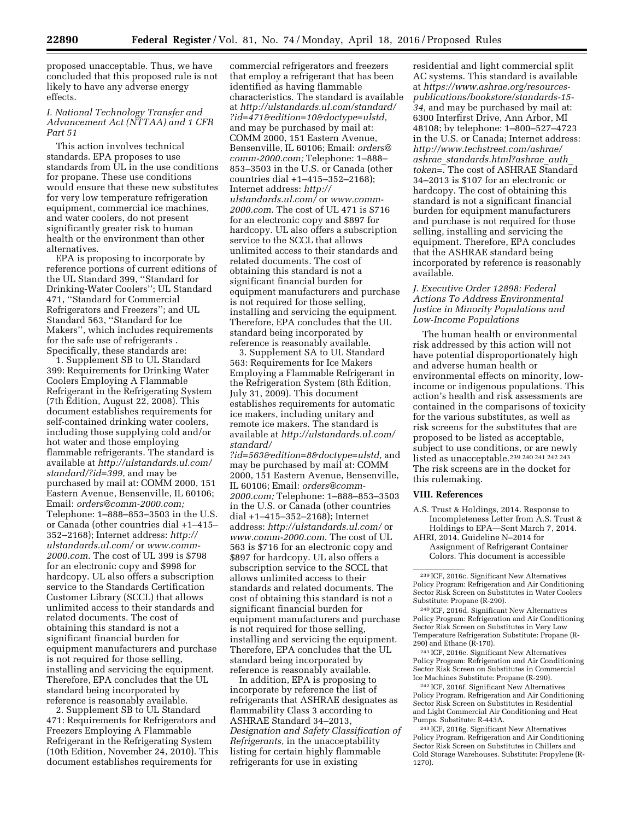proposed unacceptable. Thus, we have concluded that this proposed rule is not likely to have any adverse energy effects.

### *I. National Technology Transfer and Advancement Act (NTTAA) and 1 CFR Part 51*

This action involves technical standards. EPA proposes to use standards from UL in the use conditions for propane. These use conditions would ensure that these new substitutes for very low temperature refrigeration equipment, commercial ice machines, and water coolers, do not present significantly greater risk to human health or the environment than other alternatives.

EPA is proposing to incorporate by reference portions of current editions of the UL Standard 399, ''Standard for Drinking-Water Coolers''; UL Standard 471, ''Standard for Commercial Refrigerators and Freezers''; and UL Standard 563, ''Standard for Ice Makers'', which includes requirements for the safe use of refrigerants . Specifically, these standards are:

1. Supplement SB to UL Standard 399: Requirements for Drinking Water Coolers Employing A Flammable Refrigerant in the Refrigerating System (7th Edition, August 22, 2008). This document establishes requirements for self-contained drinking water coolers, including those supplying cold and/or hot water and those employing flammable refrigerants. The standard is available at *[http://ulstandards.ul.com/](http://ulstandards.ul.com/standard/?id=399) [standard/?id=399,](http://ulstandards.ul.com/standard/?id=399)* and may be purchased by mail at: COMM 2000, 151 Eastern Avenue, Bensenville, IL 60106; Email: *[orders@comm-2000.com;](mailto:orders@comm-2000.com)*  Telephone: 1–888–853–3503 in the U.S. or Canada (other countries dial +1–415– 352–2168); Internet address: *[http://](http://ulstandards.ul.com/) [ulstandards.ul.com/](http://ulstandards.ul.com/)* or *[www.comm-](http://www.comm-2000.com)[2000.com](http://www.comm-2000.com)*. The cost of UL 399 is \$798 for an electronic copy and \$998 for hardcopy. UL also offers a subscription service to the Standards Certification Customer Library (SCCL) that allows unlimited access to their standards and related documents. The cost of obtaining this standard is not a significant financial burden for equipment manufacturers and purchase is not required for those selling, installing and servicing the equipment. Therefore, EPA concludes that the UL standard being incorporated by reference is reasonably available.

2. Supplement SB to UL Standard 471: Requirements for Refrigerators and Freezers Employing A Flammable Refrigerant in the Refrigerating System (10th Edition, November 24, 2010). This document establishes requirements for

commercial refrigerators and freezers that employ a refrigerant that has been identified as having flammable characteristics. The standard is available at *[http://ulstandards.ul.com/standard/](http://ulstandards.ul.com/standard/?id=471&edition=10&doctype=ulstd) [?id=471&edition=10&doctype=ulstd,](http://ulstandards.ul.com/standard/?id=471&edition=10&doctype=ulstd)*  and may be purchased by mail at: COMM 2000, 151 Eastern Avenue, Bensenville, IL 60106; Email: *[orders@](mailto:orders@comm-2000.com) [comm-2000.com;](mailto:orders@comm-2000.com)* Telephone: 1–888– 853–3503 in the U.S. or Canada (other countries dial +1–415–352–2168); Internet address: *[http://](http://ulstandards.ul.com/) [ulstandards.ul.com/](http://ulstandards.ul.com/)* or *[www.comm-](http://www.comm-2000.com)[2000.com](http://www.comm-2000.com)*. The cost of UL 471 is \$716 for an electronic copy and \$897 for hardcopy. UL also offers a subscription service to the SCCL that allows unlimited access to their standards and related documents. The cost of obtaining this standard is not a significant financial burden for equipment manufacturers and purchase is not required for those selling, installing and servicing the equipment. Therefore, EPA concludes that the UL standard being incorporated by reference is reasonably available.

3. Supplement SA to UL Standard 563: Requirements for Ice Makers Employing a Flammable Refrigerant in the Refrigeration System (8th Edition, July 31, 2009). This document establishes requirements for automatic ice makers, including unitary and remote ice makers. The standard is available at *[http://ulstandards.ul.com/](http://ulstandards.ul.com/standard/?id=563&edition=8&doctype=ulstd) [standard/](http://ulstandards.ul.com/standard/?id=563&edition=8&doctype=ulstd)*

*[?id=563&edition=8&doctype=ulstd,](http://ulstandards.ul.com/standard/?id=563&edition=8&doctype=ulstd)* and may be purchased by mail at: COMM 2000, 151 Eastern Avenue, Bensenville, IL 60106; Email: *[orders@comm-](mailto:orders@comm-2000.com)[2000.com;](mailto:orders@comm-2000.com)* Telephone: 1–888–853–3503 in the U.S. or Canada (other countries dial +1–415–352–2168); Internet address: *<http://ulstandards.ul.com/>*or *[www.comm-2000.com](http://www.comm-2000.com)*. The cost of UL 563 is \$716 for an electronic copy and \$897 for hardcopy. UL also offers a subscription service to the SCCL that allows unlimited access to their standards and related documents. The cost of obtaining this standard is not a significant financial burden for equipment manufacturers and purchase is not required for those selling, installing and servicing the equipment. Therefore, EPA concludes that the UL standard being incorporated by reference is reasonably available.

In addition, EPA is proposing to incorporate by reference the list of refrigerants that ASHRAE designates as flammability Class 3 according to ASHRAE Standard 34–2013, *Designation and Safety Classification of Refrigerants,* in the unacceptability listing for certain highly flammable refrigerants for use in existing

residential and light commercial split AC systems. This standard is available at *[https://www.ashrae.org/resources](https://www.ashrae.org/resources-publications/bookstore/standards-15-34)[publications/bookstore/standards-15-](https://www.ashrae.org/resources-publications/bookstore/standards-15-34)  [34,](https://www.ashrae.org/resources-publications/bookstore/standards-15-34)* and may be purchased by mail at: 6300 Interfirst Drive, Ann Arbor, MI 48108; by telephone: 1–800–527–4723 in the U.S. or Canada; Internet address: *[http://www.techstreet.com/ashrae/](http://www.techstreet.com/ashrae/ashrae_standards.html?ashrae_auth_token=) ashrae*\_*[standards.html?ashrae](http://www.techstreet.com/ashrae/ashrae_standards.html?ashrae_auth_token=)*\_*auth*\_ *[token=](http://www.techstreet.com/ashrae/ashrae_standards.html?ashrae_auth_token=)*. The cost of ASHRAE Standard 34–2013 is \$107 for an electronic or hardcopy. The cost of obtaining this standard is not a significant financial burden for equipment manufacturers and purchase is not required for those selling, installing and servicing the equipment. Therefore, EPA concludes that the ASHRAE standard being incorporated by reference is reasonably available.

### *J. Executive Order 12898: Federal Actions To Address Environmental Justice in Minority Populations and Low-Income Populations*

The human health or environmental risk addressed by this action will not have potential disproportionately high and adverse human health or environmental effects on minority, lowincome or indigenous populations. This action's health and risk assessments are contained in the comparisons of toxicity for the various substitutes, as well as risk screens for the substitutes that are proposed to be listed as acceptable, subject to use conditions, or are newly listed as unacceptable.239 240 241 242 243 The risk screens are in the docket for this rulemaking.

#### **VIII. References**

A.S. Trust & Holdings, 2014. Response to Incompleteness Letter from A.S. Trust & Holdings to EPA—Sent March 7, 2014.

AHRI, 2014. Guideline N–2014 for Assignment of Refrigerant Container Colors. This document is accessible

241 ICF, 2016e. Significant New Alternatives Policy Program: Refrigeration and Air Conditioning Sector Risk Screen on Substitutes in Commercial Ice Machines Substitute: Propane (R-290).

242 ICF, 2016f. Significant New Alternatives Policy Program. Refrigeration and Air Conditioning Sector Risk Screen on Substitutes in Residential and Light Commercial Air Conditioning and Heat Pumps. Substitute: R-443A.

243 ICF, 2016g. Significant New Alternatives Policy Program. Refrigeration and Air Conditioning Sector Risk Screen on Substitutes in Chillers and Cold Storage Warehouses. Substitute: Propylene (R-1270).

<sup>239</sup> ICF, 2016c. Significant New Alternatives Policy Program: Refrigeration and Air Conditioning Sector Risk Screen on Substitutes in Water Coolers Substitute: Propane (R-290).

<sup>240</sup> ICF, 2016d. Significant New Alternatives Policy Program: Refrigeration and Air Conditioning Sector Risk Screen on Substitutes in Very Low Temperature Refrigeration Substitute: Propane (R-290) and Ethane (R-170).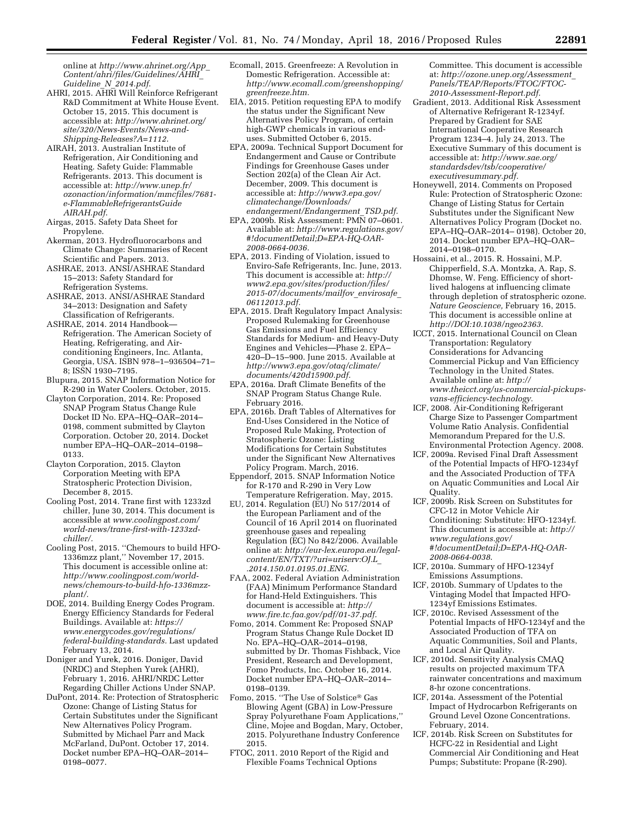online at *[http://www.ahrinet.org/App](http://www.ahrinet.org/App_Content/ahri/files/Guidelines/AHRI_Guideline_N_2014.pdf)*\_ *[Content/ahri/files/Guidelines/AHRI](http://www.ahrinet.org/App_Content/ahri/files/Guidelines/AHRI_Guideline_N_2014.pdf)*\_ *[Guideline](http://www.ahrinet.org/App_Content/ahri/files/Guidelines/AHRI_Guideline_N_2014.pdf)*\_*N*\_*2014.pdf*.

- AHRI, 2015. AHRI Will Reinforce Refrigerant R&D Commitment at White House Event. October 15, 2015. This document is accessible at: *[http://www.ahrinet.org/](http://www.ahrinet.org/site/320/News-Events/News-and-Shipping-Releases?A=1112) [site/320/News-Events/News-and-](http://www.ahrinet.org/site/320/News-Events/News-and-Shipping-Releases?A=1112)[Shipping-Releases?A=1112](http://www.ahrinet.org/site/320/News-Events/News-and-Shipping-Releases?A=1112)*.
- AIRAH, 2013. Australian Institute of Refrigeration, Air Conditioning and Heating. Safety Guide: Flammable Refrigerants. 2013. This document is accessible at: *[http://www.unep.fr/](http://www.unep.fr/ozonaction/information/mmcfiles/7681-e-FlammableRefrigerantsGuideAIRAH.pdf) [ozonaction/information/mmcfiles/7681](http://www.unep.fr/ozonaction/information/mmcfiles/7681-e-FlammableRefrigerantsGuideAIRAH.pdf)  [e-FlammableRefrigerantsGuide](http://www.unep.fr/ozonaction/information/mmcfiles/7681-e-FlammableRefrigerantsGuideAIRAH.pdf) [AIRAH.pdf](http://www.unep.fr/ozonaction/information/mmcfiles/7681-e-FlammableRefrigerantsGuideAIRAH.pdf)*.
- Airgas, 2015. Safety Data Sheet for Propylene.
- Akerman, 2013. Hydrofluorocarbons and Climate Change: Summaries of Recent Scientific and Papers. 2013.
- ASHRAE, 2013. ANSI/ASHRAE Standard 15–2013: Safety Standard for Refrigeration Systems.
- ASHRAE, 2013. ANSI/ASHRAE Standard 34–2013: Designation and Safety Classification of Refrigerants.
- ASHRAE, 2014. 2014 Handbook— Refrigeration. The American Society of Heating, Refrigerating, and Airconditioning Engineers, Inc. Atlanta, Georgia, USA. ISBN 978–1–936504–71– 8; ISSN 1930–7195.
- Blupura, 2015. SNAP Information Notice for R-290 in Water Coolers. October, 2015.
- Clayton Corporation, 2014. Re: Proposed SNAP Program Status Change Rule Docket ID No. EPA–HQ–OAR–2014– 0198, comment submitted by Clayton Corporation. October 20, 2014. Docket number EPA–HQ–OAR–2014–0198– 0133.
- Clayton Corporation, 2015. Clayton Corporation Meeting with EPA Stratospheric Protection Division, December 8, 2015.
- Cooling Post, 2014. Trane first with 1233zd chiller, June 30, 2014. This document is accessible at *[www.coolingpost.com/](http://www.coolingpost.com/world-news/trane-first-with-1233zd-chiller/) [world-news/trane-first-with-1233zd](http://www.coolingpost.com/world-news/trane-first-with-1233zd-chiller/)[chiller/.](http://www.coolingpost.com/world-news/trane-first-with-1233zd-chiller/)*
- Cooling Post, 2015. ''Chemours to build HFO-1336mzz plant,'' November 17, 2015. This document is accessible online at: *[http://www.coolingpost.com/world](http://www.coolingpost.com/world-news/chemours-to-build-hfo-1336mzz-plant/)[news/chemours-to-build-hfo-1336mzz](http://www.coolingpost.com/world-news/chemours-to-build-hfo-1336mzz-plant/)[plant/.](http://www.coolingpost.com/world-news/chemours-to-build-hfo-1336mzz-plant/)*
- DOE, 2014. Building Energy Codes Program. Energy Efficiency Standards for Federal Buildings. Available at: *[https://](https://www.energycodes.gov/regulations/federal-building-standards) [www.energycodes.gov/regulations/](https://www.energycodes.gov/regulations/federal-building-standards) [federal-building-standards.](https://www.energycodes.gov/regulations/federal-building-standards)* Last updated February 13, 2014.
- Doniger and Yurek, 2016. Doniger, David (NRDC) and Stephen Yurek (AHRI), February 1, 2016. AHRI/NRDC Letter Regarding Chiller Actions Under SNAP.
- DuPont, 2014. Re: Protection of Stratospheric Ozone: Change of Listing Status for Certain Substitutes under the Significant New Alternatives Policy Program. Submitted by Michael Parr and Mack McFarland, DuPont. October 17, 2014. Docket number EPA–HQ–OAR–2014– 0198–0077.
- Ecomall, 2015. Greenfreeze: A Revolution in Domestic Refrigeration. Accessible at: *[http://www.ecomall.com/greenshopping/](http://www.ecomall.com/greenshopping/greenfreeze.htm) [greenfreeze.htm.](http://www.ecomall.com/greenshopping/greenfreeze.htm)*
- EIA, 2015. Petition requesting EPA to modify the status under the Significant New Alternatives Policy Program, of certain high-GWP chemicals in various enduses. Submitted October 6, 2015.
- EPA, 2009a. Technical Support Document for Endangerment and Cause or Contribute Findings for Greenhouse Gases under Section 202(a) of the Clean Air Act. December, 2009. This document is accessible at: *[http://www3.epa.gov/](http://www3.epa.gov/climatechange/Downloads/endangerment/Endangerment_TSD.pdf) [climatechange/Downloads/](http://www3.epa.gov/climatechange/Downloads/endangerment/Endangerment_TSD.pdf) [endangerment/Endangerment](http://www3.epa.gov/climatechange/Downloads/endangerment/Endangerment_TSD.pdf)*\_*TSD.pdf.*
- EPA, 2009b. Risk Assessment: PMN 07–0601. Available at: *[http://www.regulations.gov/](http://www.regulations.gov/#!documentDetail;D=EPA-HQ-OAR-2008-0664-0036) [#!documentDetail;D=EPA-HQ-OAR-](http://www.regulations.gov/#!documentDetail;D=EPA-HQ-OAR-2008-0664-0036)[2008-0664-0036.](http://www.regulations.gov/#!documentDetail;D=EPA-HQ-OAR-2008-0664-0036)*
- EPA, 2013. Finding of Violation, issued to Enviro-Safe Refrigerants, Inc. June, 2013. This document is accessible at: *[http://](http://www2.epa.gov/sites/production/files/2015-07/documents/mailfov_envirosafe_06112013.pdf) [www2.epa.gov/sites/production/files/](http://www2.epa.gov/sites/production/files/2015-07/documents/mailfov_envirosafe_06112013.pdf) [2015-07/documents/mailfov](http://www2.epa.gov/sites/production/files/2015-07/documents/mailfov_envirosafe_06112013.pdf)*\_*envirosafe*\_ *[06112013.pdf.](http://www2.epa.gov/sites/production/files/2015-07/documents/mailfov_envirosafe_06112013.pdf)*
- EPA, 2015. Draft Regulatory Impact Analysis: Proposed Rulemaking for Greenhouse Gas Emissions and Fuel Efficiency Standards for Medium- and Heavy-Duty Engines and Vehicles—Phase 2. EPA– 420–D–15–900. June 2015. Available at *[http://www3.epa.gov/otaq/climate/](http://www3.epa.gov/otaq/climate/documents/420d15900.pdf) [documents/420d15900.pdf.](http://www3.epa.gov/otaq/climate/documents/420d15900.pdf)*
- EPA, 2016a. Draft Climate Benefits of the SNAP Program Status Change Rule. February 2016.
- EPA, 2016b. Draft Tables of Alternatives for End-Uses Considered in the Notice of Proposed Rule Making, Protection of Stratospheric Ozone: Listing Modifications for Certain Substitutes under the Significant New Alternatives Policy Program. March, 2016.
- Eppendorf, 2015. SNAP Information Notice for R-170 and R-290 in Very Low Temperature Refrigeration. May, 2015.
- EU, 2014. Regulation (EU) No 517/2014 of the European Parliament and of the Council of 16 April 2014 on fluorinated greenhouse gases and repealing Regulation (EC) No 842/2006. Available online at: *[http://eur-lex.europa.eu/legal](http://eur-lex.europa.eu/legal-content/EN/TXT/?uri=uriserv:OJ.L_.2014.150.01.0195.01.ENG)[content/EN/TXT/?uri=uriserv:OJ.L](http://eur-lex.europa.eu/legal-content/EN/TXT/?uri=uriserv:OJ.L_.2014.150.01.0195.01.ENG)*\_ *[.2014.150.01.0195.01.ENG.](http://eur-lex.europa.eu/legal-content/EN/TXT/?uri=uriserv:OJ.L_.2014.150.01.0195.01.ENG)*
- FAA, 2002. Federal Aviation Administration (FAA) Minimum Performance Standard for Hand-Held Extinguishers. This document is accessible at: *[http://](http://www.fire.tc.faa.gov/pdf/01-37.pdf) [www.fire.tc.faa.gov/pdf/01-37.pdf.](http://www.fire.tc.faa.gov/pdf/01-37.pdf)*
- Fomo, 2014. Comment Re: Proposed SNAP Program Status Change Rule Docket ID No. EPA–HQ–OAR–2014–0198, submitted by Dr. Thomas Fishback, Vice President, Research and Development, Fomo Products, Inc. October 16, 2014. Docket number EPA–HQ–OAR–2014– 0198–0139.
- Fomo, 2015. ''The Use of Solstice® Gas Blowing Agent (GBA) in Low-Pressure Spray Polyurethane Foam Applications,'' Cline, Mojee and Bogdan, Mary, October, 2015. Polyurethane Industry Conference 2015.
- FTOC, 2011. 2010 Report of the Rigid and Flexible Foams Technical Options

Committee. This document is accessible at: *[http://ozone.unep.org/Assessment](http://ozone.unep.org/Assessment_Panels/TEAP/Reports/FTOC/FTOC-2010-Assessment-Report.pdf)*\_ *[Panels/TEAP/Reports/FTOC/FTOC-](http://ozone.unep.org/Assessment_Panels/TEAP/Reports/FTOC/FTOC-2010-Assessment-Report.pdf)[2010-Assessment-Report.pdf.](http://ozone.unep.org/Assessment_Panels/TEAP/Reports/FTOC/FTOC-2010-Assessment-Report.pdf)* 

- Gradient, 2013. Additional Risk Assessment of Alternative Refrigerant R-1234yf. Prepared by Gradient for SAE International Cooperative Research Program 1234–4. July 24, 2013. The Executive Summary of this document is accessible at: *[http://www.sae.org/](http://www.sae.org/standardsdev/tsb/cooperative/executivesummary.pdf) [standardsdev/tsb/cooperative/](http://www.sae.org/standardsdev/tsb/cooperative/executivesummary.pdf) [executivesummary.pdf.](http://www.sae.org/standardsdev/tsb/cooperative/executivesummary.pdf)*
- Honeywell, 2014. Comments on Proposed Rule: Protection of Stratospheric Ozone: Change of Listing Status for Certain Substitutes under the Significant New Alternatives Policy Program (Docket no. EPA–HQ–OAR–2014– 0198). October 20, 2014. Docket number EPA–HQ–OAR– 2014–0198–0170.
- Hossaini, et al., 2015. R. Hossaini, M.P. Chipperfield, S.A. Montzka, A. Rap, S. Dhomse, W. Feng. Efficiency of shortlived halogens at influencing climate through depletion of stratospheric ozone. *Nature Geoscience,* February 16, 2015. This document is accessible online at *<http://DOI:10.1038/ngeo2363>*.
- ICCT, 2015. International Council on Clean Transportation: Regulatory Considerations for Advancing Commercial Pickup and Van Efficiency Technology in the United States. Available online at: *[http://](http://www.theicct.org/us-commercial-pickups-vans-efficiency-technology) [www.theicct.org/us-commercial-pickups](http://www.theicct.org/us-commercial-pickups-vans-efficiency-technology)[vans-efficiency-technology.](http://www.theicct.org/us-commercial-pickups-vans-efficiency-technology)*
- ICF, 2008. Air-Conditioning Refrigerant Charge Size to Passenger Compartment Volume Ratio Analysis. Confidential Memorandum Prepared for the U.S. Environmental Protection Agency. 2008.
- ICF, 2009a. Revised Final Draft Assessment of the Potential Impacts of HFO-1234yf and the Associated Production of TFA on Aquatic Communities and Local Air Quality.
- ICF, 2009b. Risk Screen on Substitutes for CFC-12 in Motor Vehicle Air Conditioning: Substitute: HFO-1234yf. This document is accessible at: *[http://](http://www.regulations.gov/#!documentDetail;D=EPA-HQ-OAR-2008-0664-0038) [www.regulations.gov/](http://www.regulations.gov/#!documentDetail;D=EPA-HQ-OAR-2008-0664-0038) [#!documentDetail;D=EPA-HQ-OAR-](http://www.regulations.gov/#!documentDetail;D=EPA-HQ-OAR-2008-0664-0038)[2008-0664-0038](http://www.regulations.gov/#!documentDetail;D=EPA-HQ-OAR-2008-0664-0038)*.
- ICF, 2010a. Summary of HFO-1234yf Emissions Assumptions.
- ICF, 2010b. Summary of Updates to the Vintaging Model that Impacted HFO-1234yf Emissions Estimates.
- ICF, 2010c. Revised Assessment of the Potential Impacts of HFO-1234yf and the Associated Production of TFA on Aquatic Communities, Soil and Plants, and Local Air Quality.
- ICF, 2010d. Sensitivity Analysis CMAQ results on projected maximum TFA rainwater concentrations and maximum 8-hr ozone concentrations.
- ICF, 2014a. Assessment of the Potential Impact of Hydrocarbon Refrigerants on Ground Level Ozone Concentrations. February, 2014.
- ICF, 2014b. Risk Screen on Substitutes for HCFC-22 in Residential and Light Commercial Air Conditioning and Heat Pumps; Substitute: Propane (R-290).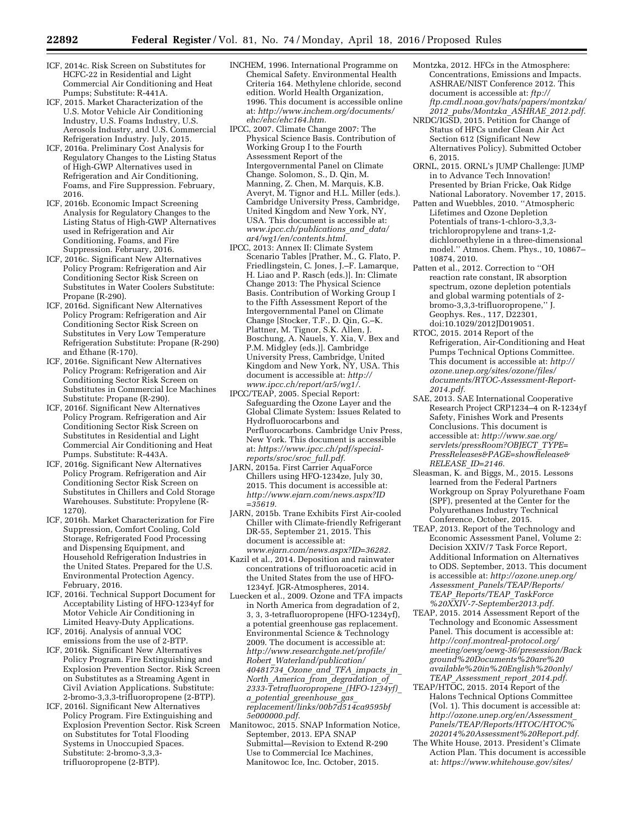- ICF, 2014c. Risk Screen on Substitutes for HCFC-22 in Residential and Light Commercial Air Conditioning and Heat Pumps; Substitute: R-441A.
- ICF, 2015. Market Characterization of the U.S. Motor Vehicle Air Conditioning Industry, U.S. Foams Industry, U.S. Aerosols Industry, and U.S. Commercial Refrigeration Industry. July, 2015.
- ICF, 2016a. Preliminary Cost Analysis for Regulatory Changes to the Listing Status of High-GWP Alternatives used in Refrigeration and Air Conditioning, Foams, and Fire Suppression. February, 2016.
- ICF, 2016b. Economic Impact Screening Analysis for Regulatory Changes to the Listing Status of High-GWP Alternatives used in Refrigeration and Air Conditioning, Foams, and Fire Suppression. February, 2016.
- ICF, 2016c. Significant New Alternatives Policy Program: Refrigeration and Air Conditioning Sector Risk Screen on Substitutes in Water Coolers Substitute: Propane (R-290).
- ICF, 2016d. Significant New Alternatives Policy Program: Refrigeration and Air Conditioning Sector Risk Screen on Substitutes in Very Low Temperature Refrigeration Substitute: Propane (R-290) and Ethane (R-170).
- ICF, 2016e. Significant New Alternatives Policy Program: Refrigeration and Air Conditioning Sector Risk Screen on Substitutes in Commercial Ice Machines Substitute: Propane (R-290).
- ICF, 2016f. Significant New Alternatives Policy Program. Refrigeration and Air Conditioning Sector Risk Screen on Substitutes in Residential and Light Commercial Air Conditioning and Heat Pumps. Substitute: R-443A.
- ICF, 2016g. Significant New Alternatives Policy Program. Refrigeration and Air Conditioning Sector Risk Screen on Substitutes in Chillers and Cold Storage Warehouses. Substitute: Propylene (R-1270).
- ICF, 2016h. Market Characterization for Fire Suppression, Comfort Cooling, Cold Storage, Refrigerated Food Processing and Dispensing Equipment, and Household Refrigeration Industries in the United States. Prepared for the U.S. Environmental Protection Agency. February, 2016.
- ICF, 2016i. Technical Support Document for Acceptability Listing of HFO-1234yf for Motor Vehicle Air Conditioning in Limited Heavy-Duty Applications.
- ICF, 2016j. Analysis of annual VOC emissions from the use of 2-BTP.
- ICF, 2016k. Significant New Alternatives Policy Program. Fire Extinguishing and Explosion Prevention Sector. Risk Screen on Substitutes as a Streaming Agent in Civil Aviation Applications. Substitute: 2-bromo-3,3,3-trifluoropropene (2-BTP).
- ICF, 2016l. Significant New Alternatives Policy Program. Fire Extinguishing and Explosion Prevention Sector. Risk Screen on Substitutes for Total Flooding Systems in Unoccupied Spaces. Substitute: 2-bromo-3,3,3 trifluoropropene (2-BTP).
- INCHEM, 1996. International Programme on Chemical Safety. Environmental Health Criteria 164. Methylene chloride, second edition. World Health Organization, 1996. This document is accessible online at: *[http://www.inchem.org/documents/](http://www.inchem.org/documents/ehc/ehc/ehc164.htm) [ehc/ehc/ehc164.htm.](http://www.inchem.org/documents/ehc/ehc/ehc164.htm)*
- IPCC, 2007. Climate Change 2007: The Physical Science Basis. Contribution of Working Group I to the Fourth Assessment Report of the Intergovernmental Panel on Climate Change. Solomon, S., D. Qin, M. Manning, Z. Chen, M. Marquis, K.B. Averyt, M. Tignor and H.L. Miller (eds.). Cambridge University Press, Cambridge, United Kingdom and New York, NY, USA. This document is accessible at: *[www.ipcc.ch/publications](http://www.ipcc.ch/publications_and_data/ar4/wg1/en/contents.html)*\_*and*\_*data/ [ar4/wg1/en/contents.html.](http://www.ipcc.ch/publications_and_data/ar4/wg1/en/contents.html)*
- IPCC, 2013: Annex II: Climate System Scenario Tables [Prather, M., G. Flato, P. Friedlingstein, C. Jones, J.–F. Lamarque, H. Liao and P. Rasch (eds.)]. In: Climate Change 2013: The Physical Science Basis. Contribution of Working Group I to the Fifth Assessment Report of the Intergovernmental Panel on Climate Change [Stocker, T.F., D. Qin, G.–K. Plattner, M. Tignor, S.K. Allen, J. Boschung, A. Nauels, Y. Xia, V. Bex and P.M. Midgley (eds.)]. Cambridge University Press, Cambridge, United Kingdom and New York, NY, USA. This document is accessible at: *[http://](http://www.ipcc.ch/report/ar5/wg1/) [www.ipcc.ch/report/ar5/wg1/.](http://www.ipcc.ch/report/ar5/wg1/)*
- IPCC/TEAP, 2005. Special Report: Safeguarding the Ozone Layer and the Global Climate System: Issues Related to Hydrofluorocarbons and Perfluorocarbons. Cambridge Univ Press, New York. This document is accessible at: *[https://www.ipcc.ch/pdf/special](https://www.ipcc.ch/pdf/special-reports/sroc/sroc_full.pdf)[reports/sroc/sroc](https://www.ipcc.ch/pdf/special-reports/sroc/sroc_full.pdf)*\_*full.pdf.*
- JARN, 2015a. First Carrier AquaForce Chillers using HFO-1234ze, July 30, 2015. This document is accessible at: *[http://www.ejarn.com/news.aspx?ID](http://www.ejarn.com/news.aspx?ID=35619) [=35619.](http://www.ejarn.com/news.aspx?ID=35619)*
- JARN, 2015b. Trane Exhibits First Air-cooled Chiller with Climate-friendly Refrigerant DR-55, September 21, 2015. This document is accessible at: *[www.ejarn.com/news.aspx?ID=36282.](http://www.ejarn.com/news.aspx?ID=36282)*
- Kazil et al., 2014. Deposition and rainwater concentrations of trifluoroacetic acid in the United States from the use of HFO-1234yf. JGR-Atmospheres, 2014.
- Luecken et al., 2009. Ozone and TFA impacts in North America from degradation of 2, 3, 3, 3-tetrafluoropropene (HFO-1234yf), a potential greenhouse gas replacement. Environmental Science & Technology 2009. The document is accessible at: *[http://www.researchgate.net/profile/](http://www.researchgate.net/profile/Robert_Waterland/publication/40481734_Ozone_and_TFA_impacts_in_North_America_from_degradation_of_2333-Tetrafluoropropene_(HFO-1234yf)_a_potential_greenhouse_gas_replacement/links/00b7d514ca9595bf5e000000.pdf) Robert*\_*[Waterland/publication/](http://www.researchgate.net/profile/Robert_Waterland/publication/40481734_Ozone_and_TFA_impacts_in_North_America_from_degradation_of_2333-Tetrafluoropropene_(HFO-1234yf)_a_potential_greenhouse_gas_replacement/links/00b7d514ca9595bf5e000000.pdf) [40481734](http://www.researchgate.net/profile/Robert_Waterland/publication/40481734_Ozone_and_TFA_impacts_in_North_America_from_degradation_of_2333-Tetrafluoropropene_(HFO-1234yf)_a_potential_greenhouse_gas_replacement/links/00b7d514ca9595bf5e000000.pdf)*\_*Ozone*\_*and*\_*TFA*\_*impacts*\_*in*\_ *North*\_*America*\_*from*\_*[degradation](http://www.researchgate.net/profile/Robert_Waterland/publication/40481734_Ozone_and_TFA_impacts_in_North_America_from_degradation_of_2333-Tetrafluoropropene_(HFO-1234yf)_a_potential_greenhouse_gas_replacement/links/00b7d514ca9595bf5e000000.pdf)*\_*of*\_ *[2333-Tetrafluoropropene](http://www.researchgate.net/profile/Robert_Waterland/publication/40481734_Ozone_and_TFA_impacts_in_North_America_from_degradation_of_2333-Tetrafluoropropene_(HFO-1234yf)_a_potential_greenhouse_gas_replacement/links/00b7d514ca9595bf5e000000.pdf)*\_*(HFO-1234yf)*\_ *a*\_*potential*\_*[greenhouse](http://www.researchgate.net/profile/Robert_Waterland/publication/40481734_Ozone_and_TFA_impacts_in_North_America_from_degradation_of_2333-Tetrafluoropropene_(HFO-1234yf)_a_potential_greenhouse_gas_replacement/links/00b7d514ca9595bf5e000000.pdf)*\_*gas*\_ *[replacement/links/00b7d514ca9595bf](http://www.researchgate.net/profile/Robert_Waterland/publication/40481734_Ozone_and_TFA_impacts_in_North_America_from_degradation_of_2333-Tetrafluoropropene_(HFO-1234yf)_a_potential_greenhouse_gas_replacement/links/00b7d514ca9595bf5e000000.pdf) [5e000000.pdf.](http://www.researchgate.net/profile/Robert_Waterland/publication/40481734_Ozone_and_TFA_impacts_in_North_America_from_degradation_of_2333-Tetrafluoropropene_(HFO-1234yf)_a_potential_greenhouse_gas_replacement/links/00b7d514ca9595bf5e000000.pdf)*
- Manitowoc, 2015. SNAP Information Notice, September, 2013. EPA SNAP Submittal—Revision to Extend R-290 Use to Commercial Ice Machines, Manitowoc Ice, Inc. October, 2015.
- Montzka, 2012. HFCs in the Atmosphere: Concentrations, Emissions and Impacts. ASHRAE/NIST Conference 2012. This document is accessible at: *ftp:// ftp.cmdl.noaa.gov/hats/papers/montzka/ 2012*\_*pubs/Montzka*\_*ASHRAE*\_*2012.pdf.*
- NRDC/IGSD, 2015. Petition for Change of Status of HFCs under Clean Air Act Section 612 (Significant New Alternatives Policy). Submitted October 6, 2015.
- ORNL, 2015. ORNL's JUMP Challenge: JUMP in to Advance Tech Innovation! Presented by Brian Fricke, Oak Ridge National Laboratory. November 17, 2015.
- Patten and Wuebbles, 2010. ''Atmospheric Lifetimes and Ozone Depletion Potentials of trans-1-chloro-3,3,3trichloropropylene and trans-1,2 dichloroethylene in a three-dimensional model.'' Atmos. Chem. Phys., 10, 10867– 10874, 2010.
- Patten et al., 2012. Correction to ''OH reaction rate constant, IR absorption spectrum, ozone depletion potentials and global warming potentials of 2 bromo-3,3,3-trifluoropropene,'' J. Geophys. Res., 117, D22301, doi:10.1029/2012JD019051.
- RTOC, 2015. 2014 Report of the Refrigeration, Air-Conditioning and Heat Pumps Technical Options Committee. This document is accessible at: *[http://](http://ozone.unep.org/sites/ozone/files/documents/RTOC-Assessment-Report-2014.pdf) [ozone.unep.org/sites/ozone/files/](http://ozone.unep.org/sites/ozone/files/documents/RTOC-Assessment-Report-2014.pdf) [documents/RTOC-Assessment-Report-](http://ozone.unep.org/sites/ozone/files/documents/RTOC-Assessment-Report-2014.pdf)[2014.pdf.](http://ozone.unep.org/sites/ozone/files/documents/RTOC-Assessment-Report-2014.pdf)*
- SAE, 2013. SAE International Cooperative Research Project CRP1234–4 on R-1234yf Safety, Finishes Work and Presents Conclusions. This document is accessible at: *[http://www.sae.org/](http://www.sae.org/servlets/pressRoom?OBJECT_TYPE=PressReleases&PAGE=showRelease&RELEASE_ID=2146) [servlets/pressRoom?OBJECT](http://www.sae.org/servlets/pressRoom?OBJECT_TYPE=PressReleases&PAGE=showRelease&RELEASE_ID=2146)*\_*TYPE= [PressReleases&PAGE=showRelease&](http://www.sae.org/servlets/pressRoom?OBJECT_TYPE=PressReleases&PAGE=showRelease&RELEASE_ID=2146) [RELEASE](http://www.sae.org/servlets/pressRoom?OBJECT_TYPE=PressReleases&PAGE=showRelease&RELEASE_ID=2146)*\_*ID=2146.*
- Sleasman, K. and Biggs, M., 2015. Lessons learned from the Federal Partners Workgroup on Spray Polyurethane Foam (SPF), presented at the Center for the Polyurethanes Industry Technical Conference, October, 2015.
- TEAP, 2013. Report of the Technology and Economic Assessment Panel, Volume 2: Decision XXIV/7 Task Force Report, Additional Information on Alternatives to ODS. September, 2013. This document is accessible at: *[http://ozone.unep.org/](http://ozone.unep.org/Assessment_Panels/TEAP/Reports/TEAP_Reports/TEAP_TaskForce%20XXIV-7-September2013.pdf) Assessment*\_*[Panels/TEAP/Reports/](http://ozone.unep.org/Assessment_Panels/TEAP/Reports/TEAP_Reports/TEAP_TaskForce%20XXIV-7-September2013.pdf) TEAP*\_*[Reports/TEAP](http://ozone.unep.org/Assessment_Panels/TEAP/Reports/TEAP_Reports/TEAP_TaskForce%20XXIV-7-September2013.pdf)*\_*TaskForce [%20XXIV-7-September2013.pdf.](http://ozone.unep.org/Assessment_Panels/TEAP/Reports/TEAP_Reports/TEAP_TaskForce%20XXIV-7-September2013.pdf)*
- TEAP, 2015. 2014 Assessment Report of the Technology and Economic Assessment Panel. This document is accessible at: *[http://conf.montreal-protocol.org/](http://conf.montreal-protocol.org/meeting/oewg/oewg-36/presession/Background%20Documents%20are%20available%20in%20English%20only/TEAP_Assessment_report_2014.pdf) [meeting/oewg/oewg-36/presession/Back](http://conf.montreal-protocol.org/meeting/oewg/oewg-36/presession/Background%20Documents%20are%20available%20in%20English%20only/TEAP_Assessment_report_2014.pdf) [ground%20Documents%20are%20](http://conf.montreal-protocol.org/meeting/oewg/oewg-36/presession/Background%20Documents%20are%20available%20in%20English%20only/TEAP_Assessment_report_2014.pdf) [available%20in%20English%20only/](http://conf.montreal-protocol.org/meeting/oewg/oewg-36/presession/Background%20Documents%20are%20available%20in%20English%20only/TEAP_Assessment_report_2014.pdf) TEAP*\_*[Assessment](http://conf.montreal-protocol.org/meeting/oewg/oewg-36/presession/Background%20Documents%20are%20available%20in%20English%20only/TEAP_Assessment_report_2014.pdf)*\_*report*\_*2014.pdf.*
- TEAP/HTOC, 2015. 2014 Report of the Halons Technical Options Committee (Vol. 1). This document is accessible at: *[http://ozone.unep.org/en/Assessment](http://ozone.unep.org/en/Assessment_Panels/TEAP/Reports/HTOC/HTOC%202014%20Assessment%20Report.pdf)*\_ *[Panels/TEAP/Reports/HTOC/HTOC%](http://ozone.unep.org/en/Assessment_Panels/TEAP/Reports/HTOC/HTOC%202014%20Assessment%20Report.pdf) [202014%20Assessment%20Report.pdf.](http://ozone.unep.org/en/Assessment_Panels/TEAP/Reports/HTOC/HTOC%202014%20Assessment%20Report.pdf)*
- The White House, 2013. President's Climate Action Plan. This document is accessible at: *[https://www.whitehouse.gov/sites/](https://www.whitehouse.gov/sites/default/files/image/president27sclimateactionplan.pdf)*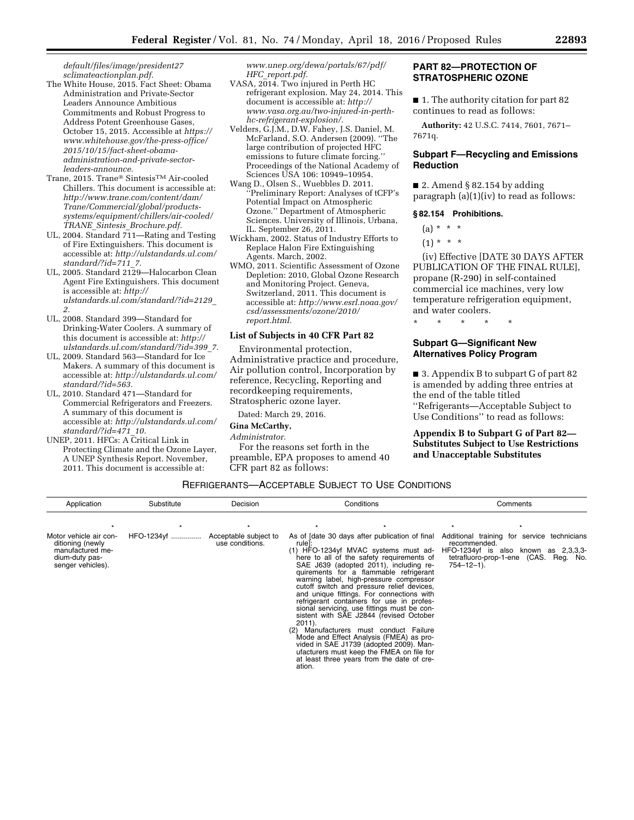*[default/files/image/president27](https://www.whitehouse.gov/sites/default/files/image/president27sclimateactionplan.pdf) [sclimateactionplan.pdf.](https://www.whitehouse.gov/sites/default/files/image/president27sclimateactionplan.pdf)* 

- The White House, 2015. Fact Sheet: Obama Administration and Private-Sector Leaders Announce Ambitious Commitments and Robust Progress to Address Potent Greenhouse Gases, October 15, 2015. Accessible at *[https://](https://www.whitehouse.gov/the-press-office/2015/10/15/fact-sheet-obama-administration-and-private-sector-leaders-announce)  [www.whitehouse.gov/the-press-office/](https://www.whitehouse.gov/the-press-office/2015/10/15/fact-sheet-obama-administration-and-private-sector-leaders-announce) [2015/10/15/fact-sheet-obama](https://www.whitehouse.gov/the-press-office/2015/10/15/fact-sheet-obama-administration-and-private-sector-leaders-announce)[administration-and-private-sector](https://www.whitehouse.gov/the-press-office/2015/10/15/fact-sheet-obama-administration-and-private-sector-leaders-announce)[leaders-announce.](https://www.whitehouse.gov/the-press-office/2015/10/15/fact-sheet-obama-administration-and-private-sector-leaders-announce)*
- Trane, 2015. Trane® SintesisTM Air-cooled Chillers. This document is accessible at: *[http://www.trane.com/content/dam/](http://www.trane.com/content/dam/Trane/Commercial/global/products-systems/equipment/chillers/air-cooled/TRANE_Sintesis_Brochure.pdf) [Trane/Commercial/global/products](http://www.trane.com/content/dam/Trane/Commercial/global/products-systems/equipment/chillers/air-cooled/TRANE_Sintesis_Brochure.pdf)[systems/equipment/chillers/air-cooled/](http://www.trane.com/content/dam/Trane/Commercial/global/products-systems/equipment/chillers/air-cooled/TRANE_Sintesis_Brochure.pdf) TRANE*\_*Sintesis*\_*[Brochure.pdf.](http://www.trane.com/content/dam/Trane/Commercial/global/products-systems/equipment/chillers/air-cooled/TRANE_Sintesis_Brochure.pdf)*
- UL, 2004. Standard 711—Rating and Testing of Fire Extinguishers. This document is accessible at: *[http://ulstandards.ul.com/](http://ulstandards.ul.com/standard/?id=711_7) [standard/?id=711](http://ulstandards.ul.com/standard/?id=711_7)*\_*7.*
- UL, 2005. Standard 2129—Halocarbon Clean Agent Fire Extinguishers. This document is accessible at: *[http://](http://ulstandards.ul.com/standard/?id=2129_2) [ulstandards.ul.com/standard/?id=2129](http://ulstandards.ul.com/standard/?id=2129_2)*\_ *[2.](http://ulstandards.ul.com/standard/?id=2129_2)*
- UL, 2008. Standard 399—Standard for Drinking-Water Coolers. A summary of this document is accessible at: *[http://](http://ulstandards.ul.com/standard/?id=399_7) [ulstandards.ul.com/standard/?id=399](http://ulstandards.ul.com/standard/?id=399_7)*\_*7.*
- UL, 2009. Standard 563—Standard for Ice Makers. A summary of this document is accessible at: *[http://ulstandards.ul.com/](http://ulstandards.ul.com/standard/?id=563) [standard/?id=563.](http://ulstandards.ul.com/standard/?id=563)*
- UL, 2010. Standard 471—Standard for Commercial Refrigerators and Freezers. A summary of this document is accessible at: *[http://ulstandards.ul.com/](http://ulstandards.ul.com/standard/?id=471_10) [standard/?id=471](http://ulstandards.ul.com/standard/?id=471_10)*\_*10.*
- UNEP, 2011. HFCs: A Critical Link in Protecting Climate and the Ozone Layer, A UNEP Synthesis Report. November, 2011. This document is accessible at:

*[www.unep.org/dewa/portals/67/pdf/](http://www.unep.org/dewa/portals/67/pdf/HFC_report.pdf) HFC*\_*[report.pdf.](http://www.unep.org/dewa/portals/67/pdf/HFC_report.pdf)* 

- VASA, 2014. Two injured in Perth HC refrigerant explosion. May 24, 2014. This document is accessible at: *[http://](http://www.vasa.org.au/two-injured-in-perth-hc-refrigerant-explosion/) [www.vasa.org.au/two-injured-in-perth](http://www.vasa.org.au/two-injured-in-perth-hc-refrigerant-explosion/)[hc-refrigerant-explosion/.](http://www.vasa.org.au/two-injured-in-perth-hc-refrigerant-explosion/)*
- Velders, G.J.M., D.W. Fahey, J.S. Daniel, M. McFarland, S.O. Andersen (2009). ''The large contribution of projected HFC emissions to future climate forcing.'' Proceedings of the National Academy of Sciences USA 106: 10949–10954.
- Wang D., Olsen S., Wuebbles D. 2011. ''Preliminary Report: Analyses of tCFP's Potential Impact on Atmospheric Ozone.'' Department of Atmospheric Sciences. University of Illinois, Urbana, IL. September 26, 2011.
- Wickham, 2002. Status of Industry Efforts to Replace Halon Fire Extinguishing Agents. March, 2002.
- WMO, 2011. Scientific Assessment of Ozone Depletion: 2010, Global Ozone Research and Monitoring Project. Geneva, Switzerland, 2011. This document is accessible at: *[http://www.esrl.noaa.gov/](http://www.esrl.noaa.gov/csd/assessments/ozone/2010/report.html) [csd/assessments/ozone/2010/](http://www.esrl.noaa.gov/csd/assessments/ozone/2010/report.html) [report.html.](http://www.esrl.noaa.gov/csd/assessments/ozone/2010/report.html)*

#### **List of Subjects in 40 CFR Part 82**

Environmental protection, Administrative practice and procedure, Air pollution control, Incorporation by reference, Recycling, Reporting and recordkeeping requirements, Stratospheric ozone layer.

Dated: March 29, 2016.

## **Gina McCarthy,**

#### *Administrator.*

For the reasons set forth in the preamble, EPA proposes to amend 40 CFR part 82 as follows:

## **PART 82—PROTECTION OF STRATOSPHERIC OZONE**

■ 1. The authority citation for part 82 continues to read as follows:

**Authority:** 42 U.S.C. 7414, 7601, 7671– 7671q.

#### **Subpart F—Recycling and Emissions Reduction**

■ 2. Amend § 82.154 by adding paragraph (a)(1)(iv) to read as follows:

#### **§ 82.154 Prohibitions.**

- $(a) * * * *$
- $(1) * * * *$

(iv) Effective [DATE 30 DAYS AFTER PUBLICATION OF THE FINAL RULE], propane (R-290) in self-contained commercial ice machines, very low temperature refrigeration equipment, and water coolers.

\* \* \* \* \*

### **Subpart G—Significant New Alternatives Policy Program**

■ 3. Appendix B to subpart G of part 82 is amended by adding three entries at the end of the table titled ''Refrigerants—Acceptable Subject to Use Conditions'' to read as follows:

**Appendix B to Subpart G of Part 82— Substitutes Subject to Use Restrictions and Unacceptable Substitutes** 

### REFRIGERANTS—ACCEPTABLE SUBJECT TO USE CONDITIONS

| Application                                                                                           | Conditions<br>Substitute<br>Decision |                                          |                               | Comments                                                                                                                                                                                                                                                                                                                                                                                                                                                                                                                                                                                                                                                                                                                        |                                  |                                                                                                                              |
|-------------------------------------------------------------------------------------------------------|--------------------------------------|------------------------------------------|-------------------------------|---------------------------------------------------------------------------------------------------------------------------------------------------------------------------------------------------------------------------------------------------------------------------------------------------------------------------------------------------------------------------------------------------------------------------------------------------------------------------------------------------------------------------------------------------------------------------------------------------------------------------------------------------------------------------------------------------------------------------------|----------------------------------|------------------------------------------------------------------------------------------------------------------------------|
|                                                                                                       |                                      |                                          |                               |                                                                                                                                                                                                                                                                                                                                                                                                                                                                                                                                                                                                                                                                                                                                 |                                  |                                                                                                                              |
| Motor vehicle air con-<br>ditioning (newly<br>manufactured me-<br>dium-duty pas-<br>senger vehicles). | HFO-1234yf                           | Acceptable subject to<br>use conditions. | rule]:<br>$2011$ ).<br>ation. | As of [date 30 days after publication of final<br>(1) HFO-1234yf MVAC systems must ad-<br>here to all of the safety requirements of<br>SAE J639 (adopted 2011), including re-<br>quirements for a flammable refrigerant<br>warning label, high-pressure compressor<br>cutoff switch and pressure relief devices,<br>and unique fittings. For connections with<br>refrigerant containers for use in profes-<br>sional servicing, use fittings must be con-<br>sistent with SAE J2844 (revised October<br>(2) Manufacturers must conduct Failure<br>Mode and Effect Analysis (FMEA) as pro-<br>vided in SAE J1739 (adopted 2009). Man-<br>ufacturers must keep the FMEA on file for<br>at least three years from the date of cre- | recommended.<br>$754 - 12 - 1$ . | Additional training for service technicians<br>HFO-1234yf is also known as 2,3,3,3-<br>tetrafluoro-prop-1-ene (CAS. Reg. No. |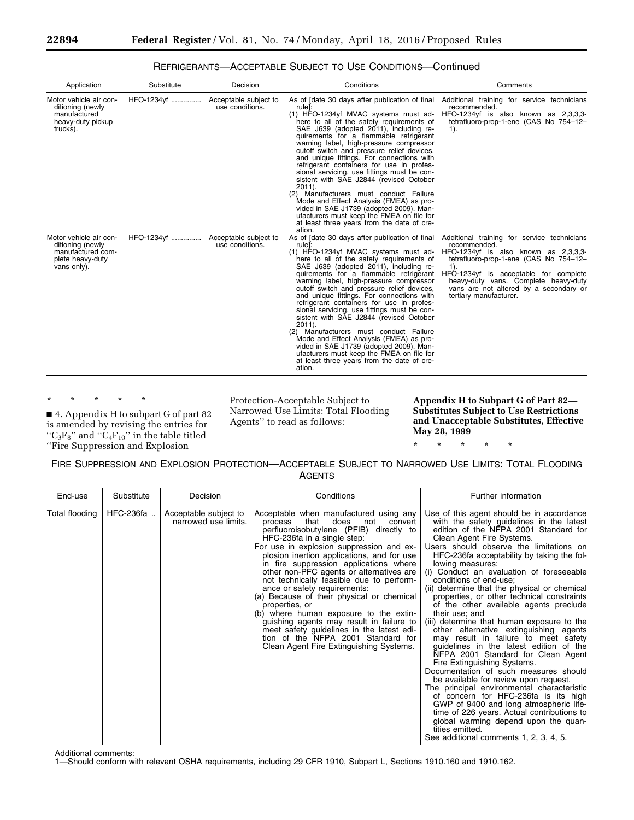| Application                                                                                        | Substitute                        | Decision                                 | Conditions                                                                                                                                                                                                                                                                                                                                                                                                                                                                                                                                                                                                                                                                                                                                                                                                               | Comments                                                                                                                                                                                                                                                                                                     |
|----------------------------------------------------------------------------------------------------|-----------------------------------|------------------------------------------|--------------------------------------------------------------------------------------------------------------------------------------------------------------------------------------------------------------------------------------------------------------------------------------------------------------------------------------------------------------------------------------------------------------------------------------------------------------------------------------------------------------------------------------------------------------------------------------------------------------------------------------------------------------------------------------------------------------------------------------------------------------------------------------------------------------------------|--------------------------------------------------------------------------------------------------------------------------------------------------------------------------------------------------------------------------------------------------------------------------------------------------------------|
| Motor vehicle air con-<br>ditioning (newly<br>manufactured<br>heavy-duty pickup<br>trucks).        | HFO-1234yf                        | Acceptable subject to<br>use conditions. | As of [date 30 days after publication of final<br>rule]:<br>(1) HFO-1234yf MVAC systems must ad-<br>here to all of the safety requirements of<br>SAE J639 (adopted 2011), including re-<br>quirements for a flammable refrigerant<br>warning label, high-pressure compressor<br>cutoff switch and pressure relief devices.<br>and unique fittings. For connections with<br>refrigerant containers for use in profes-<br>sional servicing, use fittings must be con-<br>sistent with SAE J2844 (revised October<br>$2011$ ).<br>(2) Manufacturers must conduct Failure<br>Mode and Effect Analysis (FMEA) as pro-<br>vided in SAE J1739 (adopted 2009). Man-<br>ufacturers must keep the FMEA on file for                                                                                                                 | Additional training for service technicians<br>recommended.<br>HFO-1234yf is also known as 2,3,3,3-<br>tetrafluoro-prop-1-ene (CAS No 754-12-<br>$1$ ).                                                                                                                                                      |
| Motor vehicle air con-<br>ditioning (newly<br>manufactured com-<br>plete heavy-duty<br>vans only). | HFO-1234yf  Acceptable subject to | use conditions.                          | at least three years from the date of cre-<br>ation.<br>As of [date 30 days after publication of final<br>rule]:<br>(1) HFO-1234yf MVAC systems must ad-<br>here to all of the safety requirements of<br>SAE J639 (adopted 2011), including re-<br>quirements for a flammable refrigerant<br>warning label, high-pressure compressor<br>cutoff switch and pressure relief devices,<br>and unique fittings. For connections with<br>refrigerant containers for use in profes-<br>sional servicing, use fittings must be con-<br>sistent with SAE J2844 (revised October<br>$2011$ ).<br>(2) Manufacturers must conduct Failure<br>Mode and Effect Analysis (FMEA) as pro-<br>vided in SAE J1739 (adopted 2009). Man-<br>ufacturers must keep the FMEA on file for<br>at least three years from the date of cre-<br>ation. | Additional training for service technicians<br>recommended.<br>HFO-1234yf is also known as 2,3,3,3-<br>tetrafluoro-prop-1-ene (CAS No 754-12-<br>$1$ ).<br>HFO-1234yf is acceptable for complete<br>heavy-duty vans. Complete heavy-duty<br>vans are not altered by a secondary or<br>tertiary manufacturer. |

# REFRIGERANTS—ACCEPTABLE SUBJECT TO USE CONDITIONS—Continued

\* \* \* \* \*

■ 4. Appendix H to subpart G of part 82 is amended by revising the entries for " $C_3F_8$ " and " $C_4F_{10}$ " in the table titled ''Fire Suppression and Explosion

Protection-Acceptable Subject to Narrowed Use Limits: Total Flooding Agents'' to read as follows:

**Appendix H to Subpart G of Part 82— Substitutes Subject to Use Restrictions and Unacceptable Substitutes, Effective May 28, 1999** 

# \* \* \* \* \*

## FIRE SUPPRESSION AND EXPLOSION PROTECTION—ACCEPTABLE SUBJECT TO NARROWED USE LIMITS: TOTAL FLOODING AGENTS

| End-use        | Substitute | Decision                                      | Conditions                                                                                                                                                                                                                                                                                                                                                                                                                                                                                                                                                                                                                                                                                                   | Further information                                                                                                                                                                                                                                                                                                                                                                                                                                                                                                                                                                                                                                                                                                                                                                                                                                                                                                                                                                                                                                                                                                           |
|----------------|------------|-----------------------------------------------|--------------------------------------------------------------------------------------------------------------------------------------------------------------------------------------------------------------------------------------------------------------------------------------------------------------------------------------------------------------------------------------------------------------------------------------------------------------------------------------------------------------------------------------------------------------------------------------------------------------------------------------------------------------------------------------------------------------|-------------------------------------------------------------------------------------------------------------------------------------------------------------------------------------------------------------------------------------------------------------------------------------------------------------------------------------------------------------------------------------------------------------------------------------------------------------------------------------------------------------------------------------------------------------------------------------------------------------------------------------------------------------------------------------------------------------------------------------------------------------------------------------------------------------------------------------------------------------------------------------------------------------------------------------------------------------------------------------------------------------------------------------------------------------------------------------------------------------------------------|
| Total flooding | HFC-236fa  | Acceptable subject to<br>narrowed use limits. | Acceptable when manufactured using any<br>that<br>does<br>not<br>convert<br>process<br>perfluoroisobutylene (PFIB) directly to<br>HFC-236fa in a single step:<br>For use in explosion suppression and ex-<br>plosion inertion applications, and for use<br>in fire suppression applications where<br>other non-PFC agents or alternatives are<br>not technically feasible due to perform-<br>ance or safety requirements:<br>(a) Because of their physical or chemical<br>properties, or<br>(b) where human exposure to the extin-<br>guishing agents may result in failure to<br>meet safety guidelines in the latest edi-<br>tion of the NFPA 2001 Standard for<br>Clean Agent Fire Extinguishing Systems. | Use of this agent should be in accordance<br>with the safety guidelines in the latest<br>edition of the NFPA 2001 Standard for<br>Clean Agent Fire Systems.<br>Users should observe the limitations on<br>HFC-236fa acceptability by taking the fol-<br>lowing measures:<br>(i) Conduct an evaluation of foreseeable<br>conditions of end-use;<br>(ii) determine that the physical or chemical<br>properties, or other technical constraints<br>of the other available agents preclude<br>their use; and<br>(iii) determine that human exposure to the<br>other alternative extinguishing agents<br>may result in failure to meet safety<br>guidelines in the latest edition of the<br>NFPA 2001 Standard for Clean Agent<br>Fire Extinguishing Systems.<br>Documentation of such measures should<br>be available for review upon request.<br>The principal environmental characteristic<br>of concern for HFC-236fa is its high<br>GWP of 9400 and long atmospheric life-<br>time of 226 years. Actual contributions to<br>global warming depend upon the quan-<br>tities emitted.<br>See additional comments 1, 2, 3, 4, 5. |

Additional comments:

1—Should conform with relevant OSHA requirements, including 29 CFR 1910, Subpart L, Sections 1910.160 and 1910.162.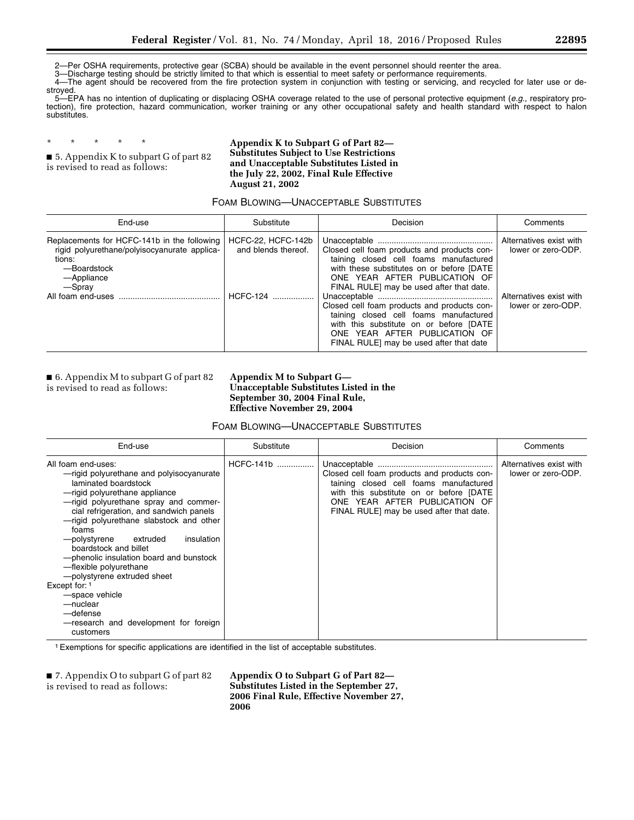2—Per OSHA requirements, protective gear (SCBA) should be available in the event personnel should reenter the area.

3—Discharge testing should be strictly limited to that which is essential to meet safety or performance requirements.<br>4—The agent should be recovered from the fire protection system in conjunction with testing or servicing 4—The agent should be recovered from the fire protection system in conjunction with testing or servicing, and recycled for later use or destroyed.

5—EPA has no intention of duplicating or displacing OSHA coverage related to the use of personal protective equipment (*e.g.,* respiratory protection), fire protection, hazard communication, worker training or any other occupational safety and health standard with respect to halon substitutes.

\* \* \* \* \* ■ 5. Appendix K to subpart G of part 82 is revised to read as follows:

**Appendix K to Subpart G of Part 82— Substitutes Subject to Use Restrictions and Unacceptable Substitutes Listed in the July 22, 2002, Final Rule Effective August 21, 2002** 

## FOAM BLOWING—UNACCEPTABLE SUBSTITUTES

| End-use                                                                                                                                      | Substitute                                                        | Decision                                                                                                                                                                                                                                                                                                                                                                                                                         | Comments                                                                                       |
|----------------------------------------------------------------------------------------------------------------------------------------------|-------------------------------------------------------------------|----------------------------------------------------------------------------------------------------------------------------------------------------------------------------------------------------------------------------------------------------------------------------------------------------------------------------------------------------------------------------------------------------------------------------------|------------------------------------------------------------------------------------------------|
| Replacements for HCFC-141b in the following<br>rigid polyurethane/polyisocyanurate applica-<br>tions:<br>-Boardstock<br>-Appliance<br>-Spray | HCFC-22, HCFC-142b<br>and blends thereof.<br><b>HCFC-124</b><br>. | Closed cell foam products and products con-<br>taining closed cell foams manufactured<br>with these substitutes on or before [DATE]<br>ONE YEAR AFTER PUBLICATION OF<br>FINAL RULE] may be used after that date.<br>Closed cell foam products and products con-<br>taining closed cell foams manufactured<br>with this substitute on or before [DATE<br>ONE YEAR AFTER PUBLICATION OF<br>FINAL RULE] may be used after that date | Alternatives exist with<br>lower or zero-ODP.<br>Alternatives exist with<br>lower or zero-ODP. |

■ 6. Appendix M to subpart G of part 82 is revised to read as follows:

**Appendix M to Subpart G— Unacceptable Substitutes Listed in the September 30, 2004 Final Rule, Effective November 29, 2004** 

FOAM BLOWING—UNACCEPTABLE SUBSTITUTES

| End-use                                                                                                                                                                                                                                                                                                                                                                                                                                                                                                                                                  | Substitute  | Decision                                                                                                                                                                                                      | Comments                                      |
|----------------------------------------------------------------------------------------------------------------------------------------------------------------------------------------------------------------------------------------------------------------------------------------------------------------------------------------------------------------------------------------------------------------------------------------------------------------------------------------------------------------------------------------------------------|-------------|---------------------------------------------------------------------------------------------------------------------------------------------------------------------------------------------------------------|-----------------------------------------------|
| All foam end-uses:<br>-rigid polyurethane and polyisocyanurate<br>laminated boardstock<br>-rigid polyurethane appliance<br>-rigid polyurethane spray and commer-<br>cial refrigeration, and sandwich panels<br>-rigid polyurethane slabstock and other<br>foams<br>extruded<br>insulation<br>polystyrene—<br>boardstock and billet<br>- phenolic insulation board and bunstock<br>-flexible polyurethane<br>-polystyrene extruded sheet<br>Except for: 1<br>-space vehicle<br>-nuclear<br>-defense<br>-research and development for foreign<br>customers | $HCFC-141b$ | Closed cell foam products and products con-<br>taining closed cell foams manufactured<br>with this substitute on or before [DATE<br>ONE YEAR AFTER PUBLICATION OF<br>FINAL RULE] may be used after that date. | Alternatives exist with<br>lower or zero-ODP. |

1Exemptions for specific applications are identified in the list of acceptable substitutes.

■ 7. Appendix O to subpart G of part 82 is revised to read as follows:

**Appendix O to Subpart G of Part 82— Substitutes Listed in the September 27, 2006 Final Rule, Effective November 27, 2006**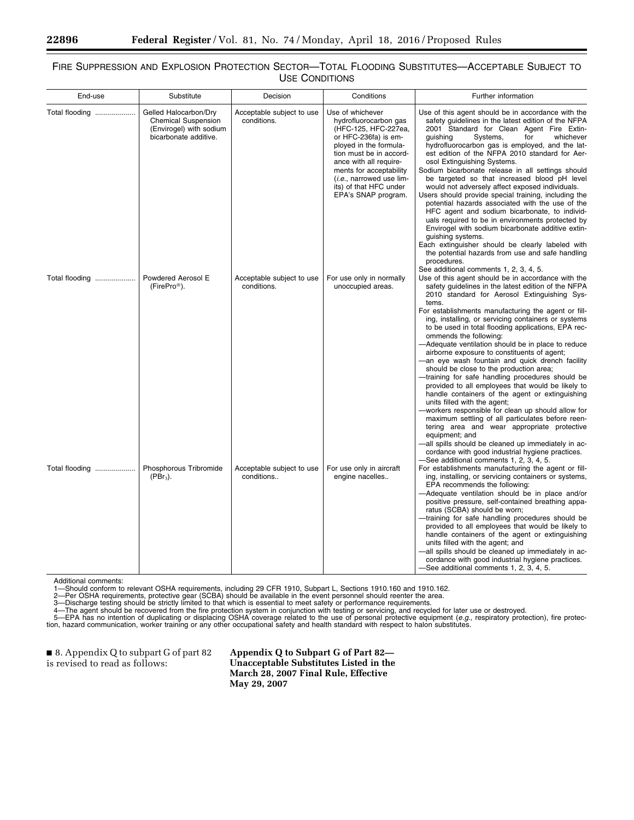## FIRE SUPPRESSION AND EXPLOSION PROTECTION SECTOR—TOTAL FLOODING SUBSTITUTES—ACCEPTABLE SUBJECT TO USE CONDITIONS

| End-use        | Substitute                                                                                              | Decision                                 | Conditions                                                                                                                                                                                                                                                                       | Further information                                                                                                                                                                                                                                                                                                                                                                                                                                                                                                                                                                                                                                                                                                                                                                                                                                                                                                                                                                                                                                             |
|----------------|---------------------------------------------------------------------------------------------------------|------------------------------------------|----------------------------------------------------------------------------------------------------------------------------------------------------------------------------------------------------------------------------------------------------------------------------------|-----------------------------------------------------------------------------------------------------------------------------------------------------------------------------------------------------------------------------------------------------------------------------------------------------------------------------------------------------------------------------------------------------------------------------------------------------------------------------------------------------------------------------------------------------------------------------------------------------------------------------------------------------------------------------------------------------------------------------------------------------------------------------------------------------------------------------------------------------------------------------------------------------------------------------------------------------------------------------------------------------------------------------------------------------------------|
| Total flooding | Gelled Halocarbon/Dry<br><b>Chemical Suspension</b><br>(Envirogel) with sodium<br>bicarbonate additive. | Acceptable subject to use<br>conditions. | Use of whichever<br>hydrofluorocarbon gas<br>(HFC-125, HFC-227ea,<br>or HFC-236fa) is em-<br>ployed in the formula-<br>tion must be in accord-<br>ance with all require-<br>ments for acceptability<br>(i.e., narrowed use lim-<br>its) of that HFC under<br>EPA's SNAP program. | Use of this agent should be in accordance with the<br>safety guidelines in the latest edition of the NFPA<br>2001 Standard for Clean Agent Fire Extin-<br>whichever<br>quishing<br>Systems,<br>for<br>hydrofluorocarbon gas is employed, and the lat-<br>est edition of the NFPA 2010 standard for Aer-<br>osol Extinguishing Systems.<br>Sodium bicarbonate release in all settings should<br>be targeted so that increased blood pH level<br>would not adversely affect exposed individuals.<br>Users should provide special training, including the<br>potential hazards associated with the use of the<br>HFC agent and sodium bicarbonate, to individ-<br>uals required to be in environments protected by<br>Envirogel with sodium bicarbonate additive extin-<br>quishing systems.<br>Each extinguisher should be clearly labeled with<br>the potential hazards from use and safe handling<br>procedures.                                                                                                                                                |
| Total flooding | Powdered Aerosol E<br>(FirePro <sup>®</sup> ).                                                          | Acceptable subject to use<br>conditions. | For use only in normally<br>unoccupied areas.                                                                                                                                                                                                                                    | See additional comments 1, 2, 3, 4, 5.<br>Use of this agent should be in accordance with the<br>safety guidelines in the latest edition of the NFPA<br>2010 standard for Aerosol Extinguishing Sys-<br>tems.<br>For establishments manufacturing the agent or fill-<br>ing, installing, or servicing containers or systems<br>to be used in total flooding applications, EPA rec-<br>ommends the following:<br>-Adequate ventilation should be in place to reduce<br>airborne exposure to constituents of agent;<br>-an eye wash fountain and quick drench facility<br>should be close to the production area;<br>-training for safe handling procedures should be<br>provided to all employees that would be likely to                                                                                                                                                                                                                                                                                                                                         |
| Total flooding | Phosphorous Tribromide<br>$(PBr3)$ .                                                                    | Acceptable subject to use<br>conditions  | For use only in aircraft<br>engine nacelles                                                                                                                                                                                                                                      | handle containers of the agent or extinguishing<br>units filled with the agent;<br>-workers responsible for clean up should allow for<br>maximum settling of all particulates before reen-<br>tering area and wear appropriate protective<br>equipment; and<br>-all spills should be cleaned up immediately in ac-<br>cordance with good industrial hygiene practices.<br>-See additional comments 1, 2, 3, 4, 5.<br>For establishments manufacturing the agent or fill-<br>ing, installing, or servicing containers or systems,<br>EPA recommends the following:<br>-Adequate ventilation should be in place and/or<br>positive pressure, self-contained breathing appa-<br>ratus (SCBA) should be worn;<br>-training for safe handling procedures should be<br>provided to all employees that would be likely to<br>handle containers of the agent or extinguishing<br>units filled with the agent; and<br>-all spills should be cleaned up immediately in ac-<br>cordance with good industrial hygiene practices.<br>-See additional comments 1, 2, 3, 4, 5. |

Additional comments:<br>1—Should conform to relevant OSHA requirements, including 29 CFR 1910, Subpart L, Sections 1910.160 and 1910.162.<br>2—Per OSHA requirements, protective gear (SCBA) should be available in the event person

■ 8. Appendix Q to subpart G of part 82 is revised to read as follows:

**Appendix Q to Subpart G of Part 82— Unacceptable Substitutes Listed in the March 28, 2007 Final Rule, Effective May 29, 2007**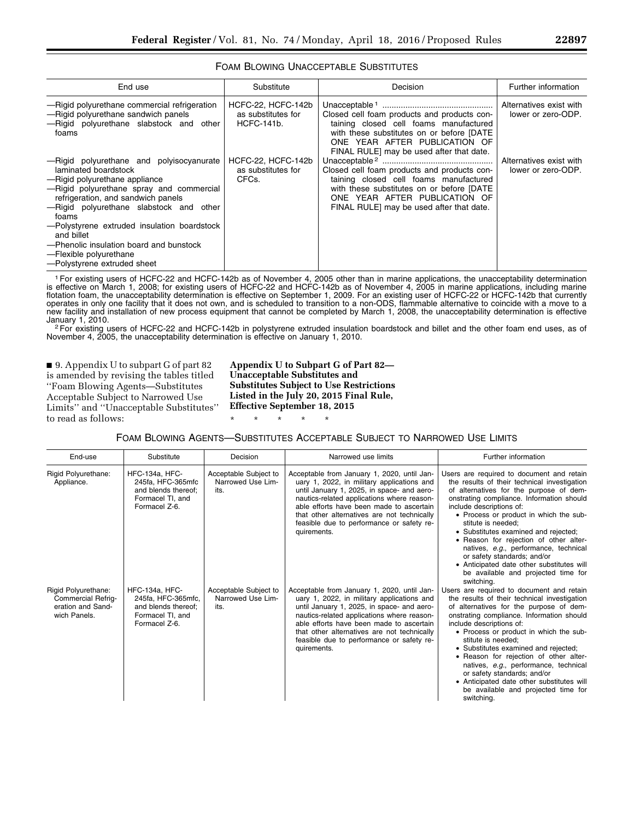| <b>FOAM BLOWING UNACCEPTABLE SUBSTITUTES</b> |  |
|----------------------------------------------|--|
|----------------------------------------------|--|

| End use                                                                                                                                                                                                                                                                                                                                                                                                  | Substitute                                                    | Decision                                                                                                                                                                                                         | Further information                           |
|----------------------------------------------------------------------------------------------------------------------------------------------------------------------------------------------------------------------------------------------------------------------------------------------------------------------------------------------------------------------------------------------------------|---------------------------------------------------------------|------------------------------------------------------------------------------------------------------------------------------------------------------------------------------------------------------------------|-----------------------------------------------|
| -Rigid polyurethane commercial refrigeration<br>-Rigid polyurethane sandwich panels<br>-Rigid polyurethane slabstock and other<br>foams                                                                                                                                                                                                                                                                  | HCFC-22, HCFC-142b<br>as substitutes for<br><b>HCFC-141b.</b> | Closed cell foam products and products con-<br>taining closed cell foams manufactured<br>with these substitutes on or before [DATE]<br>ONE YEAR AFTER PUBLICATION OF<br>FINAL RULE] may be used after that date. | Alternatives exist with<br>lower or zero-ODP. |
| -Rigid polyurethane and polyisocyanurate<br>laminated boardstock<br>-Rigid polyurethane appliance<br>-Rigid polyurethane spray and commercial<br>refrigeration, and sandwich panels<br>-Rigid polyurethane slabstock and other<br>foams<br>-Polystyrene extruded insulation boardstock<br>and billet<br>-Phenolic insulation board and bunstock<br>-Flexible polyurethane<br>-Polystyrene extruded sheet | HCFC-22. HCFC-142b<br>as substitutes for<br>CFCs.             | Closed cell foam products and products con-<br>taining closed cell foams manufactured<br>with these substitutes on or before [DATE<br>ONE YEAR AFTER PUBLICATION OF<br>FINAL RULE] may be used after that date.  | Alternatives exist with<br>lower or zero-ODP. |

1For existing users of HCFC-22 and HCFC-142b as of November 4, 2005 other than in marine applications, the unacceptability determination is effective on March 1, 2008; for existing users of HCFC-22 and HCFC-142b as of November 4, 2005 in marine applications, including marine flotation foam, the unacceptability determination is effective on September 1, 2009. For an existing user of HCFC-22 or HCFC-142b that currently operates in only one facility that it does not own, and is scheduled to transition to a non-ODS, flammable alternative to coincide with a move to a new facility and installation of new process equipment that cannot be completed by March 1, 2008, the unacceptability determination is effective

January 1, 2010.<br><sup>2</sup>For existing users of HCFC-22 and HCFC-142b in polystyrene extruded insulation boardstock and billet and the other foam end uses, as of November 4, 2005, the unacceptability determination is effective on January 1, 2010.

■ 9. Appendix U to subpart G of part 82 is amended by revising the tables titled ''Foam Blowing Agents—Substitutes Acceptable Subject to Narrowed Use Limits'' and ''Unacceptable Substitutes'' to read as follows:

**Appendix U to Subpart G of Part 82— Unacceptable Substitutes and Substitutes Subject to Use Restrictions Listed in the July 20, 2015 Final Rule, Effective September 18, 2015** 

FOAM BLOWING AGENTS—SUBSTITUTES ACCEPTABLE SUBJECT TO NARROWED USE LIMITS

\* \* \* \* \*

| End-use                                                                               | Substitute                                                                                              | Decision                                           | Narrowed use limits                                                                                                                                                                                                                                                                                                                          | Further information                                                                                                                                                                                                                                                                                                                                                                                                                                                                                                                       |
|---------------------------------------------------------------------------------------|---------------------------------------------------------------------------------------------------------|----------------------------------------------------|----------------------------------------------------------------------------------------------------------------------------------------------------------------------------------------------------------------------------------------------------------------------------------------------------------------------------------------------|-------------------------------------------------------------------------------------------------------------------------------------------------------------------------------------------------------------------------------------------------------------------------------------------------------------------------------------------------------------------------------------------------------------------------------------------------------------------------------------------------------------------------------------------|
| Rigid Polyurethane:<br>Appliance.                                                     | <b>HFC-134a, HFC-</b><br>245fa, HFC-365mfc<br>and blends thereof:<br>Formacel TI, and<br>Formacel Z-6.  | Acceptable Subject to<br>Narrowed Use Lim-<br>its. | Acceptable from January 1, 2020, until Jan-<br>uary 1, 2022, in military applications and<br>until January 1, 2025, in space- and aero-<br>nautics-related applications where reason-<br>able efforts have been made to ascertain<br>that other alternatives are not technically<br>feasible due to performance or safety re-<br>quirements. | Users are required to document and retain<br>the results of their technical investigation<br>of alternatives for the purpose of dem-<br>onstrating compliance. Information should<br>include descriptions of:<br>• Process or product in which the sub-<br>stitute is needed:<br>• Substitutes examined and rejected;<br>• Reason for rejection of other alter-<br>natives, e.g., performance, technical<br>or safety standards; and/or<br>• Anticipated date other substitutes will<br>be available and projected time for<br>switching. |
| Rigid Polyurethane:<br><b>Commercial Refrig-</b><br>eration and Sand-<br>wich Panels. | <b>HFC-134a, HFC-</b><br>245fa, HFC-365mfc,<br>and blends thereof;<br>Formacel TI, and<br>Formacel Z-6. | Acceptable Subject to<br>Narrowed Use Lim-<br>its. | Acceptable from January 1, 2020, until Jan-<br>uary 1, 2022, in military applications and<br>until January 1, 2025, in space- and aero-<br>nautics-related applications where reason-<br>able efforts have been made to ascertain<br>that other alternatives are not technically<br>feasible due to performance or safety re-<br>quirements. | Users are required to document and retain<br>the results of their technical investigation<br>of alternatives for the purpose of dem-<br>onstrating compliance. Information should<br>include descriptions of:<br>• Process or product in which the sub-<br>stitute is needed:<br>• Substitutes examined and rejected;<br>• Reason for rejection of other alter-<br>natives, e.g., performance, technical<br>or safety standards; and/or<br>• Anticipated date other substitutes will<br>be available and projected time for<br>switching. |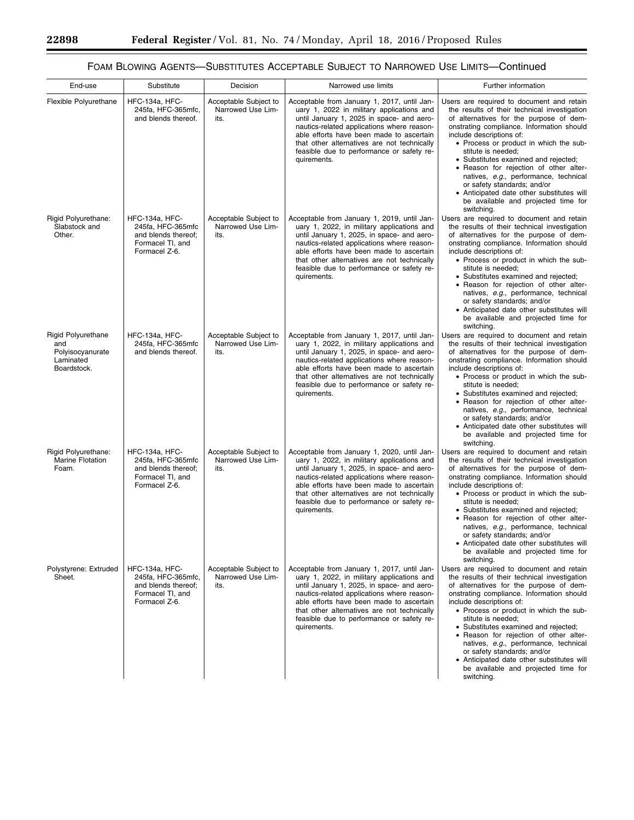۰

# FOAM BLOWING AGENTS—SUBSTITUTES ACCEPTABLE SUBJECT TO NARROWED USE LIMITS—Continued

| End-use                                                                          | Substitute                                                                                       | Decision                                           | Narrowed use limits                                                                                                                                                                                                                                                                                                                          | Further information                                                                                                                                                                                                                                                                                                                                                                                                                                                                                                                       |
|----------------------------------------------------------------------------------|--------------------------------------------------------------------------------------------------|----------------------------------------------------|----------------------------------------------------------------------------------------------------------------------------------------------------------------------------------------------------------------------------------------------------------------------------------------------------------------------------------------------|-------------------------------------------------------------------------------------------------------------------------------------------------------------------------------------------------------------------------------------------------------------------------------------------------------------------------------------------------------------------------------------------------------------------------------------------------------------------------------------------------------------------------------------------|
| Flexible Polyurethane                                                            | HFC-134a, HFC-<br>245fa, HFC-365mfc,<br>and blends thereof.                                      | Acceptable Subject to<br>Narrowed Use Lim-<br>its. | Acceptable from January 1, 2017, until Jan-<br>uary 1, 2022 in military applications and<br>until January 1, 2025 in space- and aero-<br>nautics-related applications where reason-<br>able efforts have been made to ascertain<br>that other alternatives are not technically<br>feasible due to performance or safety re-<br>quirements.   | Users are required to document and retain<br>the results of their technical investigation<br>of alternatives for the purpose of dem-<br>onstrating compliance. Information should<br>include descriptions of:<br>• Process or product in which the sub-<br>stitute is needed:<br>• Substitutes examined and rejected;<br>• Reason for rejection of other alter-<br>natives, e.g., performance, technical<br>or safety standards; and/or<br>• Anticipated date other substitutes will<br>be available and projected time for<br>switching. |
| Rigid Polyurethane:<br>Slabstock and<br>Other.                                   | HFC-134a, HFC-<br>245fa, HFC-365mfc<br>and blends thereof;<br>Formacel TI, and<br>Formacel Z-6.  | Acceptable Subject to<br>Narrowed Use Lim-<br>its. | Acceptable from January 1, 2019, until Jan-<br>uary 1, 2022, in military applications and<br>until January 1, 2025, in space- and aero-<br>nautics-related applications where reason-<br>able efforts have been made to ascertain<br>that other alternatives are not technically<br>feasible due to performance or safety re-<br>quirements. | Users are required to document and retain<br>the results of their technical investigation<br>of alternatives for the purpose of dem-<br>onstrating compliance. Information should<br>include descriptions of:<br>• Process or product in which the sub-<br>stitute is needed;<br>• Substitutes examined and rejected;<br>• Reason for rejection of other alter-<br>natives, e.g., performance, technical<br>or safety standards; and/or<br>• Anticipated date other substitutes will<br>be available and projected time for<br>switching. |
| <b>Rigid Polyurethane</b><br>and<br>Polyisocyanurate<br>Laminated<br>Boardstock. | <b>HFC-134a, HFC-</b><br>245fa, HFC-365mfc<br>and blends thereof.                                | Acceptable Subject to<br>Narrowed Use Lim-<br>its. | Acceptable from January 1, 2017, until Jan-<br>uary 1, 2022, in military applications and<br>until January 1, 2025, in space- and aero-<br>nautics-related applications where reason-<br>able efforts have been made to ascertain<br>that other alternatives are not technically<br>feasible due to performance or safety re-<br>quirements. | Users are required to document and retain<br>the results of their technical investigation<br>of alternatives for the purpose of dem-<br>onstrating compliance. Information should<br>include descriptions of:<br>• Process or product in which the sub-<br>stitute is needed:<br>• Substitutes examined and rejected;<br>• Reason for rejection of other alter-<br>natives, e.g., performance, technical<br>or safety standards; and/or<br>• Anticipated date other substitutes will<br>be available and projected time for<br>switching. |
| Rigid Polyurethane:<br>Marine Flotation<br>Foam.                                 | HFC-134a, HFC-<br>245fa, HFC-365mfc<br>and blends thereof;<br>Formacel TI, and<br>Formacel Z-6.  | Acceptable Subject to<br>Narrowed Use Lim-<br>its. | Acceptable from January 1, 2020, until Jan-<br>uary 1, 2022, in military applications and<br>until January 1, 2025, in space- and aero-<br>nautics-related applications where reason-<br>able efforts have been made to ascertain<br>that other alternatives are not technically<br>feasible due to performance or safety re-<br>quirements. | Users are required to document and retain<br>the results of their technical investigation<br>of alternatives for the purpose of dem-<br>onstrating compliance. Information should<br>include descriptions of:<br>• Process or product in which the sub-<br>stitute is needed;<br>• Substitutes examined and rejected;<br>• Reason for rejection of other alter-<br>natives, e.g., performance, technical<br>or safety standards; and/or<br>• Anticipated date other substitutes will<br>be available and projected time for<br>switching. |
| Polystyrene: Extruded<br>Sheet.                                                  | HFC-134a, HFC-<br>245fa, HFC-365mfc,<br>and blends thereof:<br>Formacel TI, and<br>Formacel Z-6. | Acceptable Subject to<br>Narrowed Use Lim-<br>its. | Acceptable from January 1, 2017, until Jan-<br>uary 1, 2022, in military applications and<br>until January 1, 2025, in space- and aero-<br>nautics-related applications where reason-<br>able efforts have been made to ascertain<br>that other alternatives are not technically<br>feasible due to performance or safety re-<br>quirements. | Users are required to document and retain<br>the results of their technical investigation<br>of alternatives for the purpose of dem-<br>onstrating compliance. Information should<br>include descriptions of:<br>• Process or product in which the sub-<br>stitute is needed;<br>• Substitutes examined and rejected;<br>• Reason for rejection of other alter-<br>natives, e.g., performance, technical<br>or safety standards; and/or<br>• Anticipated date other substitutes will<br>be available and projected time for<br>switching. |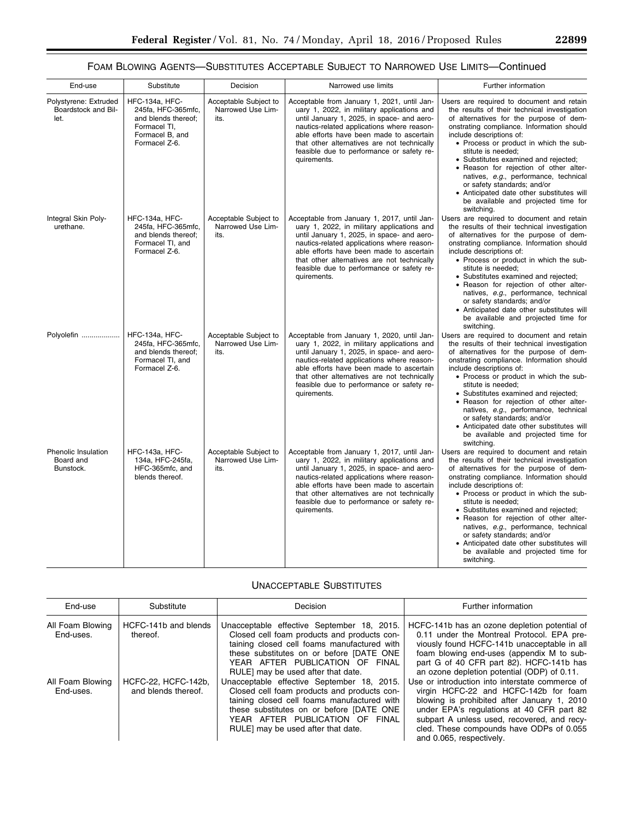# FOAM BLOWING AGENTS—SUBSTITUTES ACCEPTABLE SUBJECT TO NARROWED USE LIMITS—Continued

| End-use                                              | Substitute                                                                                                      | Decision                                           | Narrowed use limits                                                                                                                                                                                                                                                                                                                          | Further information                                                                                                                                                                                                                                                                                                                                                                                                                                                                                                                       |
|------------------------------------------------------|-----------------------------------------------------------------------------------------------------------------|----------------------------------------------------|----------------------------------------------------------------------------------------------------------------------------------------------------------------------------------------------------------------------------------------------------------------------------------------------------------------------------------------------|-------------------------------------------------------------------------------------------------------------------------------------------------------------------------------------------------------------------------------------------------------------------------------------------------------------------------------------------------------------------------------------------------------------------------------------------------------------------------------------------------------------------------------------------|
| Polystyrene: Extruded<br>Boardstock and Bil-<br>let. | HFC-134a, HFC-<br>245fa, HFC-365mfc,<br>and blends thereof;<br>Formacel TI.<br>Formacel B, and<br>Formacel Z-6. | Acceptable Subject to<br>Narrowed Use Lim-<br>its. | Acceptable from January 1, 2021, until Jan-<br>uary 1, 2022, in military applications and<br>until January 1, 2025, in space- and aero-<br>nautics-related applications where reason-<br>able efforts have been made to ascertain<br>that other alternatives are not technically<br>feasible due to performance or safety re-<br>quirements. | Users are required to document and retain<br>the results of their technical investigation<br>of alternatives for the purpose of dem-<br>onstrating compliance. Information should<br>include descriptions of:<br>• Process or product in which the sub-<br>stitute is needed:<br>• Substitutes examined and rejected;<br>• Reason for rejection of other alter-<br>natives, e.g., performance, technical<br>or safety standards; and/or<br>• Anticipated date other substitutes will<br>be available and projected time for<br>switching. |
| Integral Skin Poly-<br>urethane.                     | HFC-134a, HFC-<br>245fa, HFC-365mfc,<br>and blends thereof;<br>Formacel TI, and<br>Formacel Z-6.                | Acceptable Subject to<br>Narrowed Use Lim-<br>its. | Acceptable from January 1, 2017, until Jan-<br>uary 1, 2022, in military applications and<br>until January 1, 2025, in space- and aero-<br>nautics-related applications where reason-<br>able efforts have been made to ascertain<br>that other alternatives are not technically<br>feasible due to performance or safety re-<br>quirements. | Users are required to document and retain<br>the results of their technical investigation<br>of alternatives for the purpose of dem-<br>onstrating compliance. Information should<br>include descriptions of:<br>• Process or product in which the sub-<br>stitute is needed;<br>• Substitutes examined and rejected;<br>• Reason for rejection of other alter-<br>natives, e.g., performance, technical<br>or safety standards; and/or<br>• Anticipated date other substitutes will<br>be available and projected time for<br>switching. |
| Polyolefin                                           | <b>HFC-134a, HFC-</b><br>245fa, HFC-365mfc,<br>and blends thereof:<br>Formacel TI, and<br>Formacel Z-6.         | Acceptable Subject to<br>Narrowed Use Lim-<br>its. | Acceptable from January 1, 2020, until Jan-<br>uary 1, 2022, in military applications and<br>until January 1, 2025, in space- and aero-<br>nautics-related applications where reason-<br>able efforts have been made to ascertain<br>that other alternatives are not technically<br>feasible due to performance or safety re-<br>quirements. | Users are required to document and retain<br>the results of their technical investigation<br>of alternatives for the purpose of dem-<br>onstrating compliance. Information should<br>include descriptions of:<br>• Process or product in which the sub-<br>stitute is needed:<br>• Substitutes examined and rejected;<br>• Reason for rejection of other alter-<br>natives, e.g., performance, technical<br>or safety standards; and/or<br>• Anticipated date other substitutes will<br>be available and projected time for<br>switching. |
| Phenolic Insulation<br>Board and<br>Bunstock.        | HFC-143a, HFC-<br>134a, HFC-245fa,<br>HFC-365mfc, and<br>blends thereof.                                        | Acceptable Subject to<br>Narrowed Use Lim-<br>its. | Acceptable from January 1, 2017, until Jan-<br>uary 1, 2022, in military applications and<br>until January 1, 2025, in space- and aero-<br>nautics-related applications where reason-<br>able efforts have been made to ascertain<br>that other alternatives are not technically<br>feasible due to performance or safety re-<br>quirements. | Users are required to document and retain<br>the results of their technical investigation<br>of alternatives for the purpose of dem-<br>onstrating compliance. Information should<br>include descriptions of:<br>• Process or product in which the sub-<br>stitute is needed:<br>• Substitutes examined and rejected;<br>• Reason for rejection of other alter-<br>natives, e.g., performance, technical<br>or safety standards; and/or<br>• Anticipated date other substitutes will<br>be available and projected time for<br>switching. |

# UNACCEPTABLE SUBSTITUTES

T

| End-use                       | Substitute                                 | Decision                                                                                                                                                                                                                                                      | Further information                                                                                                                                                                                                                                                                                         |
|-------------------------------|--------------------------------------------|---------------------------------------------------------------------------------------------------------------------------------------------------------------------------------------------------------------------------------------------------------------|-------------------------------------------------------------------------------------------------------------------------------------------------------------------------------------------------------------------------------------------------------------------------------------------------------------|
| All Foam Blowing<br>End-uses. | HCFC-141b and blends<br>thereof.           | Unacceptable effective September 18, 2015.<br>Closed cell foam products and products con-<br>taining closed cell foams manufactured with<br>these substitutes on or before [DATE ONE<br>YEAR AFTER PUBLICATION OF FINAL<br>RULE] may be used after that date. | HCFC-141b has an ozone depletion potential of<br>0.11 under the Montreal Protocol. EPA pre-<br>viously found HCFC-141b unacceptable in all<br>foam blowing end-uses (appendix M to sub-<br>part G of 40 CFR part 82). HCFC-141b has<br>an ozone depletion potential (ODP) of 0.11.                          |
| All Foam Blowing<br>End-uses. | HCFC-22, HCFC-142b.<br>and blends thereof. | Unacceptable effective September 18, 2015.<br>Closed cell foam products and products con-<br>taining closed cell foams manufactured with<br>these substitutes on or before [DATE ONE<br>YEAR AFTER PUBLICATION OF FINAL<br>RULE] may be used after that date. | Use or introduction into interstate commerce of<br>virgin HCFC-22 and HCFC-142b for foam<br>blowing is prohibited after January 1, 2010<br>under EPA's regulations at 40 CFR part 82<br>subpart A unless used, recovered, and recy-<br>cled. These compounds have ODPs of 0.055<br>and 0.065, respectively. |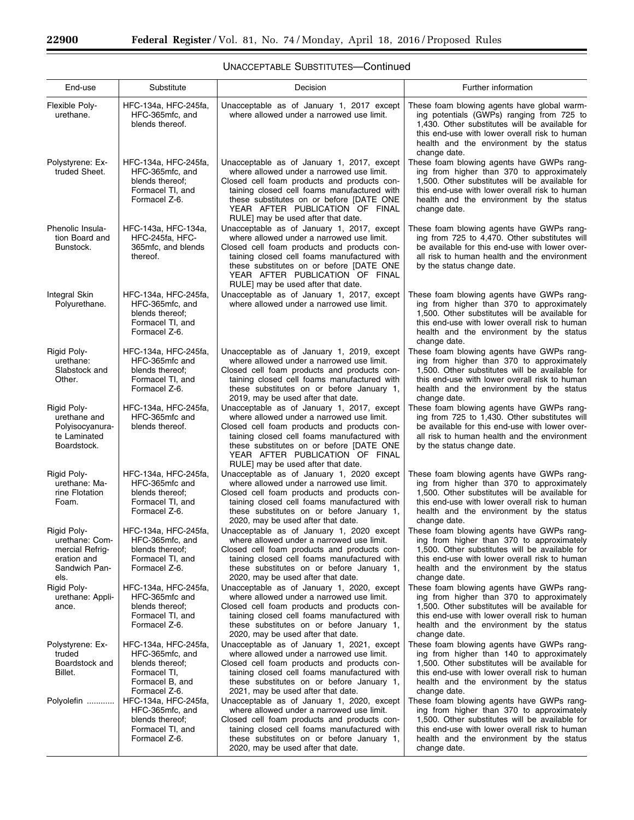Ξ

▀

| End-use                                                                                  | Substitute                                                                                                     | Decision                                                                                                                                                                                                                                                                                                   | Further information                                                                                                                                                                                                                                     |
|------------------------------------------------------------------------------------------|----------------------------------------------------------------------------------------------------------------|------------------------------------------------------------------------------------------------------------------------------------------------------------------------------------------------------------------------------------------------------------------------------------------------------------|---------------------------------------------------------------------------------------------------------------------------------------------------------------------------------------------------------------------------------------------------------|
| Flexible Poly-<br>urethane.                                                              | HFC-134a, HFC-245fa,<br>HFC-365mfc, and<br>blends thereof.                                                     | Unacceptable as of January 1, 2017 except<br>where allowed under a narrowed use limit.                                                                                                                                                                                                                     | These foam blowing agents have global warm-<br>ing potentials (GWPs) ranging from 725 to<br>1,430. Other substitutes will be available for<br>this end-use with lower overall risk to human<br>health and the environment by the status<br>change date. |
| Polystyrene: Ex-<br>truded Sheet.                                                        | HFC-134a, HFC-245fa,<br>HFC-365mfc, and<br>blends thereof;<br>Formacel TI, and<br>Formacel Z-6.                | Unacceptable as of January 1, 2017, except<br>where allowed under a narrowed use limit.<br>Closed cell foam products and products con-<br>taining closed cell foams manufactured with<br>these substitutes on or before [DATE ONE<br>YEAR AFTER PUBLICATION OF FINAL<br>RULE] may be used after that date. | These foam blowing agents have GWPs rang-<br>ing from higher than 370 to approximately<br>1,500. Other substitutes will be available for<br>this end-use with lower overall risk to human<br>health and the environment by the status<br>change date.   |
| Phenolic Insula-<br>tion Board and<br>Bunstock.                                          | HFC-143a, HFC-134a,<br>HFC-245fa, HFC-<br>365mfc, and blends<br>thereof.                                       | Unacceptable as of January 1, 2017, except<br>where allowed under a narrowed use limit.<br>Closed cell foam products and products con-<br>taining closed cell foams manufactured with<br>these substitutes on or before [DATE ONE<br>YEAR AFTER PUBLICATION OF FINAL<br>RULE] may be used after that date. | These foam blowing agents have GWPs rang-<br>ing from 725 to 4,470. Other substitutes will<br>be available for this end-use with lower over-<br>all risk to human health and the environment<br>by the status change date.                              |
| <b>Integral Skin</b><br>Polyurethane.                                                    | HFC-134a, HFC-245fa,<br>HFC-365mfc, and<br>blends thereof;<br>Formacel TI, and<br>Formacel Z-6.                | Unacceptable as of January 1, 2017, except<br>where allowed under a narrowed use limit.                                                                                                                                                                                                                    | These foam blowing agents have GWPs rang-<br>ing from higher than 370 to approximately<br>1,500. Other substitutes will be available for<br>this end-use with lower overall risk to human<br>health and the environment by the status<br>change date.   |
| Rigid Poly-<br>urethane:<br>Slabstock and<br>Other.                                      | HFC-134a, HFC-245fa,<br>HFC-365mfc and<br>blends thereof;<br>Formacel TI, and<br>Formacel Z-6.                 | Unacceptable as of January 1, 2019, except<br>where allowed under a narrowed use limit.<br>Closed cell foam products and products con-<br>taining closed cell foams manufactured with<br>these substitutes on or before January 1,<br>2019, may be used after that date.                                   | These foam blowing agents have GWPs rang-<br>ing from higher than 370 to approximately<br>1,500. Other substitutes will be available for<br>this end-use with lower overall risk to human<br>health and the environment by the status<br>change date.   |
| Rigid Poly-<br>urethane and<br>Polyisocyanura-<br>te Laminated<br>Boardstock.            | HFC-134a, HFC-245fa,<br>HFC-365mfc and<br>blends thereof.                                                      | Unacceptable as of January 1, 2017, except<br>where allowed under a narrowed use limit.<br>Closed cell foam products and products con-<br>taining closed cell foams manufactured with<br>these substitutes on or before [DATE ONE<br>YEAR AFTER PUBLICATION OF FINAL<br>RULE] may be used after that date. | These foam blowing agents have GWPs rang-<br>ing from 725 to 1,430. Other substitutes will<br>be available for this end-use with lower over-<br>all risk to human health and the environment<br>by the status change date.                              |
| Rigid Poly-<br>urethane: Ma-<br>rine Flotation<br>Foam.                                  | HFC-134a, HFC-245fa,<br>HFC-365mfc and<br>blends thereof;<br>Formacel TI, and<br>Formacel Z-6.                 | Unacceptable as of January 1, 2020 except<br>where allowed under a narrowed use limit.<br>Closed cell foam products and products con-<br>taining closed cell foams manufactured with<br>these substitutes on or before January 1,<br>2020, may be used after that date.                                    | These foam blowing agents have GWPs rang-<br>ing from higher than 370 to approximately<br>1,500. Other substitutes will be available for<br>this end-use with lower overall risk to human<br>health and the environment by the status<br>change date.   |
| Rigid Poly-<br>urethane: Com-<br>mercial Refrig-<br>eration and<br>Sandwich Pan-<br>els. | HFC-134a, HFC-245fa,<br>HFC-365mfc, and<br>blends thereof;<br>Formacel TI, and<br>Formacel Z-6.                | Unacceptable as of January 1, 2020 except<br>where allowed under a narrowed use limit.<br>Closed cell foam products and products con-<br>taining closed cell foams manufactured with<br>these substitutes on or before January 1,<br>2020, may be used after that date.                                    | These foam blowing agents have GWPs rang-<br>ing from higher than 370 to approximately<br>1,500. Other substitutes will be available for<br>this end-use with lower overall risk to human<br>health and the environment by the status<br>change date.   |
| Rigid Poly-<br>urethane: Appli-<br>ance.                                                 | HFC-134a, HFC-245fa,<br>HFC-365mfc and<br>blends thereof;<br>Formacel TI, and<br>Formacel Z-6.                 | Unacceptable as of January 1, 2020, except<br>where allowed under a narrowed use limit.<br>Closed cell foam products and products con-<br>taining closed cell foams manufactured with<br>these substitutes on or before January 1,<br>2020, may be used after that date.                                   | These foam blowing agents have GWPs rang-<br>ing from higher than 370 to approximately<br>1,500. Other substitutes will be available for<br>this end-use with lower overall risk to human<br>health and the environment by the status<br>change date.   |
| Polystyrene: Ex-<br>truded<br>Boardstock and<br>Billet.                                  | HFC-134a, HFC-245fa,<br>HFC-365mfc, and<br>blends thereof;<br>Formacel TI,<br>Formacel B, and<br>Formacel Z-6. | Unacceptable as of January 1, 2021, except<br>where allowed under a narrowed use limit.<br>Closed cell foam products and products con-<br>taining closed cell foams manufactured with<br>these substitutes on or before January 1,<br>2021, may be used after that date.                                   | These foam blowing agents have GWPs rang-<br>ing from higher than 140 to approximately<br>1,500. Other substitutes will be available for<br>this end-use with lower overall risk to human<br>health and the environment by the status<br>change date.   |
| Polyolefin                                                                               | HFC-134a, HFC-245fa,<br>HFC-365mfc, and<br>blends thereof;<br>Formacel TI, and<br>Formacel Z-6.                | Unacceptable as of January 1, 2020, except<br>where allowed under a narrowed use limit.<br>Closed cell foam products and products con-<br>taining closed cell foams manufactured with<br>these substitutes on or before January 1,<br>2020, may be used after that date.                                   | These foam blowing agents have GWPs rang-<br>ing from higher than 370 to approximately<br>1,500. Other substitutes will be available for<br>this end-use with lower overall risk to human<br>health and the environment by the status<br>change date.   |

# UNACCEPTABLE SUBSTITUTES—Continued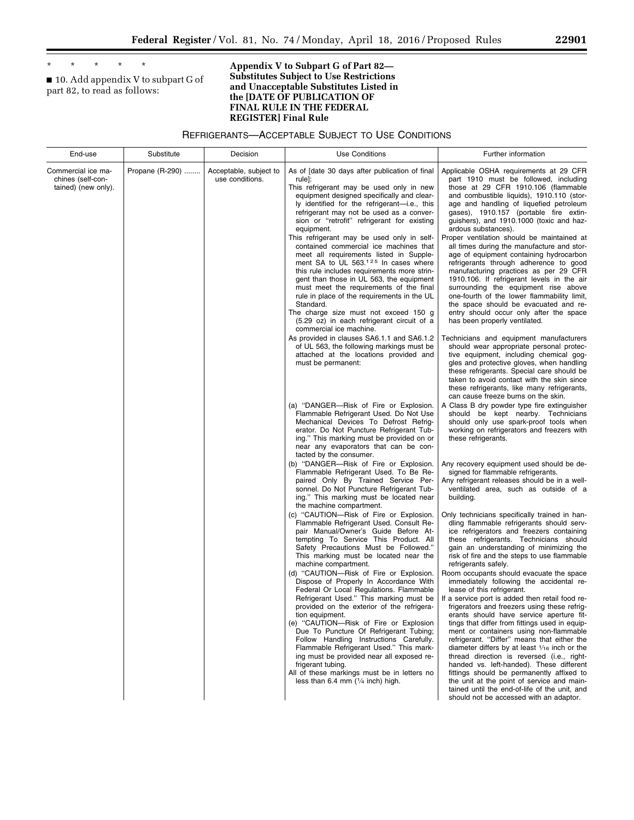\* \* \* \* \*

■ 10. Add appendix V to subpart G of part 82, to read as follows:

### **Appendix V to Subpart G of Part 82— Substitutes Subject to Use Restrictions and Unacceptable Substitutes Listed in the [DATE OF PUBLICATION OF FINAL RULE IN THE FEDERAL REGISTER] Final Rule**

REFRIGERANTS—ACCEPTABLE SUBJECT TO USE CONDITIONS

| End-use                                                        | Substitute      | Decision                                  | <b>Use Conditions</b>                                                                                                                                                                                                                                                                                                                                                                                                                                                                                                                                                                                                                                                                                                                                                                                                  | Further information                                                                                                                                                                                                                                                                                                                                                                                                                                                                                                                                                                                                                                                                                                                                                                                             |
|----------------------------------------------------------------|-----------------|-------------------------------------------|------------------------------------------------------------------------------------------------------------------------------------------------------------------------------------------------------------------------------------------------------------------------------------------------------------------------------------------------------------------------------------------------------------------------------------------------------------------------------------------------------------------------------------------------------------------------------------------------------------------------------------------------------------------------------------------------------------------------------------------------------------------------------------------------------------------------|-----------------------------------------------------------------------------------------------------------------------------------------------------------------------------------------------------------------------------------------------------------------------------------------------------------------------------------------------------------------------------------------------------------------------------------------------------------------------------------------------------------------------------------------------------------------------------------------------------------------------------------------------------------------------------------------------------------------------------------------------------------------------------------------------------------------|
| Commercial ice ma-<br>chines (self-con-<br>tained) (new only). | Propane (R-290) | Acceptable, subject to<br>use conditions. | As of [date 30 days after publication of final<br>rule]:<br>This refrigerant may be used only in new<br>equipment designed specifically and clear-<br>ly identified for the refrigerant-i.e., this<br>refrigerant may not be used as a conver-<br>sion or "retrofit" refrigerant for existing<br>equipment.<br>This refrigerant may be used only in self-<br>contained commercial ice machines that<br>meet all requirements listed in Supple-<br>ment SA to UL 563. <sup>125</sup> In cases where<br>this rule includes requirements more strin-<br>gent than those in UL 563, the equipment<br>must meet the requirements of the final<br>rule in place of the requirements in the UL<br>Standard.<br>The charge size must not exceed 150 g<br>(5.29 oz) in each refrigerant circuit of a<br>commercial ice machine. | Applicable OSHA requirements at 29 CFR<br>part 1910 must be followed, including<br>those at 29 CFR 1910.106 (flammable<br>and combustible liquids), 1910.110 (stor-<br>age and handling of liquefied petroleum<br>gases), 1910.157 (portable fire extin-<br>guishers), and 1910.1000 (toxic and haz-<br>ardous substances).<br>Proper ventilation should be maintained at<br>all times during the manufacture and stor-<br>age of equipment containing hydrocarbon<br>refrigerants through adherence to good<br>manufacturing practices as per 29 CFR<br>1910.106. If refrigerant levels in the air<br>surrounding the equipment rise above<br>one-fourth of the lower flammability limit,<br>the space should be evacuated and re-<br>entry should occur only after the space<br>has been properly ventilated. |
|                                                                |                 |                                           | As provided in clauses SA6.1.1 and SA6.1.2<br>of UL 563, the following markings must be<br>attached at the locations provided and<br>must be permanent:                                                                                                                                                                                                                                                                                                                                                                                                                                                                                                                                                                                                                                                                | Technicians and equipment manufacturers<br>should wear appropriate personal protec-<br>tive equipment, including chemical gog-<br>gles and protective gloves, when handling<br>these refrigerants. Special care should be<br>taken to avoid contact with the skin since<br>these refrigerants, like many refrigerants,<br>can cause freeze burns on the skin.                                                                                                                                                                                                                                                                                                                                                                                                                                                   |
|                                                                |                 |                                           | (a) "DANGER-Risk of Fire or Explosion.<br>Flammable Refrigerant Used. Do Not Use<br>Mechanical Devices To Defrost Refrig-<br>erator. Do Not Puncture Refrigerant Tub-<br>ing." This marking must be provided on or<br>near any evaporators that can be con-<br>tacted by the consumer.                                                                                                                                                                                                                                                                                                                                                                                                                                                                                                                                 | A Class B dry powder type fire extinguisher<br>should be kept nearby. Technicians<br>should only use spark-proof tools when<br>working on refrigerators and freezers with<br>these refrigerants.                                                                                                                                                                                                                                                                                                                                                                                                                                                                                                                                                                                                                |
|                                                                |                 |                                           | (b) "DANGER-Risk of Fire or Explosion.<br>Flammable Refrigerant Used. To Be Re-<br>paired Only By Trained Service Per-<br>sonnel. Do Not Puncture Refrigerant Tub-<br>ing." This marking must be located near<br>the machine compartment.                                                                                                                                                                                                                                                                                                                                                                                                                                                                                                                                                                              | Any recovery equipment used should be de-<br>signed for flammable refrigerants.<br>Any refrigerant releases should be in a well-<br>ventilated area, such as outside of a<br>building.                                                                                                                                                                                                                                                                                                                                                                                                                                                                                                                                                                                                                          |
|                                                                |                 |                                           | (c) "CAUTION-Risk of Fire or Explosion.<br>Flammable Refrigerant Used. Consult Re-<br>pair Manual/Owner's Guide Before At-<br>tempting To Service This Product. All<br>Safety Precautions Must be Followed."<br>This marking must be located near the<br>machine compartment.                                                                                                                                                                                                                                                                                                                                                                                                                                                                                                                                          | Only technicians specifically trained in han-<br>dling flammable refrigerants should serv-<br>ice refrigerators and freezers containing<br>these refrigerants. Technicians should<br>gain an understanding of minimizing the<br>risk of fire and the steps to use flammable<br>refrigerants safely.                                                                                                                                                                                                                                                                                                                                                                                                                                                                                                             |
|                                                                |                 |                                           | (d) "CAUTION-Risk of Fire or Explosion.<br>Dispose of Properly In Accordance With<br>Federal Or Local Regulations. Flammable<br>Refrigerant Used." This marking must be<br>provided on the exterior of the refrigera-<br>tion equipment.<br>(e) "CAUTION-Risk of Fire or Explosion<br>Due To Puncture Of Refrigerant Tubing;<br>Follow Handling Instructions Carefully.<br>Flammable Refrigerant Used." This mark-<br>ing must be provided near all exposed re-<br>frigerant tubing.<br>All of these markings must be in letters no<br>less than 6.4 mm $(1/4$ inch) high.                                                                                                                                                                                                                                             | Room occupants should evacuate the space<br>immediately following the accidental re-<br>lease of this refrigerant.<br>If a service port is added then retail food re-<br>frigerators and freezers using these refrig-<br>erants should have service aperture fit-<br>tings that differ from fittings used in equip-<br>ment or containers using non-flammable<br>refrigerant. "Differ" means that either the<br>diameter differs by at least 1/16 inch or the<br>thread direction is reversed (i.e., right-<br>handed vs. left-handed). These different<br>fittings should be permanently affixed to<br>the unit at the point of service and main-<br>tained until the end-of-life of the unit, and<br>should not be accessed with an adaptor.                                                                  |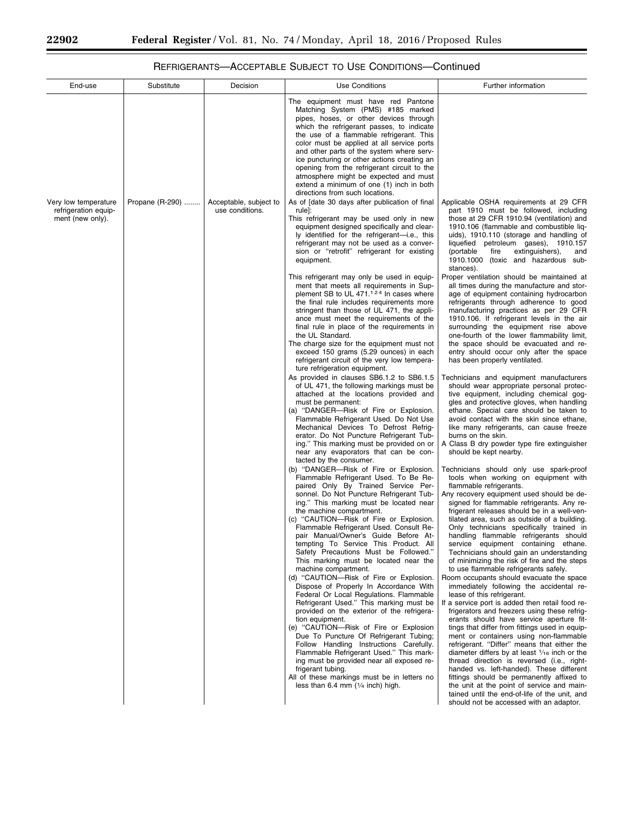-

۰

# REFRIGERANTS—ACCEPTABLE SUBJECT TO USE CONDITIONS—Continued

| End-use                                                          | Substitute      | Decision                                  | <b>Use Conditions</b>                                                                                                                                                                                                                                                                                                                                                                                                                                                                                                                                                                                                                                                                                                                                                                                                                                                                                                                                                                                                                                                                                                                                                                                                                                                                                                                                                                                                                                                                                                                                                                                                                                                                                                                                                                                                                                                                                                                                                                                                                                                                          | Further information                                                                                                                                                                                                                                                                                                                                                                                                                                                                                                                                                                                                                                                                                                                                                                                                                                                                                                                                                                                                                                                                                                                                                                                                                                                                                                                                                                                                                                                                                                                                                                                                                                                                                                                                                                                                                                                                                                                                                                                                                                                                                                                                                                                                               |
|------------------------------------------------------------------|-----------------|-------------------------------------------|------------------------------------------------------------------------------------------------------------------------------------------------------------------------------------------------------------------------------------------------------------------------------------------------------------------------------------------------------------------------------------------------------------------------------------------------------------------------------------------------------------------------------------------------------------------------------------------------------------------------------------------------------------------------------------------------------------------------------------------------------------------------------------------------------------------------------------------------------------------------------------------------------------------------------------------------------------------------------------------------------------------------------------------------------------------------------------------------------------------------------------------------------------------------------------------------------------------------------------------------------------------------------------------------------------------------------------------------------------------------------------------------------------------------------------------------------------------------------------------------------------------------------------------------------------------------------------------------------------------------------------------------------------------------------------------------------------------------------------------------------------------------------------------------------------------------------------------------------------------------------------------------------------------------------------------------------------------------------------------------------------------------------------------------------------------------------------------------|-----------------------------------------------------------------------------------------------------------------------------------------------------------------------------------------------------------------------------------------------------------------------------------------------------------------------------------------------------------------------------------------------------------------------------------------------------------------------------------------------------------------------------------------------------------------------------------------------------------------------------------------------------------------------------------------------------------------------------------------------------------------------------------------------------------------------------------------------------------------------------------------------------------------------------------------------------------------------------------------------------------------------------------------------------------------------------------------------------------------------------------------------------------------------------------------------------------------------------------------------------------------------------------------------------------------------------------------------------------------------------------------------------------------------------------------------------------------------------------------------------------------------------------------------------------------------------------------------------------------------------------------------------------------------------------------------------------------------------------------------------------------------------------------------------------------------------------------------------------------------------------------------------------------------------------------------------------------------------------------------------------------------------------------------------------------------------------------------------------------------------------------------------------------------------------------------------------------------------------|
|                                                                  |                 |                                           | The equipment must have red Pantone<br>Matching System (PMS) #185 marked<br>pipes, hoses, or other devices through<br>which the refrigerant passes, to indicate<br>the use of a flammable refrigerant. This<br>color must be applied at all service ports<br>and other parts of the system where serv-<br>ice puncturing or other actions creating an<br>opening from the refrigerant circuit to the<br>atmosphere might be expected and must<br>extend a minimum of one (1) inch in both<br>directions from such locations.                                                                                                                                                                                                                                                                                                                                                                                                                                                                                                                                                                                                                                                                                                                                                                                                                                                                                                                                                                                                                                                                                                                                                                                                                                                                                                                                                                                                                                                                                                                                                                   |                                                                                                                                                                                                                                                                                                                                                                                                                                                                                                                                                                                                                                                                                                                                                                                                                                                                                                                                                                                                                                                                                                                                                                                                                                                                                                                                                                                                                                                                                                                                                                                                                                                                                                                                                                                                                                                                                                                                                                                                                                                                                                                                                                                                                                   |
| Very low temperature<br>refrigeration equip-<br>ment (new only). | Propane (R-290) | Acceptable, subject to<br>use conditions. | As of [date 30 days after publication of final<br>rule]:<br>This refrigerant may be used only in new<br>equipment designed specifically and clear-<br>ly identified for the refrigerant—i.e., this<br>refrigerant may not be used as a conver-<br>sion or "retrofit" refrigerant for existing<br>equipment.                                                                                                                                                                                                                                                                                                                                                                                                                                                                                                                                                                                                                                                                                                                                                                                                                                                                                                                                                                                                                                                                                                                                                                                                                                                                                                                                                                                                                                                                                                                                                                                                                                                                                                                                                                                    | Applicable OSHA requirements at 29 CFR<br>part 1910 must be followed, including<br>those at 29 CFR 1910.94 (ventilation) and<br>1910.106 (flammable and combustible liq-<br>uids), 1910.110 (storage and handling of<br>liquefied petroleum gases), 1910.157<br>(portable<br>fire<br>extinguishers),<br>and<br>1910.1000 (toxic and hazardous sub-<br>stances).                                                                                                                                                                                                                                                                                                                                                                                                                                                                                                                                                                                                                                                                                                                                                                                                                                                                                                                                                                                                                                                                                                                                                                                                                                                                                                                                                                                                                                                                                                                                                                                                                                                                                                                                                                                                                                                                   |
|                                                                  |                 |                                           | This refrigerant may only be used in equip-<br>ment that meets all requirements in Sup-<br>plement SB to UL 471. <sup>124</sup> In cases where<br>the final rule includes requirements more<br>stringent than those of UL 471, the appli-<br>ance must meet the requirements of the<br>final rule in place of the requirements in<br>the UL Standard.<br>The charge size for the equipment must not<br>exceed 150 grams (5.29 ounces) in each<br>refrigerant circuit of the very low tempera-<br>ture refrigeration equipment.<br>As provided in clauses SB6.1.2 to SB6.1.5<br>of UL 471, the following markings must be<br>attached at the locations provided and<br>must be permanent:<br>(a) "DANGER-Risk of Fire or Explosion.<br>Flammable Refrigerant Used. Do Not Use<br>Mechanical Devices To Defrost Refrig-<br>erator. Do Not Puncture Refrigerant Tub-<br>ing." This marking must be provided on or<br>near any evaporators that can be con-<br>tacted by the consumer.<br>(b) "DANGER-Risk of Fire or Explosion.<br>Flammable Refrigerant Used. To Be Re-<br>paired Only By Trained Service Per-<br>sonnel. Do Not Puncture Refrigerant Tub-<br>ing." This marking must be located near<br>the machine compartment.<br>(c) "CAUTION-Risk of Fire or Explosion.<br>Flammable Refrigerant Used. Consult Re-<br>pair Manual/Owner's Guide Before At-<br>tempting To Service This Product. All<br>Safety Precautions Must be Followed."<br>This marking must be located near the<br>machine compartment.<br>(d) "CAUTION-Risk of Fire or Explosion.<br>Dispose of Properly In Accordance With<br>Federal Or Local Regulations. Flammable<br>Refrigerant Used." This marking must be<br>provided on the exterior of the refrigera-<br>tion equipment.<br>(e) "CAUTION-Risk of Fire or Explosion<br>Due To Puncture Of Refrigerant Tubing;<br>Follow Handling Instructions Carefully.<br>Flammable Refrigerant Used." This mark-<br>ing must be provided near all exposed re-<br>frigerant tubing.<br>All of these markings must be in letters no<br>less than 6.4 mm $(1/4$ inch) high. | Proper ventilation should be maintained at<br>all times during the manufacture and stor-<br>age of equipment containing hydrocarbon<br>refrigerants through adherence to good<br>manufacturing practices as per 29 CFR<br>1910.106. If refrigerant levels in the air<br>surrounding the equipment rise above<br>one-fourth of the lower flammability limit,<br>the space should be evacuated and re-<br>entry should occur only after the space<br>has been properly ventilated.<br>Technicians and equipment manufacturers<br>should wear appropriate personal protec-<br>tive equipment, including chemical gog-<br>gles and protective gloves, when handling<br>ethane. Special care should be taken to<br>avoid contact with the skin since ethane,<br>like many refrigerants, can cause freeze<br>burns on the skin.<br>A Class B dry powder type fire extinguisher<br>should be kept nearby.<br>Technicians should only use spark-proof<br>tools when working on equipment with<br>flammable refrigerants.<br>Any recovery equipment used should be de-<br>signed for flammable refrigerants. Any re-<br>frigerant releases should be in a well-ven-<br>tilated area, such as outside of a building.<br>Only technicians specifically trained in<br>handling flammable refrigerants should<br>service equipment containing ethane.<br>Technicians should gain an understanding<br>of minimizing the risk of fire and the steps<br>to use flammable refrigerants safely.<br>Room occupants should evacuate the space<br>immediately following the accidental re-<br>lease of this refrigerant.<br>If a service port is added then retail food re-<br>frigerators and freezers using these refrig-<br>erants should have service aperture fit-<br>tings that differ from fittings used in equip-<br>ment or containers using non-flammable<br>refrigerant. "Differ" means that either the<br>diameter differs by at least $1/16$ inch or the<br>thread direction is reversed (i.e., right-<br>handed vs. left-handed). These different<br>fittings should be permanently affixed to<br>the unit at the point of service and main-<br>tained until the end-of-life of the unit, and<br>should not be accessed with an adaptor. |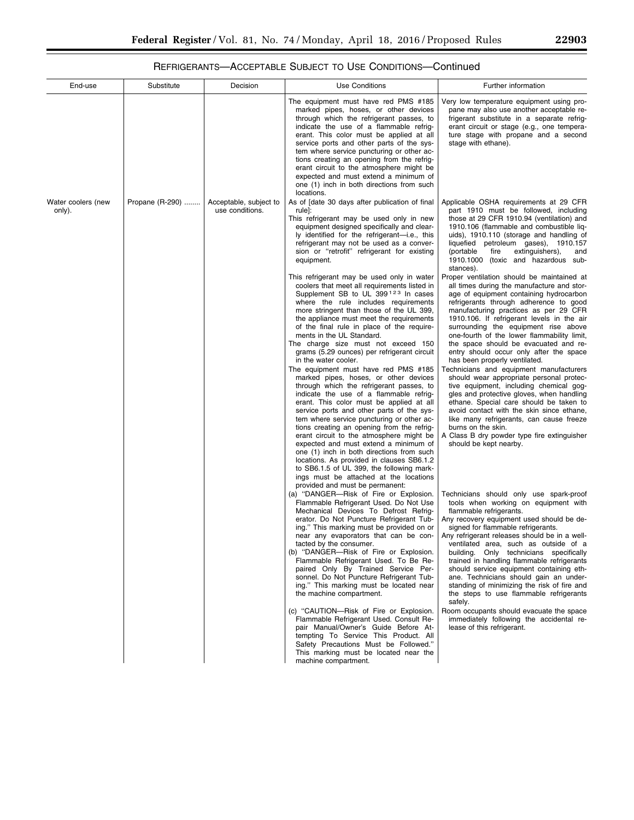# REFRIGERANTS—ACCEPTABLE SUBJECT TO USE CONDITIONS—Continued

| End-use                      | Substitute      | Decision                                  | <b>Use Conditions</b>                                                                                                                                                                                                                                                                                                                                                                                                                                                                                                                                                                                                                                                                                                                                                                                                                                                                                                                                                                                                                                                                                                                       | Further information                                                                                                                                                                                                                                                                                                                                                                                                                                                                                                                                                                                                                                                                                                                                                                                                                                                                                |
|------------------------------|-----------------|-------------------------------------------|---------------------------------------------------------------------------------------------------------------------------------------------------------------------------------------------------------------------------------------------------------------------------------------------------------------------------------------------------------------------------------------------------------------------------------------------------------------------------------------------------------------------------------------------------------------------------------------------------------------------------------------------------------------------------------------------------------------------------------------------------------------------------------------------------------------------------------------------------------------------------------------------------------------------------------------------------------------------------------------------------------------------------------------------------------------------------------------------------------------------------------------------|----------------------------------------------------------------------------------------------------------------------------------------------------------------------------------------------------------------------------------------------------------------------------------------------------------------------------------------------------------------------------------------------------------------------------------------------------------------------------------------------------------------------------------------------------------------------------------------------------------------------------------------------------------------------------------------------------------------------------------------------------------------------------------------------------------------------------------------------------------------------------------------------------|
|                              |                 |                                           | The equipment must have red PMS #185<br>marked pipes, hoses, or other devices<br>through which the refrigerant passes, to<br>indicate the use of a flammable refrig-<br>erant. This color must be applied at all<br>service ports and other parts of the sys-<br>tem where service puncturing or other ac-<br>tions creating an opening from the refrig-<br>erant circuit to the atmosphere might be<br>expected and must extend a minimum of<br>one (1) inch in both directions from such<br>locations.                                                                                                                                                                                                                                                                                                                                                                                                                                                                                                                                                                                                                                    | Very low temperature equipment using pro-<br>pane may also use another acceptable re-<br>frigerant substitute in a separate refrig-<br>erant circuit or stage (e.g., one tempera-<br>ture stage with propane and a second<br>stage with ethane).                                                                                                                                                                                                                                                                                                                                                                                                                                                                                                                                                                                                                                                   |
| Water coolers (new<br>only). | Propane (R-290) | Acceptable, subject to<br>use conditions. | As of [date 30 days after publication of final<br>rule]:<br>This refrigerant may be used only in new<br>equipment designed specifically and clear-<br>ly identified for the refrigerant-i.e., this<br>refrigerant may not be used as a conver-<br>sion or "retrofit" refrigerant for existing<br>equipment.                                                                                                                                                                                                                                                                                                                                                                                                                                                                                                                                                                                                                                                                                                                                                                                                                                 | Applicable OSHA requirements at 29 CFR<br>part 1910 must be followed, including<br>those at 29 CFR 1910.94 (ventilation) and<br>1910.106 (flammable and combustible liq-<br>uids), 1910.110 (storage and handling of<br>liquefied petroleum gases), 1910.157<br>(portable)<br>fire<br>extinguishers),<br>and<br>1910.1000 (toxic and hazardous sub-<br>stances).                                                                                                                                                                                                                                                                                                                                                                                                                                                                                                                                   |
|                              |                 |                                           | This refrigerant may be used only in water<br>coolers that meet all requirements listed in<br>Supplement SB to UL 399 <sup>123</sup> In cases<br>where the rule includes requirements<br>more stringent than those of the UL 399,<br>the appliance must meet the requirements<br>of the final rule in place of the require-<br>ments in the UL Standard.<br>The charge size must not exceed 150<br>grams (5.29 ounces) per refrigerant circuit<br>in the water cooler.<br>The equipment must have red PMS #185<br>marked pipes, hoses, or other devices<br>through which the refrigerant passes, to<br>indicate the use of a flammable refrig-<br>erant. This color must be applied at all<br>service ports and other parts of the sys-<br>tem where service puncturing or other ac-<br>tions creating an opening from the refrig-<br>erant circuit to the atmosphere might be<br>expected and must extend a minimum of<br>one (1) inch in both directions from such<br>locations. As provided in clauses SB6.1.2<br>to SB6.1.5 of UL 399, the following mark-<br>ings must be attached at the locations<br>provided and must be permanent: | Proper ventilation should be maintained at<br>all times during the manufacture and stor-<br>age of equipment containing hydrocarbon<br>refrigerants through adherence to good<br>manufacturing practices as per 29 CFR<br>1910.106. If refrigerant levels in the air<br>surrounding the equipment rise above<br>one-fourth of the lower flammability limit,<br>the space should be evacuated and re-<br>entry should occur only after the space<br>has been properly ventilated.<br>Technicians and equipment manufacturers<br>should wear appropriate personal protec-<br>tive equipment, including chemical gog-<br>gles and protective gloves, when handling<br>ethane. Special care should be taken to<br>avoid contact with the skin since ethane,<br>like many refrigerants, can cause freeze<br>burns on the skin.<br>A Class B dry powder type fire extinguisher<br>should be kept nearby. |
|                              |                 |                                           | (a) "DANGER-Risk of Fire or Explosion.<br>Flammable Refrigerant Used. Do Not Use<br>Mechanical Devices To Defrost Refrig-<br>erator. Do Not Puncture Refrigerant Tub-<br>ing." This marking must be provided on or<br>near any evaporators that can be con-<br>tacted by the consumer.<br>(b) "DANGER-Risk of Fire or Explosion.<br>Flammable Refrigerant Used. To Be Re-<br>paired Only By Trained Service Per-<br>sonnel. Do Not Puncture Refrigerant Tub-<br>ing." This marking must be located near<br>the machine compartment.                                                                                                                                                                                                                                                                                                                                                                                                                                                                                                                                                                                                         | Technicians should only use spark-proof<br>tools when working on equipment with<br>flammable refrigerants.<br>Any recovery equipment used should be de-<br>signed for flammable refrigerants.<br>Any refrigerant releases should be in a well-<br>ventilated area, such as outside of a<br>building. Only technicians specifically<br>trained in handling flammable refrigerants<br>should service equipment containing eth-<br>ane. Technicians should gain an under-<br>standing of minimizing the risk of fire and<br>the steps to use flammable refrigerants<br>safely.                                                                                                                                                                                                                                                                                                                        |
|                              |                 |                                           | (c) "CAUTION-Risk of Fire or Explosion.<br>Flammable Refrigerant Used. Consult Re-<br>pair Manual/Owner's Guide Before At-<br>tempting To Service This Product. All<br>Safety Precautions Must be Followed."<br>This marking must be located near the<br>machine compartment.                                                                                                                                                                                                                                                                                                                                                                                                                                                                                                                                                                                                                                                                                                                                                                                                                                                               | Room occupants should evacuate the space<br>immediately following the accidental re-<br>lease of this refrigerant.                                                                                                                                                                                                                                                                                                                                                                                                                                                                                                                                                                                                                                                                                                                                                                                 |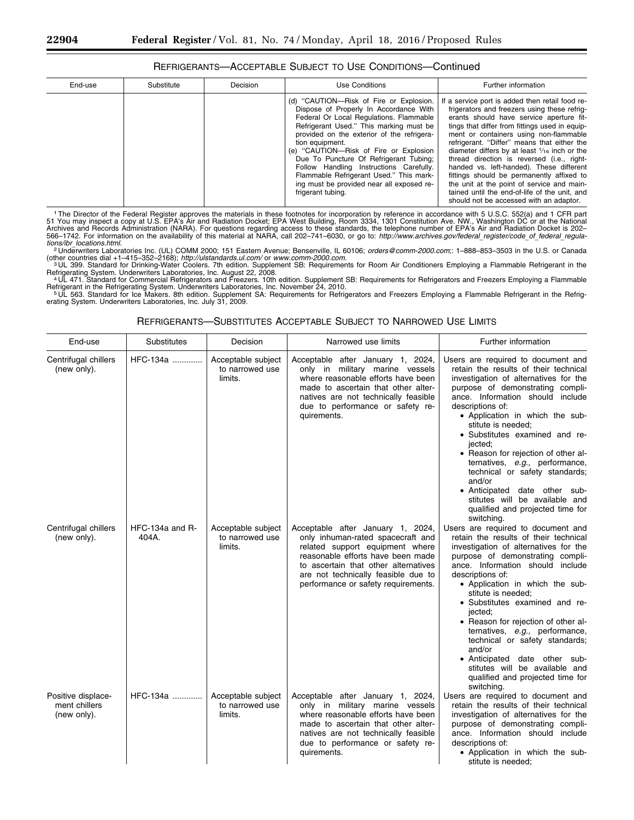|  | REFRIGERANTS-ACCEPTABLE SUBJECT TO USE CONDITIONS-Continued |
|--|-------------------------------------------------------------|
|--|-------------------------------------------------------------|

| End-use<br>Decision<br>Use Conditions<br>Further information<br>Substitute<br>(d) "CAUTION—Risk of Fire or Explosion.<br>Dispose of Properly In Accordance With<br>Federal Or Local Regulations. Flammable<br>Refrigerant Used." This marking must be<br>provided on the exterior of the refrigera-<br>tion equipment.<br>(e) "CAUTION-Risk of Fire or Explosion<br>Due To Puncture Of Refrigerant Tubing;<br>Follow Handling Instructions Carefully.<br>Flammable Refrigerant Used." This mark-<br>ing must be provided near all exposed re-<br>frigerant tubing.<br>should not be accessed with an adaptor. |  |  |                                                                                                                                                                                                                                                                                                                                                                                                                                                                                                                                                                                         |
|---------------------------------------------------------------------------------------------------------------------------------------------------------------------------------------------------------------------------------------------------------------------------------------------------------------------------------------------------------------------------------------------------------------------------------------------------------------------------------------------------------------------------------------------------------------------------------------------------------------|--|--|-----------------------------------------------------------------------------------------------------------------------------------------------------------------------------------------------------------------------------------------------------------------------------------------------------------------------------------------------------------------------------------------------------------------------------------------------------------------------------------------------------------------------------------------------------------------------------------------|
|                                                                                                                                                                                                                                                                                                                                                                                                                                                                                                                                                                                                               |  |  |                                                                                                                                                                                                                                                                                                                                                                                                                                                                                                                                                                                         |
|                                                                                                                                                                                                                                                                                                                                                                                                                                                                                                                                                                                                               |  |  | If a service port is added then retail food re-<br>frigerators and freezers using these refrig-<br>erants should have service aperture fit-<br>tings that differ from fittings used in equip-<br>ment or containers using non-flammable<br>refrigerant. "Differ" means that either the<br>diameter differs by at least $\frac{1}{16}$ inch or the<br>thread direction is reversed (i.e., right-<br>handed vs. left-handed). These different<br>fittings should be permanently affixed to<br>the unit at the point of service and main-<br>tained until the end-of-life of the unit, and |

<sup>1</sup> The Director of the Federal Register approves the materials in these footnotes for incorporation by reference in accordance with 5 U.S.C. 552(a) and 1 CFR part<br>51 You may inspect a copy at U.S. EPA's Air and Radiation Archives and Records Administration (NARA). For questions regarding access to these standards, the telephone number of EPA's Air and Radiation Docket is 202–<br>566–1742. For information on the availability of this material a

*tions/ibr*\_*[locations.html.](http://www.archives.gov/federal_register/code_of_federal_regula-tions/ibr_locations.html)* <sup>2</sup> Underwriters Laboratories Inc. (UL) COMM 2000; 151 Eastern Avenue; Bensenville, IL 60106; *[orders@comm-2000.com](mailto:orders@comm-2000.com)*;: 1–888–853–3503 in the U.S. or Canada (other countries dial +1–415–352–2168); *http://ulstandards.ul.com/* or *[www.comm-2000.com.](http://www.comm-2000.com)*<br>3UL 399. Standard for Drinking-Water Coolers. 7th edition. Supplement SB: Requirements for Room Air Conditioners Employing a Flam

Refrigerating System. Underwriters Laboratories, Inc. August 22, 2008.<br>4 UL 471. Standard for Commercial Refrigerators and Freezers. 10th edition. Supplement SB: Requirements for Refrigerators and Freezers Employing a Flam

Refrigerant in the Refrigerating System. Underwriters Laboratories, Inc. November 24, 2010.<br>『UL 563. Standard for Ice Makers. 8th edition. Supplement SA: Requirements for Refrigerators and Freezers Employing a Flammable Re

|--|

| End-use                                            | Substitutes                | Decision                                         | Narrowed use limits                                                                                                                                                                                                                                                  | Further information                                                                                                                                                                                                                                                                                                                                                                                                                                                                                                                                              |
|----------------------------------------------------|----------------------------|--------------------------------------------------|----------------------------------------------------------------------------------------------------------------------------------------------------------------------------------------------------------------------------------------------------------------------|------------------------------------------------------------------------------------------------------------------------------------------------------------------------------------------------------------------------------------------------------------------------------------------------------------------------------------------------------------------------------------------------------------------------------------------------------------------------------------------------------------------------------------------------------------------|
| Centrifugal chillers<br>(new only).                | HFC-134a                   | Acceptable subject<br>to narrowed use<br>limits. | Acceptable after January 1, 2024,<br>only in military marine vessels<br>where reasonable efforts have been<br>made to ascertain that other alter-<br>natives are not technically feasible<br>due to performance or safety re-<br>quirements.                         | Users are required to document and<br>retain the results of their technical<br>investigation of alternatives for the<br>purpose of demonstrating compli-<br>ance. Information should include<br>descriptions of:<br>• Application in which the sub-<br>stitute is needed;<br>• Substitutes examined and re-<br>jected:<br>• Reason for rejection of other al-<br>ternatives, e.g., performance,<br>technical or safety standards;<br>and/or<br>• Anticipated date other sub-<br>stitutes will be available and<br>qualified and projected time for<br>switching. |
| Centrifugal chillers<br>(new only).                | HFC-134a and $R-$<br>404A. | Acceptable subject<br>to narrowed use<br>limits. | Acceptable after January 1, 2024,<br>only inhuman-rated spacecraft and<br>related support equipment where<br>reasonable efforts have been made<br>to ascertain that other alternatives<br>are not technically feasible due to<br>performance or safety requirements. | Users are required to document and<br>retain the results of their technical<br>investigation of alternatives for the<br>purpose of demonstrating compli-<br>ance. Information should include<br>descriptions of:<br>• Application in which the sub-<br>stitute is needed:<br>• Substitutes examined and re-<br>jected;<br>• Reason for rejection of other al-<br>ternatives, e.g., performance,<br>technical or safety standards;<br>and/or<br>• Anticipated date other sub-<br>stitutes will be available and<br>qualified and projected time for<br>switching. |
| Positive displace-<br>ment chillers<br>(new only). | HFC-134a                   | Acceptable subject<br>to narrowed use<br>limits. | Acceptable after January 1, 2024,<br>only in military marine vessels<br>where reasonable efforts have been<br>made to ascertain that other alter-<br>natives are not technically feasible<br>due to performance or safety re-<br>quirements.                         | Users are required to document and<br>retain the results of their technical<br>investigation of alternatives for the<br>purpose of demonstrating compli-<br>ance. Information should include<br>descriptions of:<br>• Application in which the sub-<br>stitute is needed:                                                                                                                                                                                                                                                                                        |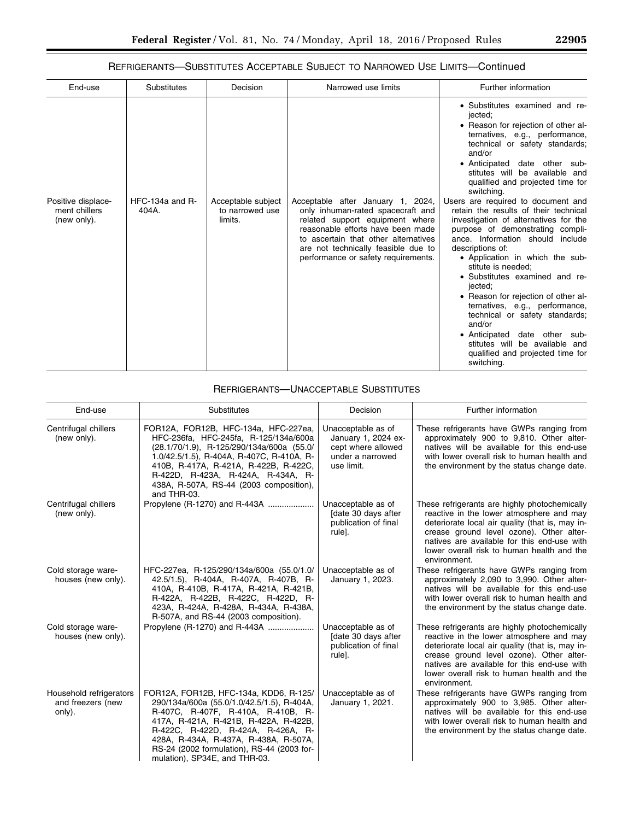# REFRIGERANTS—SUBSTITUTES ACCEPTABLE SUBJECT TO NARROWED USE LIMITS—Continued

| End-use                                            | <b>Substitutes</b>           | Decision                                         | Narrowed use limits                                                                                                                                                                                                                                                  | Further information                                                                                                                                                                                                                                                                                                                                                                                                                                                                                                                                                                                                                                                                                                                                                                                                                                     |
|----------------------------------------------------|------------------------------|--------------------------------------------------|----------------------------------------------------------------------------------------------------------------------------------------------------------------------------------------------------------------------------------------------------------------------|---------------------------------------------------------------------------------------------------------------------------------------------------------------------------------------------------------------------------------------------------------------------------------------------------------------------------------------------------------------------------------------------------------------------------------------------------------------------------------------------------------------------------------------------------------------------------------------------------------------------------------------------------------------------------------------------------------------------------------------------------------------------------------------------------------------------------------------------------------|
| Positive displace-<br>ment chillers<br>(new only). | $HFC-134a$ and $R-$<br>404A. | Acceptable subject<br>to narrowed use<br>limits. | Acceptable after January 1, 2024,<br>only inhuman-rated spacecraft and<br>related support equipment where<br>reasonable efforts have been made<br>to ascertain that other alternatives<br>are not technically feasible due to<br>performance or safety requirements. | • Substitutes examined and re-<br>jected;<br>• Reason for rejection of other al-<br>ternatives, e.g., performance,<br>technical or safety standards;<br>and/or<br>• Anticipated date other sub-<br>stitutes will be available and<br>qualified and projected time for<br>switching.<br>Users are required to document and<br>retain the results of their technical<br>investigation of alternatives for the<br>purpose of demonstrating compli-<br>ance. Information should include<br>descriptions of:<br>• Application in which the sub-<br>stitute is needed:<br>• Substitutes examined and re-<br>jected;<br>• Reason for rejection of other al-<br>ternatives, e.g., performance,<br>technical or safety standards;<br>and/or<br>• Anticipated date other sub-<br>stitutes will be available and<br>qualified and projected time for<br>switching. |

# REFRIGERANTS—UNACCEPTABLE SUBSTITUTES

| End-use                                                | Substitutes                                                                                                                                                                                                                                                                                                                       | Decision                                                                                          | Further information                                                                                                                                                                                                                                                                                   |
|--------------------------------------------------------|-----------------------------------------------------------------------------------------------------------------------------------------------------------------------------------------------------------------------------------------------------------------------------------------------------------------------------------|---------------------------------------------------------------------------------------------------|-------------------------------------------------------------------------------------------------------------------------------------------------------------------------------------------------------------------------------------------------------------------------------------------------------|
| Centrifugal chillers<br>(new only).                    | FOR12A, FOR12B, HFC-134a, HFC-227ea,<br>HFC-236fa, HFC-245fa, R-125/134a/600a<br>(28.1/70/1.9), R-125/290/134a/600a (55.0/<br>1.0/42.5/1.5), R-404A, R-407C, R-410A, R-<br>410B, R-417A, R-421A, R-422B, R-422C,<br>R-422D, R-423A, R-424A, R-434A, R-<br>438A, R-507A, RS-44 (2003 composition),<br>and THR-03.                  | Unacceptable as of<br>January 1, 2024 ex-<br>cept where allowed<br>under a narrowed<br>use limit. | These refrigerants have GWPs ranging from<br>approximately 900 to 9,810. Other alter-<br>natives will be available for this end-use<br>with lower overall risk to human health and<br>the environment by the status change date.                                                                      |
| Centrifugal chillers<br>(new only).                    | Propylene (R-1270) and R-443A                                                                                                                                                                                                                                                                                                     | Unacceptable as of<br>Idate 30 days after<br>publication of final<br>rule].                       | These refrigerants are highly photochemically<br>reactive in the lower atmosphere and may<br>deteriorate local air quality (that is, may in-<br>crease ground level ozone). Other alter-<br>natives are available for this end-use with<br>lower overall risk to human health and the<br>environment. |
| Cold storage ware-<br>houses (new only).               | HFC-227ea, R-125/290/134a/600a (55.0/1.0/<br>42.5/1.5), R-404A, R-407A, R-407B, R-<br>410A, R-410B, R-417A, R-421A, R-421B,<br>R-422A, R-422B, R-422C, R-422D, R-<br>423A, R-424A, R-428A, R-434A, R-438A,<br>R-507A, and RS-44 (2003 composition).                                                                               | Unacceptable as of<br>January 1, 2023.                                                            | These refrigerants have GWPs ranging from<br>approximately 2,090 to 3,990. Other alter-<br>natives will be available for this end-use<br>with lower overall risk to human health and<br>the environment by the status change date.                                                                    |
| Cold storage ware-<br>houses (new only).               | Propylene (R-1270) and R-443A                                                                                                                                                                                                                                                                                                     | Unacceptable as of<br>Idate 30 days after<br>publication of final<br>rule].                       | These refrigerants are highly photochemically<br>reactive in the lower atmosphere and may<br>deteriorate local air quality (that is, may in-<br>crease ground level ozone). Other alter-<br>natives are available for this end-use with<br>lower overall risk to human health and the<br>environment. |
| Household refrigerators<br>and freezers (new<br>only). | FOR12A, FOR12B, HFC-134a, KDD6, R-125/<br>290/134a/600a (55.0/1.0/42.5/1.5), R-404A,<br>R-407C, R-407F, R-410A, R-410B, R-<br>417A, R-421A, R-421B, R-422A, R-422B,<br>R-422C, R-422D, R-424A, R-426A, R-<br>428A, R-434A, R-437A, R-438A, R-507A,<br>RS-24 (2002 formulation), RS-44 (2003 for-<br>mulation), SP34E, and THR-03. | Unacceptable as of<br>January 1, 2021.                                                            | These refrigerants have GWPs ranging from<br>approximately 900 to 3,985. Other alter-<br>natives will be available for this end-use<br>with lower overall risk to human health and<br>the environment by the status change date.                                                                      |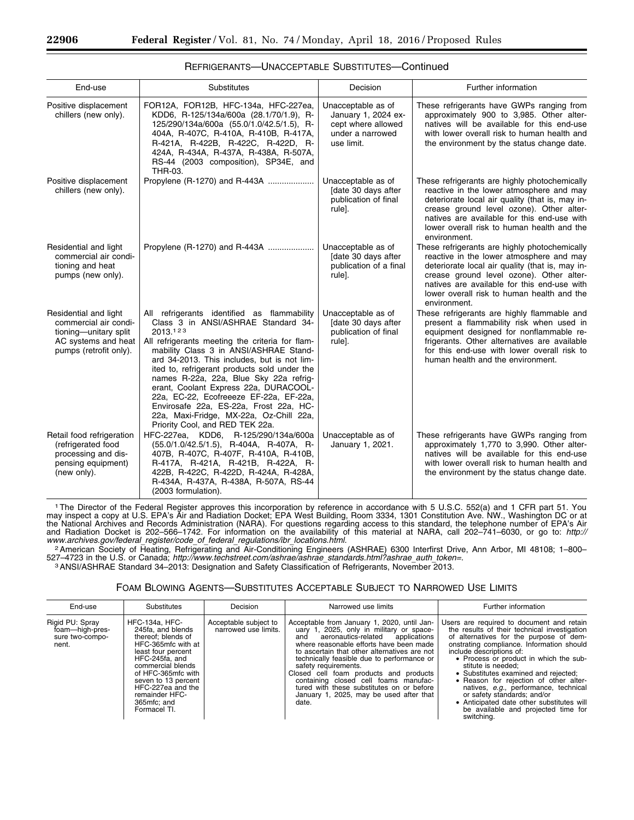| End-use                                                                                                                  | <b>Substitutes</b>                                                                                                                                                                                                                                                                                                                                                                                                                                                                                                                              | Decision                                                                                          | Further information                                                                                                                                                                                                                                                                                   |
|--------------------------------------------------------------------------------------------------------------------------|-------------------------------------------------------------------------------------------------------------------------------------------------------------------------------------------------------------------------------------------------------------------------------------------------------------------------------------------------------------------------------------------------------------------------------------------------------------------------------------------------------------------------------------------------|---------------------------------------------------------------------------------------------------|-------------------------------------------------------------------------------------------------------------------------------------------------------------------------------------------------------------------------------------------------------------------------------------------------------|
| Positive displacement<br>chillers (new only).                                                                            | FOR12A, FOR12B, HFC-134a, HFC-227ea,<br>KDD6, R-125/134a/600a (28.1/70/1.9), R-<br>125/290/134a/600a (55.0/1.0/42.5/1.5), R-<br>404A, R-407C, R-410A, R-410B, R-417A,<br>R-421A, R-422B, R-422C, R-422D, R-<br>424A, R-434A, R-437A, R-438A, R-507A,<br>RS-44 (2003 composition), SP34E, and<br>THR-03.                                                                                                                                                                                                                                         | Unacceptable as of<br>January 1, 2024 ex-<br>cept where allowed<br>under a narrowed<br>use limit. | These refrigerants have GWPs ranging from<br>approximately 900 to 3,985. Other alter-<br>natives will be available for this end-use<br>with lower overall risk to human health and<br>the environment by the status change date.                                                                      |
| Positive displacement<br>chillers (new only).                                                                            | Propylene (R-1270) and R-443A                                                                                                                                                                                                                                                                                                                                                                                                                                                                                                                   | Unacceptable as of<br>[date 30 days after<br>publication of final<br>rule].                       | These refrigerants are highly photochemically<br>reactive in the lower atmosphere and may<br>deteriorate local air quality (that is, may in-<br>crease ground level ozone). Other alter-<br>natives are available for this end-use with<br>lower overall risk to human health and the<br>environment. |
| Residential and light<br>commercial air condi-<br>tioning and heat<br>pumps (new only).                                  | Propylene (R-1270) and R-443A                                                                                                                                                                                                                                                                                                                                                                                                                                                                                                                   | Unacceptable as of<br>[date 30 days after<br>publication of a final<br>rule].                     | These refrigerants are highly photochemically<br>reactive in the lower atmosphere and may<br>deteriorate local air quality (that is, may in-<br>crease ground level ozone). Other alter-<br>natives are available for this end-use with<br>lower overall risk to human health and the<br>environment. |
| Residential and light<br>commercial air condi-<br>tioning-unitary split<br>AC systems and heat<br>pumps (retrofit only). | All refrigerants identified as flammability<br>Class 3 in ANSI/ASHRAE Standard 34-<br>2013.123<br>All refrigerants meeting the criteria for flam-<br>mability Class 3 in ANSI/ASHRAE Stand-<br>ard 34-2013. This includes, but is not lim-<br>ited to, refrigerant products sold under the<br>names R-22a, 22a, Blue Sky 22a refrig-<br>erant, Coolant Express 22a, DURACOOL-<br>22a, EC-22, Ecofreeeze EF-22a, EF-22a,<br>Envirosafe 22a, ES-22a, Frost 22a, HC-<br>22a, Maxi-Fridge, MX-22a, Oz-Chill 22a,<br>Priority Cool, and RED TEK 22a. | Unacceptable as of<br>[date 30 days after<br>publication of final<br>rule].                       | These refrigerants are highly flammable and<br>present a flammability risk when used in<br>equipment designed for nonflammable re-<br>frigerants. Other alternatives are available<br>for this end-use with lower overall risk to<br>human health and the environment.                                |
| Retail food refrigeration<br>(refrigerated food<br>processing and dis-<br>pensing equipment)<br>(new only).              | HFC-227ea, KDD6, R-125/290/134a/600a<br>(55.0/1.0/42.5/1.5), R-404A, R-407A, R-<br>407B, R-407C, R-407F, R-410A, R-410B,<br>R-417A, R-421A, R-421B, R-422A, R-<br>422B, R-422C, R-422D, R-424A, R-428A,<br>R-434A, R-437A, R-438A, R-507A, RS-44<br>(2003 formulation).                                                                                                                                                                                                                                                                         | Unacceptable as of<br>January 1, 2021.                                                            | These refrigerants have GWPs ranging from<br>approximately 1,770 to 3,990. Other alter-<br>natives will be available for this end-use<br>with lower overall risk to human health and<br>the environment by the status change date.                                                                    |

| REFRIGERANTS-UNACCEPTABLE SUBSTITUTES-Continued |  |
|-------------------------------------------------|--|
|-------------------------------------------------|--|

1The Director of the Federal Register approves this incorporation by reference in accordance with 5 U.S.C. 552(a) and 1 CFR part 51. You may inspect a copy at U.S. EPA's Air and Radiation Docket; EPA West Building, Room 3334, 1301 Constitution Ave. NW., Washington DC or at the National Archives and Records Administration (NARA). For questions regarding access to this standard, the telephone number of EPA's Air and Radiation Docket is 202–566–1742. For information on the availability of this material at NARA, call 202–741–6030, or go to: *[http://](http://www.archives.gov/federal_register/code_of_federal_regulations/ibr_locations.html)*

<sup>2</sup> American Society of Heating, Refrigerating and Air-Conditioning Engineers (ASHRAE) 6300 Interfirst Drive, Ann Arbor, MI 48108; 1-800-<br>527–4723 in the U.S. or Canada; http://www.techstreet.com/ashrae/ashrae\_standards.ht

3 ANSI/ASHRAE Standard 34-2013: Designation and Safety Classification of Refrigerants, November 2013.

### FOAM BLOWING AGENTS—SUBSTITUTES ACCEPTABLE SUBJECT TO NARROWED USE LIMITS

| End-use                                                        | Substitutes                                                                                                                                                                                                                                                            | Decision                                      | Narrowed use limits                                                                                                                                                                                                                                                                                                                                                                                                                                                                     | Further information                                                                                                                                                                                                                                                                                                                                                                                                                                                                                                                       |
|----------------------------------------------------------------|------------------------------------------------------------------------------------------------------------------------------------------------------------------------------------------------------------------------------------------------------------------------|-----------------------------------------------|-----------------------------------------------------------------------------------------------------------------------------------------------------------------------------------------------------------------------------------------------------------------------------------------------------------------------------------------------------------------------------------------------------------------------------------------------------------------------------------------|-------------------------------------------------------------------------------------------------------------------------------------------------------------------------------------------------------------------------------------------------------------------------------------------------------------------------------------------------------------------------------------------------------------------------------------------------------------------------------------------------------------------------------------------|
| Rigid PU: Spray<br>foam-high-pres-<br>sure two-compo-<br>nent. | <b>HFC-134a, HFC-</b><br>245fa. and blends<br>thereof; blends of<br>HFC-365mfc with at<br>least four percent<br>HFC-245fa, and<br>commercial blends<br>of HFC-365mfc with<br>seven to 13 percent<br>HFC-227ea and the<br>remainder HFC-<br>365mfc; and<br>Formacel TI. | Acceptable subject to<br>narrowed use limits. | Acceptable from January 1, 2020, until Jan-<br>uary 1, 2025, only in military or space-<br>aeronautics-related applications<br>and<br>where reasonable efforts have been made<br>to ascertain that other alternatives are not<br>technically feasible due to performance or<br>safety requirements.<br>Closed cell foam products and products<br>containing closed cell foams manufac-<br>tured with these substitutes on or before<br>January 1, 2025, may be used after that<br>date. | Users are required to document and retain<br>the results of their technical investigation<br>of alternatives for the purpose of dem-<br>onstrating compliance. Information should<br>include descriptions of:<br>• Process or product in which the sub-<br>stitute is needed:<br>• Substitutes examined and rejected:<br>• Reason for rejection of other alter-<br>natives, e.g., performance, technical<br>or safety standards; and/or<br>• Anticipated date other substitutes will<br>be available and projected time for<br>switching. |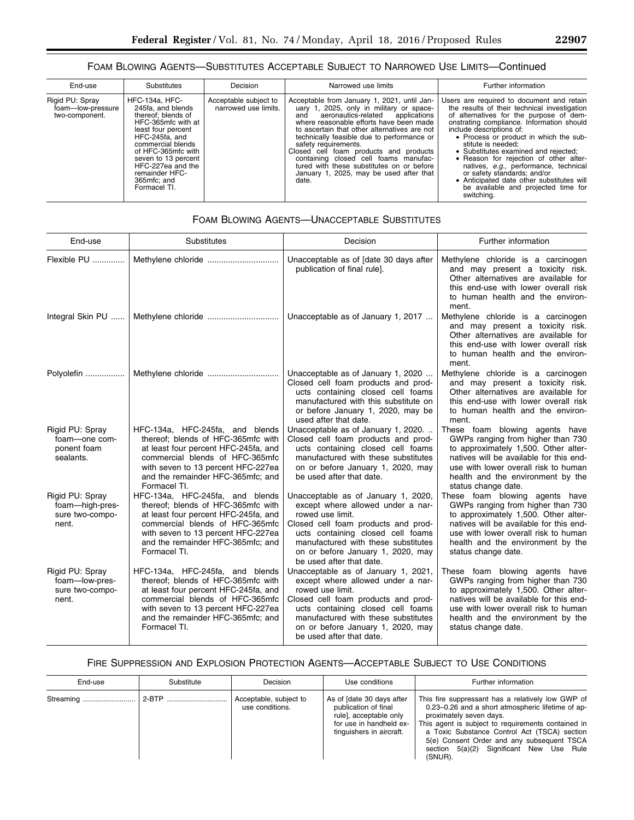## FOAM BLOWING AGENTS—SUBSTITUTES ACCEPTABLE SUBJECT TO NARROWED USE LIMITS—Continued

| End-use                                                | Substitutes                                                                                                                                                                                                                                                            | Decision                                      | Narrowed use limits                                                                                                                                                                                                                                                                                                                                                                                                                                                                     | Further information                                                                                                                                                                                                                                                                                                                                                                                                                                                                                                                       |
|--------------------------------------------------------|------------------------------------------------------------------------------------------------------------------------------------------------------------------------------------------------------------------------------------------------------------------------|-----------------------------------------------|-----------------------------------------------------------------------------------------------------------------------------------------------------------------------------------------------------------------------------------------------------------------------------------------------------------------------------------------------------------------------------------------------------------------------------------------------------------------------------------------|-------------------------------------------------------------------------------------------------------------------------------------------------------------------------------------------------------------------------------------------------------------------------------------------------------------------------------------------------------------------------------------------------------------------------------------------------------------------------------------------------------------------------------------------|
| Rigid PU: Spray<br>foam-low-pressure<br>two-component. | <b>HFC-134a, HFC-</b><br>245fa. and blends<br>thereof; blends of<br>HFC-365mfc with at<br>least four percent<br>HFC-245fa. and<br>commercial blends<br>of HFC-365mfc with<br>seven to 13 percent<br>HFC-227ea and the<br>remainder HFC-<br>365mfc: and<br>Formacel TI. | Acceptable subject to<br>narrowed use limits. | Acceptable from January 1, 2021, until Jan-<br>uary 1, 2025, only in military or space-<br>aeronautics-related applications<br>and<br>where reasonable efforts have been made<br>to ascertain that other alternatives are not<br>technically feasible due to performance or<br>safety requirements.<br>Closed cell foam products and products<br>containing closed cell foams manufac-<br>tured with these substitutes on or before<br>January 1, 2025, may be used after that<br>date. | Users are required to document and retain<br>the results of their technical investigation<br>of alternatives for the purpose of dem-<br>onstrating compliance. Information should<br>include descriptions of:<br>• Process or product in which the sub-<br>stitute is needed:<br>• Substitutes examined and rejected:<br>• Reason for rejection of other alter-<br>natives, e.g., performance, technical<br>or safety standards; and/or<br>• Anticipated date other substitutes will<br>be available and projected time for<br>switching. |

| End-use                                                        | Substitutes                                                                                                                                                                                                                                 | Decision                                                                                                                                                                                                                                                                         | Further information                                                                                                                                                                                                                                        |
|----------------------------------------------------------------|---------------------------------------------------------------------------------------------------------------------------------------------------------------------------------------------------------------------------------------------|----------------------------------------------------------------------------------------------------------------------------------------------------------------------------------------------------------------------------------------------------------------------------------|------------------------------------------------------------------------------------------------------------------------------------------------------------------------------------------------------------------------------------------------------------|
|                                                                | Flexible PU    Methylene chloride                                                                                                                                                                                                           | Unacceptable as of [date 30 days after<br>publication of final rule].                                                                                                                                                                                                            | Methylene chloride is a carcinogen<br>and may present a toxicity risk.<br>Other alternatives are available for<br>this end-use with lower overall risk<br>to human health and the environ-<br>ment.                                                        |
| Integral Skin PU                                               |                                                                                                                                                                                                                                             | Unacceptable as of January 1, 2017                                                                                                                                                                                                                                               | Methylene chloride is a carcinogen<br>and may present a toxicity risk.<br>Other alternatives are available for<br>this end-use with lower overall risk<br>to human health and the environ-<br>ment.                                                        |
| Polyolefin                                                     |                                                                                                                                                                                                                                             | Unacceptable as of January 1, 2020<br>Closed cell foam products and prod-<br>ucts containing closed cell foams<br>manufactured with this substitute on<br>or before January 1, 2020, may be<br>used after that date.                                                             | Methylene chloride is a carcinogen<br>and may present a toxicity risk.<br>Other alternatives are available for<br>this end-use with lower overall risk<br>to human health and the environ-<br>ment.                                                        |
| Rigid PU: Spray<br>foam-one com-<br>ponent foam<br>sealants.   | HFC-134a, HFC-245fa, and blends<br>thereof; blends of HFC-365mfc with<br>at least four percent HFC-245fa, and<br>commercial blends of HFC-365mfc<br>with seven to 13 percent HFC-227ea<br>and the remainder HFC-365mfc; and<br>Formacel TI. | Unacceptable as of January 1, 2020.<br>Closed cell foam products and prod-<br>ucts containing closed cell foams<br>manufactured with these substitutes<br>on or before January 1, 2020, may<br>be used after that date.                                                          | These foam blowing agents have<br>GWPs ranging from higher than 730<br>to approximately 1,500. Other alter-<br>natives will be available for this end-<br>use with lower overall risk to human<br>health and the environment by the<br>status change date. |
| Rigid PU: Spray<br>foam-high-pres-<br>sure two-compo-<br>nent. | HFC-134a, HFC-245fa, and blends<br>thereof; blends of HFC-365mfc with<br>at least four percent HFC-245fa, and<br>commercial blends of HFC-365mfc<br>with seven to 13 percent HFC-227ea<br>and the remainder HFC-365mfc; and<br>Formacel TI. | Unacceptable as of January 1, 2020,<br>except where allowed under a nar-<br>rowed use limit.<br>Closed cell foam products and prod-<br>ucts containing closed cell foams<br>manufactured with these substitutes<br>on or before January 1, 2020, may<br>be used after that date. | These foam blowing agents have<br>GWPs ranging from higher than 730<br>to approximately 1,500. Other alter-<br>natives will be available for this end-<br>use with lower overall risk to human<br>health and the environment by the<br>status change date. |
| Rigid PU: Spray<br>foam-low-pres-<br>sure two-compo-<br>nent.  | HFC-134a, HFC-245fa, and blends<br>thereof; blends of HFC-365mfc with<br>at least four percent HFC-245fa, and<br>commercial blends of HFC-365mfc<br>with seven to 13 percent HFC-227ea<br>and the remainder HFC-365mfc; and<br>Formacel TI. | Unacceptable as of January 1, 2021,<br>except where allowed under a nar-<br>rowed use limit.<br>Closed cell foam products and prod-<br>ucts containing closed cell foams<br>manufactured with these substitutes<br>on or before January 1, 2020, may<br>be used after that date. | These foam blowing agents have<br>GWPs ranging from higher than 730<br>to approximately 1,500. Other alter-<br>natives will be available for this end-<br>use with lower overall risk to human<br>health and the environment by the<br>status change date. |

# FOAM BLOWING AGENTS—UNACCEPTABLE SUBSTITUTES

## FIRE SUPPRESSION AND EXPLOSION PROTECTION AGENTS—ACCEPTABLE SUBJECT TO USE CONDITIONS

| End-use | Substitute | Decision                                  | Use conditions                                                                                                                     | Further information                                                                                                                                                                                                                                                                                                                          |
|---------|------------|-------------------------------------------|------------------------------------------------------------------------------------------------------------------------------------|----------------------------------------------------------------------------------------------------------------------------------------------------------------------------------------------------------------------------------------------------------------------------------------------------------------------------------------------|
|         |            | Acceptable, subject to<br>use conditions. | As of [date 30 days after<br>publication of final<br>rule], acceptable only<br>for use in handheld ex-<br>tinguishers in aircraft. | This fire suppressant has a relatively low GWP of<br>0.23-0.26 and a short atmospheric lifetime of ap-<br>proximately seven days.<br>This agent is subject to requirements contained in<br>a Toxic Substance Control Act (TSCA) section<br>5(e) Consent Order and any subsequent TSCA<br>section 5(a)(2) Significant New Use Rule<br>(SNUR). |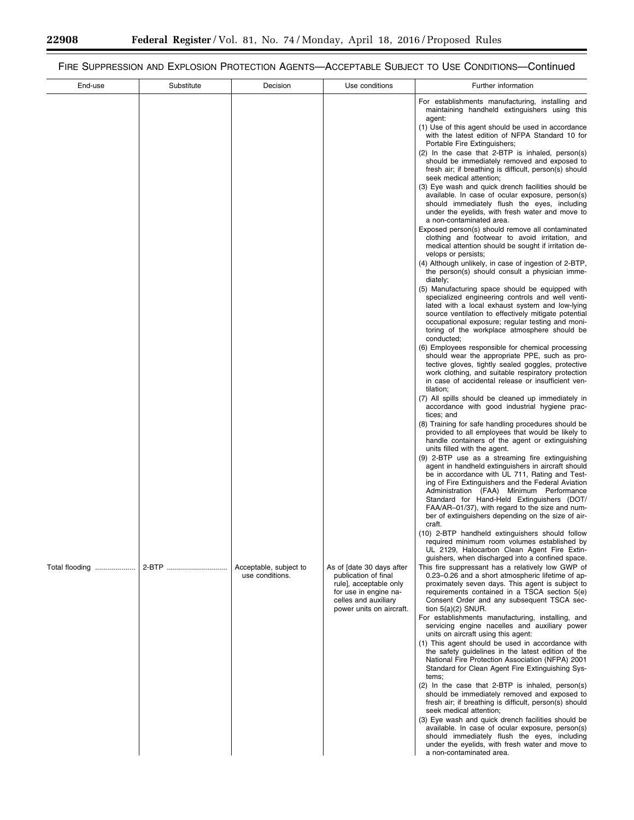▀

# FIRE SUPPRESSION AND EXPLOSION PROTECTION AGENTS—ACCEPTABLE SUBJECT TO USE CONDITIONS—Continued

| End-use        | Substitute | Decision                                  | Use conditions                                                                                                                                           | Further information                                                                                                                                                                                                                                                                                                                                                                                                                                                                                                                                                                                                                                                                                                                                                                                                                                                                                                                                                                                                                                                                                                                                                                                                                                                                                                                                                                                                                                                    |
|----------------|------------|-------------------------------------------|----------------------------------------------------------------------------------------------------------------------------------------------------------|------------------------------------------------------------------------------------------------------------------------------------------------------------------------------------------------------------------------------------------------------------------------------------------------------------------------------------------------------------------------------------------------------------------------------------------------------------------------------------------------------------------------------------------------------------------------------------------------------------------------------------------------------------------------------------------------------------------------------------------------------------------------------------------------------------------------------------------------------------------------------------------------------------------------------------------------------------------------------------------------------------------------------------------------------------------------------------------------------------------------------------------------------------------------------------------------------------------------------------------------------------------------------------------------------------------------------------------------------------------------------------------------------------------------------------------------------------------------|
|                |            |                                           |                                                                                                                                                          | For establishments manufacturing, installing and<br>maintaining handheld extinguishers using this<br>agent:<br>(1) Use of this agent should be used in accordance<br>with the latest edition of NFPA Standard 10 for<br>Portable Fire Extinguishers;<br>(2) In the case that 2-BTP is inhaled, person(s)<br>should be immediately removed and exposed to<br>fresh air; if breathing is difficult, person(s) should<br>seek medical attention;<br>(3) Eye wash and quick drench facilities should be<br>available. In case of ocular exposure, person(s)<br>should immediately flush the eyes, including<br>under the eyelids, with fresh water and move to<br>a non-contaminated area.<br>Exposed person(s) should remove all contaminated<br>clothing and footwear to avoid irritation, and<br>medical attention should be sought if irritation de-<br>velops or persists;<br>(4) Although unlikely, in case of ingestion of 2-BTP,<br>the person(s) should consult a physician imme-<br>diately;<br>(5) Manufacturing space should be equipped with                                                                                                                                                                                                                                                                                                                                                                                                                  |
|                |            |                                           |                                                                                                                                                          | specialized engineering controls and well venti-<br>lated with a local exhaust system and low-lying<br>source ventilation to effectively mitigate potential<br>occupational exposure; regular testing and moni-<br>toring of the workplace atmosphere should be<br>conducted;<br>(6) Employees responsible for chemical processing<br>should wear the appropriate PPE, such as pro-<br>tective gloves, tightly sealed goggles, protective<br>work clothing, and suitable respiratory protection<br>in case of accidental release or insufficient ven-<br>tilation;<br>(7) All spills should be cleaned up immediately in<br>accordance with good industrial hygiene prac-<br>tices; and<br>(8) Training for safe handling procedures should be<br>provided to all employees that would be likely to<br>handle containers of the agent or extinguishing<br>units filled with the agent.<br>(9) 2-BTP use as a streaming fire extinguishing<br>agent in handheld extinguishers in aircraft should<br>be in accordance with UL 711, Rating and Test-<br>ing of Fire Extinguishers and the Federal Aviation<br>Administration (FAA) Minimum Performance<br>Standard for Hand-Held Extinguishers (DOT/<br>FAA/AR-01/37), with regard to the size and num-<br>ber of extinguishers depending on the size of air-<br>craft.<br>(10) 2-BTP handheld extinguishers should follow<br>required minimum room volumes established by<br>UL 2129, Halocarbon Clean Agent Fire Extin- |
| Total flooding | 2-BTP      | Acceptable, subject to<br>use conditions. | As of [date 30 days after<br>publication of final<br>rule], acceptable only<br>for use in engine na-<br>celles and auxiliary<br>power units on aircraft. | guishers, when discharged into a confined space.<br>This fire suppressant has a relatively low GWP of<br>0.23-0.26 and a short atmospheric lifetime of ap-<br>proximately seven days. This agent is subject to<br>requirements contained in a TSCA section 5(e)<br>Consent Order and any subsequent TSCA sec-<br>tion $5(a)(2)$ SNUR.<br>For establishments manufacturing, installing, and<br>servicing engine nacelles and auxiliary power<br>units on aircraft using this agent:<br>(1) This agent should be used in accordance with<br>the safety quidelines in the latest edition of the<br>National Fire Protection Association (NFPA) 2001<br>Standard for Clean Agent Fire Extinguishing Sys-<br>tems;<br>$(2)$ In the case that 2-BTP is inhaled, person(s)<br>should be immediately removed and exposed to<br>fresh air; if breathing is difficult, person(s) should<br>seek medical attention;<br>(3) Eye wash and quick drench facilities should be<br>available. In case of ocular exposure, person(s)<br>should immediately flush the eyes, including<br>under the eyelids, with fresh water and move to<br>a non-contaminated area.                                                                                                                                                                                                                                                                                                                      |